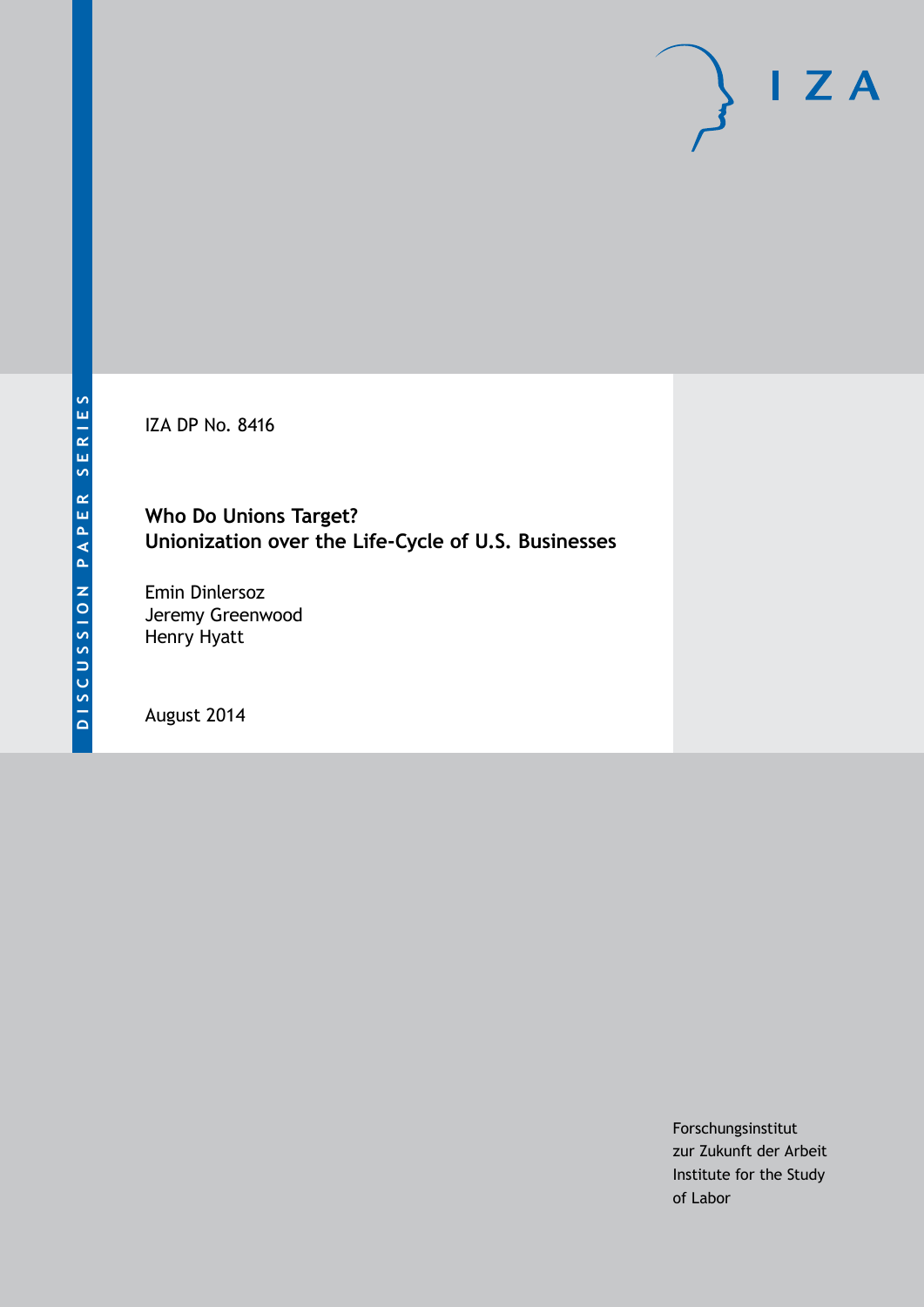IZA DP No. 8416

# **Who Do Unions Target? Unionization over the Life-Cycle of U.S. Businesses**

Emin Dinlersoz Jeremy Greenwood Henry Hyatt

August 2014

Forschungsinstitut zur Zukunft der Arbeit Institute for the Study of Labor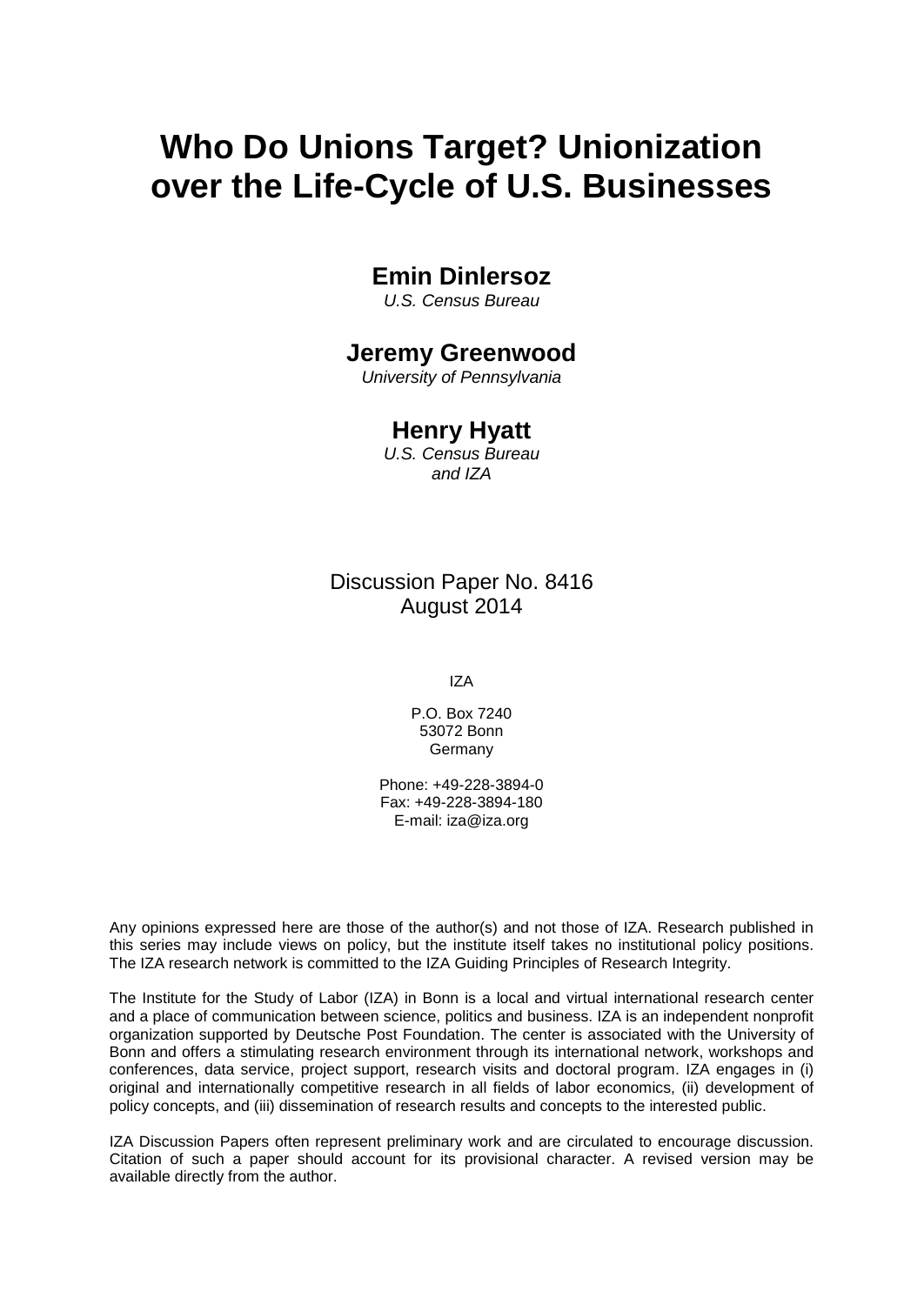# **Who Do Unions Target? Unionization over the Life-Cycle of U.S. Businesses**

# **Emin Dinlersoz**

*U.S. Census Bureau*

# **Jeremy Greenwood**

*University of Pennsylvania*

## **Henry Hyatt**

*U.S. Census Bureau and IZA*

Discussion Paper No. 8416 August 2014

IZA

P.O. Box 7240 53072 Bonn Germany

Phone: +49-228-3894-0 Fax: +49-228-3894-180 E-mail: [iza@iza.org](mailto:iza@iza.org)

Any opinions expressed here are those of the author(s) and not those of IZA. Research published in this series may include views on policy, but the institute itself takes no institutional policy positions. The IZA research network is committed to the IZA Guiding Principles of Research Integrity.

The Institute for the Study of Labor (IZA) in Bonn is a local and virtual international research center and a place of communication between science, politics and business. IZA is an independent nonprofit organization supported by Deutsche Post Foundation. The center is associated with the University of Bonn and offers a stimulating research environment through its international network, workshops and conferences, data service, project support, research visits and doctoral program. IZA engages in (i) original and internationally competitive research in all fields of labor economics, (ii) development of policy concepts, and (iii) dissemination of research results and concepts to the interested public.

<span id="page-1-0"></span>IZA Discussion Papers often represent preliminary work and are circulated to encourage discussion. Citation of such a paper should account for its provisional character. A revised version may be available directly from the author.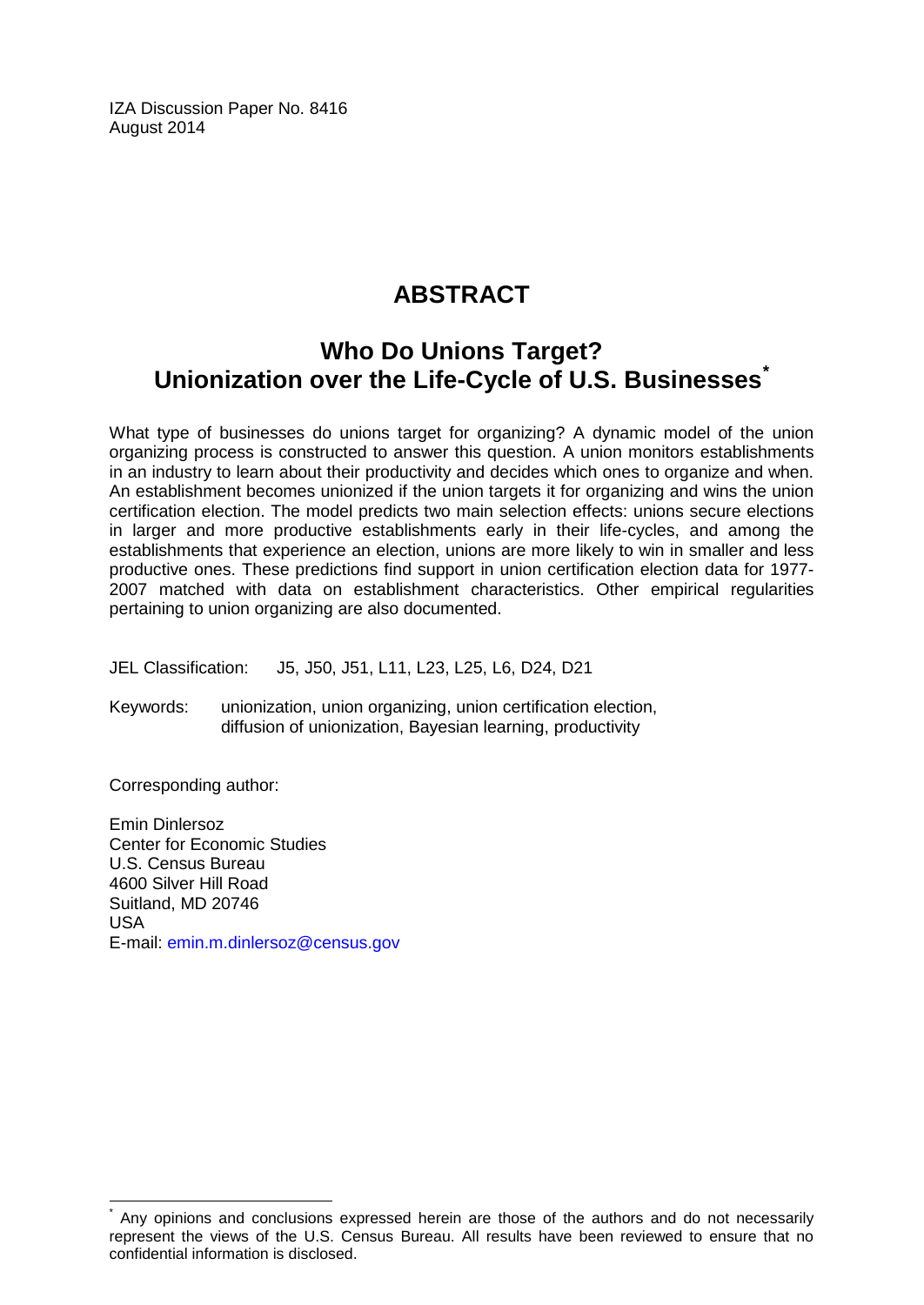IZA Discussion Paper No. 8416 August 2014

# **ABSTRACT**

# **Who Do Unions Target? Unionization over the Life-Cycle of U.S. Businesses[\\*](#page-1-0)**

What type of businesses do unions target for organizing? A dynamic model of the union organizing process is constructed to answer this question. A union monitors establishments in an industry to learn about their productivity and decides which ones to organize and when. An establishment becomes unionized if the union targets it for organizing and wins the union certification election. The model predicts two main selection effects: unions secure elections in larger and more productive establishments early in their life-cycles, and among the establishments that experience an election, unions are more likely to win in smaller and less productive ones. These predictions find support in union certification election data for 1977- 2007 matched with data on establishment characteristics. Other empirical regularities pertaining to union organizing are also documented.

JEL Classification: J5, J50, J51, L11, L23, L25, L6, D24, D21

Keywords: unionization, union organizing, union certification election, diffusion of unionization, Bayesian learning, productivity

Corresponding author:

Emin Dinlersoz Center for Economic Studies U.S. Census Bureau 4600 Silver Hill Road Suitland, MD 20746 USA E-mail: [emin.m.dinlersoz@census.gov](mailto:emin.m.dinlersoz@census.gov)

Any opinions and conclusions expressed herein are those of the authors and do not necessarily represent the views of the U.S. Census Bureau. All results have been reviewed to ensure that no confidential information is disclosed.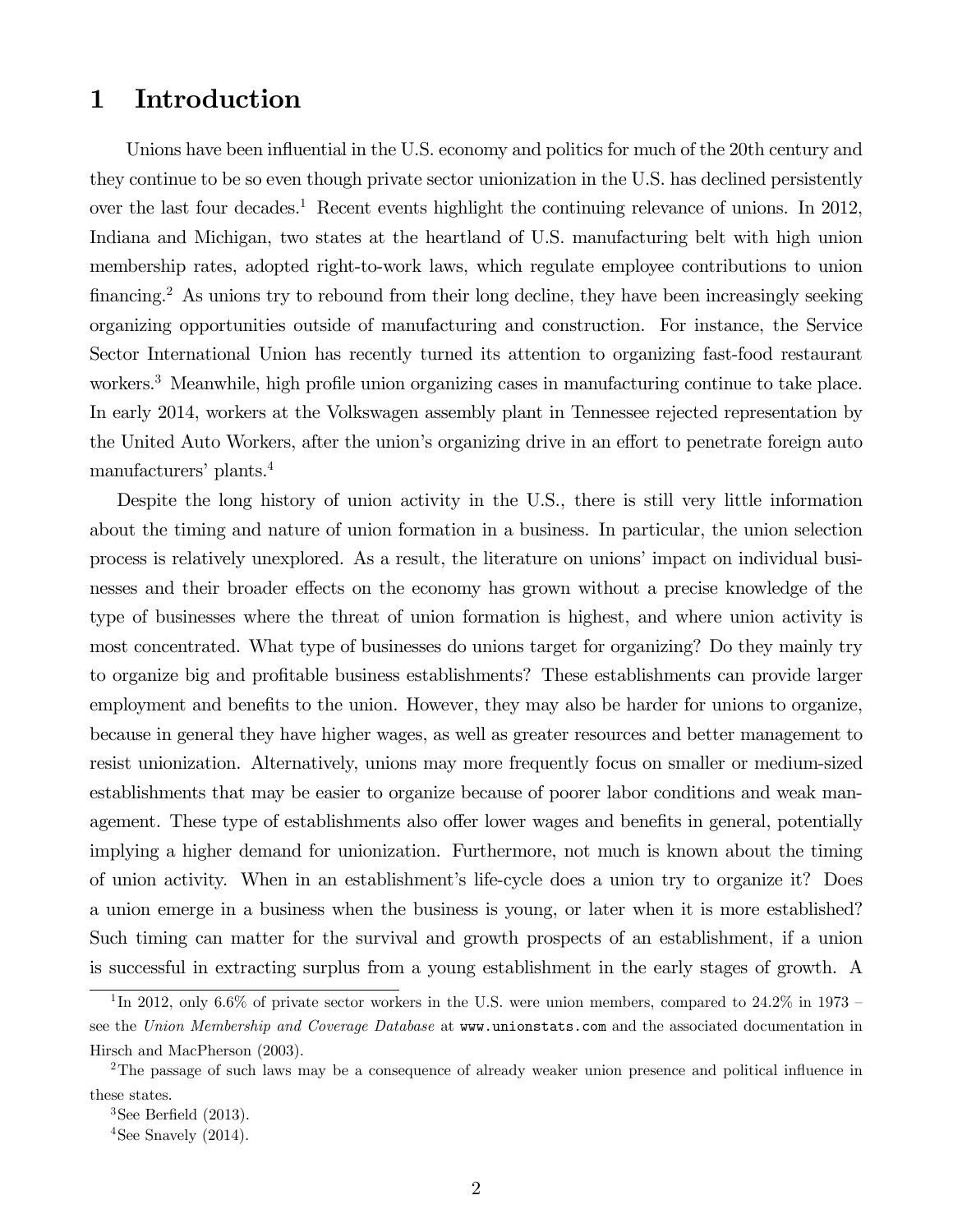# 1 Introduction

Unions have been influential in the U.S. economy and politics for much of the 20th century and they continue to be so even though private sector unionization in the U.S. has declined persistently over the last four decades.<sup>1</sup> Recent events highlight the continuing relevance of unions. In 2012, Indiana and Michigan, two states at the heartland of U.S. manufacturing belt with high union membership rates, adopted right-to-work laws, which regulate employee contributions to union financing.2 As unions try to rebound from their long decline, they have been increasingly seeking organizing opportunities outside of manufacturing and construction. For instance, the Service Sector International Union has recently turned its attention to organizing fast-food restaurant workers.<sup>3</sup> Meanwhile, high profile union organizing cases in manufacturing continue to take place. In early 2014, workers at the Volkswagen assembly plant in Tennessee rejected representation by the United Auto Workers, after the union's organizing drive in an effort to penetrate foreign auto manufacturers' plants.4

Despite the long history of union activity in the U.S., there is still very little information about the timing and nature of union formation in a business. In particular, the union selection process is relatively unexplored. As a result, the literature on unions' impact on individual businesses and their broader effects on the economy has grown without a precise knowledge of the type of businesses where the threat of union formation is highest, and where union activity is most concentrated. What type of businesses do unions target for organizing? Do they mainly try to organize big and profitable business establishments? These establishments can provide larger employment and benefits to the union. However, they may also be harder for unions to organize, because in general they have higher wages, as well as greater resources and better management to resist unionization. Alternatively, unions may more frequently focus on smaller or medium-sized establishments that may be easier to organize because of poorer labor conditions and weak management. These type of establishments also offer lower wages and benefits in general, potentially implying a higher demand for unionization. Furthermore, not much is known about the timing of union activity. When in an establishment's life-cycle does a union try to organize it? Does a union emerge in a business when the business is young, or later when it is more established? Such timing can matter for the survival and growth prospects of an establishment, if a union is successful in extracting surplus from a young establishment in the early stages of growth. A

<sup>&</sup>lt;sup>1</sup>In 2012, only 6.6% of private sector workers in the U.S. were union members, compared to 24.2% in 1973 – see the Union Membership and Coverage Database at www.unionstats.com and the associated documentation in Hirsch and MacPherson (2003).

<sup>2</sup>The passage of such laws may be a consequence of already weaker union presence and political influence in these states.

 $3$ See Berfield (2013).

<sup>&</sup>lt;sup>4</sup>See Snavely  $(2014)$ .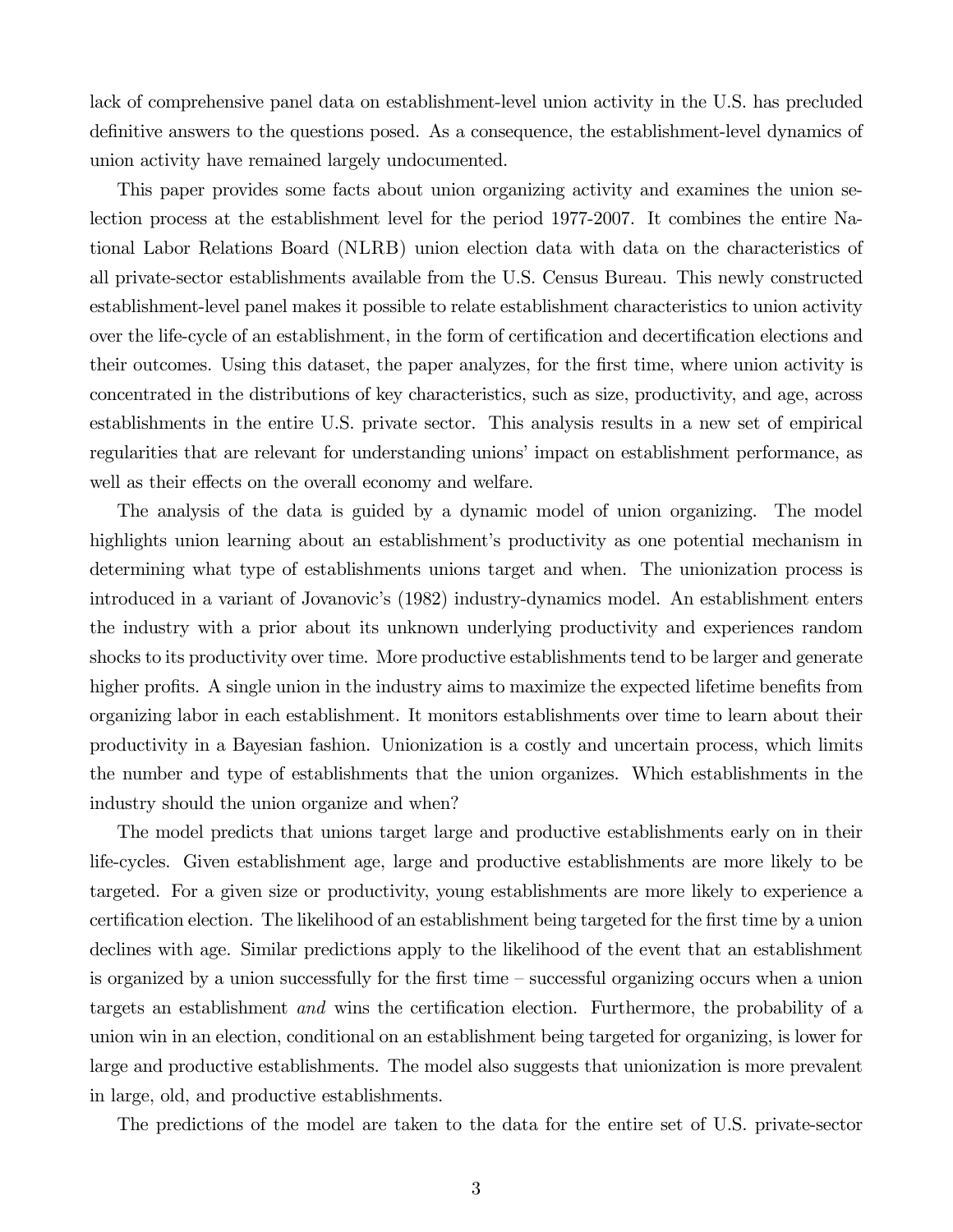lack of comprehensive panel data on establishment-level union activity in the U.S. has precluded definitive answers to the questions posed. As a consequence, the establishment-level dynamics of union activity have remained largely undocumented.

This paper provides some facts about union organizing activity and examines the union selection process at the establishment level for the period 1977-2007. It combines the entire National Labor Relations Board (NLRB) union election data with data on the characteristics of all private-sector establishments available from the U.S. Census Bureau. This newly constructed establishment-level panel makes it possible to relate establishment characteristics to union activity over the life-cycle of an establishment, in the form of certification and decertification elections and their outcomes. Using this dataset, the paper analyzes, for the first time, where union activity is concentrated in the distributions of key characteristics, such as size, productivity, and age, across establishments in the entire U.S. private sector. This analysis results in a new set of empirical regularities that are relevant for understanding unions' impact on establishment performance, as well as their effects on the overall economy and welfare.

The analysis of the data is guided by a dynamic model of union organizing. The model highlights union learning about an establishment's productivity as one potential mechanism in determining what type of establishments unions target and when. The unionization process is introduced in a variant of Jovanovic's (1982) industry-dynamics model. An establishment enters the industry with a prior about its unknown underlying productivity and experiences random shocks to its productivity over time. More productive establishments tend to be larger and generate higher profits. A single union in the industry aims to maximize the expected lifetime benefits from organizing labor in each establishment. It monitors establishments over time to learn about their productivity in a Bayesian fashion. Unionization is a costly and uncertain process, which limits the number and type of establishments that the union organizes. Which establishments in the industry should the union organize and when?

The model predicts that unions target large and productive establishments early on in their life-cycles. Given establishment age, large and productive establishments are more likely to be targeted. For a given size or productivity, young establishments are more likely to experience a certification election. The likelihood of an establishment being targeted for the first time by a union declines with age. Similar predictions apply to the likelihood of the event that an establishment is organized by a union successfully for the first time — successful organizing occurs when a union targets an establishment and wins the certification election. Furthermore, the probability of a union win in an election, conditional on an establishment being targeted for organizing, is lower for large and productive establishments. The model also suggests that unionization is more prevalent in large, old, and productive establishments.

The predictions of the model are taken to the data for the entire set of U.S. private-sector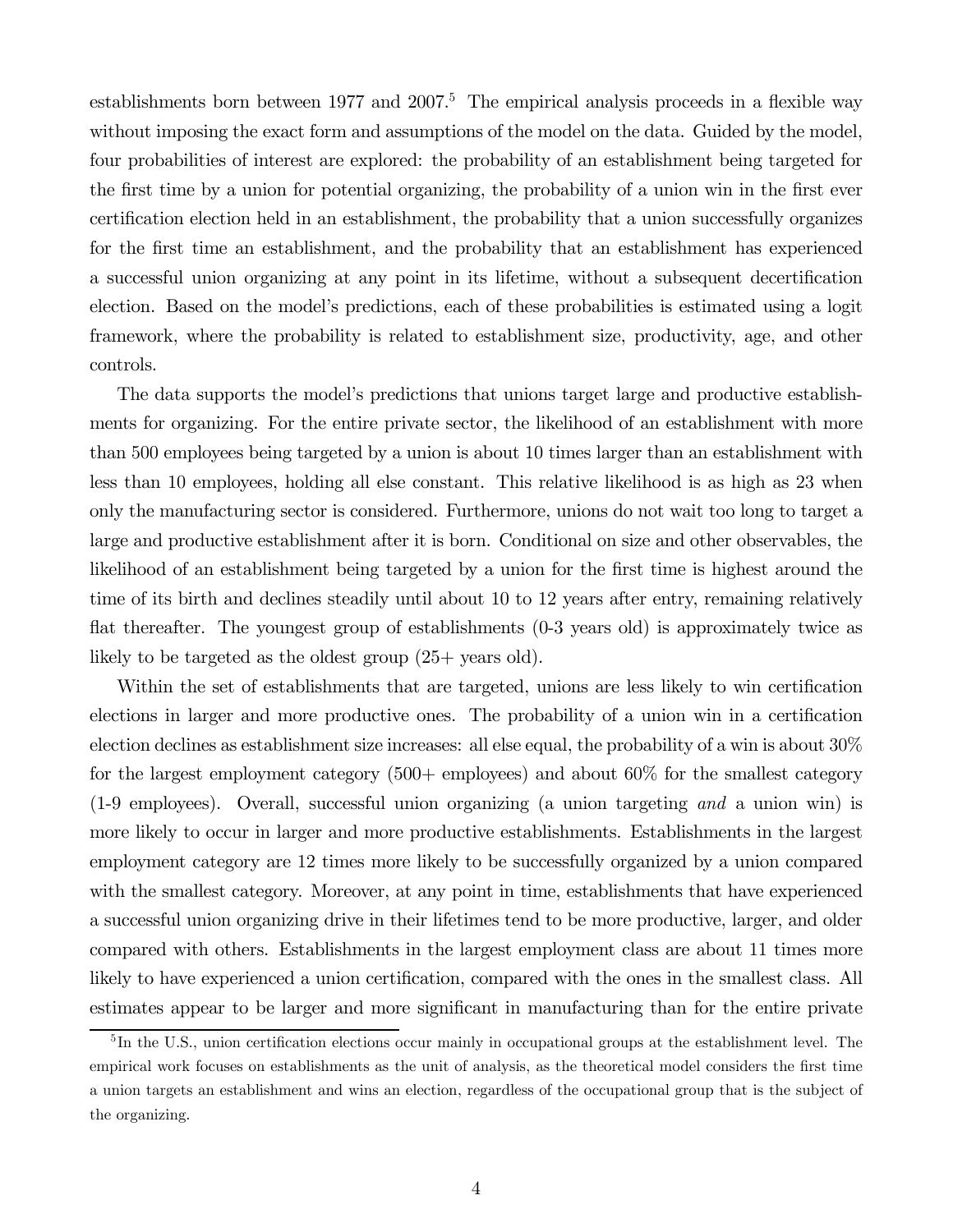establishments born between  $1977$  and  $2007<sup>5</sup>$ . The empirical analysis proceeds in a flexible way without imposing the exact form and assumptions of the model on the data. Guided by the model, four probabilities of interest are explored: the probability of an establishment being targeted for the first time by a union for potential organizing, the probability of a union win in the first ever certification election held in an establishment, the probability that a union successfully organizes for the first time an establishment, and the probability that an establishment has experienced a successful union organizing at any point in its lifetime, without a subsequent decertification election. Based on the model's predictions, each of these probabilities is estimated using a logit framework, where the probability is related to establishment size, productivity, age, and other controls.

The data supports the model's predictions that unions target large and productive establishments for organizing. For the entire private sector, the likelihood of an establishment with more than 500 employees being targeted by a union is about 10 times larger than an establishment with less than 10 employees, holding all else constant. This relative likelihood is as high as 23 when only the manufacturing sector is considered. Furthermore, unions do not wait too long to target a large and productive establishment after it is born. Conditional on size and other observables, the likelihood of an establishment being targeted by a union for the first time is highest around the time of its birth and declines steadily until about 10 to 12 years after entry, remaining relatively flat thereafter. The youngest group of establishments (0-3 years old) is approximately twice as likely to be targeted as the oldest group (25+ years old).

Within the set of establishments that are targeted, unions are less likely to win certification elections in larger and more productive ones. The probability of a union win in a certification election declines as establishment size increases: all else equal, the probability of a win is about 30% for the largest employment category (500+ employees) and about 60% for the smallest category (1-9 employees). Overall, successful union organizing (a union targeting and a union win) is more likely to occur in larger and more productive establishments. Establishments in the largest employment category are 12 times more likely to be successfully organized by a union compared with the smallest category. Moreover, at any point in time, establishments that have experienced a successful union organizing drive in their lifetimes tend to be more productive, larger, and older compared with others. Establishments in the largest employment class are about 11 times more likely to have experienced a union certification, compared with the ones in the smallest class. All estimates appear to be larger and more significant in manufacturing than for the entire private

<sup>&</sup>lt;sup>5</sup>In the U.S., union certification elections occur mainly in occupational groups at the establishment level. The empirical work focuses on establishments as the unit of analysis, as the theoretical model considers the first time a union targets an establishment and wins an election, regardless of the occupational group that is the subject of the organizing.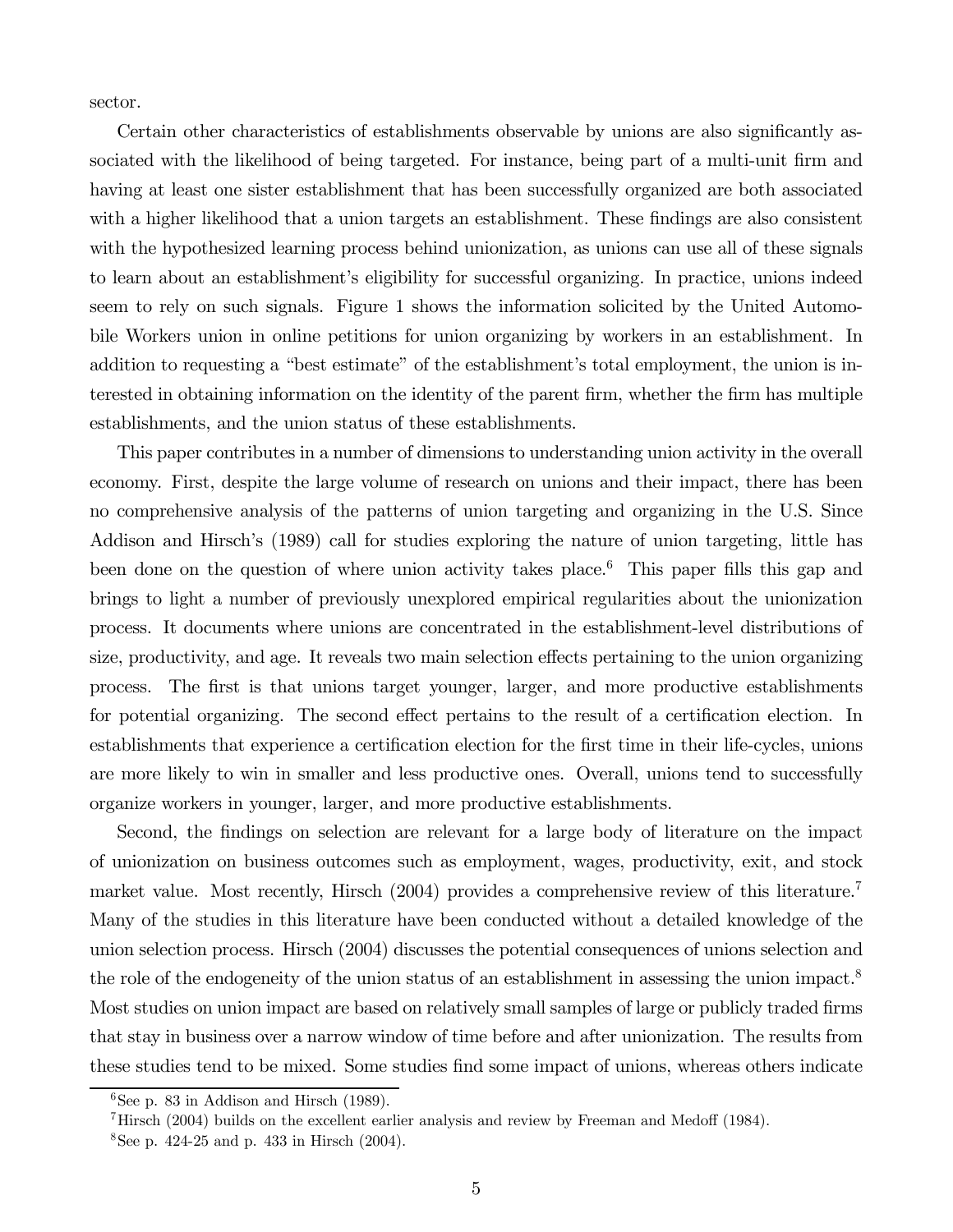sector.

Certain other characteristics of establishments observable by unions are also significantly associated with the likelihood of being targeted. For instance, being part of a multi-unit firm and having at least one sister establishment that has been successfully organized are both associated with a higher likelihood that a union targets an establishment. These findings are also consistent with the hypothesized learning process behind unionization, as unions can use all of these signals to learn about an establishment's eligibility for successful organizing. In practice, unions indeed seem to rely on such signals. Figure 1 shows the information solicited by the United Automobile Workers union in online petitions for union organizing by workers in an establishment. In addition to requesting a "best estimate" of the establishment's total employment, the union is interested in obtaining information on the identity of the parent firm, whether the firm has multiple establishments, and the union status of these establishments.

This paper contributes in a number of dimensions to understanding union activity in the overall economy. First, despite the large volume of research on unions and their impact, there has been no comprehensive analysis of the patterns of union targeting and organizing in the U.S. Since Addison and Hirsch's (1989) call for studies exploring the nature of union targeting, little has been done on the question of where union activity takes place.<sup>6</sup> This paper fills this gap and brings to light a number of previously unexplored empirical regularities about the unionization process. It documents where unions are concentrated in the establishment-level distributions of size, productivity, and age. It reveals two main selection effects pertaining to the union organizing process. The first is that unions target younger, larger, and more productive establishments for potential organizing. The second effect pertains to the result of a certification election. In establishments that experience a certification election for the first time in their life-cycles, unions are more likely to win in smaller and less productive ones. Overall, unions tend to successfully organize workers in younger, larger, and more productive establishments.

Second, the findings on selection are relevant for a large body of literature on the impact of unionization on business outcomes such as employment, wages, productivity, exit, and stock market value. Most recently, Hirsch (2004) provides a comprehensive review of this literature.<sup>7</sup> Many of the studies in this literature have been conducted without a detailed knowledge of the union selection process. Hirsch (2004) discusses the potential consequences of unions selection and the role of the endogeneity of the union status of an establishment in assessing the union impact.<sup>8</sup> Most studies on union impact are based on relatively small samples of large or publicly traded firms that stay in business over a narrow window of time before and after unionization. The results from these studies tend to be mixed. Some studies find some impact of unions, whereas others indicate

 $6$ See p. 83 in Addison and Hirsch (1989).

<sup>&</sup>lt;sup>7</sup>Hirsch (2004) builds on the excellent earlier analysis and review by Freeman and Medoff (1984).

<sup>&</sup>lt;sup>8</sup>See p. 424-25 and p. 433 in Hirsch  $(2004)$ .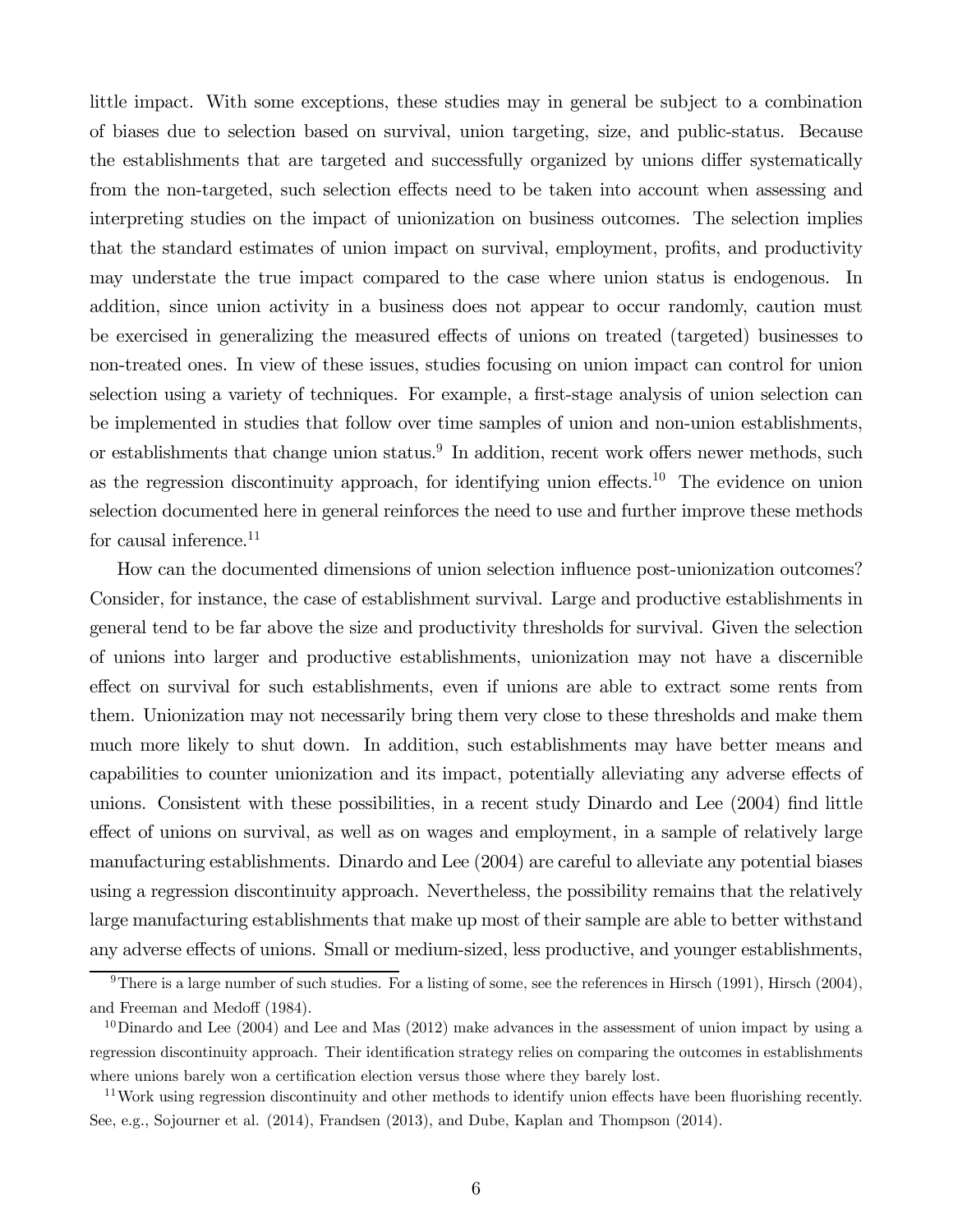little impact. With some exceptions, these studies may in general be subject to a combination of biases due to selection based on survival, union targeting, size, and public-status. Because the establishments that are targeted and successfully organized by unions differ systematically from the non-targeted, such selection effects need to be taken into account when assessing and interpreting studies on the impact of unionization on business outcomes. The selection implies that the standard estimates of union impact on survival, employment, profits, and productivity may understate the true impact compared to the case where union status is endogenous. In addition, since union activity in a business does not appear to occur randomly, caution must be exercised in generalizing the measured effects of unions on treated (targeted) businesses to non-treated ones. In view of these issues, studies focusing on union impact can control for union selection using a variety of techniques. For example, a first-stage analysis of union selection can be implemented in studies that follow over time samples of union and non-union establishments, or establishments that change union status.<sup>9</sup> In addition, recent work offers newer methods, such as the regression discontinuity approach, for identifying union effects.<sup>10</sup> The evidence on union selection documented here in general reinforces the need to use and further improve these methods for causal inference. $11$ 

How can the documented dimensions of union selection influence post-unionization outcomes? Consider, for instance, the case of establishment survival. Large and productive establishments in general tend to be far above the size and productivity thresholds for survival. Given the selection of unions into larger and productive establishments, unionization may not have a discernible effect on survival for such establishments, even if unions are able to extract some rents from them. Unionization may not necessarily bring them very close to these thresholds and make them much more likely to shut down. In addition, such establishments may have better means and capabilities to counter unionization and its impact, potentially alleviating any adverse effects of unions. Consistent with these possibilities, in a recent study Dinardo and Lee (2004) find little effect of unions on survival, as well as on wages and employment, in a sample of relatively large manufacturing establishments. Dinardo and Lee (2004) are careful to alleviate any potential biases using a regression discontinuity approach. Nevertheless, the possibility remains that the relatively large manufacturing establishments that make up most of their sample are able to better withstand any adverse effects of unions. Small or medium-sized, less productive, and younger establishments,

<sup>&</sup>lt;sup>9</sup>There is a large number of such studies. For a listing of some, see the references in Hirsch (1991), Hirsch (2004), and Freeman and Medoff (1984).

 $10$ Dinardo and Lee (2004) and Lee and Mas (2012) make advances in the assessment of union impact by using a regression discontinuity approach. Their identification strategy relies on comparing the outcomes in establishments where unions barely won a certification election versus those where they barely lost.

<sup>&</sup>lt;sup>11</sup>Work using regression discontinuity and other methods to identify union effects have been fluorishing recently. See, e.g., Sojourner et al. (2014), Frandsen (2013), and Dube, Kaplan and Thompson (2014).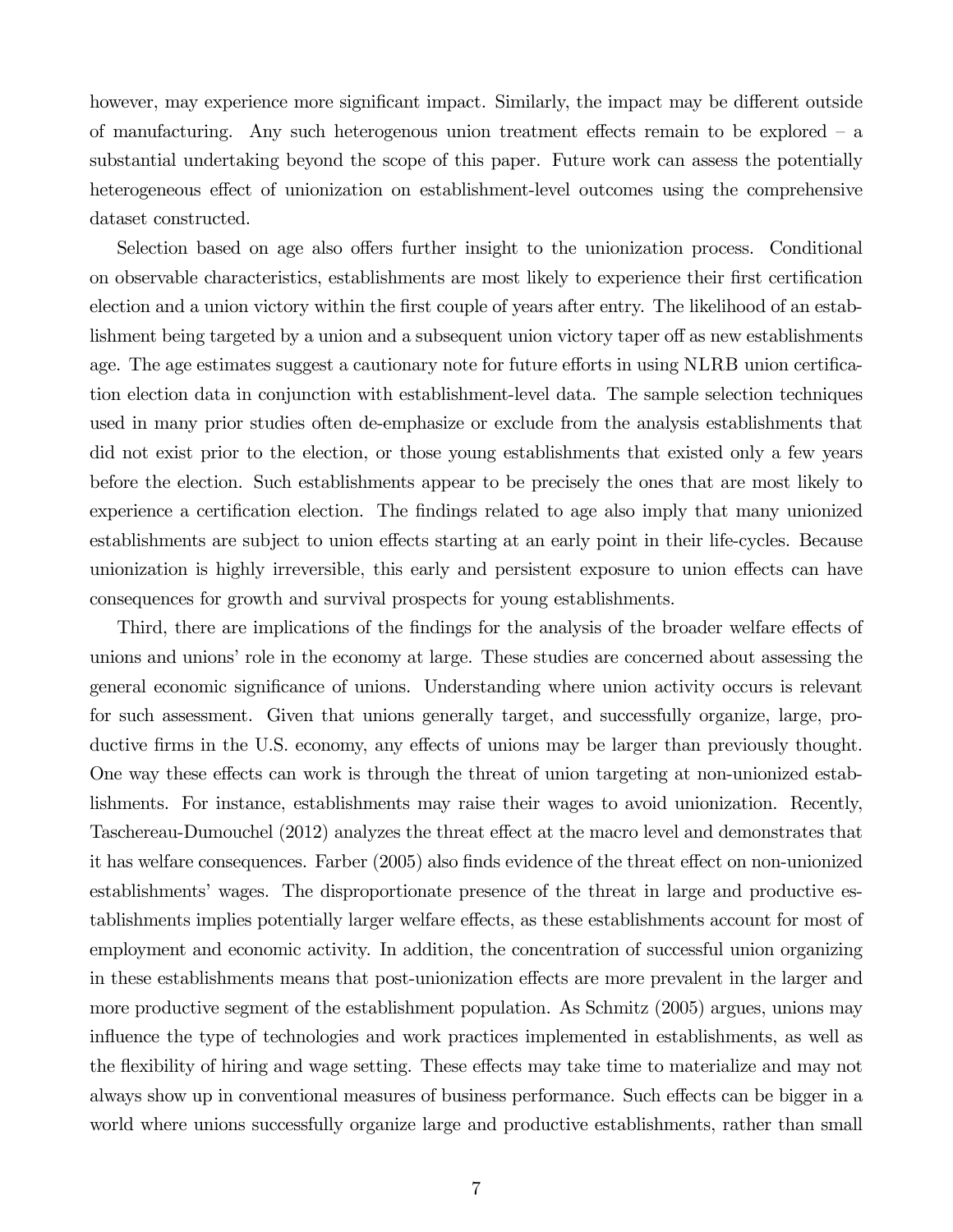however, may experience more significant impact. Similarly, the impact may be different outside of manufacturing. Any such heterogenous union treatment effects remain to be explored — a substantial undertaking beyond the scope of this paper. Future work can assess the potentially heterogeneous effect of unionization on establishment-level outcomes using the comprehensive dataset constructed.

Selection based on age also offers further insight to the unionization process. Conditional on observable characteristics, establishments are most likely to experience their first certification election and a union victory within the first couple of years after entry. The likelihood of an establishment being targeted by a union and a subsequent union victory taper off as new establishments age. The age estimates suggest a cautionary note for future efforts in using NLRB union certification election data in conjunction with establishment-level data. The sample selection techniques used in many prior studies often de-emphasize or exclude from the analysis establishments that did not exist prior to the election, or those young establishments that existed only a few years before the election. Such establishments appear to be precisely the ones that are most likely to experience a certification election. The findings related to age also imply that many unionized establishments are subject to union effects starting at an early point in their life-cycles. Because unionization is highly irreversible, this early and persistent exposure to union effects can have consequences for growth and survival prospects for young establishments.

Third, there are implications of the findings for the analysis of the broader welfare effects of unions and unions' role in the economy at large. These studies are concerned about assessing the general economic significance of unions. Understanding where union activity occurs is relevant for such assessment. Given that unions generally target, and successfully organize, large, productive firms in the U.S. economy, any effects of unions may be larger than previously thought. One way these effects can work is through the threat of union targeting at non-unionized establishments. For instance, establishments may raise their wages to avoid unionization. Recently, Taschereau-Dumouchel (2012) analyzes the threat effect at the macro level and demonstrates that it has welfare consequences. Farber (2005) also finds evidence of the threat effect on non-unionized establishments' wages. The disproportionate presence of the threat in large and productive establishments implies potentially larger welfare effects, as these establishments account for most of employment and economic activity. In addition, the concentration of successful union organizing in these establishments means that post-unionization effects are more prevalent in the larger and more productive segment of the establishment population. As Schmitz (2005) argues, unions may influence the type of technologies and work practices implemented in establishments, as well as the flexibility of hiring and wage setting. These effects may take time to materialize and may not always show up in conventional measures of business performance. Such effects can be bigger in a world where unions successfully organize large and productive establishments, rather than small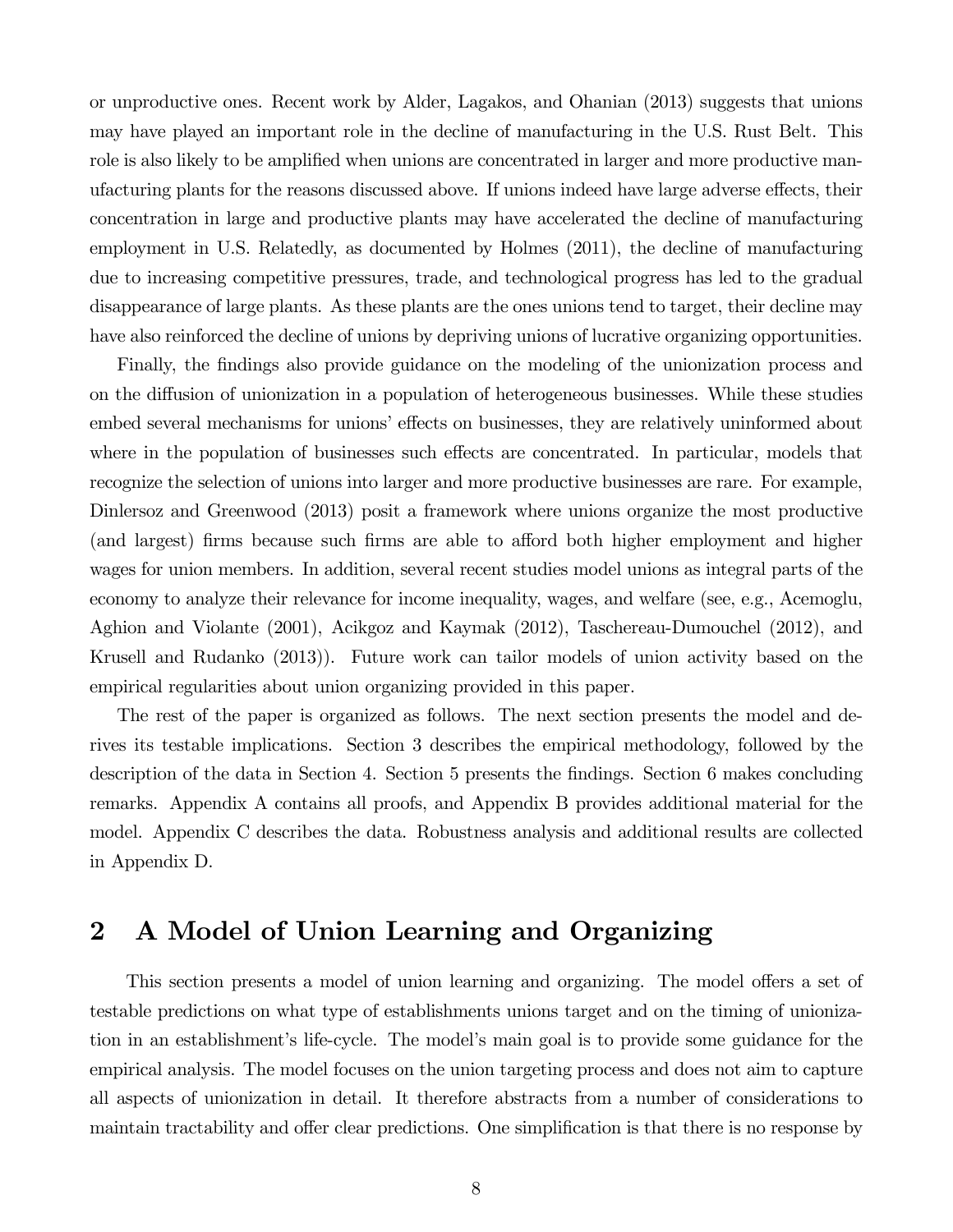or unproductive ones. Recent work by Alder, Lagakos, and Ohanian (2013) suggests that unions may have played an important role in the decline of manufacturing in the U.S. Rust Belt. This role is also likely to be amplified when unions are concentrated in larger and more productive manufacturing plants for the reasons discussed above. If unions indeed have large adverse effects, their concentration in large and productive plants may have accelerated the decline of manufacturing employment in U.S. Relatedly, as documented by Holmes (2011), the decline of manufacturing due to increasing competitive pressures, trade, and technological progress has led to the gradual disappearance of large plants. As these plants are the ones unions tend to target, their decline may have also reinforced the decline of unions by depriving unions of lucrative organizing opportunities.

Finally, the findings also provide guidance on the modeling of the unionization process and on the diffusion of unionization in a population of heterogeneous businesses. While these studies embed several mechanisms for unions' effects on businesses, they are relatively uninformed about where in the population of businesses such effects are concentrated. In particular, models that recognize the selection of unions into larger and more productive businesses are rare. For example, Dinlersoz and Greenwood (2013) posit a framework where unions organize the most productive (and largest) firms because such firms are able to afford both higher employment and higher wages for union members. In addition, several recent studies model unions as integral parts of the economy to analyze their relevance for income inequality, wages, and welfare (see, e.g., Acemoglu, Aghion and Violante (2001), Acikgoz and Kaymak (2012), Taschereau-Dumouchel (2012), and Krusell and Rudanko (2013)). Future work can tailor models of union activity based on the empirical regularities about union organizing provided in this paper.

The rest of the paper is organized as follows. The next section presents the model and derives its testable implications. Section 3 describes the empirical methodology, followed by the description of the data in Section 4. Section 5 presents the findings. Section 6 makes concluding remarks. Appendix A contains all proofs, and Appendix B provides additional material for the model. Appendix C describes the data. Robustness analysis and additional results are collected in Appendix D.

# 2 A Model of Union Learning and Organizing

This section presents a model of union learning and organizing. The model offers a set of testable predictions on what type of establishments unions target and on the timing of unionization in an establishment's life-cycle. The model's main goal is to provide some guidance for the empirical analysis. The model focuses on the union targeting process and does not aim to capture all aspects of unionization in detail. It therefore abstracts from a number of considerations to maintain tractability and offer clear predictions. One simplification is that there is no response by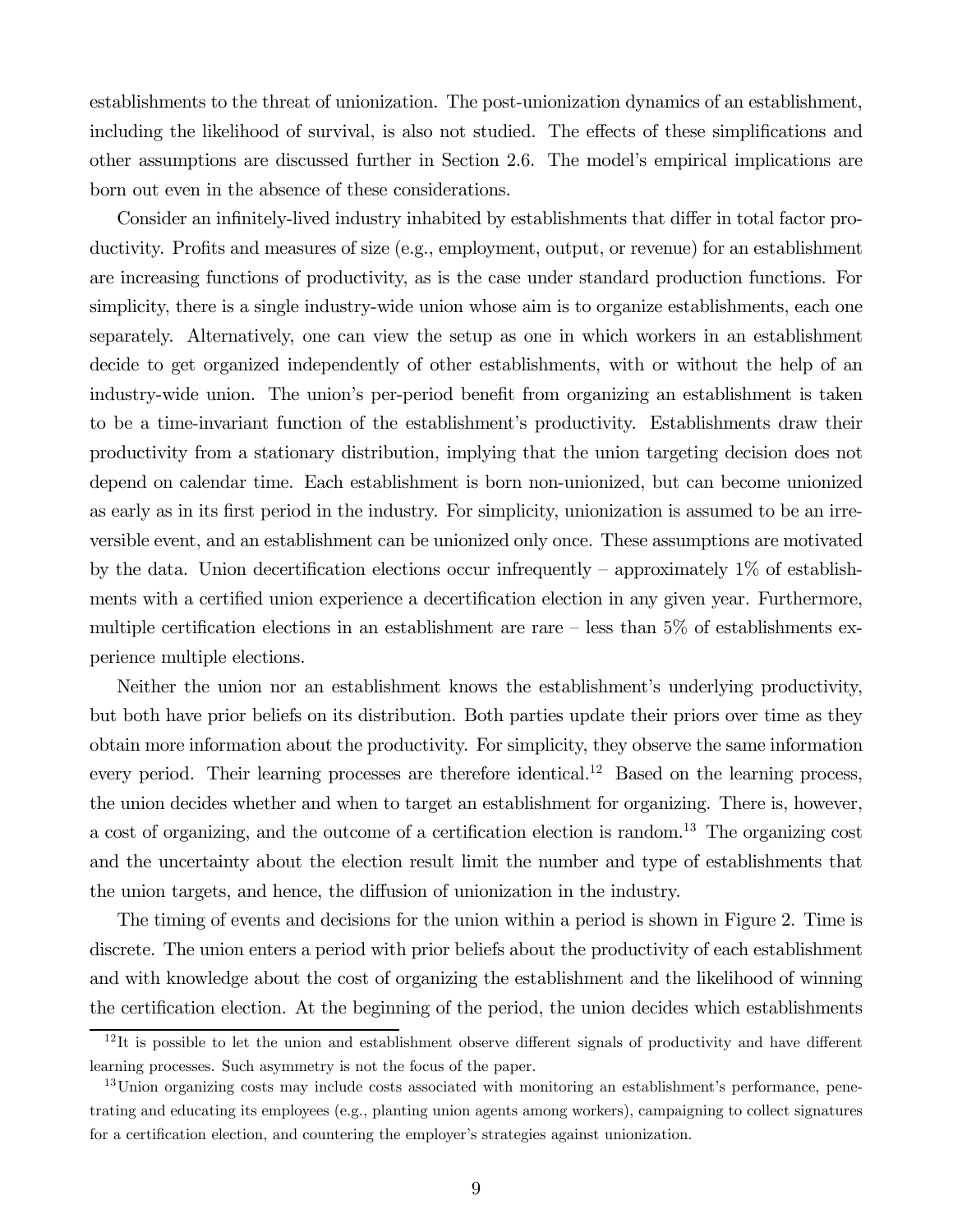establishments to the threat of unionization. The post-unionization dynamics of an establishment, including the likelihood of survival, is also not studied. The effects of these simplifications and other assumptions are discussed further in Section 2.6. The model's empirical implications are born out even in the absence of these considerations.

Consider an infinitely-lived industry inhabited by establishments that differ in total factor productivity. Profits and measures of size (e.g., employment, output, or revenue) for an establishment are increasing functions of productivity, as is the case under standard production functions. For simplicity, there is a single industry-wide union whose aim is to organize establishments, each one separately. Alternatively, one can view the setup as one in which workers in an establishment decide to get organized independently of other establishments, with or without the help of an industry-wide union. The union's per-period benefit from organizing an establishment is taken to be a time-invariant function of the establishment's productivity. Establishments draw their productivity from a stationary distribution, implying that the union targeting decision does not depend on calendar time. Each establishment is born non-unionized, but can become unionized as early as in its first period in the industry. For simplicity, unionization is assumed to be an irreversible event, and an establishment can be unionized only once. These assumptions are motivated by the data. Union decertification elections occur infrequently – approximately  $1\%$  of establishments with a certified union experience a decertification election in any given year. Furthermore, multiple certification elections in an establishment are rare  $-$  less than 5% of establishments experience multiple elections.

Neither the union nor an establishment knows the establishment's underlying productivity, but both have prior beliefs on its distribution. Both parties update their priors over time as they obtain more information about the productivity. For simplicity, they observe the same information every period. Their learning processes are therefore identical.<sup>12</sup> Based on the learning process, the union decides whether and when to target an establishment for organizing. There is, however, a cost of organizing, and the outcome of a certification election is random.13 The organizing cost and the uncertainty about the election result limit the number and type of establishments that the union targets, and hence, the diffusion of unionization in the industry.

The timing of events and decisions for the union within a period is shown in Figure 2. Time is discrete. The union enters a period with prior beliefs about the productivity of each establishment and with knowledge about the cost of organizing the establishment and the likelihood of winning the certification election. At the beginning of the period, the union decides which establishments

 $12$ It is possible to let the union and establishment observe different signals of productivity and have different learning processes. Such asymmetry is not the focus of the paper.

<sup>&</sup>lt;sup>13</sup>Union organizing costs may include costs associated with monitoring an establishment's performance, penetrating and educating its employees (e.g., planting union agents among workers), campaigning to collect signatures for a certification election, and countering the employer's strategies against unionization.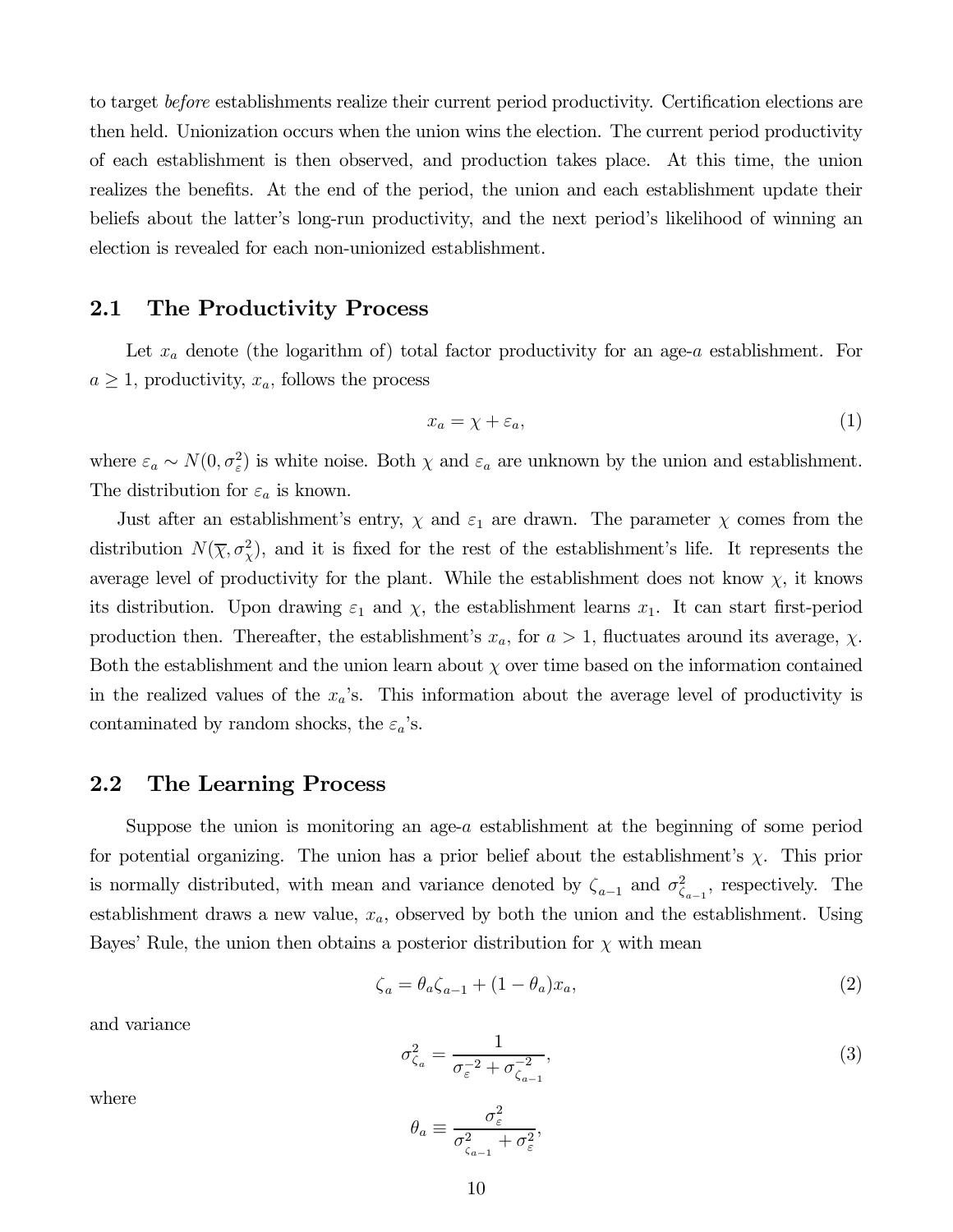to target before establishments realize their current period productivity. Certification elections are then held. Unionization occurs when the union wins the election. The current period productivity of each establishment is then observed, and production takes place. At this time, the union realizes the benefits. At the end of the period, the union and each establishment update their beliefs about the latter's long-run productivity, and the next period's likelihood of winning an election is revealed for each non-unionized establishment.

### 2.1 The Productivity Process

Let  $x_a$  denote (the logarithm of) total factor productivity for an age-a establishment. For  $a \geq 1$ , productivity,  $x_a$ , follows the process

$$
x_a = \chi + \varepsilon_a,\tag{1}
$$

where  $\varepsilon_a \sim N(0, \sigma_{\varepsilon}^2)$  is white noise. Both  $\chi$  and  $\varepsilon_a$  are unknown by the union and establishment. The distribution for  $\varepsilon_a$  is known.

Just after an establishment's entry,  $\chi$  and  $\varepsilon_1$  are drawn. The parameter  $\chi$  comes from the distribution  $N(\overline{\chi}, \sigma^2_{\chi})$ , and it is fixed for the rest of the establishment's life. It represents the average level of productivity for the plant. While the establishment does not know  $\chi$ , it knows its distribution. Upon drawing  $\varepsilon_1$  and  $\chi$ , the establishment learns  $x_1$ . It can start first-period production then. Thereafter, the establishment's  $x_a$ , for  $a > 1$ , fluctuates around its average,  $\chi$ . Both the establishment and the union learn about  $\chi$  over time based on the information contained in the realized values of the  $x_a$ 's. This information about the average level of productivity is contaminated by random shocks, the  $\varepsilon_a$ 's.

### 2.2 The Learning Process

Suppose the union is monitoring an age- $a$  establishment at the beginning of some period for potential organizing. The union has a prior belief about the establishment's  $\chi$ . This prior is normally distributed, with mean and variance denoted by  $\zeta_{a-1}$  and  $\sigma_{\zeta_{a-1}}^2$ , respectively. The establishment draws a new value,  $x_a$ , observed by both the union and the establishment. Using Bayes' Rule, the union then obtains a posterior distribution for  $\chi$  with mean

$$
\zeta_a = \theta_a \zeta_{a-1} + (1 - \theta_a) x_a,\tag{2}
$$

and variance

$$
\sigma_{\zeta_a}^2 = \frac{1}{\sigma_{\varepsilon}^{-2} + \sigma_{\zeta_{a-1}}^{-2}},\tag{3}
$$

where

$$
\theta_a \equiv \frac{\sigma_{\varepsilon}^2}{\sigma_{\zeta_{a-1}}^2 + \sigma_{\varepsilon}^2},
$$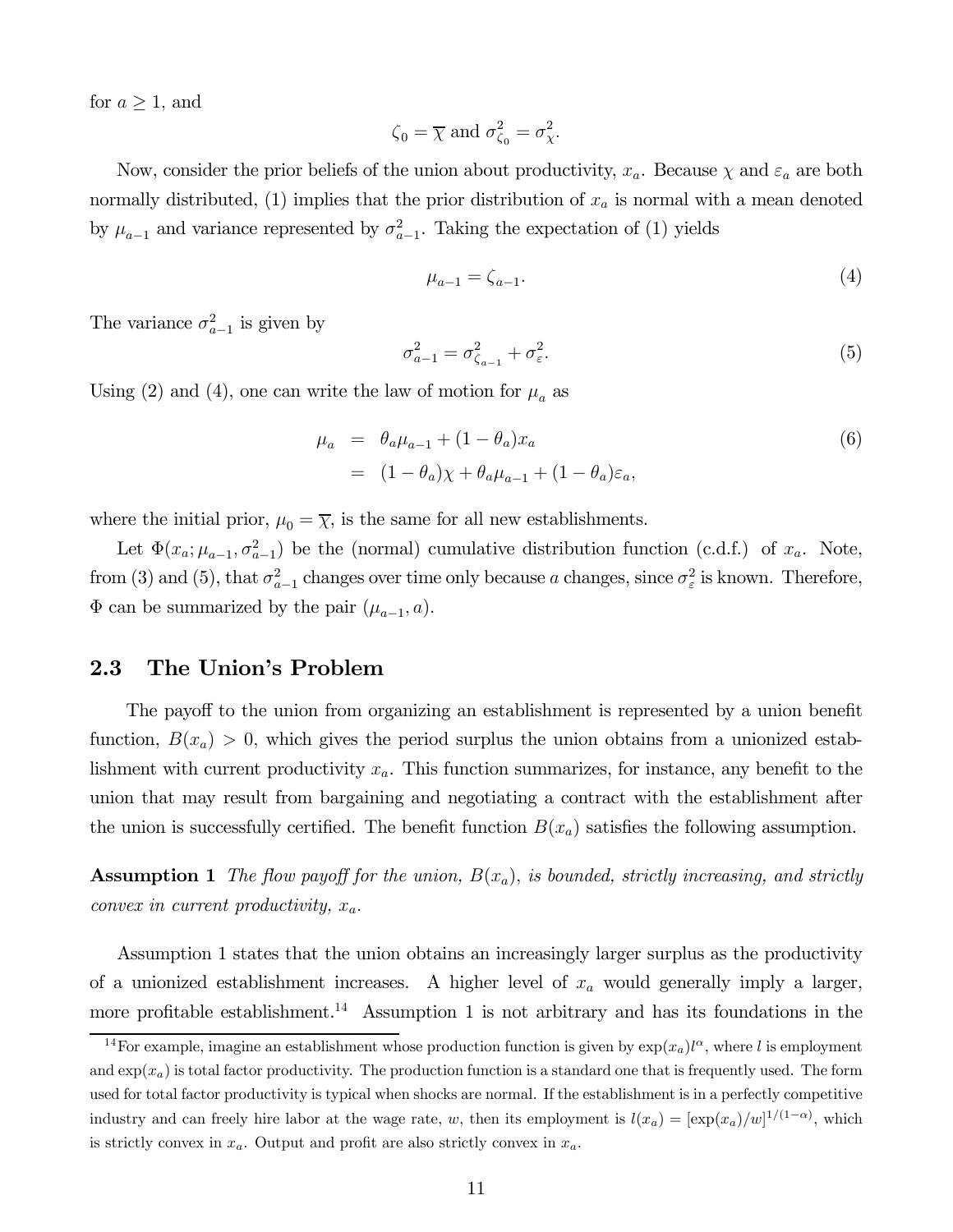for  $a \geq 1$ , and

$$
\zeta_0 = \overline{\chi} \text{ and } \sigma_{\zeta_0}^2 = \sigma_{\chi}^2.
$$

Now, consider the prior beliefs of the union about productivity,  $x_a$ . Because  $\chi$  and  $\varepsilon_a$  are both normally distributed, (1) implies that the prior distribution of  $x_a$  is normal with a mean denoted by  $\mu_{a-1}$  and variance represented by  $\sigma_{a-1}^2$ . Taking the expectation of (1) yields

$$
\mu_{a-1} = \zeta_{a-1}.\tag{4}
$$

The variance  $\sigma_{a-1}^2$  is given by

$$
\sigma_{a-1}^2 = \sigma_{\zeta_{a-1}}^2 + \sigma_{\varepsilon}^2. \tag{5}
$$

Using (2) and (4), one can write the law of motion for  $\mu_a$  as

$$
\mu_a = \theta_a \mu_{a-1} + (1 - \theta_a)x_a
$$
  
= 
$$
(1 - \theta_a)\chi + \theta_a \mu_{a-1} + (1 - \theta_a)\varepsilon_a,
$$
 (6)

where the initial prior,  $\mu_0 = \overline{\chi}$ , is the same for all new establishments.

Let  $\Phi(x_a; \mu_{a-1}, \sigma_{a-1}^2)$  be the (normal) cumulative distribution function (c.d.f.) of  $x_a$ . Note, from (3) and (5), that  $\sigma_{a-1}^2$  changes over time only because a changes, since  $\sigma_{\varepsilon}^2$  is known. Therefore,  $\Phi$  can be summarized by the pair  $(\mu_{a-1}, a)$ .

### 2.3 The Union's Problem

The payoff to the union from organizing an establishment is represented by a union benefit function,  $B(x_a) > 0$ , which gives the period surplus the union obtains from a unionized establishment with current productivity  $x_a$ . This function summarizes, for instance, any benefit to the union that may result from bargaining and negotiating a contract with the establishment after the union is successfully certified. The benefit function  $B(x_a)$  satisfies the following assumption.

**Assumption 1** The flow payoff for the union,  $B(x_a)$ , is bounded, strictly increasing, and strictly convex in current productivity,  $x_a$ .

Assumption 1 states that the union obtains an increasingly larger surplus as the productivity of a unionized establishment increases. A higher level of  $x_a$  would generally imply a larger, more profitable establishment.<sup>14</sup> Assumption 1 is not arbitrary and has its foundations in the

<sup>&</sup>lt;sup>14</sup>For example, imagine an establishment whose production function is given by  $\exp(x_a)l^{\alpha}$ , where l is employment and  $\exp(x_a)$  is total factor productivity. The production function is a standard one that is frequently used. The form used for total factor productivity is typical when shocks are normal. If the establishment is in a perfectly competitive industry and can freely hire labor at the wage rate, w, then its employment is  $l(x_a) = [\exp(x_a)/w]^{1/(1-\alpha)}$ , which is strictly convex in  $x_a$ . Output and profit are also strictly convex in  $x_a$ .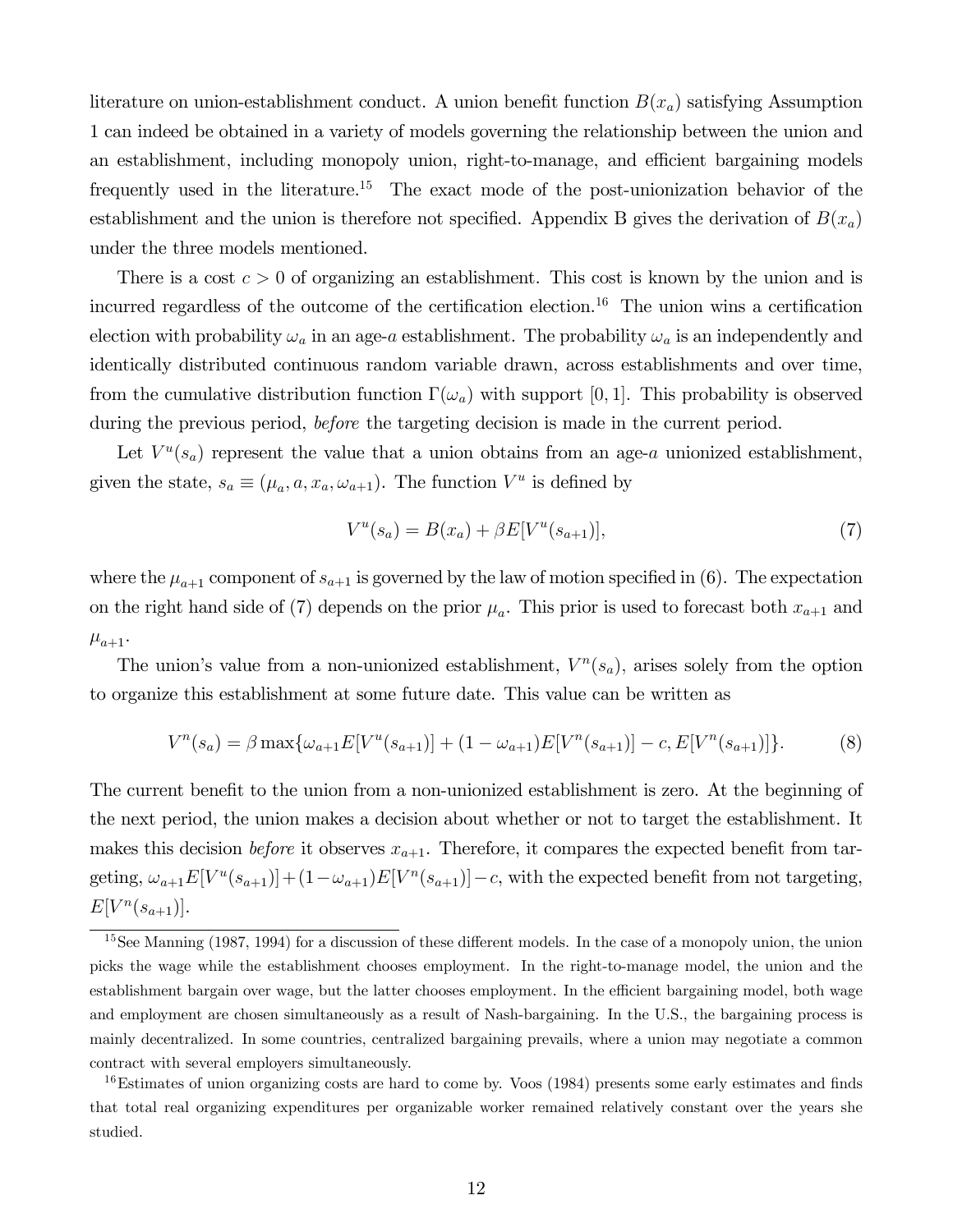literature on union-establishment conduct. A union benefit function  $B(x_a)$  satisfying Assumption 1 can indeed be obtained in a variety of models governing the relationship between the union and an establishment, including monopoly union, right-to-manage, and efficient bargaining models frequently used in the literature.<sup>15</sup> The exact mode of the post-unionization behavior of the establishment and the union is therefore not specified. Appendix B gives the derivation of  $B(x_a)$ under the three models mentioned.

There is a cost  $c > 0$  of organizing an establishment. This cost is known by the union and is incurred regardless of the outcome of the certification election.<sup>16</sup> The union wins a certification election with probability  $\omega_a$  in an age-a establishment. The probability  $\omega_a$  is an independently and identically distributed continuous random variable drawn, across establishments and over time, from the cumulative distribution function  $\Gamma(\omega_a)$  with support [0, 1]. This probability is observed during the previous period, *before* the targeting decision is made in the current period.

Let  $V^u(s_a)$  represent the value that a union obtains from an age-a unionized establishment, given the state,  $s_a \equiv (\mu_a, a, x_a, \omega_{a+1})$ . The function  $V^u$  is defined by

$$
V^{u}(s_{a}) = B(x_{a}) + \beta E[V^{u}(s_{a+1})],
$$
\n(7)

where the  $\mu_{a+1}$  component of  $s_{a+1}$  is governed by the law of motion specified in (6). The expectation on the right hand side of (7) depends on the prior  $\mu_a$ . This prior is used to forecast both  $x_{a+1}$  and  $\mu_{a+1}$ .

The union's value from a non-unionized establishment,  $V^n(s_a)$ , arises solely from the option to organize this establishment at some future date. This value can be written as

$$
V^{n}(s_{a}) = \beta \max\{\omega_{a+1}E[V^{u}(s_{a+1})] + (1 - \omega_{a+1})E[V^{n}(s_{a+1})] - c, E[V^{n}(s_{a+1})]\}.
$$
 (8)

The current benefit to the union from a non-unionized establishment is zero. At the beginning of the next period, the union makes a decision about whether or not to target the establishment. It makes this decision *before* it observes  $x_{a+1}$ . Therefore, it compares the expected benefit from targeting,  $\omega_{a+1}E[V^u(s_{a+1})]+(1-\omega_{a+1})E[V^u(s_{a+1})]-c$ , with the expected benefit from not targeting,  $E[V^{n}(s_{a+1})].$ 

 $15$ See Manning (1987, 1994) for a discussion of these different models. In the case of a monopoly union, the union picks the wage while the establishment chooses employment. In the right-to-manage model, the union and the establishment bargain over wage, but the latter chooses employment. In the efficient bargaining model, both wage and employment are chosen simultaneously as a result of Nash-bargaining. In the U.S., the bargaining process is mainly decentralized. In some countries, centralized bargaining prevails, where a union may negotiate a common contract with several employers simultaneously.

<sup>&</sup>lt;sup>16</sup>Estimates of union organizing costs are hard to come by. Voos (1984) presents some early estimates and finds that total real organizing expenditures per organizable worker remained relatively constant over the years she studied.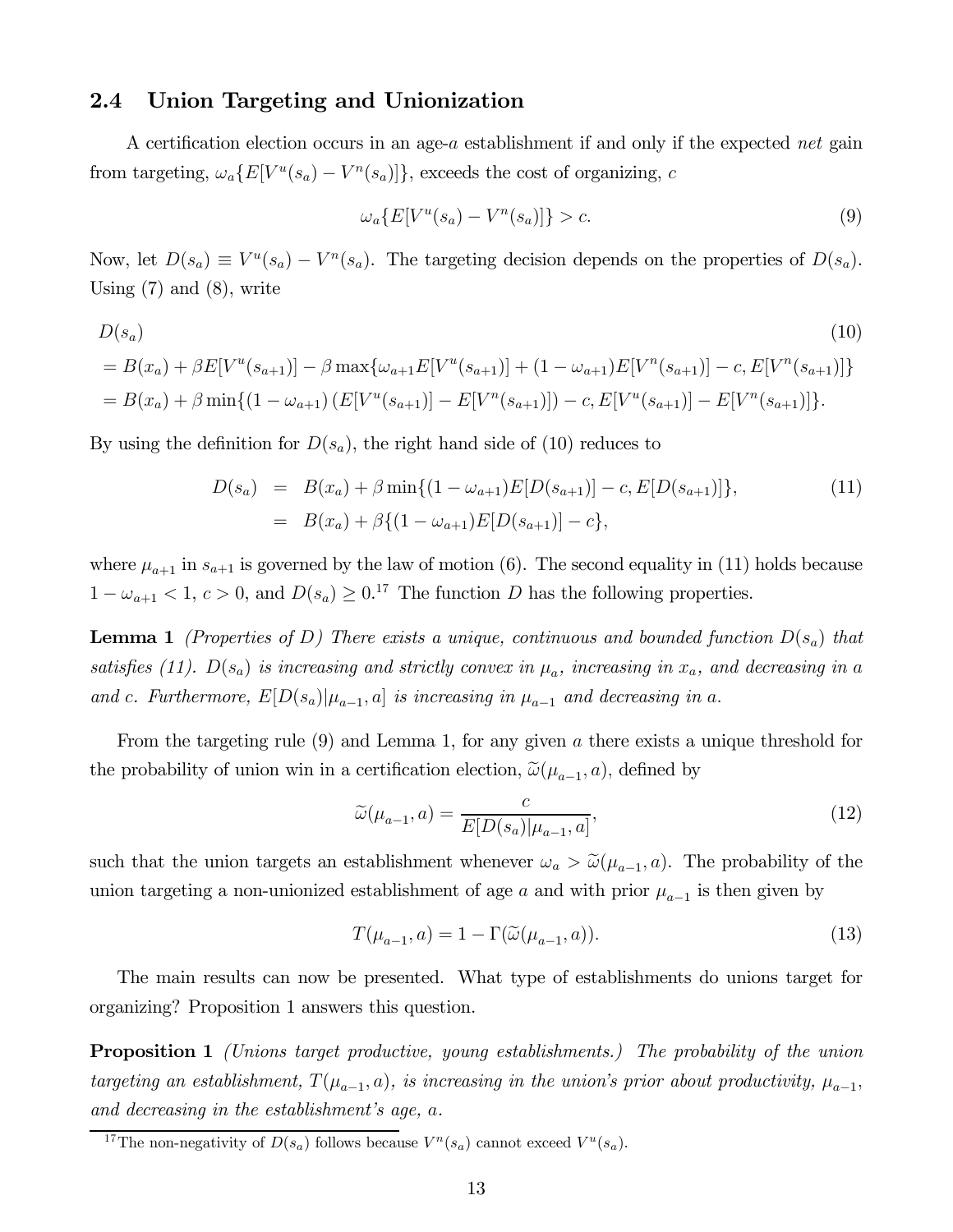### 2.4 Union Targeting and Unionization

A certification election occurs in an age- $a$  establishment if and only if the expected net gain from targeting,  $\omega_a\{E[V^u(s_a) - V^n(s_a)]\}$ , exceeds the cost of organizing, c

$$
\omega_a\{E[V^u(s_a) - V^n(s_a)]\} > c.\tag{9}
$$

Now, let  $D(s_a) \equiv V^u(s_a) - V^n(s_a)$ . The targeting decision depends on the properties of  $D(s_a)$ . Using  $(7)$  and  $(8)$ , write

$$
D(s_a)
$$
\n
$$
= B(x_a) + \beta E[V^u(s_{a+1})] - \beta \max\{\omega_{a+1}E[V^u(s_{a+1})] + (1 - \omega_{a+1})E[V^n(s_{a+1})] - c, E[V^n(s_{a+1})]\}
$$
\n
$$
= B(x_a) + \beta \min\{(1 - \omega_{a+1})\left(E[V^u(s_{a+1})] - E[V^n(s_{a+1})] - c, E[V^u(s_{a+1})] - E[V^n(s_{a+1})]\right\}.
$$
\n(10)

By using the definition for  $D(s_a)$ , the right hand side of (10) reduces to

$$
D(s_a) = B(x_a) + \beta \min\{(1 - \omega_{a+1})E[D(s_{a+1})] - c, E[D(s_{a+1})]\},
$$
  
=  $B(x_a) + \beta\{(1 - \omega_{a+1})E[D(s_{a+1})] - c\},$  (11)

where  $\mu_{a+1}$  in  $s_{a+1}$  is governed by the law of motion (6). The second equality in (11) holds because  $1 - \omega_{a+1} < 1, c > 0$ , and  $D(s_a) \geq 0.1^7$  The function D has the following properties.

**Lemma 1** (Properties of D) There exists a unique, continuous and bounded function  $D(s_a)$  that satisfies (11).  $D(s_a)$  is increasing and strictly convex in  $\mu_a$ , increasing in  $x_a$ , and decreasing in a and c. Furthermore,  $E[D(s_a)|\mu_{a-1}, a]$  is increasing in  $\mu_{a-1}$  and decreasing in a.

From the targeting rule  $(9)$  and Lemma 1, for any given a there exists a unique threshold for the probability of union win in a certification election,  $\tilde{\omega}(\mu_{a-1}, a)$ , defined by

$$
\widetilde{\omega}(\mu_{a-1}, a) = \frac{c}{E[D(s_a)|\mu_{a-1}, a]},
$$
\n(12)

such that the union targets an establishment whenever  $\omega_a > \tilde{\omega}(\mu_{a-1}, a)$ . The probability of the union targeting a non-unionized establishment of age a and with prior  $\mu_{a-1}$  is then given by

$$
T(\mu_{a-1}, a) = 1 - \Gamma(\widetilde{\omega}(\mu_{a-1}, a)). \tag{13}
$$

The main results can now be presented. What type of establishments do unions target for organizing? Proposition 1 answers this question.

**Proposition 1** (Unions target productive, young establishments.) The probability of the union targeting an establishment,  $T(\mu_{a-1}, a)$ , is increasing in the union's prior about productivity,  $\mu_{a-1}$ , and decreasing in the establishment's age,  $a$ .

<sup>&</sup>lt;sup>17</sup>The non-negativity of  $D(s_a)$  follows because  $V^n(s_a)$  cannot exceed  $V^n(s_a)$ .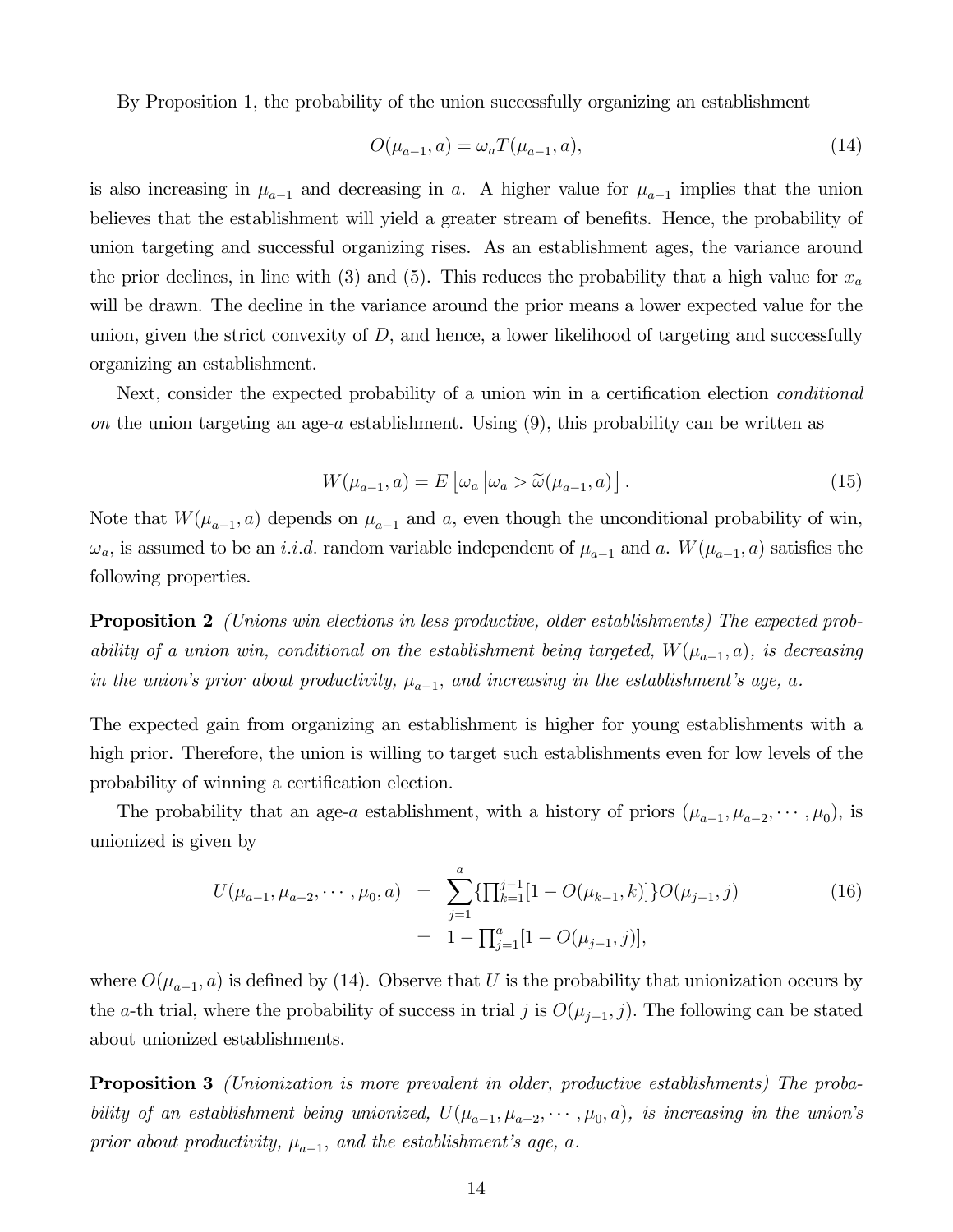By Proposition 1, the probability of the union successfully organizing an establishment

$$
O(\mu_{a-1}, a) = \omega_a T(\mu_{a-1}, a), \tag{14}
$$

is also increasing in  $\mu_{a-1}$  and decreasing in a. A higher value for  $\mu_{a-1}$  implies that the union believes that the establishment will yield a greater stream of benefits. Hence, the probability of union targeting and successful organizing rises. As an establishment ages, the variance around the prior declines, in line with (3) and (5). This reduces the probability that a high value for  $x_a$ will be drawn. The decline in the variance around the prior means a lower expected value for the union, given the strict convexity of  $D$ , and hence, a lower likelihood of targeting and successfully organizing an establishment.

Next, consider the expected probability of a union win in a certification election conditional on the union targeting an age- $a$  establishment. Using  $(9)$ , this probability can be written as

$$
W(\mu_{a-1}, a) = E\left[\omega_a \middle| \omega_a > \widetilde{\omega}(\mu_{a-1}, a)\right]. \tag{15}
$$

Note that  $W(\mu_{a-1}, a)$  depends on  $\mu_{a-1}$  and a, even though the unconditional probability of win,  $\omega_a$ , is assumed to be an *i.i.d.* random variable independent of  $\mu_{a-1}$  and a.  $W(\mu_{a-1}, a)$  satisfies the following properties.

**Proposition 2** (Unions win elections in less productive, older establishments) The expected probability of a union win, conditional on the establishment being targeted,  $W(\mu_{a-1}, a)$ , is decreasing in the union's prior about productivity,  $\mu_{a-1}$ , and increasing in the establishment's age, a.

The expected gain from organizing an establishment is higher for young establishments with a high prior. Therefore, the union is willing to target such establishments even for low levels of the probability of winning a certification election.

The probability that an age-*a* establishment, with a history of priors  $(\mu_{a-1}, \mu_{a-2}, \cdots, \mu_0)$ , is unionized is given by

$$
U(\mu_{a-1}, \mu_{a-2}, \cdots, \mu_0, a) = \sum_{j=1}^a \{ \prod_{k=1}^{j-1} [1 - O(\mu_{k-1}, k)] \} O(\mu_{j-1}, j)
$$
(16)  
= 1 -  $\prod_{j=1}^a [1 - O(\mu_{j-1}, j)],$ 

where  $O(\mu_{a-1}, a)$  is defined by (14). Observe that U is the probability that unionization occurs by the a-th trial, where the probability of success in trial *j* is  $O(\mu_{j-1}, j)$ . The following can be stated about unionized establishments.

Proposition 3 (Unionization is more prevalent in older, productive establishments) The probability of an establishment being unionized,  $U(\mu_{a-1}, \mu_{a-2}, \cdots, \mu_0, a)$ , is increasing in the union's prior about productivity,  $\mu_{a-1}$ , and the establishment's age, a.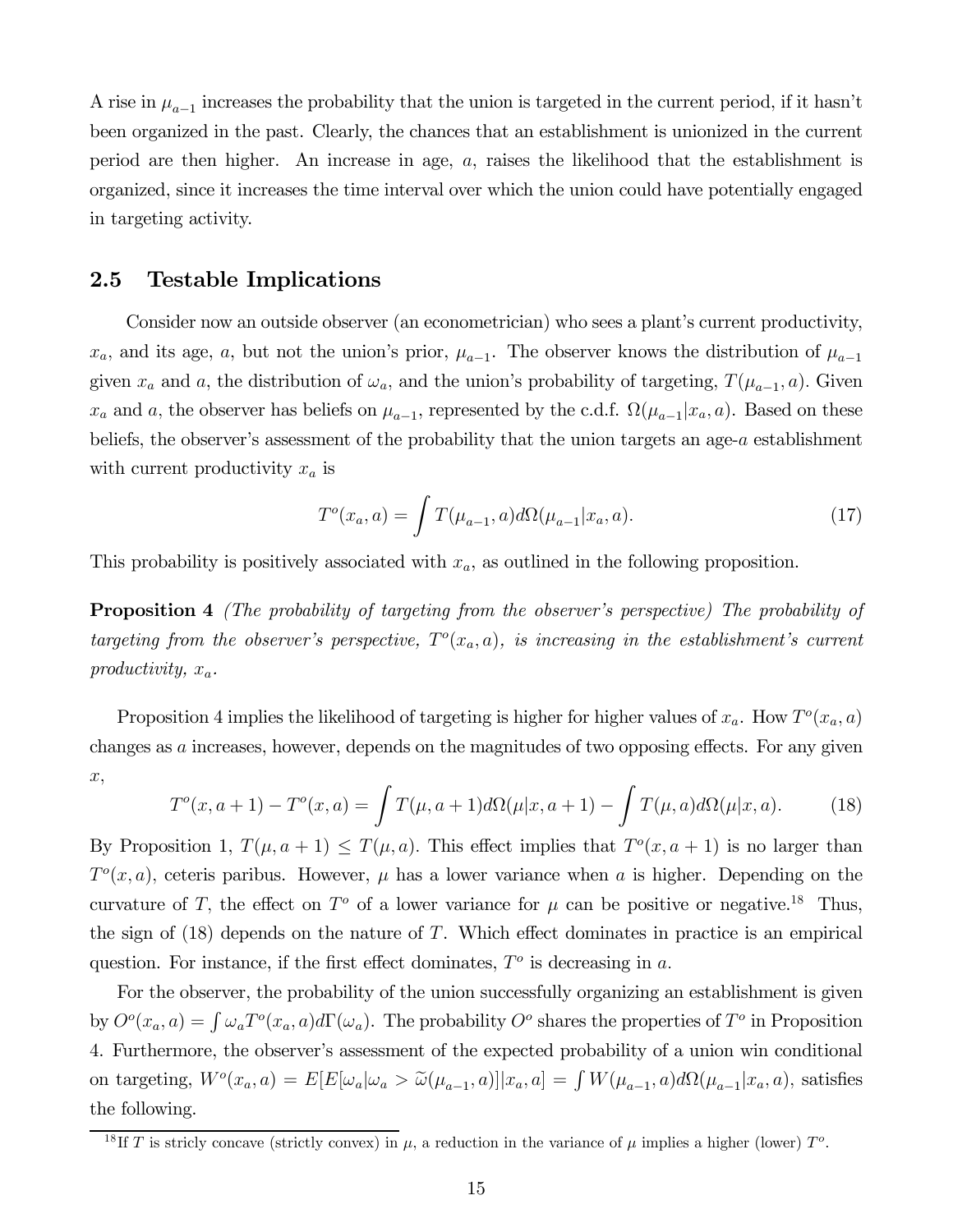A rise in  $\mu_{a-1}$  increases the probability that the union is targeted in the current period, if it hasn't been organized in the past. Clearly, the chances that an establishment is unionized in the current period are then higher. An increase in age,  $a$ , raises the likelihood that the establishment is organized, since it increases the time interval over which the union could have potentially engaged in targeting activity.

### 2.5 Testable Implications

Consider now an outside observer (an econometrician) who sees a plant's current productivity,  $x_a$ , and its age, a, but not the union's prior,  $\mu_{a-1}$ . The observer knows the distribution of  $\mu_{a-1}$ given  $x_a$  and a, the distribution of  $\omega_a$ , and the union's probability of targeting,  $T(\mu_{a-1}, a)$ . Given  $x_a$  and a, the observer has beliefs on  $\mu_{a-1}$ , represented by the c.d.f.  $\Omega(\mu_{a-1} | x_a, a)$ . Based on these beliefs, the observer's assessment of the probability that the union targets an age- $a$  establishment with current productivity  $x_a$  is

$$
T^{o}(x_{a}, a) = \int T(\mu_{a-1}, a) d\Omega(\mu_{a-1}|x_{a}, a).
$$
 (17)

This probability is positively associated with  $x_a$ , as outlined in the following proposition.

Proposition 4 (The probability of targeting from the observer's perspective) The probability of targeting from the observer's perspective,  $T<sup>o</sup>(x_a, a)$ , is increasing in the establishment's current productivity,  $x_a$ .

Proposition 4 implies the likelihood of targeting is higher for higher values of  $x_a$ . How  $T<sup>o</sup>(x_a, a)$ changes as  $\alpha$  increases, however, depends on the magnitudes of two opposing effects. For any given  $x,$ 

$$
T^{o}(x, a+1) - T^{o}(x, a) = \int T(\mu, a+1) d\Omega(\mu|x, a+1) - \int T(\mu, a) d\Omega(\mu|x, a).
$$
 (18)

By Proposition 1,  $T(\mu, a + 1) \leq T(\mu, a)$ . This effect implies that  $T^o(x, a + 1)$  is no larger than  $T^{\circ}(x, a)$ , ceteris paribus. However,  $\mu$  has a lower variance when a is higher. Depending on the curvature of T, the effect on  $T^{\circ}$  of a lower variance for  $\mu$  can be positive or negative.<sup>18</sup> Thus, the sign of  $(18)$  depends on the nature of T. Which effect dominates in practice is an empirical question. For instance, if the first effect dominates,  $T<sup>o</sup>$  is decreasing in a.

For the observer, the probability of the union successfully organizing an establishment is given by  $O^o(x_a, a) = \int \omega_a T^o(x_a, a) d\Gamma(\omega_a)$ . The probability  $O^o$  shares the properties of  $T^o$  in Proposition 4. Furthermore, the observer's assessment of the expected probability of a union win conditional on targeting,  $W^o(x_a, a) = E[E[\omega_a | \omega_a > \tilde{\omega}(\mu_{a-1}, a)] | x_a, a] = \int W(\mu_{a-1}, a) d\Omega(\mu_{a-1} | x_a, a)$ , satisfies the following.

<sup>&</sup>lt;sup>18</sup>If T is stricly concave (strictly convex) in  $\mu$ , a reduction in the variance of  $\mu$  implies a higher (lower)  $T^o$ .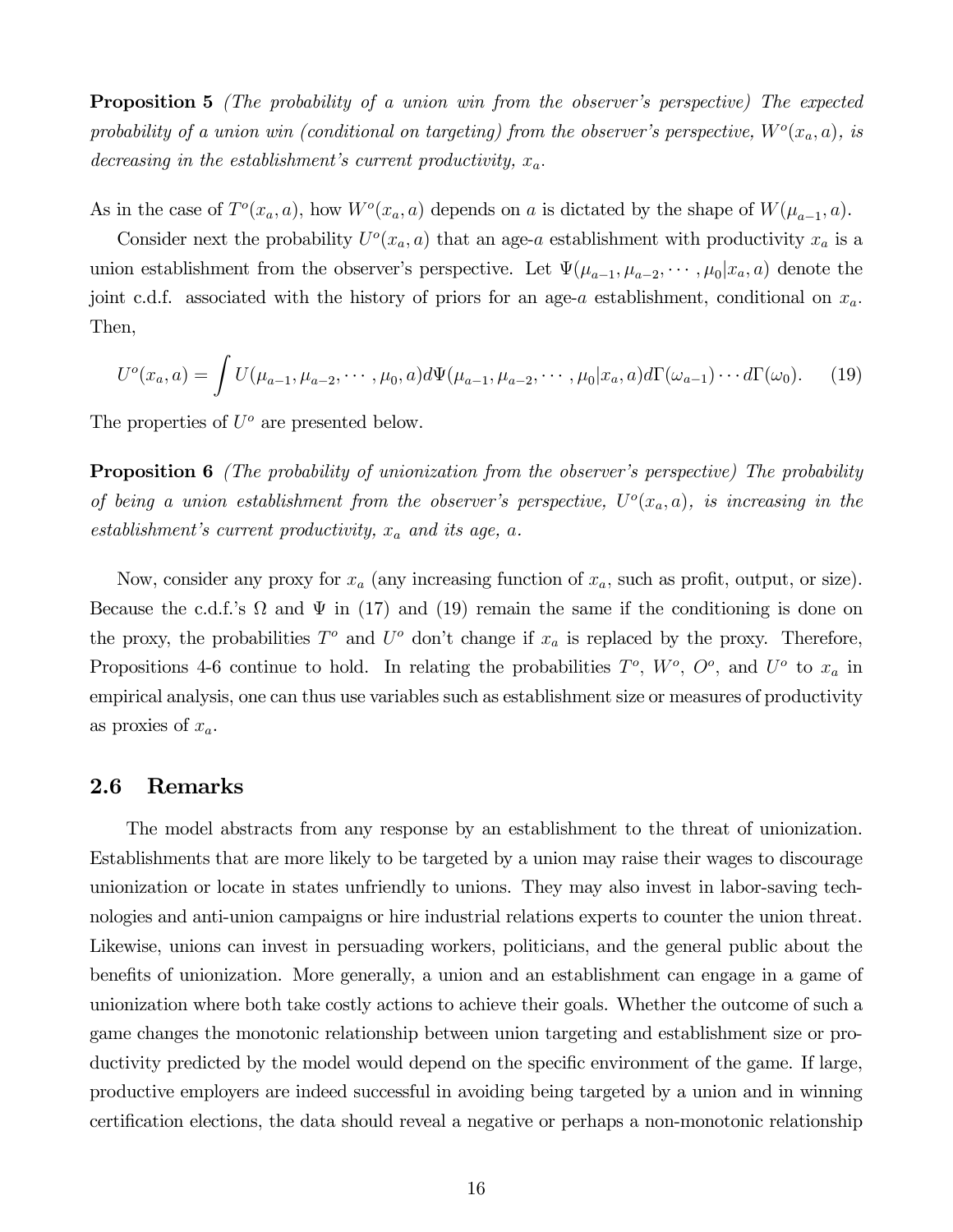**Proposition 5** (The probability of a union win from the observer's perspective) The expected probability of a union win (conditional on targeting) from the observer's perspective,  $W^o(x_a, a)$ , is decreasing in the establishment's current productivity,  $x_a$ .

As in the case of  $T^o(x_a, a)$ , how  $W^o(x_a, a)$  depends on a is dictated by the shape of  $W(\mu_{a-1}, a)$ .

Consider next the probability  $U^o(x_a, a)$  that an age-a establishment with productivity  $x_a$  is a union establishment from the observer's perspective. Let  $\Psi(\mu_{a-1}, \mu_{a-2}, \cdots, \mu_0 | x_a, a)$  denote the joint c.d.f. associated with the history of priors for an age-a establishment, conditional on  $x_a$ . Then,

$$
U^{o}(x_{a}, a) = \int U(\mu_{a-1}, \mu_{a-2}, \cdots, \mu_{0}, a) d\Psi(\mu_{a-1}, \mu_{a-2}, \cdots, \mu_{0}|x_{a}, a) d\Gamma(\omega_{a-1}) \cdots d\Gamma(\omega_{0}). \tag{19}
$$

The properties of  $U^o$  are presented below.

**Proposition 6** (The probability of unionization from the observer's perspective) The probability of being a union establishment from the observer's perspective,  $U^o(x_a, a)$ , is increasing in the establishment's current productivity,  $x_a$  and its age,  $a$ .

Now, consider any proxy for  $x_a$  (any increasing function of  $x_a$ , such as profit, output, or size). Because the c.d.f.'s  $\Omega$  and  $\Psi$  in (17) and (19) remain the same if the conditioning is done on the proxy, the probabilities  $T^o$  and  $U^o$  don't change if  $x_a$  is replaced by the proxy. Therefore, Propositions 4-6 continue to hold. In relating the probabilities  $T^o$ ,  $W^o$ ,  $O^o$ , and  $U^o$  to  $x_a$  in empirical analysis, one can thus use variables such as establishment size or measures of productivity as proxies of  $x_a$ .

#### 2.6 Remarks

The model abstracts from any response by an establishment to the threat of unionization. Establishments that are more likely to be targeted by a union may raise their wages to discourage unionization or locate in states unfriendly to unions. They may also invest in labor-saving technologies and anti-union campaigns or hire industrial relations experts to counter the union threat. Likewise, unions can invest in persuading workers, politicians, and the general public about the benefits of unionization. More generally, a union and an establishment can engage in a game of unionization where both take costly actions to achieve their goals. Whether the outcome of such a game changes the monotonic relationship between union targeting and establishment size or productivity predicted by the model would depend on the specific environment of the game. If large, productive employers are indeed successful in avoiding being targeted by a union and in winning certification elections, the data should reveal a negative or perhaps a non-monotonic relationship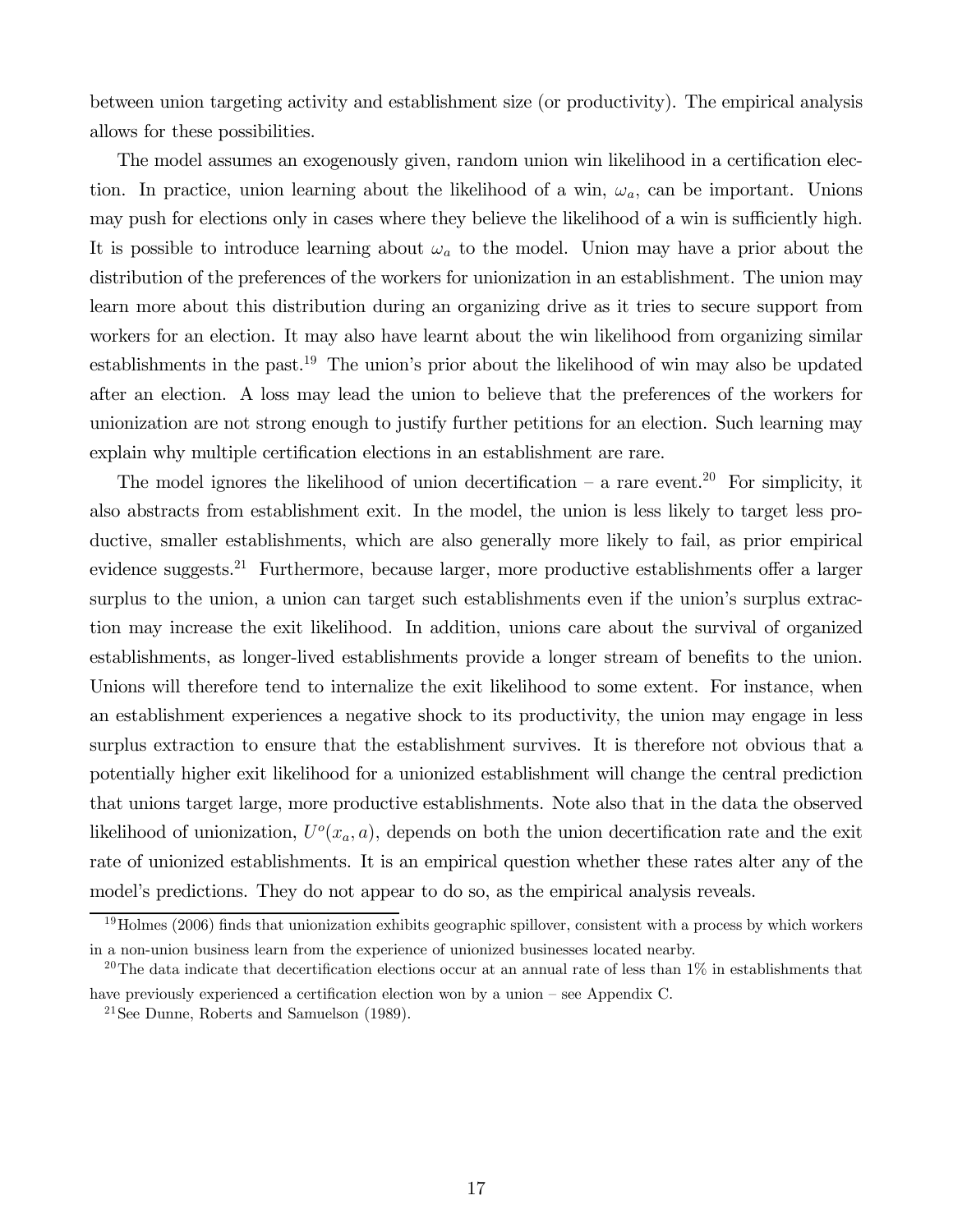between union targeting activity and establishment size (or productivity). The empirical analysis allows for these possibilities.

The model assumes an exogenously given, random union win likelihood in a certification election. In practice, union learning about the likelihood of a win,  $\omega_a$ , can be important. Unions may push for elections only in cases where they believe the likelihood of a win is sufficiently high. It is possible to introduce learning about  $\omega_a$  to the model. Union may have a prior about the distribution of the preferences of the workers for unionization in an establishment. The union may learn more about this distribution during an organizing drive as it tries to secure support from workers for an election. It may also have learnt about the win likelihood from organizing similar establishments in the past.<sup>19</sup> The union's prior about the likelihood of win may also be updated after an election. A loss may lead the union to believe that the preferences of the workers for unionization are not strong enough to justify further petitions for an election. Such learning may explain why multiple certification elections in an establishment are rare.

The model ignores the likelihood of union decertification – a rare event.<sup>20</sup> For simplicity, it also abstracts from establishment exit. In the model, the union is less likely to target less productive, smaller establishments, which are also generally more likely to fail, as prior empirical evidence suggests.<sup>21</sup> Furthermore, because larger, more productive establishments offer a larger surplus to the union, a union can target such establishments even if the union's surplus extraction may increase the exit likelihood. In addition, unions care about the survival of organized establishments, as longer-lived establishments provide a longer stream of benefits to the union. Unions will therefore tend to internalize the exit likelihood to some extent. For instance, when an establishment experiences a negative shock to its productivity, the union may engage in less surplus extraction to ensure that the establishment survives. It is therefore not obvious that a potentially higher exit likelihood for a unionized establishment will change the central prediction that unions target large, more productive establishments. Note also that in the data the observed likelihood of unionization,  $U^o(x_a, a)$ , depends on both the union decertification rate and the exit rate of unionized establishments. It is an empirical question whether these rates alter any of the model's predictions. They do not appear to do so, as the empirical analysis reveals.

 $19$ Holmes (2006) finds that unionization exhibits geographic spillover, consistent with a process by which workers in a non-union business learn from the experience of unionized businesses located nearby.

<sup>&</sup>lt;sup>20</sup>The data indicate that decertification elections occur at an annual rate of less than  $1\%$  in establishments that have previously experienced a certification election won by a union – see Appendix C.

<sup>21</sup>See Dunne, Roberts and Samuelson (1989).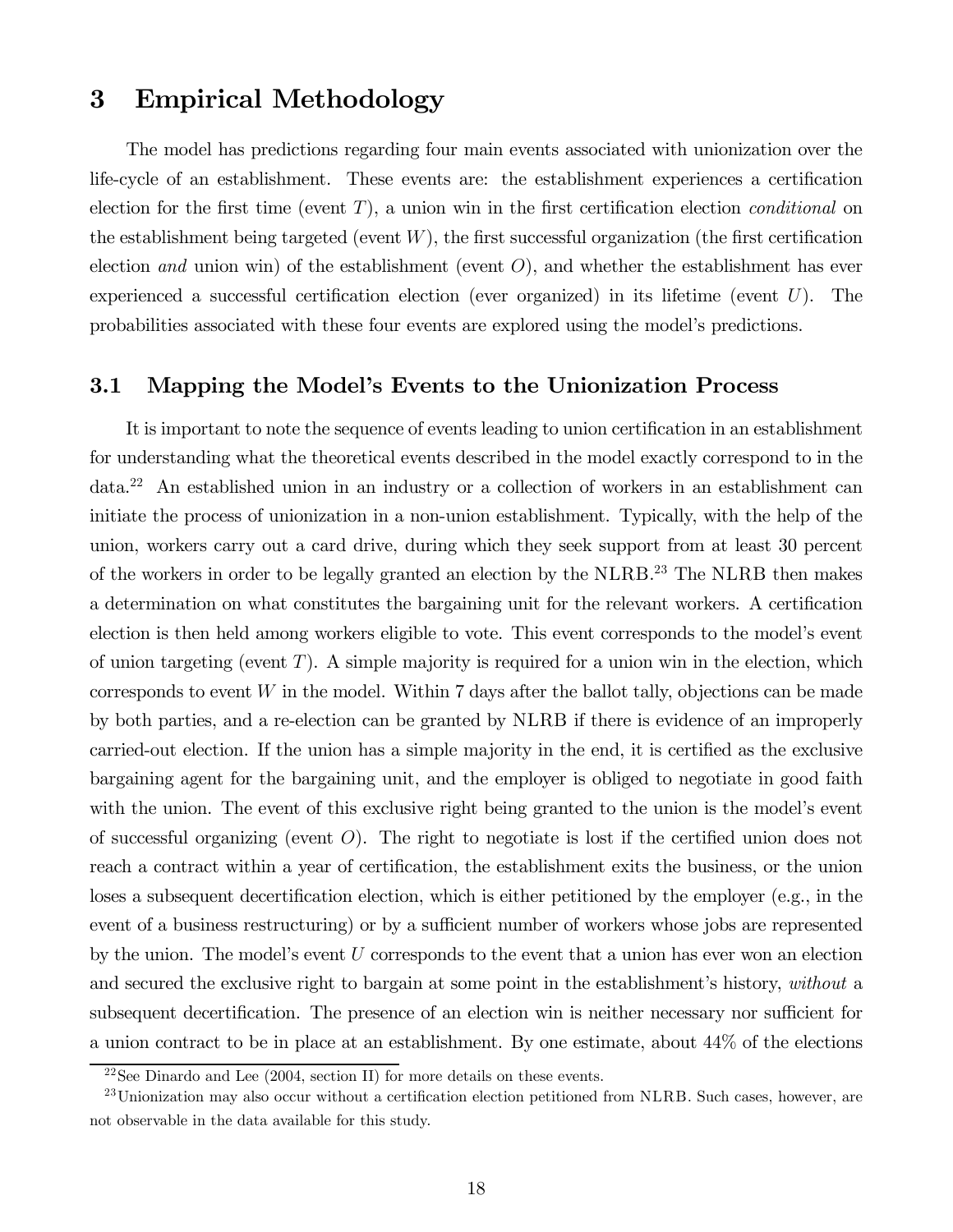# 3 Empirical Methodology

The model has predictions regarding four main events associated with unionization over the life-cycle of an establishment. These events are: the establishment experiences a certification election for the first time (event  $T$ ), a union win in the first certification election *conditional* on the establishment being targeted (event  $W$ ), the first successful organization (the first certification election and union win) of the establishment (event  $O$ ), and whether the establishment has ever experienced a successful certification election (ever organized) in its lifetime (event  $U$ ). The probabilities associated with these four events are explored using the model's predictions.

### 3.1 Mapping the Model's Events to the Unionization Process

It is important to note the sequence of events leading to union certification in an establishment for understanding what the theoretical events described in the model exactly correspond to in the data.22 An established union in an industry or a collection of workers in an establishment can initiate the process of unionization in a non-union establishment. Typically, with the help of the union, workers carry out a card drive, during which they seek support from at least 30 percent of the workers in order to be legally granted an election by the NLRB.<sup>23</sup> The NLRB then makes a determination on what constitutes the bargaining unit for the relevant workers. A certification election is then held among workers eligible to vote. This event corresponds to the model's event of union targeting (event  $T$ ). A simple majority is required for a union win in the election, which corresponds to event  $W$  in the model. Within 7 days after the ballot tally, objections can be made by both parties, and a re-election can be granted by NLRB if there is evidence of an improperly carried-out election. If the union has a simple majority in the end, it is certified as the exclusive bargaining agent for the bargaining unit, and the employer is obliged to negotiate in good faith with the union. The event of this exclusive right being granted to the union is the model's event of successful organizing (event  $O$ ). The right to negotiate is lost if the certified union does not reach a contract within a year of certification, the establishment exits the business, or the union loses a subsequent decertification election, which is either petitioned by the employer (e.g., in the event of a business restructuring) or by a sufficient number of workers whose jobs are represented by the union. The model's event  $U$  corresponds to the event that a union has ever won an election and secured the exclusive right to bargain at some point in the establishment's history, without a subsequent decertification. The presence of an election win is neither necessary nor sufficient for a union contract to be in place at an establishment. By one estimate, about 44% of the elections

<sup>&</sup>lt;sup>22</sup>See Dinardo and Lee  $(2004, \text{ section II})$  for more details on these events.

 $^{23}$ Unionization may also occur without a certification election petitioned from NLRB. Such cases, however, are not observable in the data available for this study.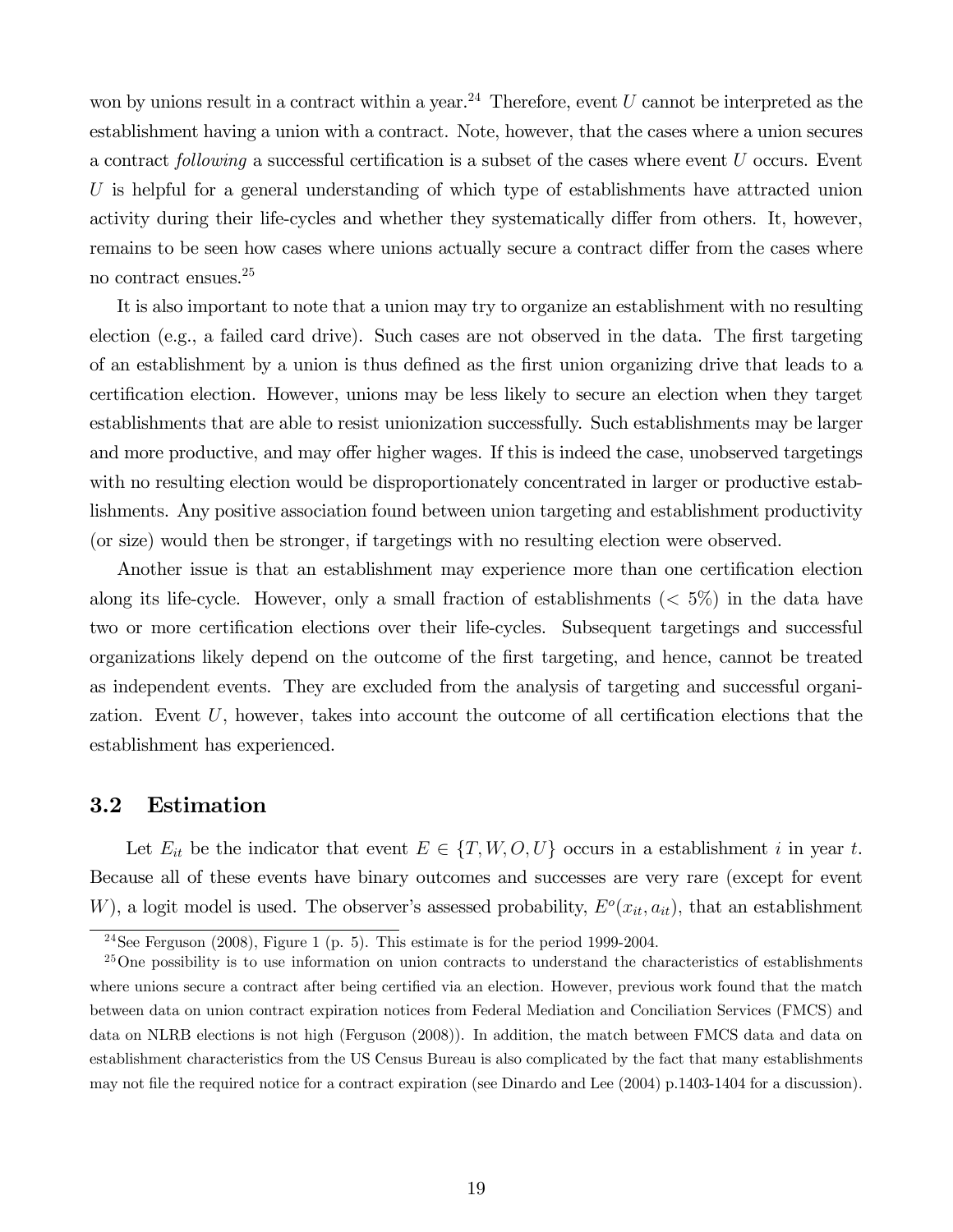won by unions result in a contract within a year.<sup>24</sup> Therefore, event  $U$  cannot be interpreted as the establishment having a union with a contract. Note, however, that the cases where a union secures a contract following a successful certification is a subset of the cases where event  $U$  occurs. Event  $U$  is helpful for a general understanding of which type of establishments have attracted union activity during their life-cycles and whether they systematically differ from others. It, however, remains to be seen how cases where unions actually secure a contract differ from the cases where no contract ensues.25

It is also important to note that a union may try to organize an establishment with no resulting election (e.g., a failed card drive). Such cases are not observed in the data. The first targeting of an establishment by a union is thus defined as the first union organizing drive that leads to a certification election. However, unions may be less likely to secure an election when they target establishments that are able to resist unionization successfully. Such establishments may be larger and more productive, and may offer higher wages. If this is indeed the case, unobserved targetings with no resulting election would be disproportionately concentrated in larger or productive establishments. Any positive association found between union targeting and establishment productivity (or size) would then be stronger, if targetings with no resulting election were observed.

Another issue is that an establishment may experience more than one certification election along its life-cycle. However, only a small fraction of establishments  $(< 5\%)$  in the data have two or more certification elections over their life-cycles. Subsequent targetings and successful organizations likely depend on the outcome of the first targeting, and hence, cannot be treated as independent events. They are excluded from the analysis of targeting and successful organization. Event  $U$ , however, takes into account the outcome of all certification elections that the establishment has experienced.

#### 3.2 Estimation

Let  $E_{it}$  be the indicator that event  $E \in \{T, W, O, U\}$  occurs in a establishment *i* in year *t*. Because all of these events have binary outcomes and successes are very rare (except for event W), a logit model is used. The observer's assessed probability,  $E^o(x_{it}, a_{it})$ , that an establishment

<sup>&</sup>lt;sup>24</sup>See Ferguson (2008), Figure 1 (p. 5). This estimate is for the period 1999-2004.

<sup>&</sup>lt;sup>25</sup>One possibility is to use information on union contracts to understand the characteristics of establishments where unions secure a contract after being certified via an election. However, previous work found that the match between data on union contract expiration notices from Federal Mediation and Conciliation Services (FMCS) and data on NLRB elections is not high (Ferguson (2008)). In addition, the match between FMCS data and data on establishment characteristics from the US Census Bureau is also complicated by the fact that many establishments may not file the required notice for a contract expiration (see Dinardo and Lee (2004) p.1403-1404 for a discussion).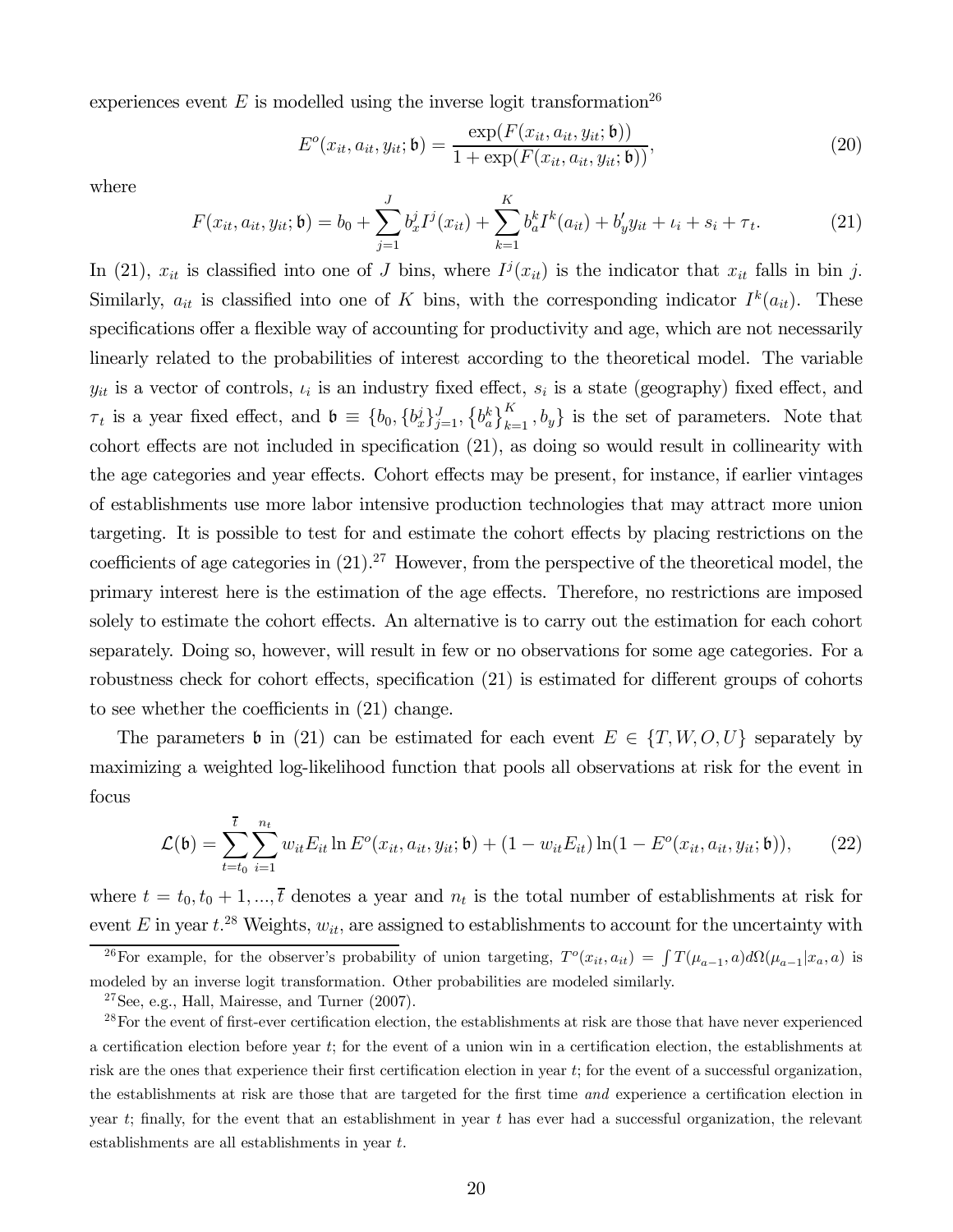experiences event  $E$  is modelled using the inverse logit transformation<sup>26</sup>

$$
E^{o}(x_{it}, a_{it}, y_{it}; \mathfrak{b}) = \frac{\exp(F(x_{it}, a_{it}, y_{it}; \mathfrak{b}))}{1 + \exp(F(x_{it}, a_{it}, y_{it}; \mathfrak{b}))},
$$
(20)

where

$$
F(x_{it}, a_{it}, y_{it}; \mathfrak{b}) = b_0 + \sum_{j=1}^{J} b_x^j I^j(x_{it}) + \sum_{k=1}^{K} b_a^k I^k(a_{it}) + b_y^{\prime} y_{it} + \iota_i + s_i + \tau_t.
$$
 (21)

In (21),  $x_{it}$  is classified into one of J bins, where  $I^j(x_{it})$  is the indicator that  $x_{it}$  falls in bin j. Similarly,  $a_{it}$  is classified into one of K bins, with the corresponding indicator  $I^k(a_{it})$ . These specifications offer a flexible way of accounting for productivity and age, which are not necessarily linearly related to the probabilities of interest according to the theoretical model. The variable  $y_{it}$  is a vector of controls,  $\iota_i$  is an industry fixed effect,  $s_i$  is a state (geography) fixed effect, and  $\tau_t$  is a year fixed effect, and  $\mathfrak{b} \equiv \{b_0, \{b_x^j\}_{j=1}^J, \{b_a^k\}_{k=1}^K, b_y\}$  is the set of parameters. Note that cohort effects are not included in specification (21), as doing so would result in collinearity with the age categories and year effects. Cohort effects may be present, for instance, if earlier vintages of establishments use more labor intensive production technologies that may attract more union targeting. It is possible to test for and estimate the cohort effects by placing restrictions on the coefficients of age categories in  $(21).^{27}$  However, from the perspective of the theoretical model, the primary interest here is the estimation of the age effects. Therefore, no restrictions are imposed solely to estimate the cohort effects. An alternative is to carry out the estimation for each cohort separately. Doing so, however, will result in few or no observations for some age categories. For a robustness check for cohort effects, specification (21) is estimated for different groups of cohorts to see whether the coefficients in (21) change.

The parameters b in (21) can be estimated for each event  $E \in \{T, W, O, U\}$  separately by maximizing a weighted log-likelihood function that pools all observations at risk for the event in focus

$$
\mathcal{L}(\mathfrak{b}) = \sum_{t=t_0}^{\bar{t}} \sum_{i=1}^{n_t} w_{it} E_{it} \ln E^o(x_{it}, a_{it}, y_{it}; \mathfrak{b}) + (1 - w_{it} E_{it}) \ln(1 - E^o(x_{it}, a_{it}, y_{it}; \mathfrak{b})), \tag{22}
$$

where  $t = t_0, t_0 + 1, ..., \overline{t}$  denotes a year and  $n_t$  is the total number of establishments at risk for event E in year  $t^{28}$  Weights,  $w_{it}$ , are assigned to establishments to account for the uncertainty with

<sup>26</sup>For example, for the observer's probability of union targeting,  $T^o(x_{it}, a_{it}) = \int T(\mu_{a-1}, a) d\Omega(\mu_{a-1}| x_a, a)$  is modeled by an inverse logit transformation. Other probabilities are modeled similarly.

 $27$ See, e.g., Hall, Mairesse, and Turner  $(2007)$ .

 $28$ For the event of first-ever certification election, the establishments at risk are those that have never experienced a certification election before year ; for the event of a union win in a certification election, the establishments at risk are the ones that experience their first certification election in year t; for the event of a successful organization, the establishments at risk are those that are targeted for the first time and experience a certification election in year  $t$ ; finally, for the event that an establishment in year  $t$  has ever had a successful organization, the relevant establishments are all establishments in year  $t$ .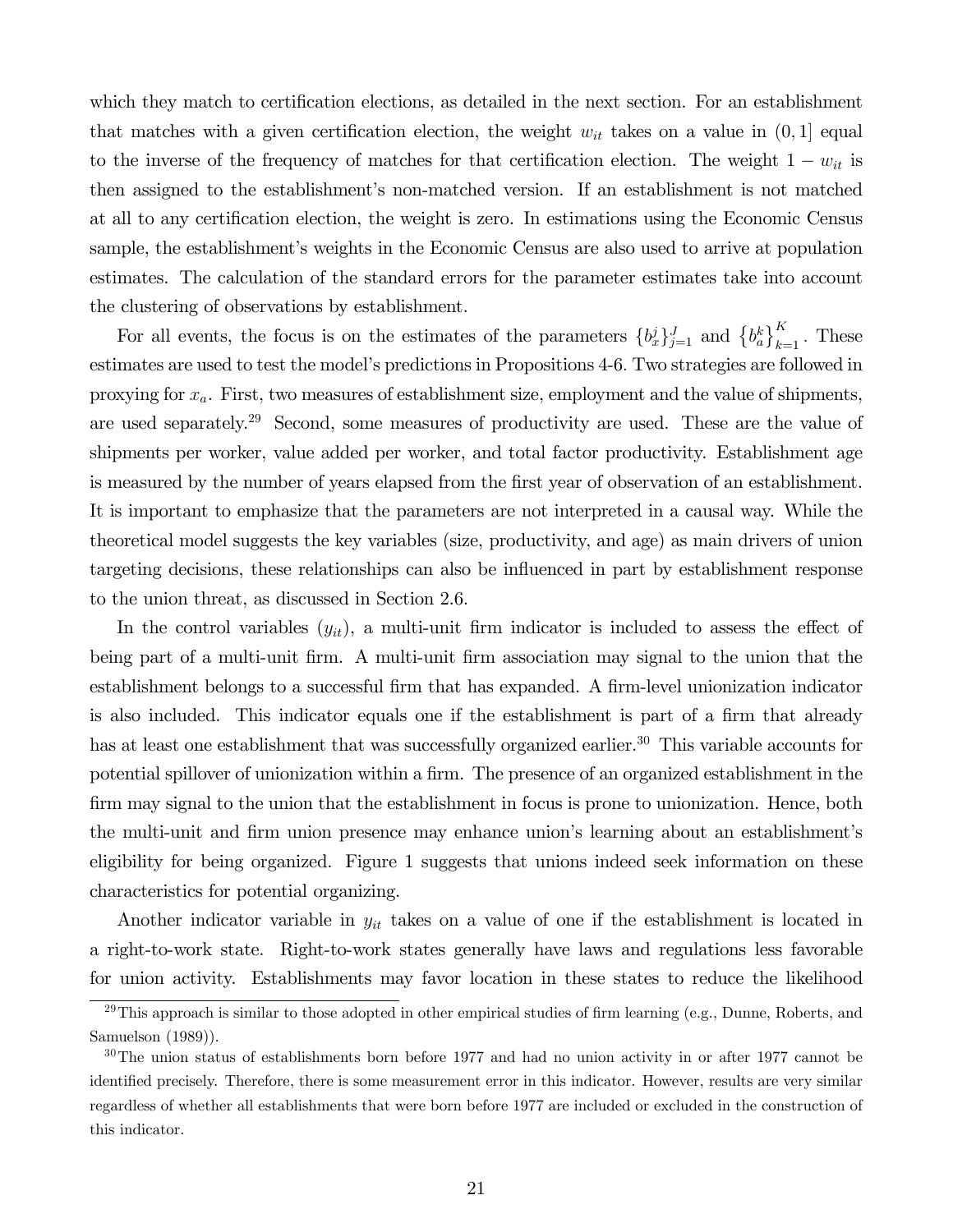which they match to certification elections, as detailed in the next section. For an establishment that matches with a given certification election, the weight  $w_{it}$  takes on a value in  $(0, 1]$  equal to the inverse of the frequency of matches for that certification election. The weight  $1 - w_{it}$  is then assigned to the establishment's non-matched version. If an establishment is not matched at all to any certification election, the weight is zero. In estimations using the Economic Census sample, the establishment's weights in the Economic Census are also used to arrive at population estimates. The calculation of the standard errors for the parameter estimates take into account the clustering of observations by establishment.

For all events, the focus is on the estimates of the parameters  $\{b_x^j\}_{j=1}^J$  and  $\{b_a^k\}_{k=1}^K$ . These estimates are used to test the model's predictions in Propositions 4-6 Two strategies are followed in proxying for  $x_a$ . First, two measures of establishment size, employment and the value of shipments, are used separately.29 Second, some measures of productivity are used. These are the value of shipments per worker, value added per worker, and total factor productivity. Establishment age is measured by the number of years elapsed from the first year of observation of an establishment. It is important to emphasize that the parameters are not interpreted in a causal way. While the theoretical model suggests the key variables (size, productivity, and age) as main drivers of union targeting decisions, these relationships can also be influenced in part by establishment response to the union threat, as discussed in Section 2.6.

In the control variables  $(y_{it})$ , a multi-unit firm indicator is included to assess the effect of being part of a multi-unit firm. A multi-unit firm association may signal to the union that the establishment belongs to a successful firm that has expanded. A firm-level unionization indicator is also included. This indicator equals one if the establishment is part of a firm that already has at least one establishment that was successfully organized earlier.<sup>30</sup> This variable accounts for potential spillover of unionization within a firm. The presence of an organized establishment in the firm may signal to the union that the establishment in focus is prone to unionization. Hence, both the multi-unit and firm union presence may enhance union's learning about an establishment's eligibility for being organized. Figure 1 suggests that unions indeed seek information on these characteristics for potential organizing.

Another indicator variable in  $y_{it}$  takes on a value of one if the establishment is located in a right-to-work state. Right-to-work states generally have laws and regulations less favorable for union activity. Establishments may favor location in these states to reduce the likelihood

 $^{29}$ This approach is similar to those adopted in other empirical studies of firm learning (e.g., Dunne, Roberts, and Samuelson (1989)).

<sup>30</sup>The union status of establishments born before 1977 and had no union activity in or after 1977 cannot be identified precisely. Therefore, there is some measurement error in this indicator. However, results are very similar regardless of whether all establishments that were born before 1977 are included or excluded in the construction of this indicator.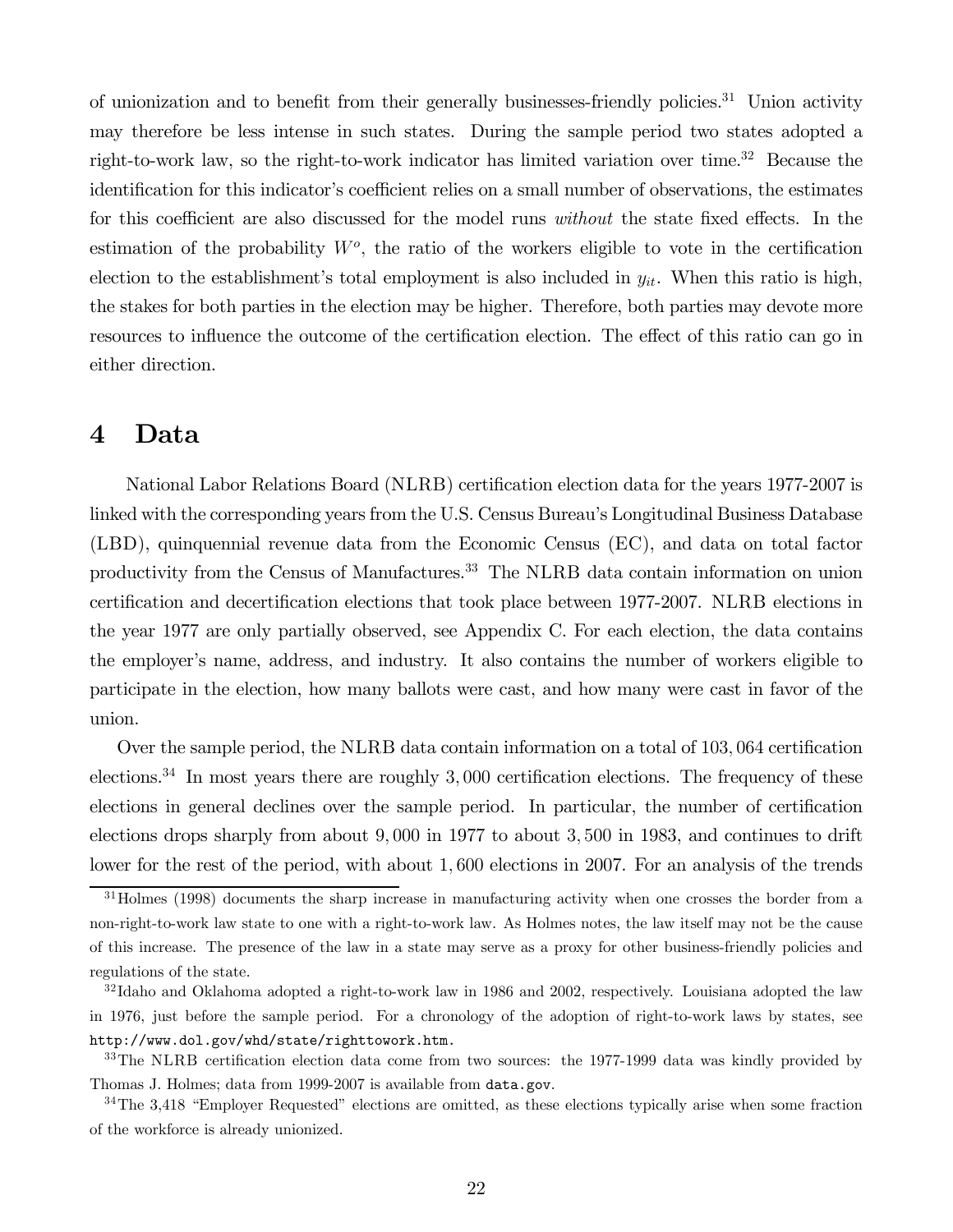of unionization and to benefit from their generally businesses-friendly policies.<sup>31</sup> Union activity may therefore be less intense in such states. During the sample period two states adopted a right-to-work law, so the right-to-work indicator has limited variation over time.<sup>32</sup> Because the identification for this indicator's coefficient relies on a small number of observations, the estimates for this coefficient are also discussed for the model runs without the state fixed effects. In the estimation of the probability  $W<sup>o</sup>$ , the ratio of the workers eligible to vote in the certification election to the establishment's total employment is also included in  $y_{it}$ . When this ratio is high, the stakes for both parties in the election may be higher. Therefore, both parties may devote more resources to influence the outcome of the certification election. The effect of this ratio can go in either direction.

## 4 Data

National Labor Relations Board (NLRB) certification election data for the years 1977-2007 is linked with the corresponding years from the U.S. Census Bureau's Longitudinal Business Database (LBD), quinquennial revenue data from the Economic Census (EC), and data on total factor productivity from the Census of Manufactures.<sup>33</sup> The NLRB data contain information on union certification and decertification elections that took place between 1977-2007. NLRB elections in the year 1977 are only partially observed, see Appendix C. For each election, the data contains the employer's name, address, and industry. It also contains the number of workers eligible to participate in the election, how many ballots were cast, and how many were cast in favor of the union.

Over the sample period, the NLRB data contain information on a total of 103,064 certification elections.<sup>34</sup> In most years there are roughly  $3,000$  certification elections. The frequency of these elections in general declines over the sample period. In particular, the number of certification elections drops sharply from about 9 000 in 1977 to about 3 500 in 1983, and continues to drift lower for the rest of the period, with about 1,600 elections in 2007. For an analysis of the trends

<sup>&</sup>lt;sup>31</sup>Holmes (1998) documents the sharp increase in manufacturing activity when one crosses the border from a non-right-to-work law state to one with a right-to-work law. As Holmes notes, the law itself may not be the cause of this increase. The presence of the law in a state may serve as a proxy for other business-friendly policies and regulations of the state.

 $32$ Idaho and Oklahoma adopted a right-to-work law in 1986 and 2002, respectively. Louisiana adopted the law in 1976, just before the sample period. For a chronology of the adoption of right-to-work laws by states, see http://www.dol.gov/whd/state/righttowork.htm.

<sup>&</sup>lt;sup>33</sup>The NLRB certification election data come from two sources: the 1977-1999 data was kindly provided by Thomas J. Holmes; data from 1999-2007 is available from data.gov.

<sup>&</sup>lt;sup>34</sup>The 3,418 "Employer Requested" elections are omitted, as these elections typically arise when some fraction of the workforce is already unionized.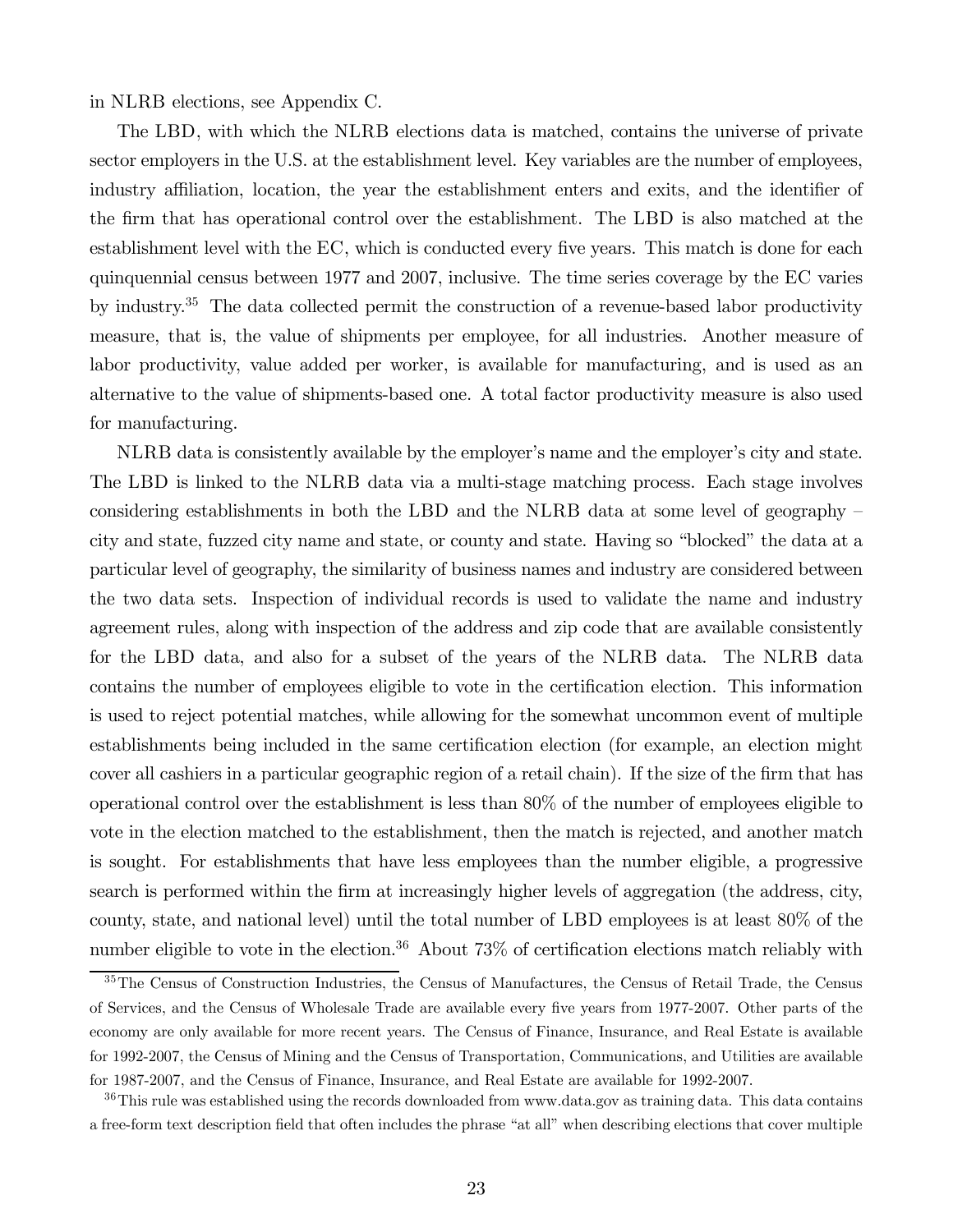in NLRB elections, see Appendix C.

The LBD, with which the NLRB elections data is matched, contains the universe of private sector employers in the U.S. at the establishment level. Key variables are the number of employees, industry affiliation, location, the year the establishment enters and exits, and the identifier of the firm that has operational control over the establishment. The LBD is also matched at the establishment level with the EC, which is conducted every five years. This match is done for each quinquennial census between 1977 and 2007, inclusive. The time series coverage by the EC varies by industry.35 The data collected permit the construction of a revenue-based labor productivity measure, that is, the value of shipments per employee, for all industries. Another measure of labor productivity, value added per worker, is available for manufacturing, and is used as an alternative to the value of shipments-based one. A total factor productivity measure is also used for manufacturing.

NLRB data is consistently available by the employer's name and the employer's city and state. The LBD is linked to the NLRB data via a multi-stage matching process. Each stage involves considering establishments in both the LBD and the NLRB data at some level of geography city and state, fuzzed city name and state, or county and state. Having so "blocked" the data at a particular level of geography, the similarity of business names and industry are considered between the two data sets. Inspection of individual records is used to validate the name and industry agreement rules, along with inspection of the address and zip code that are available consistently for the LBD data, and also for a subset of the years of the NLRB data. The NLRB data contains the number of employees eligible to vote in the certification election. This information is used to reject potential matches, while allowing for the somewhat uncommon event of multiple establishments being included in the same certification election (for example, an election might cover all cashiers in a particular geographic region of a retail chain). If the size of the firm that has operational control over the establishment is less than 80% of the number of employees eligible to vote in the election matched to the establishment, then the match is rejected, and another match is sought. For establishments that have less employees than the number eligible, a progressive search is performed within the firm at increasingly higher levels of aggregation (the address, city, county, state, and national level) until the total number of LBD employees is at least 80% of the number eligible to vote in the election.<sup>36</sup> About  $73\%$  of certification elections match reliably with

<sup>&</sup>lt;sup>35</sup>The Census of Construction Industries, the Census of Manufactures, the Census of Retail Trade, the Census of Services, and the Census of Wholesale Trade are available every five years from 1977-2007. Other parts of the economy are only available for more recent years. The Census of Finance, Insurance, and Real Estate is available for 1992-2007, the Census of Mining and the Census of Transportation, Communications, and Utilities are available for 1987-2007, and the Census of Finance, Insurance, and Real Estate are available for 1992-2007.

<sup>&</sup>lt;sup>36</sup>This rule was established using the records downloaded from www.data.gov as training data. This data contains a free-form text description field that often includes the phrase "at all" when describing elections that cover multiple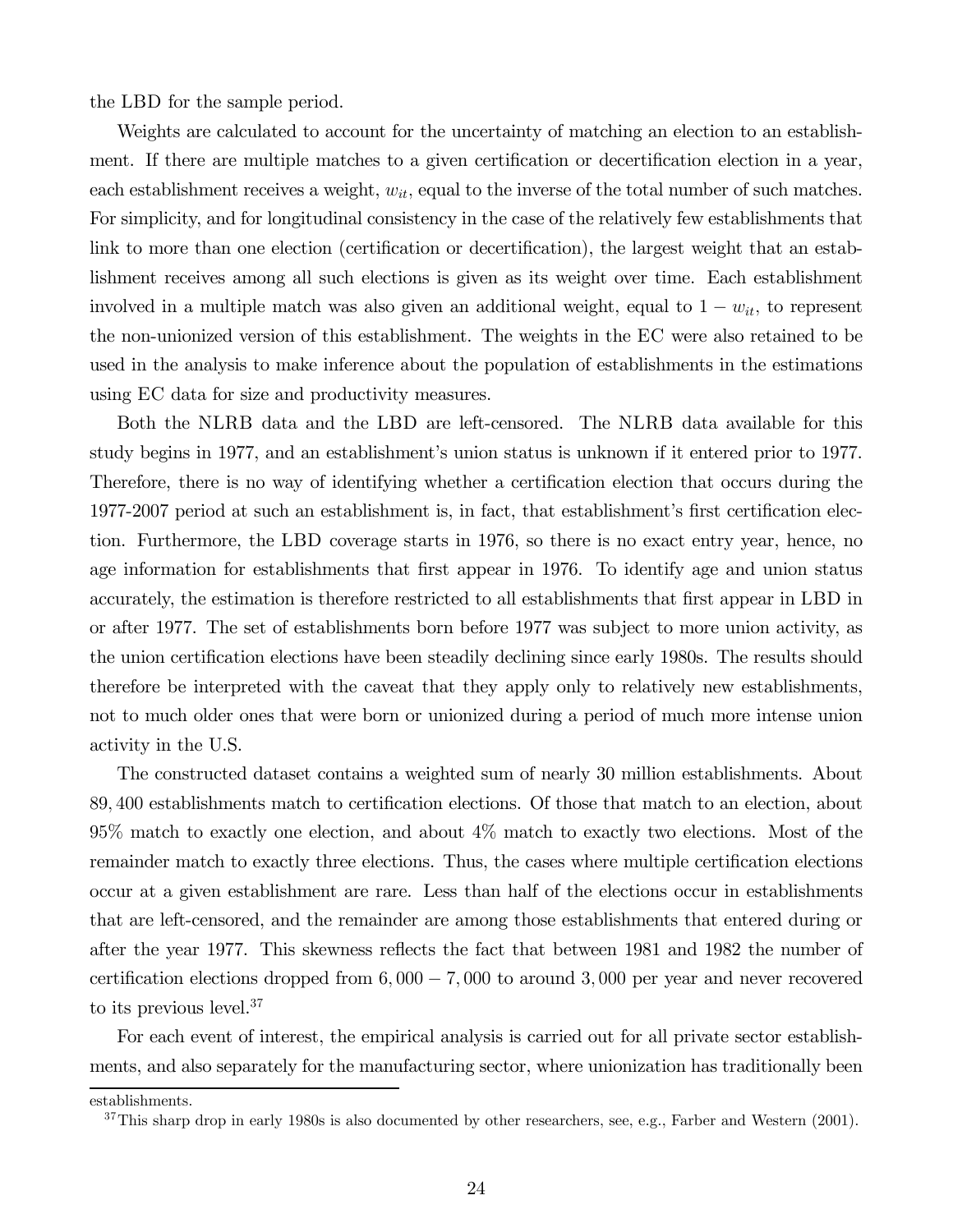the LBD for the sample period.

Weights are calculated to account for the uncertainty of matching an election to an establishment. If there are multiple matches to a given certification or decertification election in a year, each establishment receives a weight,  $w_{it}$ , equal to the inverse of the total number of such matches. For simplicity, and for longitudinal consistency in the case of the relatively few establishments that link to more than one election (certification or decertification), the largest weight that an establishment receives among all such elections is given as its weight over time. Each establishment involved in a multiple match was also given an additional weight, equal to  $1 - w_{it}$ , to represent the non-unionized version of this establishment. The weights in the EC were also retained to be used in the analysis to make inference about the population of establishments in the estimations using EC data for size and productivity measures.

Both the NLRB data and the LBD are left-censored. The NLRB data available for this study begins in 1977, and an establishment's union status is unknown if it entered prior to 1977. Therefore, there is no way of identifying whether a certification election that occurs during the 1977-2007 period at such an establishment is, in fact, that establishment's first certification election. Furthermore, the LBD coverage starts in 1976, so there is no exact entry year, hence, no age information for establishments that first appear in 1976. To identify age and union status accurately, the estimation is therefore restricted to all establishments that first appear in LBD in or after 1977. The set of establishments born before 1977 was subject to more union activity, as the union certification elections have been steadily declining since early 1980s. The results should therefore be interpreted with the caveat that they apply only to relatively new establishments, not to much older ones that were born or unionized during a period of much more intense union activity in the U.S.

The constructed dataset contains a weighted sum of nearly 30 million establishments. About 89 400 establishments match to certification elections. Of those that match to an election, about 95% match to exactly one election, and about 4% match to exactly two elections. Most of the remainder match to exactly three elections. Thus, the cases where multiple certification elections occur at a given establishment are rare. Less than half of the elections occur in establishments that are left-censored, and the remainder are among those establishments that entered during or after the year 1977. This skewness reflects the fact that between 1981 and 1982 the number of certification elections dropped from  $6,000-7,000$  to around  $3,000$  per year and never recovered to its previous level.37

For each event of interest, the empirical analysis is carried out for all private sector establishments, and also separately for the manufacturing sector, where unionization has traditionally been

establishments.

 $37$ This sharp drop in early 1980s is also documented by other researchers, see, e.g., Farber and Western (2001).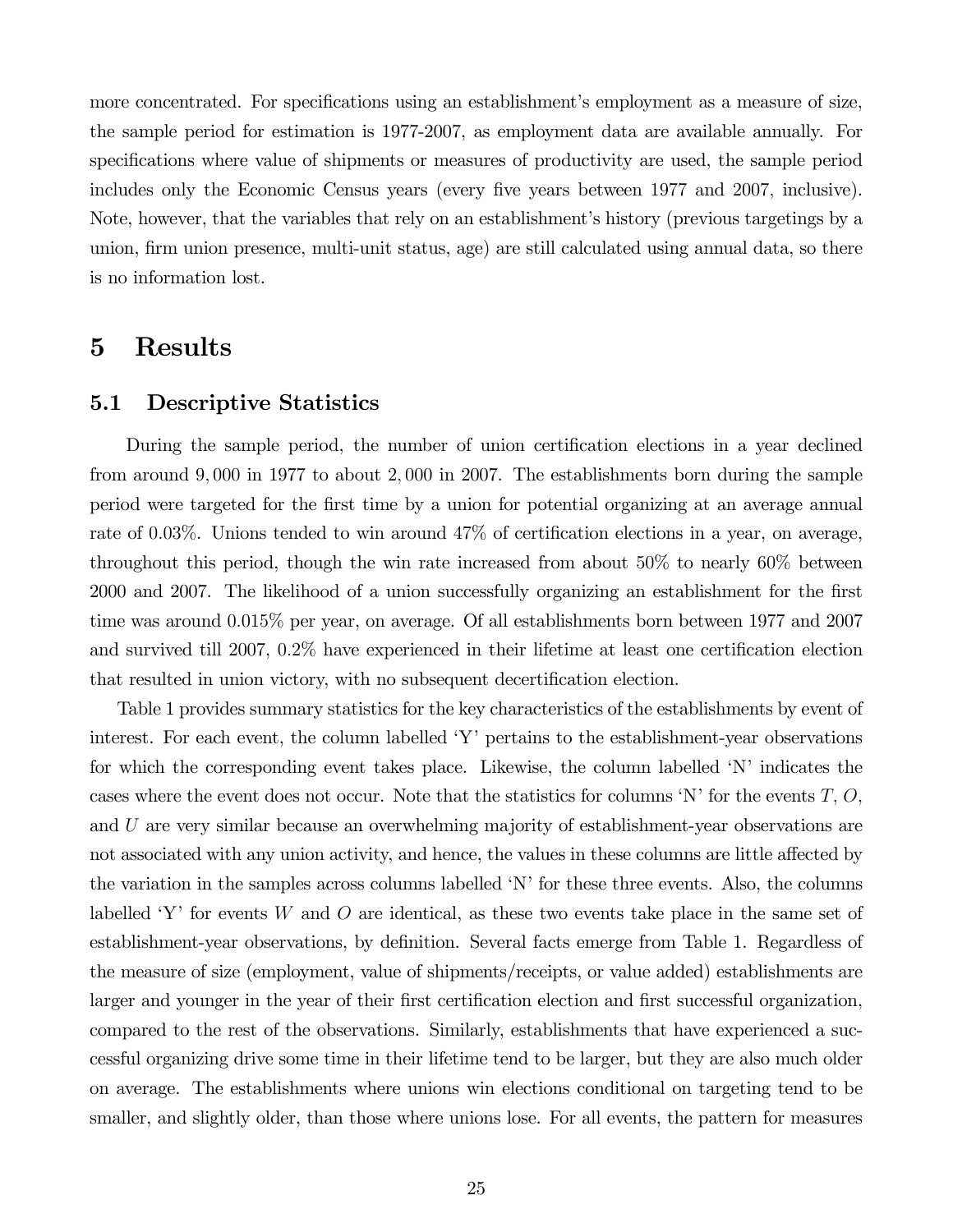more concentrated. For specifications using an establishment's employment as a measure of size, the sample period for estimation is 1977-2007, as employment data are available annually. For specifications where value of shipments or measures of productivity are used, the sample period includes only the Economic Census years (every five years between 1977 and 2007, inclusive). Note, however, that the variables that rely on an establishment's history (previous targetings by a union, firm union presence, multi-unit status, age) are still calculated using annual data, so there is no information lost.

# 5 Results

#### 5.1 Descriptive Statistics

During the sample period, the number of union certification elections in a year declined from around  $9,000$  in 1977 to about 2,000 in 2007. The establishments born during the sample period were targeted for the first time by a union for potential organizing at an average annual rate of 0.03%. Unions tended to win around  $47\%$  of certification elections in a year, on average, throughout this period, though the win rate increased from about 50% to nearly 60% between 2000 and 2007. The likelihood of a union successfully organizing an establishment for the first time was around  $0.015\%$  per year, on average. Of all establishments born between 1977 and 2007 and survived till 2007, 02% have experienced in their lifetime at least one certification election that resulted in union victory, with no subsequent decertification election.

Table 1 provides summary statistics for the key characteristics of the establishments by event of interest. For each event, the column labelled  $Y'$  pertains to the establishment-year observations for which the corresponding event takes place. Likewise, the column labelled 'N' indicates the cases where the event does not occur. Note that the statistics for columns  $'N'$  for the events  $T, O$ , and  $U$  are very similar because an overwhelming majority of establishment-year observations are not associated with any union activity, and hence, the values in these columns are little affected by the variation in the samples across columns labelled 'N' for these three events. Also, the columns labelled 'Y' for events  $W$  and  $O$  are identical, as these two events take place in the same set of establishment-year observations, by definition. Several facts emerge from Table 1. Regardless of the measure of size (employment, value of shipments/receipts, or value added) establishments are larger and younger in the year of their first certification election and first successful organization, compared to the rest of the observations. Similarly, establishments that have experienced a successful organizing drive some time in their lifetime tend to be larger, but they are also much older on average. The establishments where unions win elections conditional on targeting tend to be smaller, and slightly older, than those where unions lose. For all events, the pattern for measures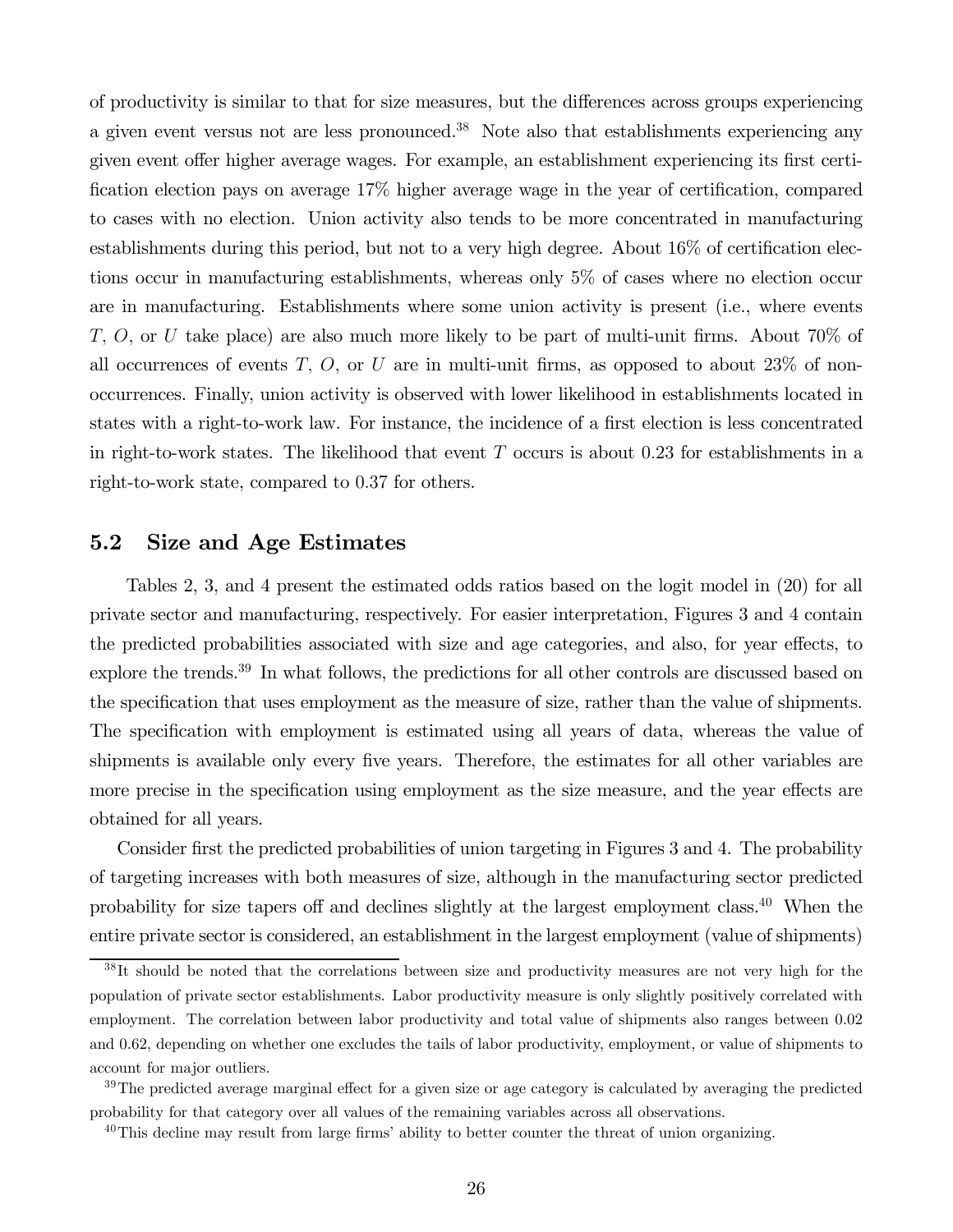of productivity is similar to that for size measures, but the differences across groups experiencing a given event versus not are less pronounced.<sup>38</sup> Note also that establishments experiencing any given event offer higher average wages. For example, an establishment experiencing its first certification election pays on average 17% higher average wage in the year of certification, compared to cases with no election. Union activity also tends to be more concentrated in manufacturing establishments during this period, but not to a very high degree. About 16% of certification elections occur in manufacturing establishments, whereas only 5% of cases where no election occur are in manufacturing. Establishments where some union activity is present (i.e., where events T, O, or U take place) are also much more likely to be part of multi-unit firms. About  $70\%$  of all occurrences of events  $T, O$ , or  $U$  are in multi-unit firms, as opposed to about 23% of nonoccurrences. Finally, union activity is observed with lower likelihood in establishments located in states with a right-to-work law. For instance, the incidence of a first election is less concentrated in right-to-work states. The likelihood that event  $T$  occurs is about 0.23 for establishments in a right-to-work state, compared to 0.37 for others.

### 5.2 Size and Age Estimates

Tables 2, 3, and 4 present the estimated odds ratios based on the logit model in (20) for all private sector and manufacturing, respectively. For easier interpretation, Figures 3 and 4 contain the predicted probabilities associated with size and age categories, and also, for year effects, to explore the trends.<sup>39</sup> In what follows, the predictions for all other controls are discussed based on the specification that uses employment as the measure of size, rather than the value of shipments. The specification with employment is estimated using all years of data, whereas the value of shipments is available only every five years. Therefore, the estimates for all other variables are more precise in the specification using employment as the size measure, and the year effects are obtained for all years.

Consider first the predicted probabilities of union targeting in Figures 3 and 4. The probability of targeting increases with both measures of size, although in the manufacturing sector predicted probability for size tapers off and declines slightly at the largest employment class.40 When the entire private sector is considered, an establishment in the largest employment (value of shipments)

<sup>&</sup>lt;sup>38</sup>It should be noted that the correlations between size and productivity measures are not very high for the population of private sector establishments. Labor productivity measure is only slightly positively correlated with employment. The correlation between labor productivity and total value of shipments also ranges between 0.02 and 062, depending on whether one excludes the tails of labor productivity, employment, or value of shipments to account for major outliers.

 $39$ The predicted average marginal effect for a given size or age category is calculated by averaging the predicted probability for that category over all values of the remaining variables across all observations.

 $^{40}$ This decline may result from large firms' ability to better counter the threat of union organizing.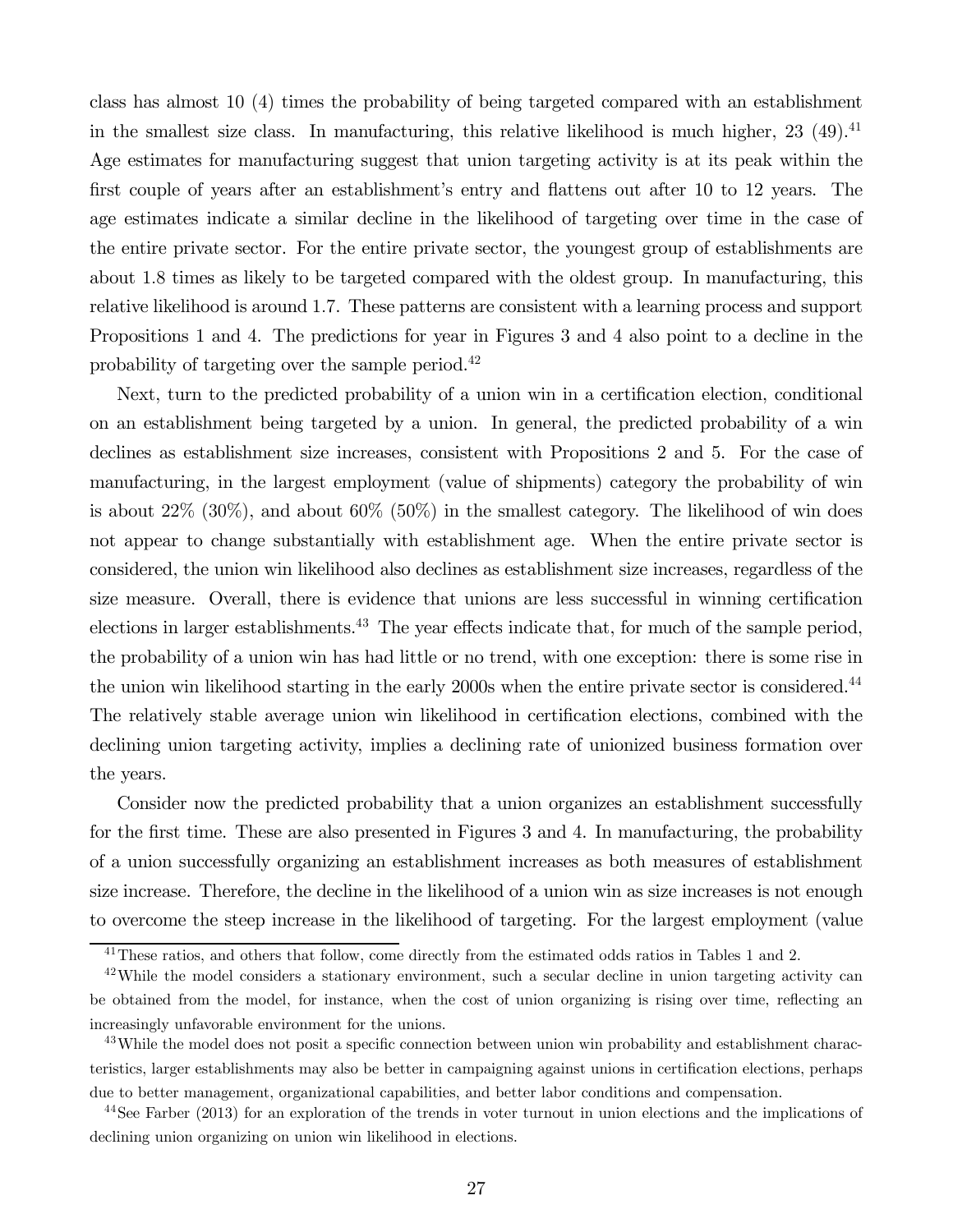class has almost 10 (4) times the probability of being targeted compared with an establishment in the smallest size class. In manufacturing, this relative likelihood is much higher,  $23$  (49).<sup>41</sup> Age estimates for manufacturing suggest that union targeting activity is at its peak within the first couple of years after an establishment's entry and flattens out after 10 to 12 years. The age estimates indicate a similar decline in the likelihood of targeting over time in the case of the entire private sector. For the entire private sector, the youngest group of establishments are about 18 times as likely to be targeted compared with the oldest group. In manufacturing, this relative likelihood is around 17. These patterns are consistent with a learning process and support Propositions 1 and 4. The predictions for year in Figures 3 and 4 also point to a decline in the probability of targeting over the sample period.42

Next, turn to the predicted probability of a union win in a certification election, conditional on an establishment being targeted by a union. In general, the predicted probability of a win declines as establishment size increases, consistent with Propositions 2 and 5. For the case of manufacturing, in the largest employment (value of shipments) category the probability of win is about  $22\%$  (30%), and about 60% (50%) in the smallest category. The likelihood of win does not appear to change substantially with establishment age. When the entire private sector is considered, the union win likelihood also declines as establishment size increases, regardless of the size measure. Overall, there is evidence that unions are less successful in winning certification elections in larger establishments.<sup>43</sup> The year effects indicate that, for much of the sample period, the probability of a union win has had little or no trend, with one exception: there is some rise in the union win likelihood starting in the early 2000s when the entire private sector is considered.<sup>44</sup> The relatively stable average union win likelihood in certification elections, combined with the declining union targeting activity, implies a declining rate of unionized business formation over the years.

Consider now the predicted probability that a union organizes an establishment successfully for the first time. These are also presented in Figures 3 and 4. In manufacturing, the probability of a union successfully organizing an establishment increases as both measures of establishment size increase. Therefore, the decline in the likelihood of a union win as size increases is not enough to overcome the steep increase in the likelihood of targeting. For the largest employment (value

<sup>&</sup>lt;sup>41</sup>These ratios, and others that follow, come directly from the estimated odds ratios in Tables 1 and 2.

<sup>&</sup>lt;sup>42</sup>While the model considers a stationary environment, such a secular decline in union targeting activity can be obtained from the model, for instance, when the cost of union organizing is rising over time, reflecting an increasingly unfavorable environment for the unions.

<sup>&</sup>lt;sup>43</sup>While the model does not posit a specific connection between union win probability and establishment characteristics, larger establishments may also be better in campaigning against unions in certification elections, perhaps due to better management, organizational capabilities, and better labor conditions and compensation.

<sup>&</sup>lt;sup>44</sup>See Farber (2013) for an exploration of the trends in voter turnout in union elections and the implications of declining union organizing on union win likelihood in elections.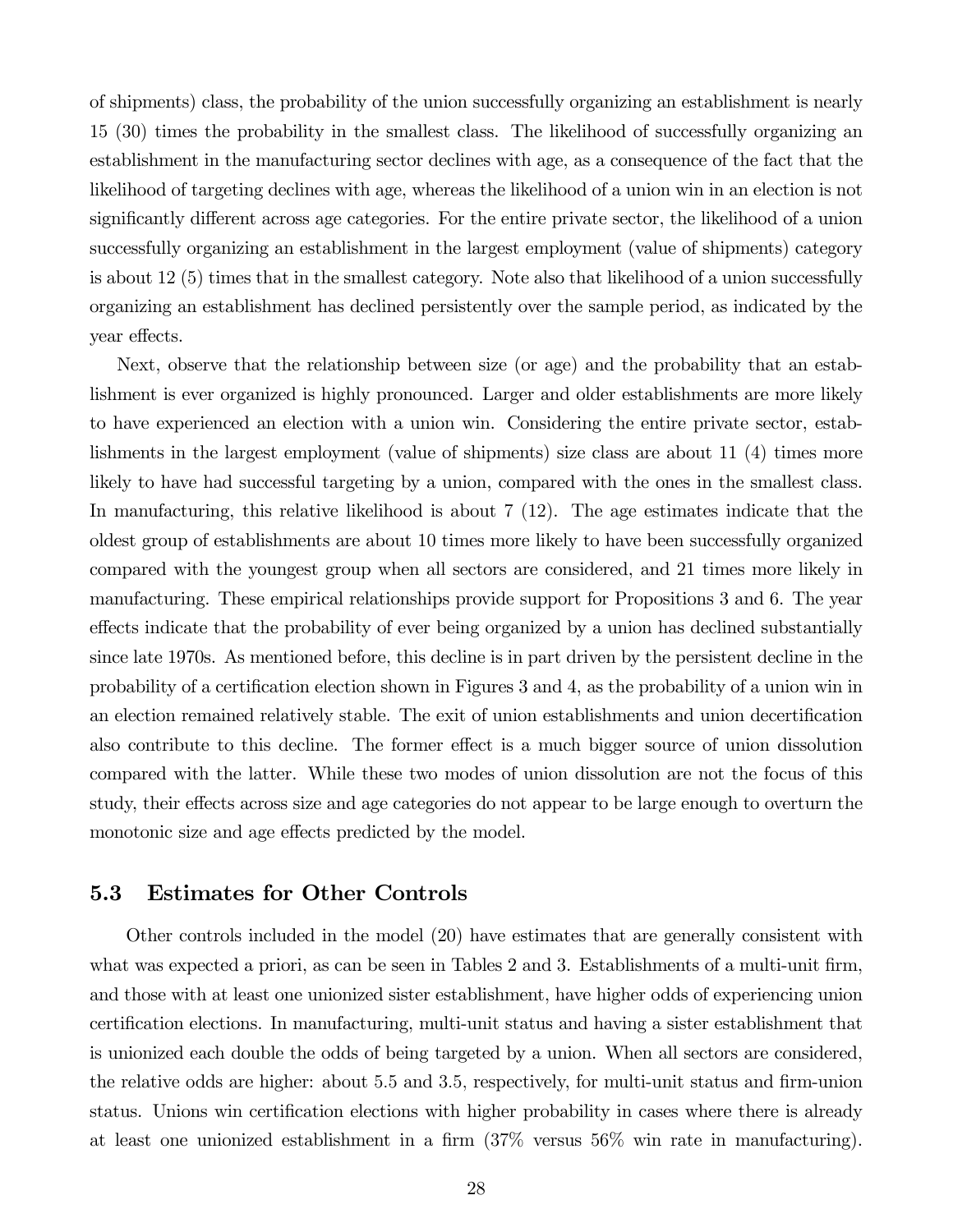of shipments) class, the probability of the union successfully organizing an establishment is nearly 15 (30) times the probability in the smallest class. The likelihood of successfully organizing an establishment in the manufacturing sector declines with age, as a consequence of the fact that the likelihood of targeting declines with age, whereas the likelihood of a union win in an election is not significantly different across age categories. For the entire private sector, the likelihood of a union successfully organizing an establishment in the largest employment (value of shipments) category is about 12 (5) times that in the smallest category. Note also that likelihood of a union successfully organizing an establishment has declined persistently over the sample period, as indicated by the year effects.

Next, observe that the relationship between size (or age) and the probability that an establishment is ever organized is highly pronounced. Larger and older establishments are more likely to have experienced an election with a union win. Considering the entire private sector, establishments in the largest employment (value of shipments) size class are about 11 (4) times more likely to have had successful targeting by a union, compared with the ones in the smallest class. In manufacturing, this relative likelihood is about 7 (12). The age estimates indicate that the oldest group of establishments are about 10 times more likely to have been successfully organized compared with the youngest group when all sectors are considered, and 21 times more likely in manufacturing. These empirical relationships provide support for Propositions 3 and 6. The year effects indicate that the probability of ever being organized by a union has declined substantially since late 1970s. As mentioned before, this decline is in part driven by the persistent decline in the probability of a certification election shown in Figures 3 and 4, as the probability of a union win in an election remained relatively stable. The exit of union establishments and union decertification also contribute to this decline. The former effect is a much bigger source of union dissolution compared with the latter. While these two modes of union dissolution are not the focus of this study, their effects across size and age categories do not appear to be large enough to overturn the monotonic size and age effects predicted by the model.

### 5.3 Estimates for Other Controls

Other controls included in the model (20) have estimates that are generally consistent with what was expected a priori, as can be seen in Tables 2 and 3. Establishments of a multi-unit firm, and those with at least one unionized sister establishment, have higher odds of experiencing union certification elections. In manufacturing, multi-unit status and having a sister establishment that is unionized each double the odds of being targeted by a union. When all sectors are considered, the relative odds are higher: about 5.5 and 3.5, respectively, for multi-unit status and firm-union status. Unions win certification elections with higher probability in cases where there is already at least one unionized establishment in a firm (37% versus 56% win rate in manufacturing).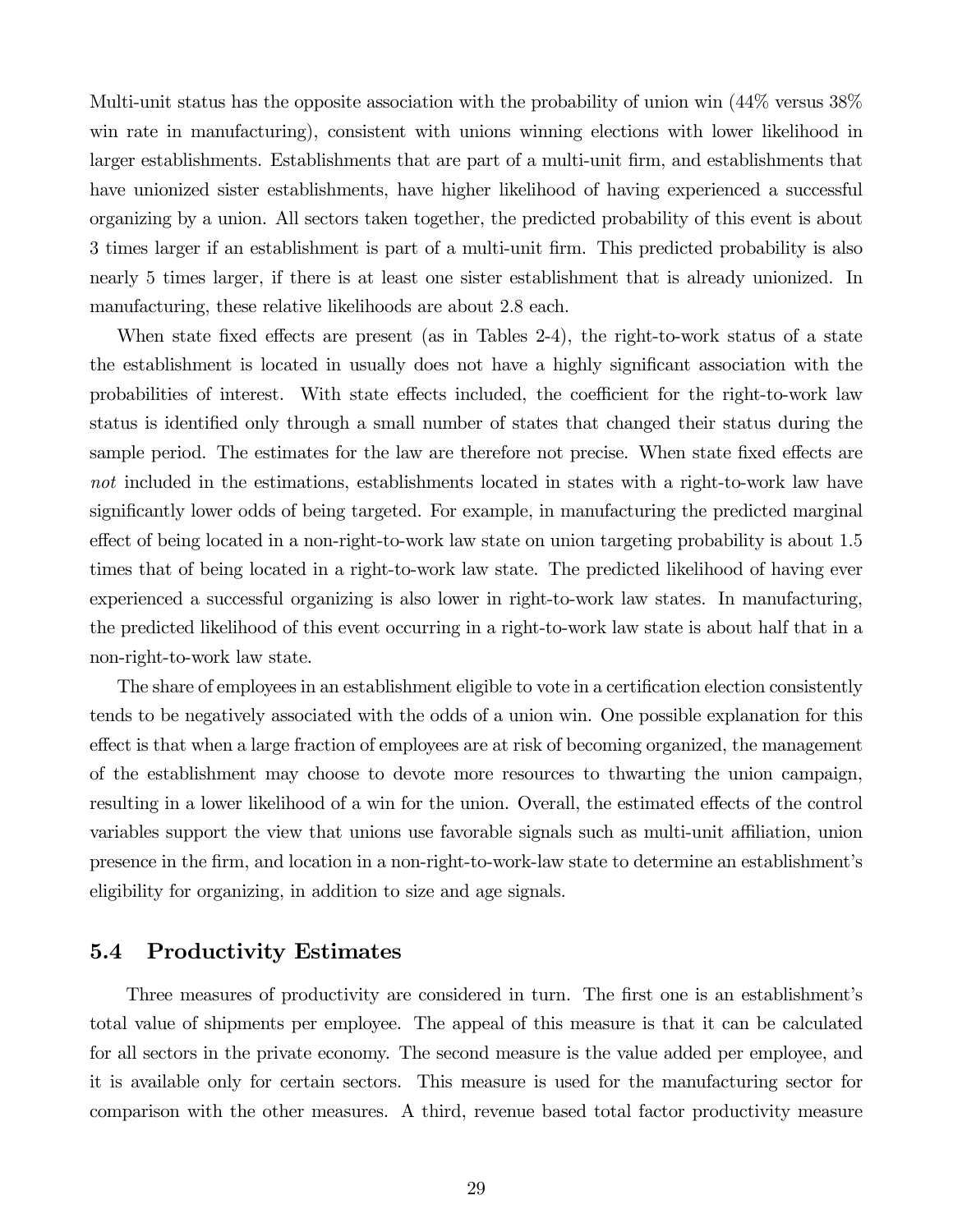Multi-unit status has the opposite association with the probability of union win (44% versus 38% win rate in manufacturing), consistent with unions winning elections with lower likelihood in larger establishments. Establishments that are part of a multi-unit firm, and establishments that have unionized sister establishments, have higher likelihood of having experienced a successful organizing by a union. All sectors taken together, the predicted probability of this event is about 3 times larger if an establishment is part of a multi-unit firm. This predicted probability is also nearly 5 times larger, if there is at least one sister establishment that is already unionized. In manufacturing, these relative likelihoods are about 2.8 each.

When state fixed effects are present (as in Tables 2-4), the right-to-work status of a state the establishment is located in usually does not have a highly significant association with the probabilities of interest. With state effects included, the coefficient for the right-to-work law status is identified only through a small number of states that changed their status during the sample period. The estimates for the law are therefore not precise. When state fixed effects are not included in the estimations, establishments located in states with a right-to-work law have significantly lower odds of being targeted. For example, in manufacturing the predicted marginal effect of being located in a non-right-to-work law state on union targeting probability is about 1.5 times that of being located in a right-to-work law state. The predicted likelihood of having ever experienced a successful organizing is also lower in right-to-work law states. In manufacturing, the predicted likelihood of this event occurring in a right-to-work law state is about half that in a non-right-to-work law state.

The share of employees in an establishment eligible to vote in a certification election consistently tends to be negatively associated with the odds of a union win. One possible explanation for this effect is that when a large fraction of employees are at risk of becoming organized, the management of the establishment may choose to devote more resources to thwarting the union campaign, resulting in a lower likelihood of a win for the union. Overall, the estimated effects of the control variables support the view that unions use favorable signals such as multi-unit affiliation, union presence in the firm, and location in a non-right-to-work-law state to determine an establishment's eligibility for organizing, in addition to size and age signals.

#### 5.4 Productivity Estimates

Three measures of productivity are considered in turn. The first one is an establishment's total value of shipments per employee. The appeal of this measure is that it can be calculated for all sectors in the private economy. The second measure is the value added per employee, and it is available only for certain sectors. This measure is used for the manufacturing sector for comparison with the other measures. A third, revenue based total factor productivity measure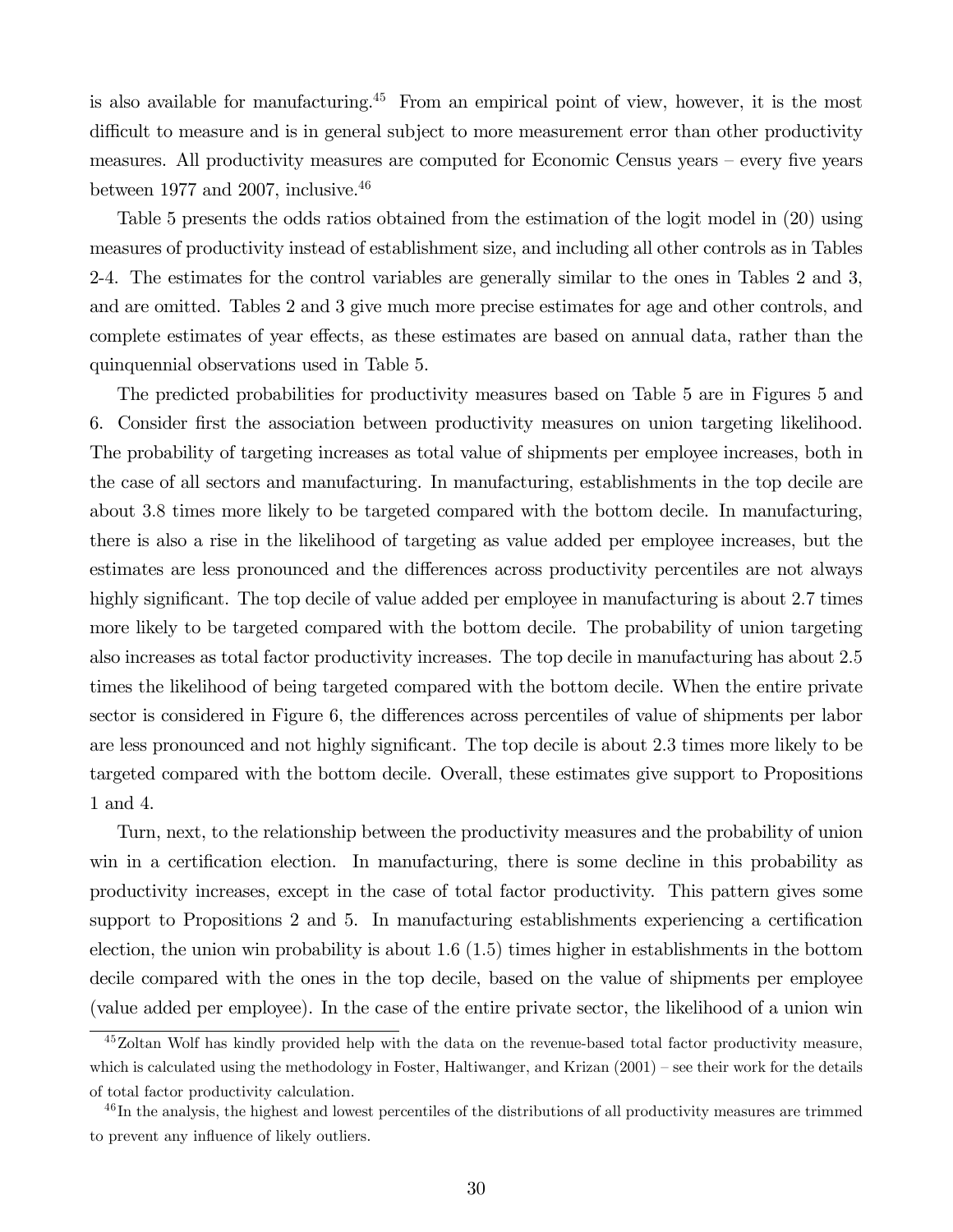is also available for manufacturing.<sup>45</sup> From an empirical point of view, however, it is the most difficult to measure and is in general subject to more measurement error than other productivity measures. All productivity measures are computed for Economic Census years — every five years between 1977 and 2007, inclusive.  $46$ 

Table 5 presents the odds ratios obtained from the estimation of the logit model in (20) using measures of productivity instead of establishment size, and including all other controls as in Tables 2-4. The estimates for the control variables are generally similar to the ones in Tables 2 and 3, and are omitted. Tables 2 and 3 give much more precise estimates for age and other controls, and complete estimates of year effects, as these estimates are based on annual data, rather than the quinquennial observations used in Table 5.

The predicted probabilities for productivity measures based on Table 5 are in Figures 5 and 6. Consider first the association between productivity measures on union targeting likelihood. The probability of targeting increases as total value of shipments per employee increases, both in the case of all sectors and manufacturing. In manufacturing, establishments in the top decile are about 38 times more likely to be targeted compared with the bottom decile. In manufacturing, there is also a rise in the likelihood of targeting as value added per employee increases, but the estimates are less pronounced and the differences across productivity percentiles are not always highly significant. The top decile of value added per employee in manufacturing is about 2.7 times more likely to be targeted compared with the bottom decile. The probability of union targeting also increases as total factor productivity increases. The top decile in manufacturing has about 2.5 times the likelihood of being targeted compared with the bottom decile. When the entire private sector is considered in Figure 6, the differences across percentiles of value of shipments per labor are less pronounced and not highly significant. The top decile is about 23 times more likely to be targeted compared with the bottom decile. Overall, these estimates give support to Propositions 1 and 4.

Turn, next, to the relationship between the productivity measures and the probability of union win in a certification election. In manufacturing, there is some decline in this probability as productivity increases, except in the case of total factor productivity. This pattern gives some support to Propositions 2 and 5. In manufacturing establishments experiencing a certification election, the union win probability is about  $1.6$  (1.5) times higher in establishments in the bottom decile compared with the ones in the top decile, based on the value of shipments per employee (value added per employee). In the case of the entire private sector, the likelihood of a union win

<sup>&</sup>lt;sup>45</sup>Zoltan Wolf has kindly provided help with the data on the revenue-based total factor productivity measure, which is calculated using the methodology in Foster, Haltiwanger, and Krizan (2001) – see their work for the details of total factor productivity calculation.

 $^{46}$ In the analysis, the highest and lowest percentiles of the distributions of all productivity measures are trimmed to prevent any influence of likely outliers.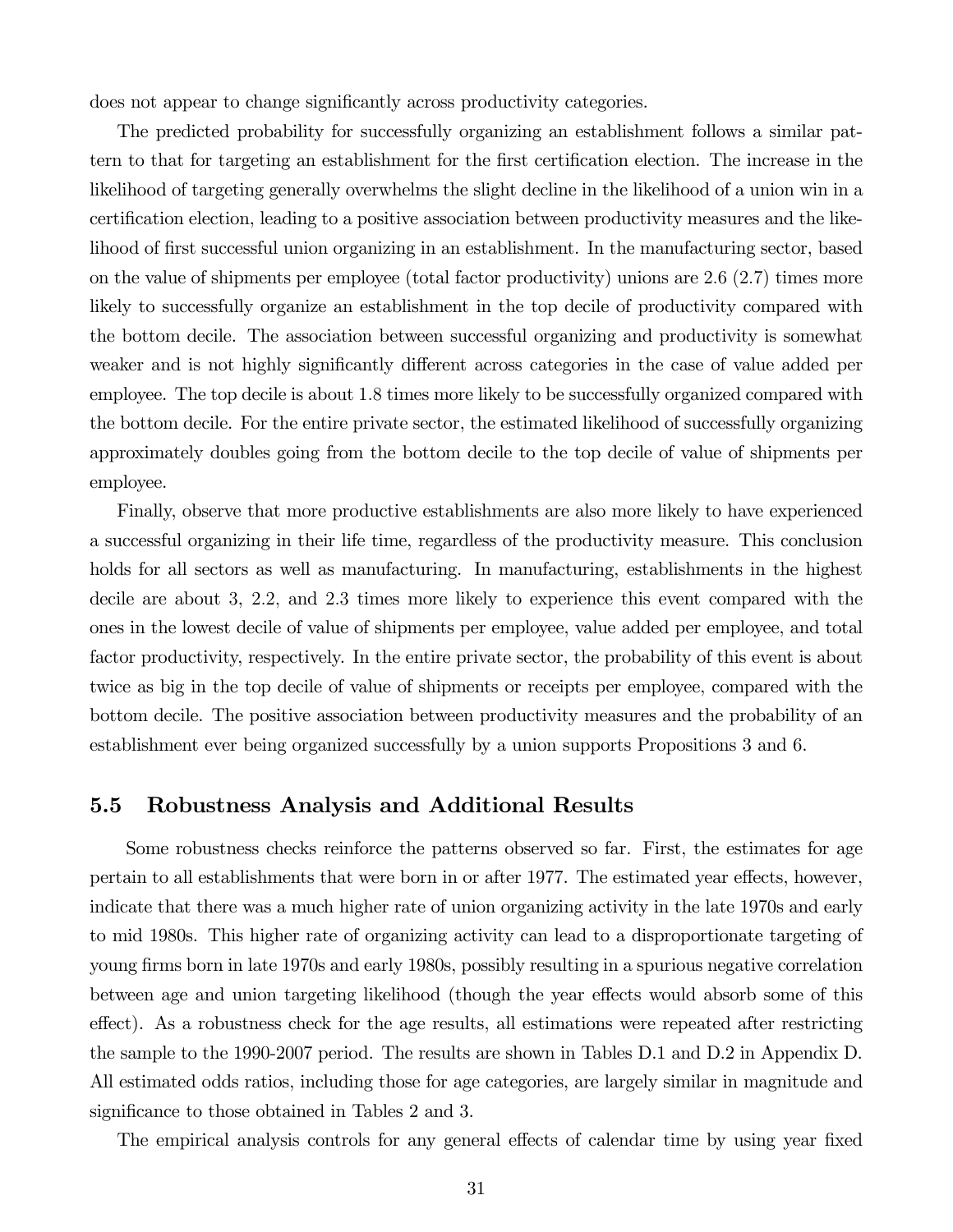does not appear to change significantly across productivity categories.

The predicted probability for successfully organizing an establishment follows a similar pattern to that for targeting an establishment for the first certification election. The increase in the likelihood of targeting generally overwhelms the slight decline in the likelihood of a union win in a certification election, leading to a positive association between productivity measures and the likelihood of first successful union organizing in an establishment. In the manufacturing sector, based on the value of shipments per employee (total factor productivity) unions are 26 (27) times more likely to successfully organize an establishment in the top decile of productivity compared with the bottom decile. The association between successful organizing and productivity is somewhat weaker and is not highly significantly different across categories in the case of value added per employee. The top decile is about 1.8 times more likely to be successfully organized compared with the bottom decile. For the entire private sector, the estimated likelihood of successfully organizing approximately doubles going from the bottom decile to the top decile of value of shipments per employee.

Finally, observe that more productive establishments are also more likely to have experienced a successful organizing in their life time, regardless of the productivity measure. This conclusion holds for all sectors as well as manufacturing. In manufacturing, establishments in the highest decile are about 3, 22 and 23 times more likely to experience this event compared with the ones in the lowest decile of value of shipments per employee, value added per employee, and total factor productivity, respectively. In the entire private sector, the probability of this event is about twice as big in the top decile of value of shipments or receipts per employee, compared with the bottom decile. The positive association between productivity measures and the probability of an establishment ever being organized successfully by a union supports Propositions 3 and 6.

### 5.5 Robustness Analysis and Additional Results

Some robustness checks reinforce the patterns observed so far. First, the estimates for age pertain to all establishments that were born in or after 1977. The estimated year effects, however, indicate that there was a much higher rate of union organizing activity in the late 1970s and early to mid 1980s. This higher rate of organizing activity can lead to a disproportionate targeting of young firms born in late 1970s and early 1980s, possibly resulting in a spurious negative correlation between age and union targeting likelihood (though the year effects would absorb some of this effect). As a robustness check for the age results, all estimations were repeated after restricting the sample to the 1990-2007 period. The results are shown in Tables D.1 and D.2 in Appendix D. All estimated odds ratios, including those for age categories, are largely similar in magnitude and significance to those obtained in Tables 2 and 3.

The empirical analysis controls for any general effects of calendar time by using year fixed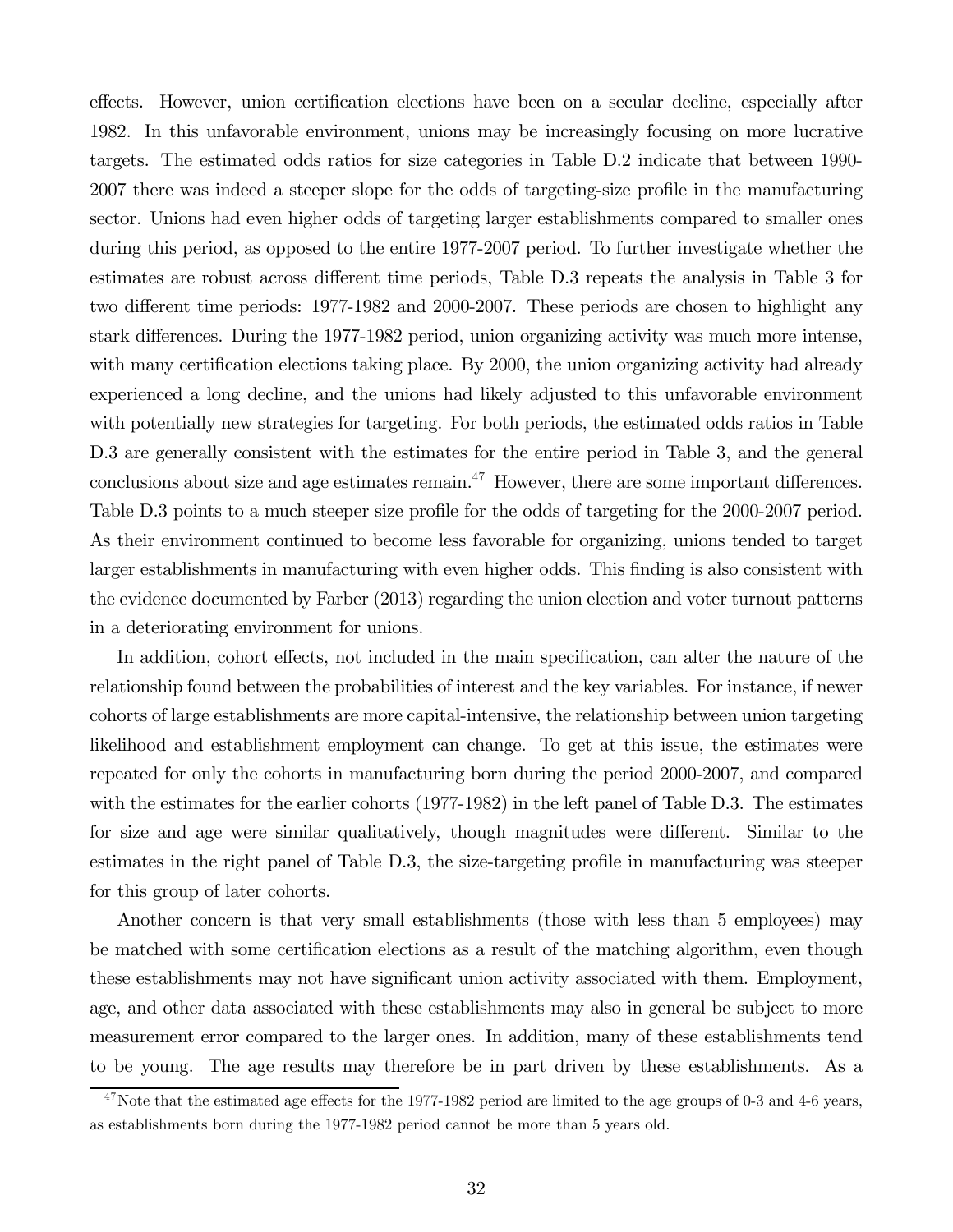effects. However, union certification elections have been on a secular decline, especially after 1982. In this unfavorable environment, unions may be increasingly focusing on more lucrative targets. The estimated odds ratios for size categories in Table D.2 indicate that between 1990- 2007 there was indeed a steeper slope for the odds of targeting-size profile in the manufacturing sector. Unions had even higher odds of targeting larger establishments compared to smaller ones during this period, as opposed to the entire 1977-2007 period. To further investigate whether the estimates are robust across different time periods, Table D.3 repeats the analysis in Table 3 for two different time periods: 1977-1982 and 2000-2007. These periods are chosen to highlight any stark differences. During the 1977-1982 period, union organizing activity was much more intense, with many certification elections taking place. By 2000, the union organizing activity had already experienced a long decline, and the unions had likely adjusted to this unfavorable environment with potentially new strategies for targeting. For both periods, the estimated odds ratios in Table D.3 are generally consistent with the estimates for the entire period in Table 3, and the general conclusions about size and age estimates remain. $^{47}$  However, there are some important differences. Table D.3 points to a much steeper size profile for the odds of targeting for the 2000-2007 period. As their environment continued to become less favorable for organizing, unions tended to target larger establishments in manufacturing with even higher odds. This finding is also consistent with the evidence documented by Farber (2013) regarding the union election and voter turnout patterns in a deteriorating environment for unions.

In addition, cohort effects, not included in the main specification, can alter the nature of the relationship found between the probabilities of interest and the key variables. For instance, if newer cohorts of large establishments are more capital-intensive, the relationship between union targeting likelihood and establishment employment can change. To get at this issue, the estimates were repeated for only the cohorts in manufacturing born during the period 2000-2007, and compared with the estimates for the earlier cohorts (1977-1982) in the left panel of Table D.3. The estimates for size and age were similar qualitatively, though magnitudes were different. Similar to the estimates in the right panel of Table D.3, the size-targeting profile in manufacturing was steeper for this group of later cohorts.

Another concern is that very small establishments (those with less than 5 employees) may be matched with some certification elections as a result of the matching algorithm, even though these establishments may not have significant union activity associated with them. Employment, age, and other data associated with these establishments may also in general be subject to more measurement error compared to the larger ones. In addition, many of these establishments tend to be young. The age results may therefore be in part driven by these establishments. As a

 $47$ Note that the estimated age effects for the 1977-1982 period are limited to the age groups of 0-3 and 4-6 years, as establishments born during the 1977-1982 period cannot be more than 5 years old.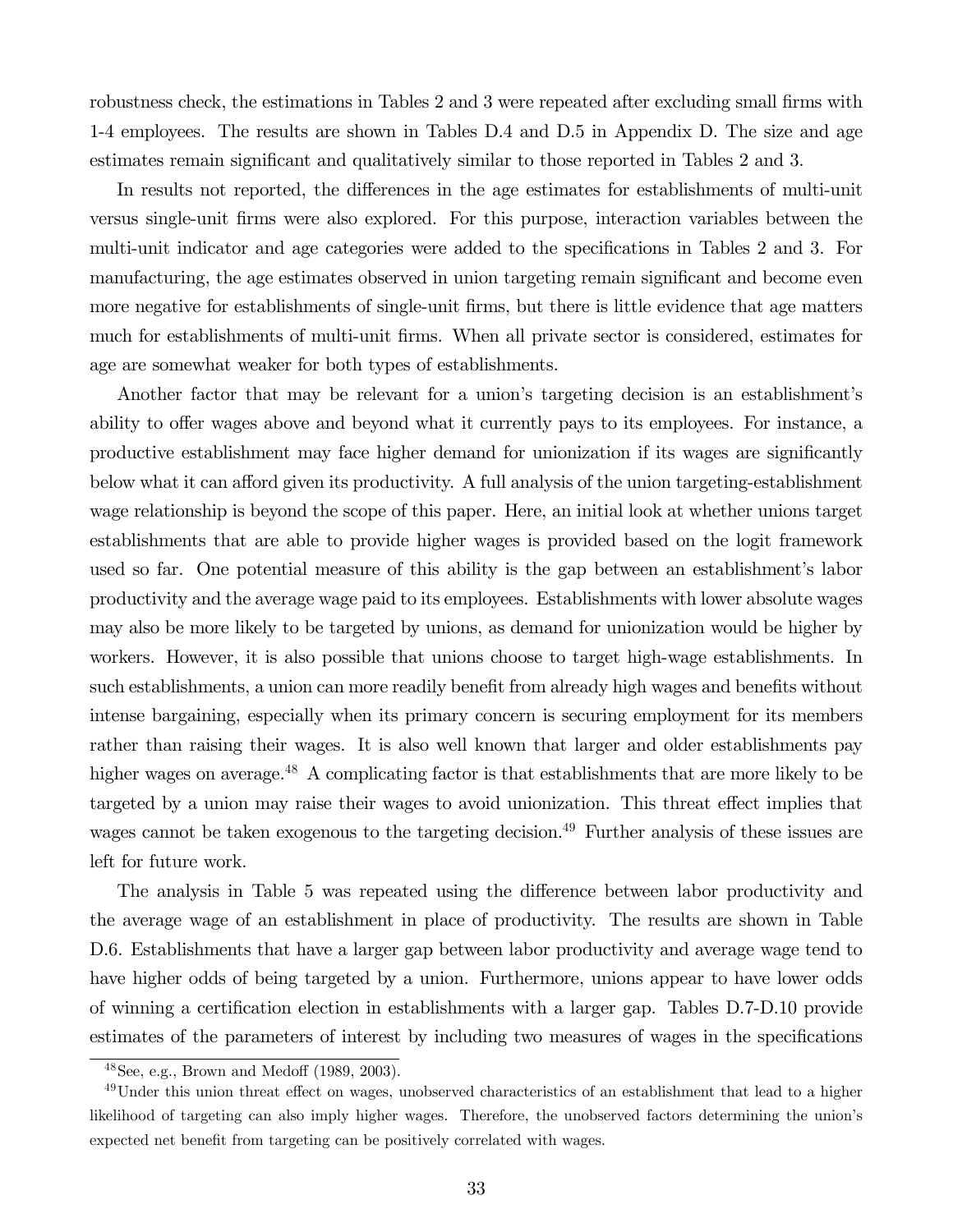robustness check, the estimations in Tables 2 and 3 were repeated after excluding small firms with 1-4 employees. The results are shown in Tables D.4 and D.5 in Appendix D. The size and age estimates remain significant and qualitatively similar to those reported in Tables 2 and 3.

In results not reported, the differences in the age estimates for establishments of multi-unit versus single-unit firms were also explored. For this purpose, interaction variables between the multi-unit indicator and age categories were added to the specifications in Tables 2 and 3. For manufacturing, the age estimates observed in union targeting remain significant and become even more negative for establishments of single-unit firms, but there is little evidence that age matters much for establishments of multi-unit firms. When all private sector is considered, estimates for age are somewhat weaker for both types of establishments.

Another factor that may be relevant for a union's targeting decision is an establishment's ability to offer wages above and beyond what it currently pays to its employees. For instance, a productive establishment may face higher demand for unionization if its wages are significantly below what it can afford given its productivity. A full analysis of the union targeting-establishment wage relationship is beyond the scope of this paper. Here, an initial look at whether unions target establishments that are able to provide higher wages is provided based on the logit framework used so far. One potential measure of this ability is the gap between an establishment's labor productivity and the average wage paid to its employees. Establishments with lower absolute wages may also be more likely to be targeted by unions, as demand for unionization would be higher by workers. However, it is also possible that unions choose to target high-wage establishments. In such establishments, a union can more readily benefit from already high wages and benefits without intense bargaining, especially when its primary concern is securing employment for its members rather than raising their wages. It is also well known that larger and older establishments pay higher wages on average.<sup>48</sup> A complicating factor is that establishments that are more likely to be targeted by a union may raise their wages to avoid unionization. This threat effect implies that wages cannot be taken exogenous to the targeting decision.<sup>49</sup> Further analysis of these issues are left for future work.

The analysis in Table 5 was repeated using the difference between labor productivity and the average wage of an establishment in place of productivity. The results are shown in Table D.6. Establishments that have a larger gap between labor productivity and average wage tend to have higher odds of being targeted by a union. Furthermore, unions appear to have lower odds of winning a certification election in establishments with a larger gap. Tables D.7-D.10 provide estimates of the parameters of interest by including two measures of wages in the specifications

<sup>48</sup>See, e.g., Brown and Medoff (1989, 2003).

<sup>&</sup>lt;sup>49</sup>Under this union threat effect on wages, unobserved characteristics of an establishment that lead to a higher likelihood of targeting can also imply higher wages. Therefore, the unobserved factors determining the union's expected net benefit from targeting can be positively correlated with wages.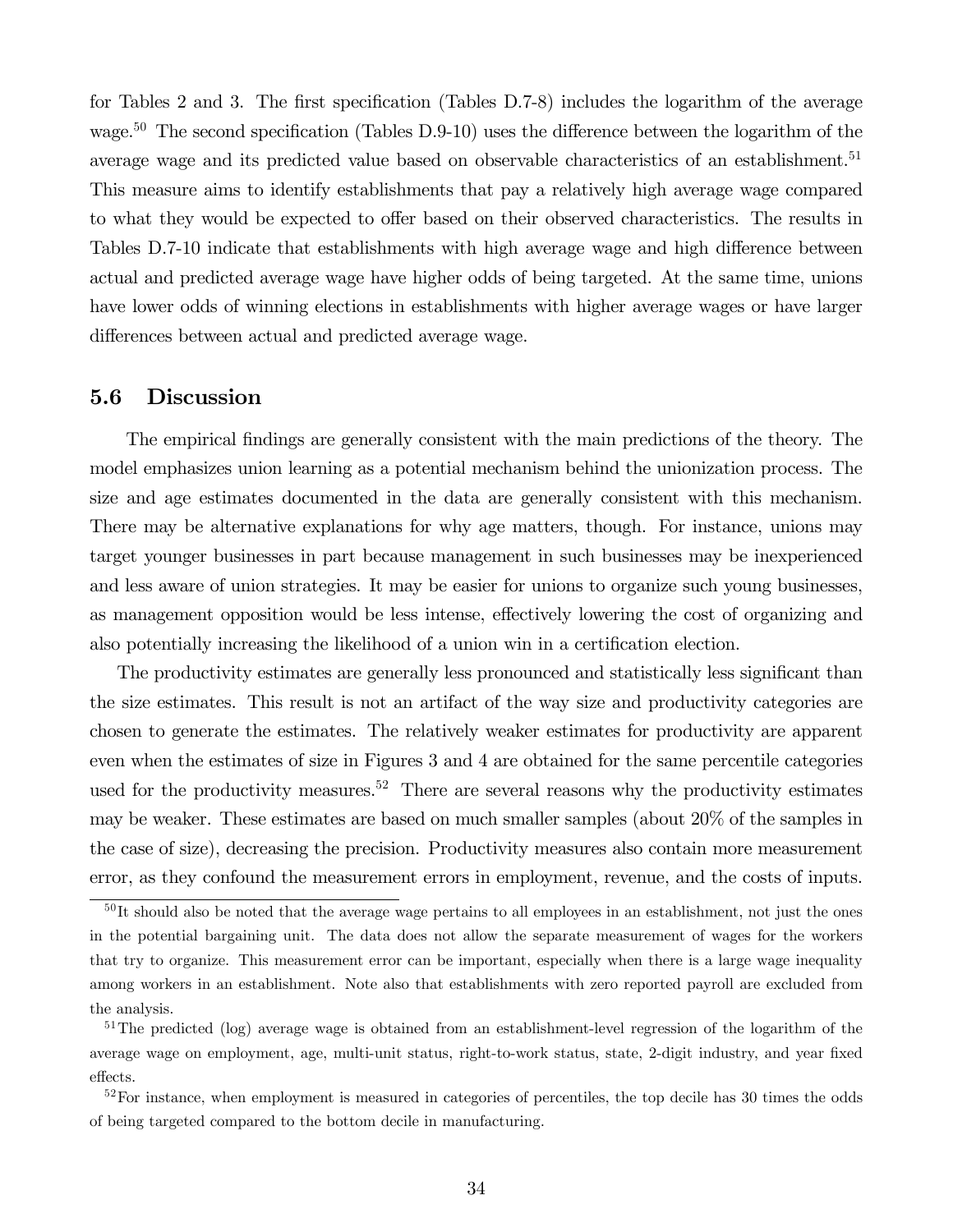for Tables 2 and 3. The first specification (Tables D.7-8) includes the logarithm of the average wage.<sup>50</sup> The second specification (Tables D.9-10) uses the difference between the logarithm of the average wage and its predicted value based on observable characteristics of an establishment.<sup>51</sup> This measure aims to identify establishments that pay a relatively high average wage compared to what they would be expected to offer based on their observed characteristics. The results in Tables D.7-10 indicate that establishments with high average wage and high difference between actual and predicted average wage have higher odds of being targeted. At the same time, unions have lower odds of winning elections in establishments with higher average wages or have larger differences between actual and predicted average wage.

### 5.6 Discussion

The empirical findings are generally consistent with the main predictions of the theory. The model emphasizes union learning as a potential mechanism behind the unionization process. The size and age estimates documented in the data are generally consistent with this mechanism. There may be alternative explanations for why age matters, though. For instance, unions may target younger businesses in part because management in such businesses may be inexperienced and less aware of union strategies. It may be easier for unions to organize such young businesses, as management opposition would be less intense, effectively lowering the cost of organizing and also potentially increasing the likelihood of a union win in a certification election.

The productivity estimates are generally less pronounced and statistically less significant than the size estimates. This result is not an artifact of the way size and productivity categories are chosen to generate the estimates. The relatively weaker estimates for productivity are apparent even when the estimates of size in Figures 3 and 4 are obtained for the same percentile categories used for the productivity measures.<sup>52</sup> There are several reasons why the productivity estimates may be weaker. These estimates are based on much smaller samples (about 20% of the samples in the case of size), decreasing the precision. Productivity measures also contain more measurement error, as they confound the measurement errors in employment, revenue, and the costs of inputs.

 $50$ It should also be noted that the average wage pertains to all employees in an establishment, not just the ones in the potential bargaining unit. The data does not allow the separate measurement of wages for the workers that try to organize. This measurement error can be important, especially when there is a large wage inequality among workers in an establishment. Note also that establishments with zero reported payroll are excluded from the analysis.

<sup>&</sup>lt;sup>51</sup>The predicted (log) average wage is obtained from an establishment-level regression of the logarithm of the average wage on employment, age, multi-unit status, right-to-work status, state, 2-digit industry, and year fixed effects.

 $52$ For instance, when employment is measured in categories of percentiles, the top decile has 30 times the odds of being targeted compared to the bottom decile in manufacturing.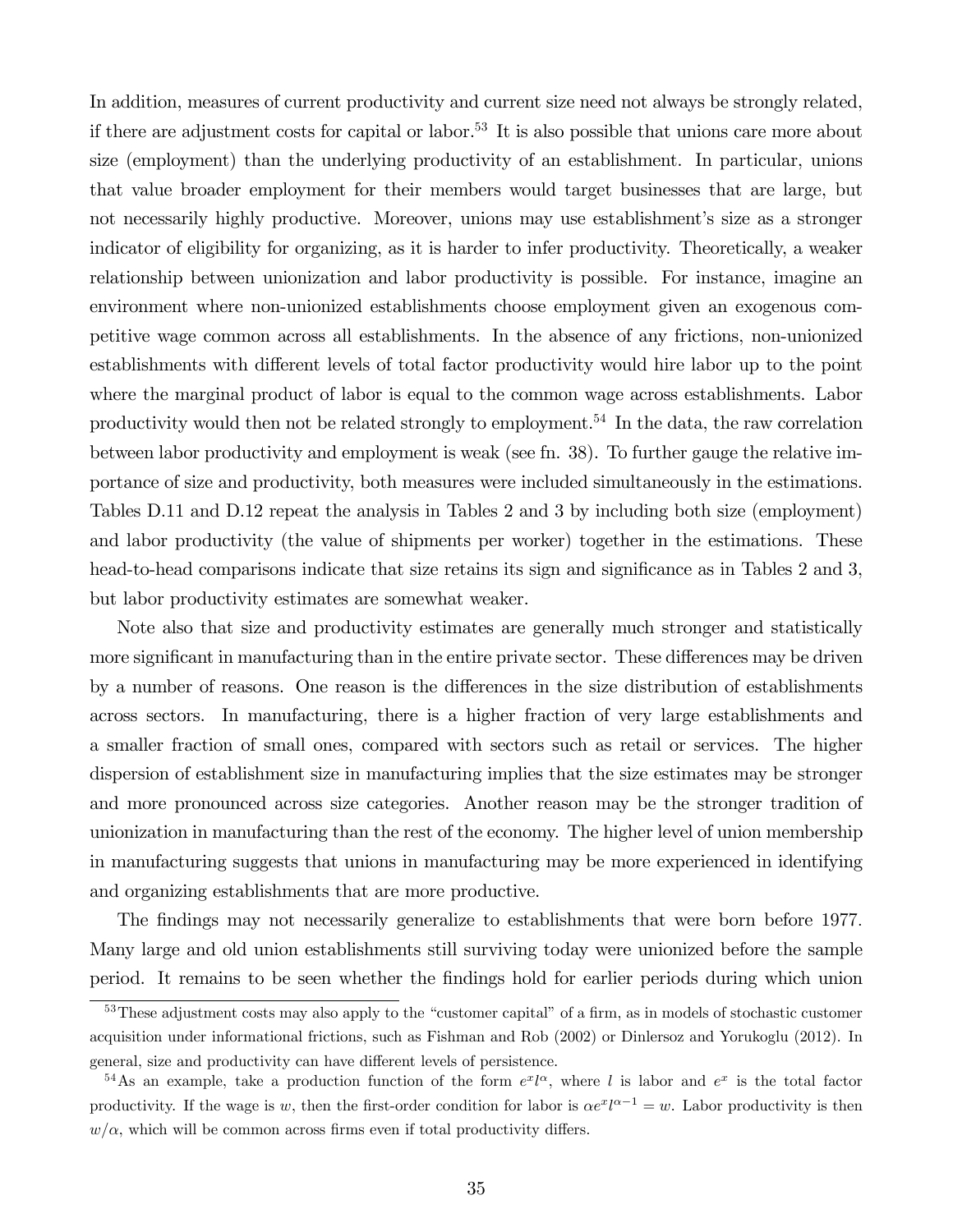In addition, measures of current productivity and current size need not always be strongly related, if there are adjustment costs for capital or labor.53 It is also possible that unions care more about size (employment) than the underlying productivity of an establishment. In particular, unions that value broader employment for their members would target businesses that are large, but not necessarily highly productive. Moreover, unions may use establishment's size as a stronger indicator of eligibility for organizing, as it is harder to infer productivity. Theoretically, a weaker relationship between unionization and labor productivity is possible. For instance, imagine an environment where non-unionized establishments choose employment given an exogenous competitive wage common across all establishments. In the absence of any frictions, non-unionized establishments with different levels of total factor productivity would hire labor up to the point where the marginal product of labor is equal to the common wage across establishments. Labor productivity would then not be related strongly to employment.<sup>54</sup> In the data, the raw correlation between labor productivity and employment is weak (see fn. 38). To further gauge the relative importance of size and productivity, both measures were included simultaneously in the estimations. Tables D.11 and D.12 repeat the analysis in Tables 2 and 3 by including both size (employment) and labor productivity (the value of shipments per worker) together in the estimations. These head-to-head comparisons indicate that size retains its sign and significance as in Tables 2 and 3, but labor productivity estimates are somewhat weaker.

Note also that size and productivity estimates are generally much stronger and statistically more significant in manufacturing than in the entire private sector. These differences may be driven by a number of reasons. One reason is the differences in the size distribution of establishments across sectors. In manufacturing, there is a higher fraction of very large establishments and a smaller fraction of small ones, compared with sectors such as retail or services. The higher dispersion of establishment size in manufacturing implies that the size estimates may be stronger and more pronounced across size categories. Another reason may be the stronger tradition of unionization in manufacturing than the rest of the economy. The higher level of union membership in manufacturing suggests that unions in manufacturing may be more experienced in identifying and organizing establishments that are more productive.

The findings may not necessarily generalize to establishments that were born before 1977 Many large and old union establishments still surviving today were unionized before the sample period. It remains to be seen whether the findings hold for earlier periods during which union

<sup>&</sup>lt;sup>53</sup>These adjustment costs may also apply to the "customer capital" of a firm, as in models of stochastic customer acquisition under informational frictions, such as Fishman and Rob (2002) or Dinlersoz and Yorukoglu (2012). In general, size and productivity can have different levels of persistence.

<sup>&</sup>lt;sup>54</sup>As an example, take a production function of the form  $e^x l^{\alpha}$ , where l is labor and  $e^x$  is the total factor productivity. If the wage is w, then the first-order condition for labor is  $\alpha e^x l^{\alpha-1} = w$ . Labor productivity is then  $w/\alpha$ , which will be common across firms even if total productivity differs.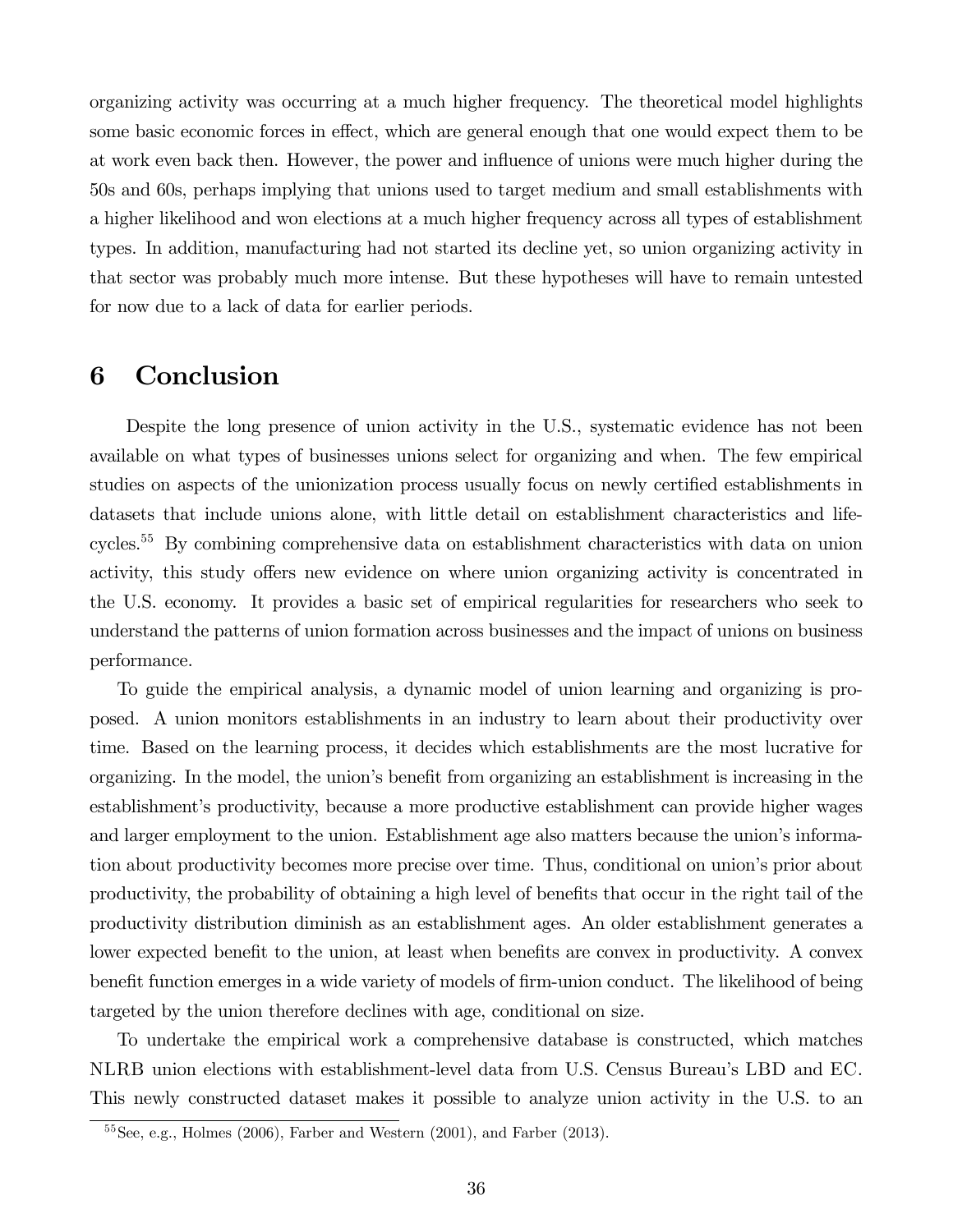organizing activity was occurring at a much higher frequency. The theoretical model highlights some basic economic forces in effect, which are general enough that one would expect them to be at work even back then. However, the power and influence of unions were much higher during the 50s and 60s, perhaps implying that unions used to target medium and small establishments with a higher likelihood and won elections at a much higher frequency across all types of establishment types. In addition, manufacturing had not started its decline yet, so union organizing activity in that sector was probably much more intense. But these hypotheses will have to remain untested for now due to a lack of data for earlier periods.

### 6 Conclusion

Despite the long presence of union activity in the U.S., systematic evidence has not been available on what types of businesses unions select for organizing and when. The few empirical studies on aspects of the unionization process usually focus on newly certified establishments in datasets that include unions alone, with little detail on establishment characteristics and lifecycles.55 By combining comprehensive data on establishment characteristics with data on union activity, this study offers new evidence on where union organizing activity is concentrated in the U.S. economy. It provides a basic set of empirical regularities for researchers who seek to understand the patterns of union formation across businesses and the impact of unions on business performance.

To guide the empirical analysis, a dynamic model of union learning and organizing is proposed. A union monitors establishments in an industry to learn about their productivity over time. Based on the learning process, it decides which establishments are the most lucrative for organizing. In the model, the union's benefit from organizing an establishment is increasing in the establishment's productivity, because a more productive establishment can provide higher wages and larger employment to the union. Establishment age also matters because the union's information about productivity becomes more precise over time. Thus, conditional on union's prior about productivity, the probability of obtaining a high level of benefits that occur in the right tail of the productivity distribution diminish as an establishment ages. An older establishment generates a lower expected benefit to the union, at least when benefits are convex in productivity. A convex benefit function emerges in a wide variety of models of firm-union conduct. The likelihood of being targeted by the union therefore declines with age, conditional on size.

To undertake the empirical work a comprehensive database is constructed, which matches NLRB union elections with establishment-level data from U.S. Census Bureau's LBD and EC. This newly constructed dataset makes it possible to analyze union activity in the U.S. to an

 $55$ See, e.g., Holmes (2006), Farber and Western (2001), and Farber (2013).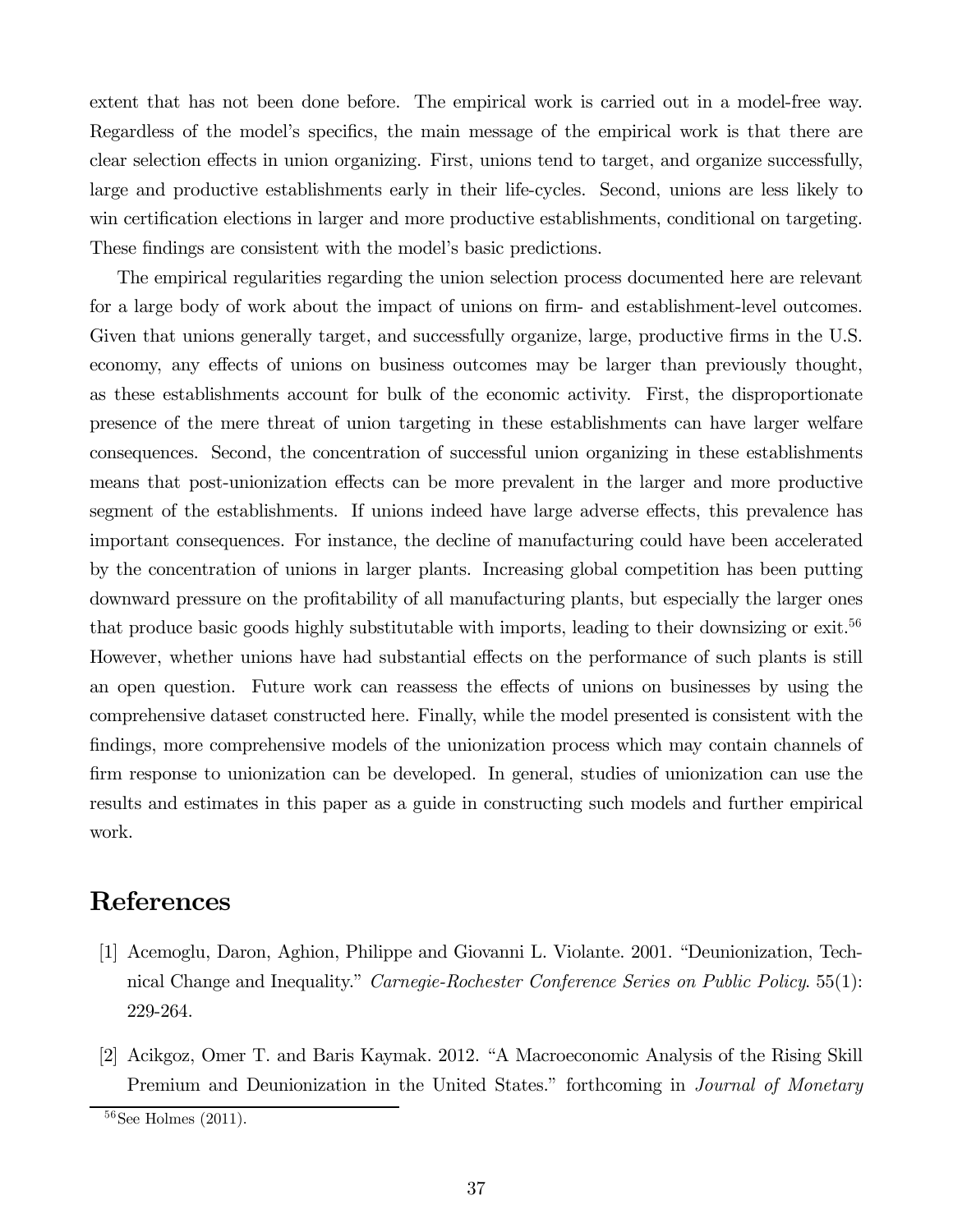extent that has not been done before. The empirical work is carried out in a model-free way. Regardless of the model's specifics, the main message of the empirical work is that there are clear selection effects in union organizing. First, unions tend to target, and organize successfully, large and productive establishments early in their life-cycles. Second, unions are less likely to win certification elections in larger and more productive establishments, conditional on targeting. These findings are consistent with the model's basic predictions.

The empirical regularities regarding the union selection process documented here are relevant for a large body of work about the impact of unions on firm- and establishment-level outcomes. Given that unions generally target, and successfully organize, large, productive firms in the U.S. economy, any effects of unions on business outcomes may be larger than previously thought, as these establishments account for bulk of the economic activity. First, the disproportionate presence of the mere threat of union targeting in these establishments can have larger welfare consequences. Second, the concentration of successful union organizing in these establishments means that post-unionization effects can be more prevalent in the larger and more productive segment of the establishments. If unions indeed have large adverse effects, this prevalence has important consequences. For instance, the decline of manufacturing could have been accelerated by the concentration of unions in larger plants. Increasing global competition has been putting downward pressure on the profitability of all manufacturing plants, but especially the larger ones that produce basic goods highly substitutable with imports, leading to their downsizing or exit.<sup>56</sup> However, whether unions have had substantial effects on the performance of such plants is still an open question. Future work can reassess the effects of unions on businesses by using the comprehensive dataset constructed here. Finally, while the model presented is consistent with the findings, more comprehensive models of the unionization process which may contain channels of firm response to unionization can be developed. In general, studies of unionization can use the results and estimates in this paper as a guide in constructing such models and further empirical work.

# References

- [1] Acemoglu, Daron, Aghion, Philippe and Giovanni L. Violante. 2001. "Deunionization, Technical Change and Inequality." *Carnegie-Rochester Conference Series on Public Policy.* 55(1): 229-264.
- [2] Acikgoz, Omer T. and Baris Kaymak. 2012. "A Macroeconomic Analysis of the Rising Skill Premium and Deunionization in the United States." forthcoming in *Journal of Monetary*

 $56$ See Holmes (2011).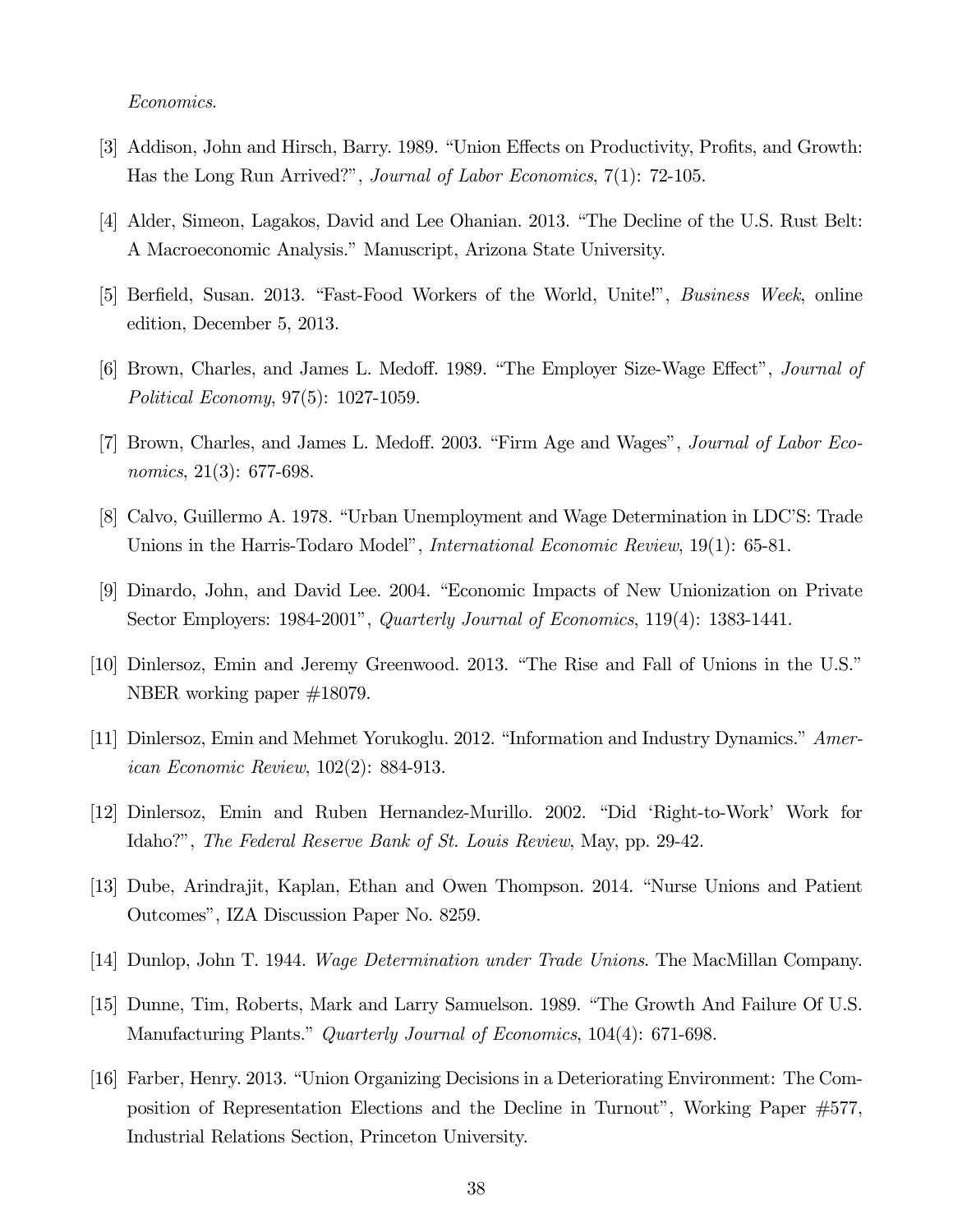#### Economics.

- [3] Addison, John and Hirsch, Barry. 1989. "Union Effects on Productivity, Profits, and Growth: Has the Long Run Arrived?", Journal of Labor Economics, 7(1): 72-105.
- [4] Alder, Simeon, Lagakos, David and Lee Ohanian. 2013. "The Decline of the U.S. Rust Belt: A Macroeconomic Analysis." Manuscript, Arizona State University.
- [5] Berfield, Susan. 2013. "Fast-Food Workers of the World, Unite!", Business Week, online edition, December 5, 2013.
- [6] Brown, Charles, and James L. Medoff. 1989. "The Employer Size-Wage Effect", Journal of Political Economy, 97(5): 1027-1059.
- [7] Brown, Charles, and James L. Medoff. 2003. "Firm Age and Wages", Journal of Labor Economics, 21(3): 677-698.
- [8] Calvo, Guillermo A. 1978. "Urban Unemployment and Wage Determination in LDC'S: Trade Unions in the Harris-Todaro Model", *International Economic Review*, 19(1): 65-81.
- [9] Dinardo, John, and David Lee. 2004. "Economic Impacts of New Unionization on Private Sector Employers: 1984-2001", Quarterly Journal of Economics, 119(4): 1383-1441.
- [10] Dinlersoz, Emin and Jeremy Greenwood. 2013. "The Rise and Fall of Unions in the U.S." NBER working paper #18079.
- [11] Dinlersoz, Emin and Mehmet Yorukoglu. 2012. "Information and Industry Dynamics." American Economic Review, 102(2): 884-913.
- [12] Dinlersoz, Emin and Ruben Hernandez-Murillo. 2002. "Did 'Right-to-Work' Work for Idaho?", The Federal Reserve Bank of St. Louis Review, May, pp. 29-42.
- [13] Dube, Arindrajit, Kaplan, Ethan and Owen Thompson. 2014. "Nurse Unions and Patient Outcomes", IZA Discussion Paper No. 8259.
- [14] Dunlop, John T. 1944. Wage Determination under Trade Unions. The MacMillan Company.
- [15] Dunne, Tim, Roberts, Mark and Larry Samuelson. 1989. "The Growth And Failure Of U.S. Manufacturing Plants." Quarterly Journal of Economics, 104(4): 671-698.
- [16] Farber, Henry. 2013. "Union Organizing Decisions in a Deteriorating Environment: The Composition of Representation Elections and the Decline in Turnout", Working Paper #577, Industrial Relations Section, Princeton University.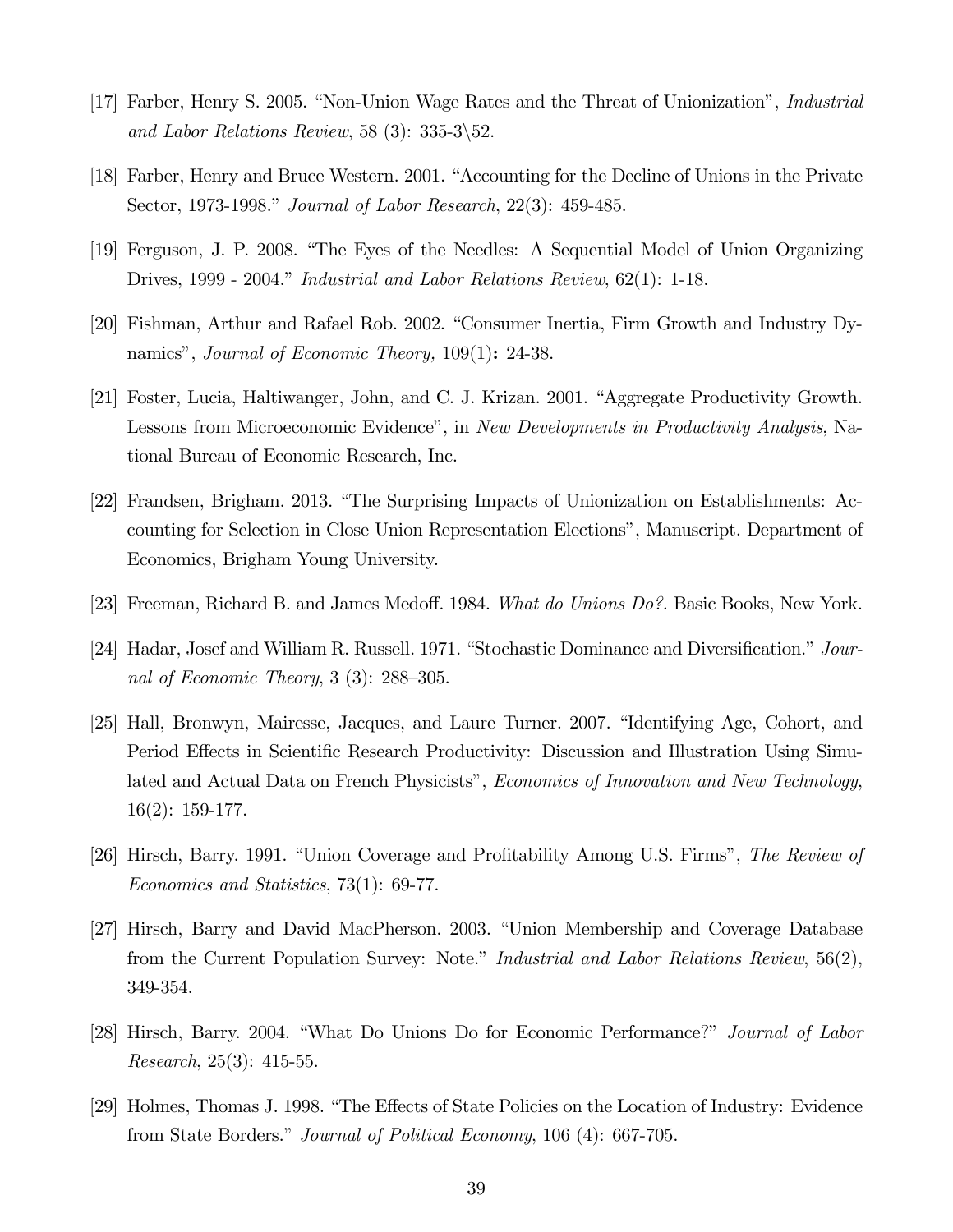- [17] Farber, Henry S. 2005. "Non-Union Wage Rates and the Threat of Unionization", Industrial and Labor Relations Review, 58 (3):  $335-3\overline{\smash{\big)}\,52.}$
- [18] Farber, Henry and Bruce Western. 2001. "Accounting for the Decline of Unions in the Private Sector, 1973-1998." Journal of Labor Research, 22(3): 459-485.
- [19] Ferguson, J. P. 2008. "The Eyes of the Needles: A Sequential Model of Union Organizing Drives, 1999 - 2004." Industrial and Labor Relations Review, 62(1): 1-18.
- [20] Fishman, Arthur and Rafael Rob. 2002. "Consumer Inertia, Firm Growth and Industry Dynamics", *Journal of Economic Theory*, 109(1): 24-38.
- [21] Foster, Lucia, Haltiwanger, John, and C. J. Krizan. 2001. "Aggregate Productivity Growth. Lessons from Microeconomic Evidence", in New Developments in Productivity Analysis, National Bureau of Economic Research, Inc.
- [22] Frandsen, Brigham. 2013. "The Surprising Impacts of Unionization on Establishments: Accounting for Selection in Close Union Representation Elections", Manuscript. Department of Economics, Brigham Young University.
- [23] Freeman, Richard B. and James Medoff. 1984. What do Unions Do?. Basic Books, New York.
- [24] Hadar, Josef and William R. Russell. 1971. "Stochastic Dominance and Diversification." Journal of Economic Theory, 3 (3): 288—305.
- [25] Hall, Bronwyn, Mairesse, Jacques, and Laure Turner. 2007. "Identifying Age, Cohort, and Period Effects in Scientific Research Productivity: Discussion and Illustration Using Simulated and Actual Data on French Physicists", *Economics of Innovation and New Technology*, 16(2): 159-177.
- [26] Hirsch, Barry. 1991. "Union Coverage and Profitability Among U.S. Firms", The Review of Economics and Statistics, 73(1): 69-77.
- [27] Hirsch, Barry and David MacPherson. 2003. "Union Membership and Coverage Database from the Current Population Survey: Note." *Industrial and Labor Relations Review*, 56(2), 349-354.
- [28] Hirsch, Barry. 2004. "What Do Unions Do for Economic Performance?" Journal of Labor Research, 25(3): 415-55.
- [29] Holmes, Thomas J. 1998. "The Effects of State Policies on the Location of Industry: Evidence from State Borders." Journal of Political Economy, 106 (4): 667-705.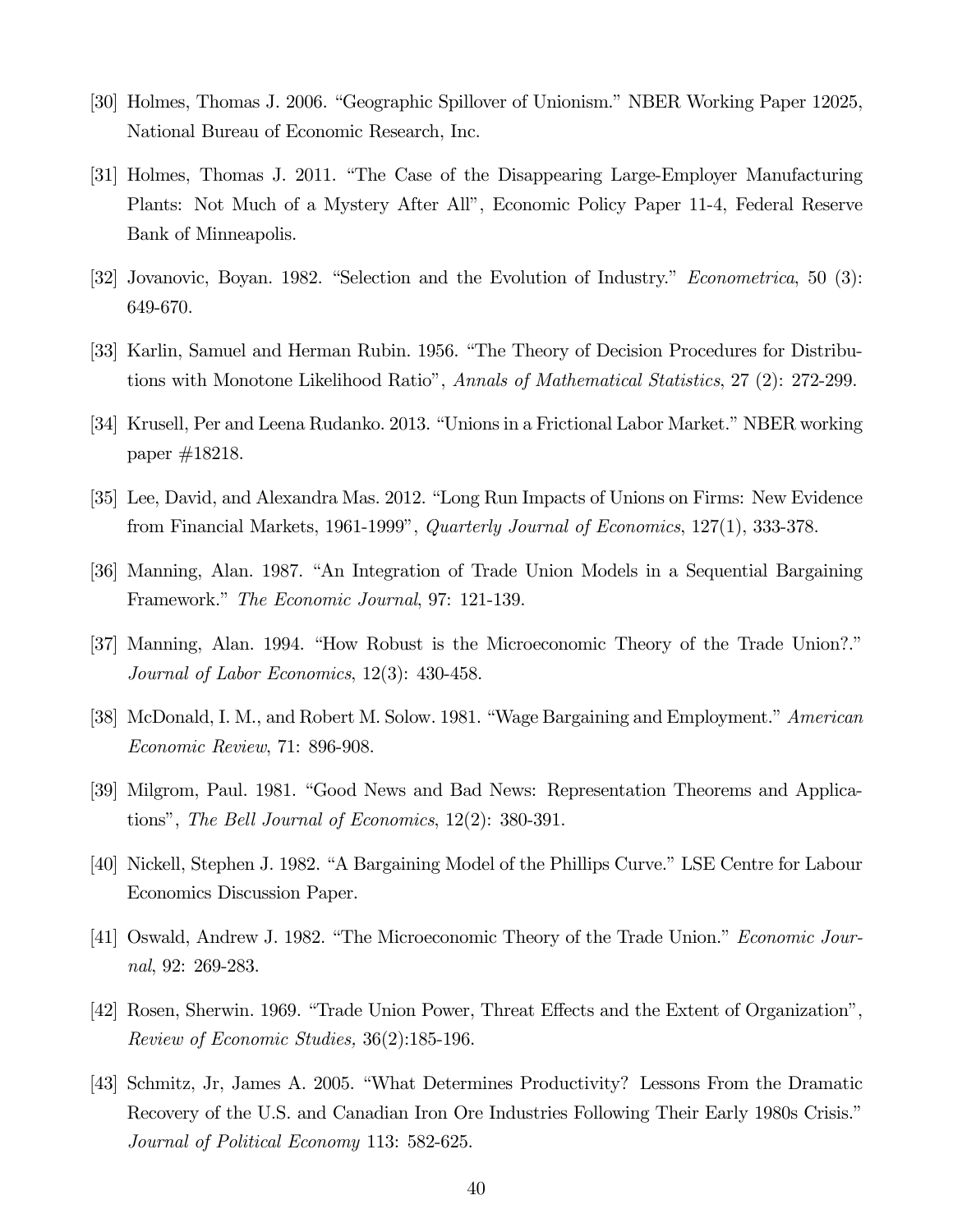- [30] Holmes, Thomas J. 2006. "Geographic Spillover of Unionism." NBER Working Paper 12025, National Bureau of Economic Research, Inc.
- [31] Holmes, Thomas J. 2011. "The Case of the Disappearing Large-Employer Manufacturing Plants: Not Much of a Mystery After All", Economic Policy Paper 11-4, Federal Reserve Bank of Minneapolis.
- [32] Jovanovic, Boyan. 1982. "Selection and the Evolution of Industry." Econometrica, 50 (3): 649-670.
- [33] Karlin, Samuel and Herman Rubin. 1956. "The Theory of Decision Procedures for Distributions with Monotone Likelihood Ratio", Annals of Mathematical Statistics, 27 (2): 272-299.
- [34] Krusell, Per and Leena Rudanko. 2013. "Unions in a Frictional Labor Market." NBER working paper #18218.
- [35] Lee, David, and Alexandra Mas. 2012. "Long Run Impacts of Unions on Firms: New Evidence from Financial Markets, 1961-1999", Quarterly Journal of Economics, 127(1), 333-378.
- [36] Manning, Alan. 1987. "An Integration of Trade Union Models in a Sequential Bargaining Framework." The Economic Journal, 97: 121-139.
- [37] Manning, Alan. 1994. "How Robust is the Microeconomic Theory of the Trade Union?." Journal of Labor Economics, 12(3): 430-458.
- [38] McDonald, I. M., and Robert M. Solow. 1981. "Wage Bargaining and Employment." American Economic Review, 71: 896-908.
- [39] Milgrom, Paul. 1981. "Good News and Bad News: Representation Theorems and Applications", The Bell Journal of Economics, 12(2): 380-391.
- [40] Nickell, Stephen J. 1982. "A Bargaining Model of the Phillips Curve." LSE Centre for Labour Economics Discussion Paper.
- [41] Oswald, Andrew J. 1982. "The Microeconomic Theory of the Trade Union." Economic Journal, 92: 269-283.
- [42] Rosen, Sherwin. 1969. "Trade Union Power, Threat Effects and the Extent of Organization", Review of Economic Studies, 36(2):185-196.
- [43] Schmitz, Jr, James A. 2005. "What Determines Productivity? Lessons From the Dramatic Recovery of the U.S. and Canadian Iron Ore Industries Following Their Early 1980s Crisis." Journal of Political Economy 113: 582-625.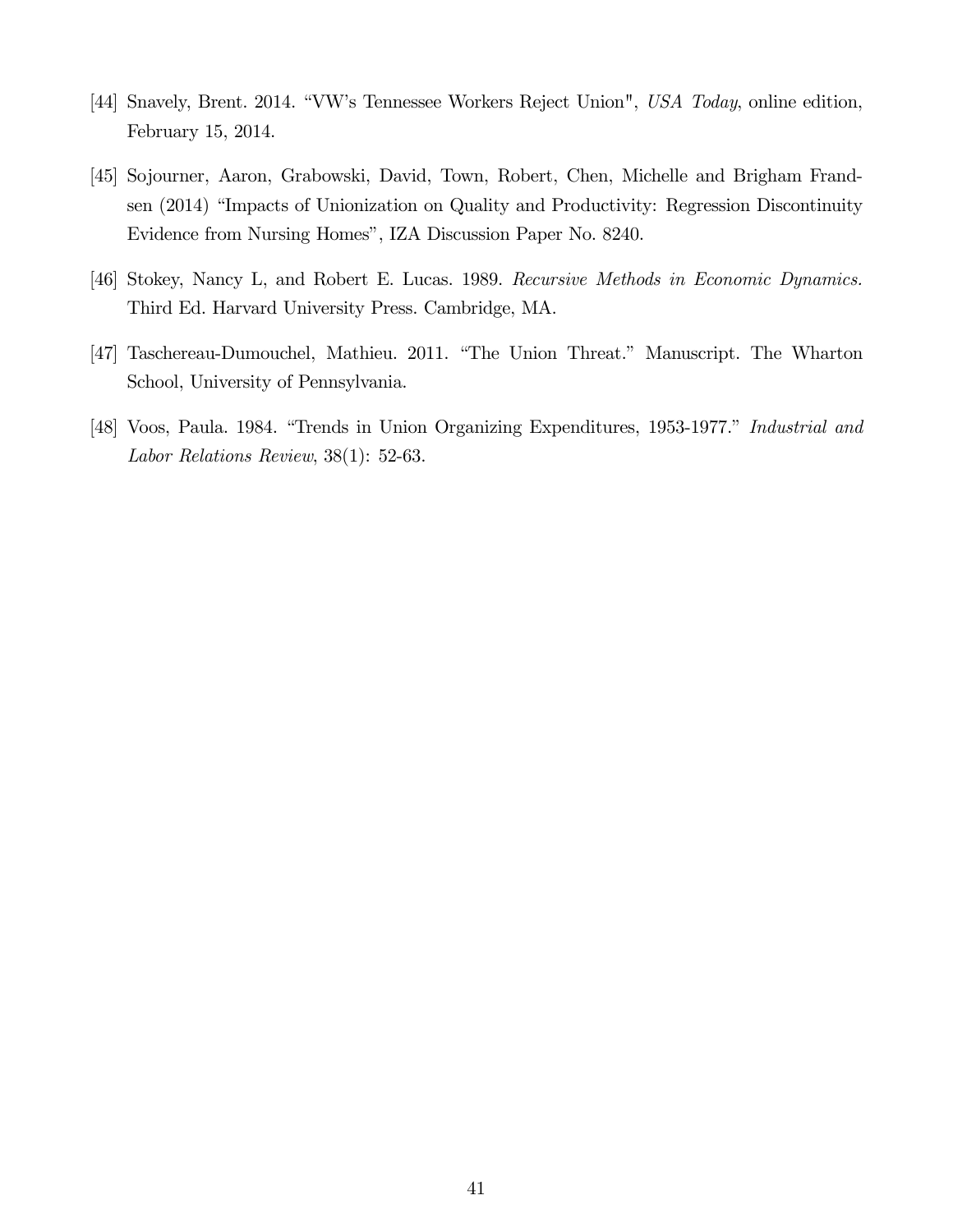- [44] Snavely, Brent. 2014. "VW's Tennessee Workers Reject Union", USA Today, online edition, February 15, 2014.
- [45] Sojourner, Aaron, Grabowski, David, Town, Robert, Chen, Michelle and Brigham Frandsen (2014) "Impacts of Unionization on Quality and Productivity: Regression Discontinuity Evidence from Nursing Homes", IZA Discussion Paper No. 8240.
- [46] Stokey, Nancy L, and Robert E. Lucas. 1989. Recursive Methods in Economic Dynamics. Third Ed. Harvard University Press. Cambridge, MA.
- [47] Taschereau-Dumouchel, Mathieu. 2011. "The Union Threat." Manuscript. The Wharton School, University of Pennsylvania.
- [48] Voos, Paula. 1984. "Trends in Union Organizing Expenditures, 1953-1977." Industrial and Labor Relations Review, 38(1): 52-63.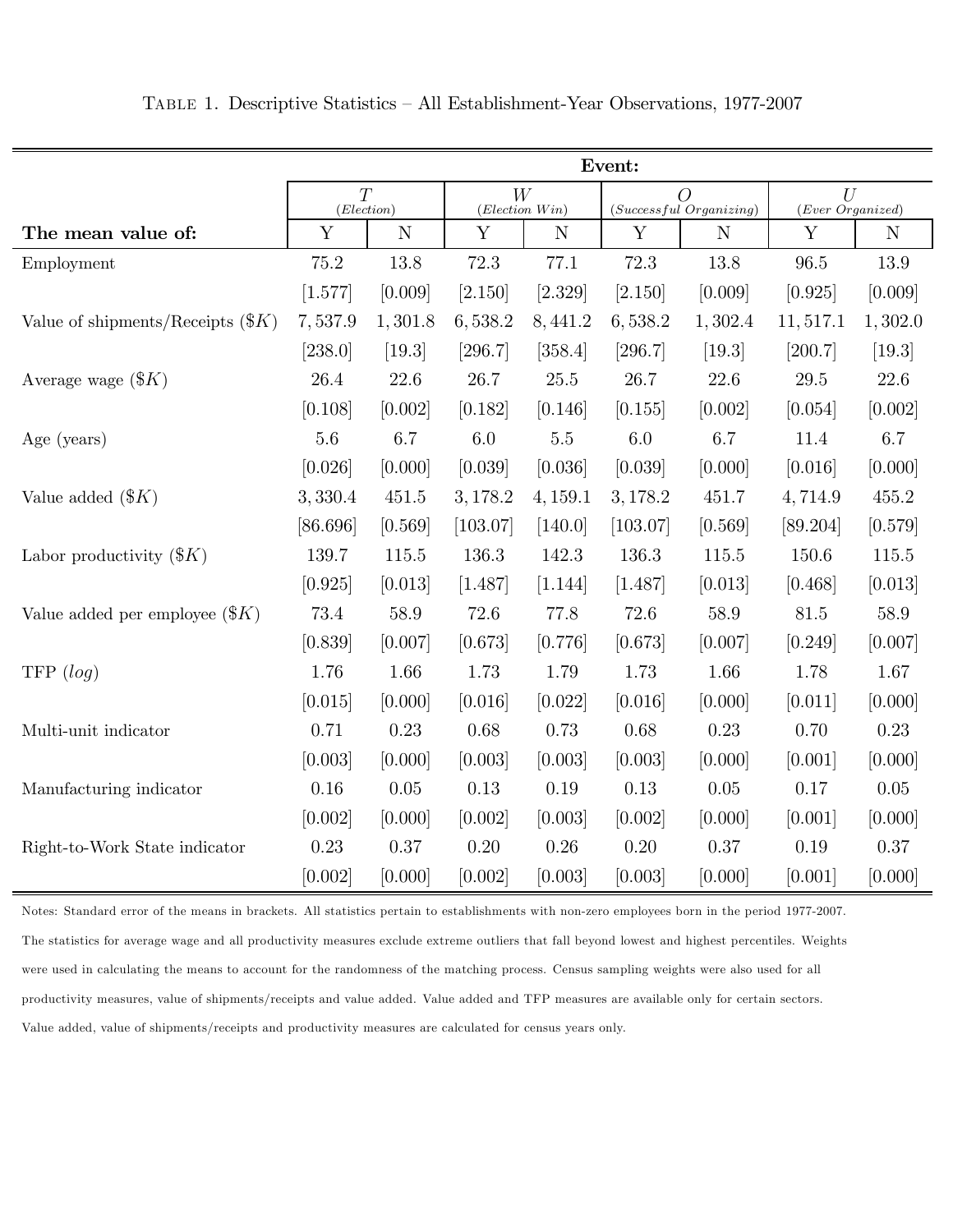|                                     | Event:          |             |                        |          |                                           |          |                       |             |
|-------------------------------------|-----------------|-------------|------------------------|----------|-------------------------------------------|----------|-----------------------|-------------|
|                                     | T<br>(Election) |             | W<br>$(Election\ Win)$ |          | $\overline{O}$<br>(Successful Organizing) |          | U<br>(Ever Organized) |             |
| The mean value of:                  | $\mathbf Y$     | $\mathbf N$ | Y                      | N        | Y                                         | N        | Y                     | $\mathbf N$ |
| Employment                          | $75.2\,$        | $13.8\,$    | 72.3                   | 77.1     | 72.3                                      | 13.8     | $96.5\,$              | 13.9        |
|                                     | [1.577]         | [0.009]     | [2.150]                | [2.329]  | [2.150]                                   | [0.009]  | [0.925]               | [0.009]     |
| Value of shipments/Receipts $(\$K)$ | 7,537.9         | 1,301.8     | 6,538.2                | 8,441.2  | 6,538.2                                   | 1,302.4  | 11, 517.1             | 1,302.0     |
|                                     | [238.0]         | $[19.3]$    | [296.7]                | [358.4]  | [296.7]                                   | $[19.3]$ | [200.7]               | [19.3]      |
| Average wage $(\$K)$                | 26.4            | $22.6\,$    | $26.7\,$               | $25.5\,$ | 26.7                                      | 22.6     | $29.5\,$              | $22.6\,$    |
|                                     | [0.108]         | [0.002]     | [0.182]                | [0.146]  | [0.155]                                   | [0.002]  | [0.054]               | [0.002]     |
| Age (years)                         | $5.6\,$         | 6.7         | $6.0\,$                | $5.5\,$  | $6.0\,$                                   | 6.7      | 11.4                  | 6.7         |
|                                     | [0.026]         | [0.000]     | [0.039]                | [0.036]  | [0.039]                                   | [0.000]  | [0.016]               | [0.000]     |
| Value added $(\$K)$                 | 3,330.4         | 451.5       | 3,178.2                | 4, 159.1 | 3,178.2                                   | 451.7    | 4,714.9               | 455.2       |
|                                     | [86.696]        | [0.569]     | [103.07]               | [140.0]  | [103.07]                                  | [0.569]  | [89.204]              | [0.579]     |
| Labor productivity $(\$K)$          | 139.7           | 115.5       | $136.3\,$              | 142.3    | 136.3                                     | 115.5    | 150.6                 | $115.5\,$   |
|                                     | [0.925]         | [0.013]     | [1.487]                | [1.144]  | [1.487]                                   | [0.013]  | [0.468]               | [0.013]     |
| Value added per employee $(\$K)$    | $73.4\,$        | 58.9        | $72.6\,$               | 77.8     | $72.6\,$                                  | 58.9     | $81.5\,$              | 58.9        |
|                                     | [0.839]         | [0.007]     | [0.673]                | [0.776]  | [0.673]                                   | [0.007]  | [0.249]               | [0.007]     |
| TFP $(log)$                         | 1.76            | 1.66        | 1.73                   | 1.79     | 1.73                                      | 1.66     | 1.78                  | 1.67        |
|                                     | [0.015]         | [0.000]     | [0.016]                | [0.022]  | [0.016]                                   | [0.000]  | [0.011]               | [0.000]     |
| Multi-unit indicator                | 0.71            | 0.23        | 0.68                   | 0.73     | 0.68                                      | 0.23     | 0.70                  | 0.23        |
|                                     | [0.003]         | [0.000]     | [0.003]                | [0.003]  | [0.003]                                   | [0.000]  | [0.001]               | [0.000]     |
| Manufacturing indicator             | 0.16            | 0.05        | 0.13                   | 0.19     | 0.13                                      | 0.05     | 0.17                  | $0.05\,$    |
|                                     | [0.002]         | [0.000]     | [0.002]                | [0.003]  | [0.002]                                   | [0.000]  | [0.001]               | [0.000]     |
| Right-to-Work State indicator       | 0.23            | 0.37        | $0.20\,$               | $0.26\,$ | 0.20                                      | 0.37     | 0.19                  | 0.37        |
|                                     | [0.002]         | [0.000]     | [0.002]                | [0.003]  | [0.003]                                   | [0.000]  | [0.001]               | [0.000]     |

Table 1. Descriptive Statistics — All Establishment-Year Observations, 1977-2007

Notes: Standard error of the means in brackets. All statistics pertain to establishments with non-zero employees born in the period 1977-2007. The statistics for average wage and all productivity measures exclude extreme outliers that fall beyond lowest and highest percentiles. Weights were used in calculating the means to account for the randomness of the matching process. Census sampling weights were also used for all productivity measures, value of shipments/receipts and value added. Value added and TFP measures are available only for certain sectors. Value added, value of shipments/receipts and productivity measures are calculated for census years only.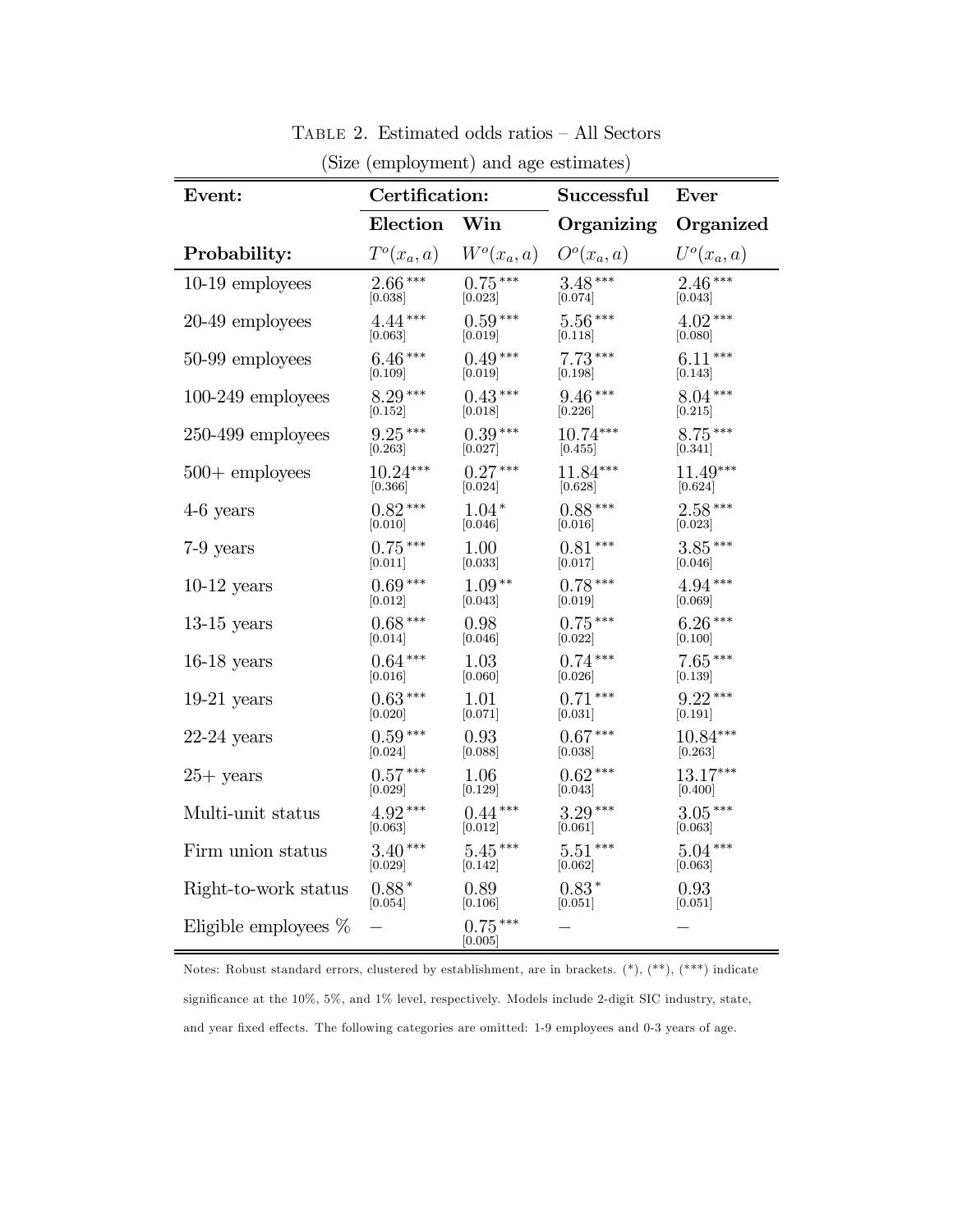| Event:                  | Certification:       |                      | <b>Successful</b> | Ever          |  |
|-------------------------|----------------------|----------------------|-------------------|---------------|--|
|                         | Election             | Win                  | Organizing        | Organized     |  |
| Probability:            | $T^o(x_a, a)$        | $W^o(x_a, a)$        | $O^o(x_a, a)$     | $U^o(x_a, a)$ |  |
| 10-19 employees         | $2.66***$            | $0.75***$            | $3.48***$         | $2.46***$     |  |
|                         | [0.038]              | [0.023]              | [0.074]           | [0.043]       |  |
| 20-49 employees         | $4.44***$            | $0.59***$            | $5.56***$         | $4.02***$     |  |
|                         | [0.063]              | [0.019]              | [0.118]           | [0.080]       |  |
| 50-99 employees         | $6.46***$            | $0.49***$            | $7.73***$         | $6.11***$     |  |
|                         | [0.109]              | [0.019]              | 0.198             | [0.143]       |  |
| $100-249$ employees     | $8.29***$            | $0.43***$            | $9.46***$         | $8.04***$     |  |
|                         | $\left[0.152\right]$ | 0.018                | [0.226]           | [0.215]       |  |
| $250-499$ employees     | $9.25***$            | $0.39***$            | $10.74***$        | $8.75***$     |  |
|                         | 0.263                | [0.027]              | 0.455             | [0.341]       |  |
| $500 +$ employees       | $10.24***$           | $0.27***$            | $11.84***$        | $11.49***$    |  |
|                         | [0.366]              | [0.024]              | [0.628]           | [0.624]       |  |
| $4-6$ years             | $0.82***$            | $1.04*$              | $0.88***$         | $2.58***$     |  |
|                         | [0.010]              | [0.046]              | [0.016]           | [0.023]       |  |
| 7-9 years               | $0.75***$            | 1.00                 | $0.81***$         | $3.85***$     |  |
|                         | [0.011]              | [0.033]              | [0.017]           | [0.046]       |  |
| $10-12$ years           | $0.69***$            | $1.09**$             | $0.78***$         | $4.94***$     |  |
|                         | [0.012]              | [0.043]              | [0.019]           | [0.069]       |  |
| $13-15$ years           | $0.68***$            | 0.98                 | $0.75***$         | $6.26***$     |  |
|                         | [0.014]              | 0.046                | 0.022             | 0.100         |  |
| $16-18$ years           | $0.64***$            | 1.03                 | $0.74***$         | $7.65***$     |  |
|                         | [0.016]              | 0.060                | [0.026]           | [0.139]       |  |
| $19-21$ years           | $0.63***$            | 1.01                 | $0.71***$         | $9.22***$     |  |
|                         | [0.020]              | [0.071]              | [0.031]           | [0.191]       |  |
| $22-24$ years           | $0.59***$            | 0.93                 | $0.67***$         | $10.84***$    |  |
|                         | [0.024]              | [0.088]              | [0.038]           | [0.263]       |  |
| $25+$ years             | $0.57***$            | 1.06                 | $0.62***$         | 13.17***      |  |
|                         | 0.029                | 0.129                | 0.043             | 0.400         |  |
| Multi-unit status       | $4.92***$            | $0.44***$            | $3.29***$         | $3.05***$     |  |
|                         | [0.063]              | [0.012]              | [0.061]           | [0.063]       |  |
| Firm union status       | $3.40***$            | $5.45***$            | $5.51***$         | $5.04***$     |  |
|                         | [0.029]              | 0.142                | [0.062]           | [0.063]       |  |
| Right-to-work status    | $0.88*$              | 0.89                 | $0.83*$           | 0.93          |  |
|                         | [0.054]              | [0.106]              | [0.051]           | [0.051]       |  |
| Eligible employees $\%$ |                      | $0.75***$<br>[0.005] |                   |               |  |

Table 2. Estimated odds ratios — All Sectors (Size (employment) and age estimates)

Notes: Robust standard errors, clustered by establishment, are in brackets.  $(*), (**, (**)$  indicate significance at the 10%, 5%, and 1% level, respectively. Models include 2-digit SIC industry, state, and year fixed effects. The following categories are omitted: 1-9 employees and 0-3 years of age.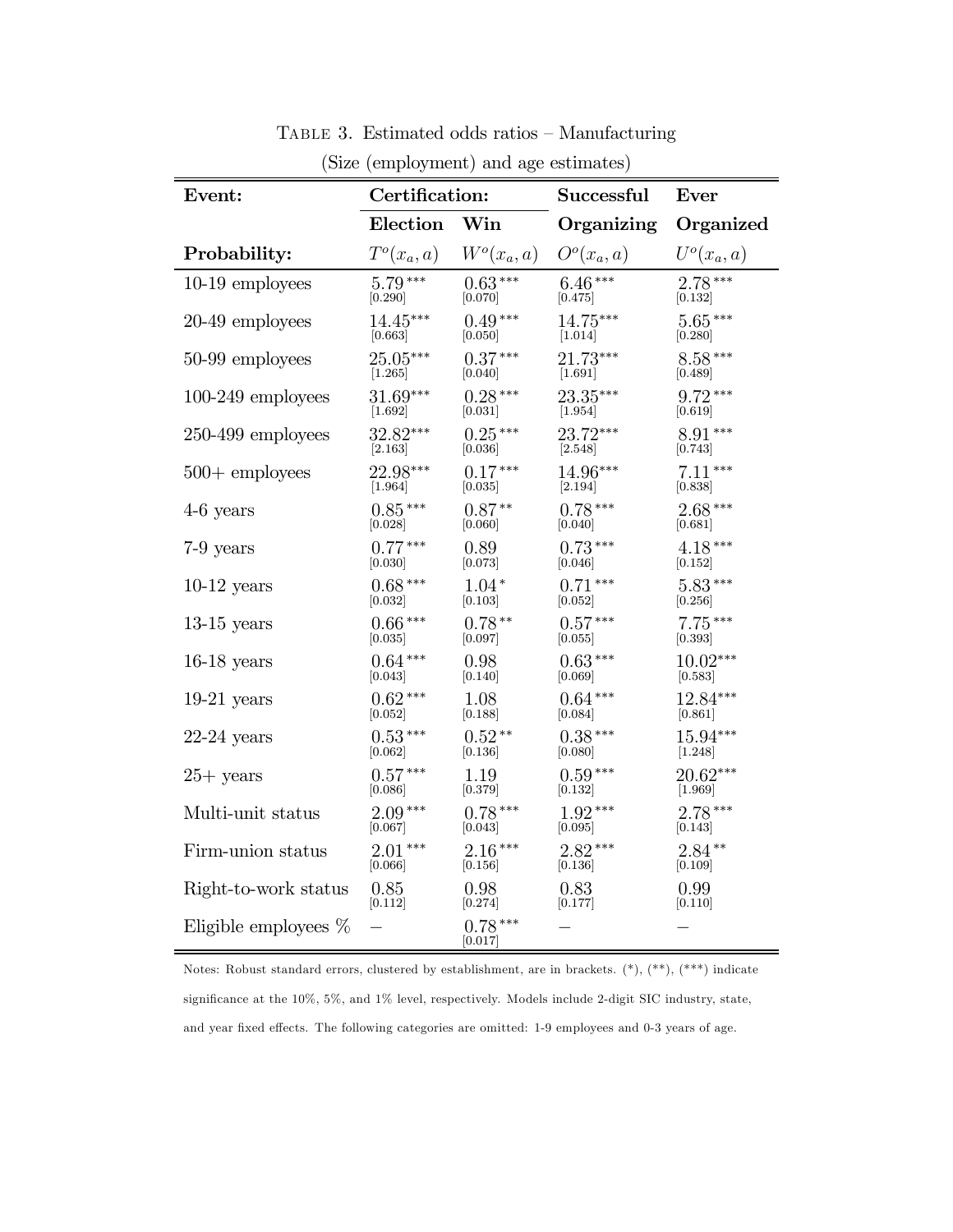| (Size (employment) and age estimates) |                      |                     |                |               |  |  |  |
|---------------------------------------|----------------------|---------------------|----------------|---------------|--|--|--|
| Event:                                | Certification:       |                     | Successful     | Ever          |  |  |  |
|                                       | Election             | Win                 | Organizing     | Organized     |  |  |  |
| Probability:                          | $T^o(x_a, a)$        | $W^o(x_a, a)$       | $O^o(x_a, a)$  | $U^o(x_a, a)$ |  |  |  |
| $10-19$ employees                     | $5.79***$            | $0.63***$           | $6.46***$      | $2.78***$     |  |  |  |
|                                       | [0.290]              | [0.070]             | [0.475]        | [0.132]       |  |  |  |
| 20-49 employees                       | $14.45***$           | $0.49***$           | 14.75***       | $5.65***$     |  |  |  |
|                                       | $\left[0.663\right]$ | [0.050]             | [1.014]        | [0.280]       |  |  |  |
| 50-99 employees                       | $25.05***$           | $0.37***$           | 21.73***       | $8.58***$     |  |  |  |
|                                       | [1.265]              | [0.040]             | [1.691]        | [0.489]       |  |  |  |
| $100\text{-}249$ employees            | 31.69***             | $0.28***$           | 23.35***       | $9.72***$     |  |  |  |
|                                       | $[1.692]$            | [0.031]             | [1.954]        | [0.619]       |  |  |  |
| $250-499$ employees                   | 32.82***             | $0.25***$           | 23.72***       | $8.91***$     |  |  |  |
|                                       | $\left[2.163\right]$ | [0.036]             | [2.548]        | [0.743]       |  |  |  |
| $500 +$ employees                     | 22.98***             | $0.17***$           | 14.96***       | $7.11***$     |  |  |  |
|                                       | [1.964]              | [0.035]             | [2.194]        | [0.838]       |  |  |  |
| $4-6$ years                           | $0.85***$            | $0.87**$            | $0.78***$      | $2.68***$     |  |  |  |
|                                       | [0.028]              | [0.060]             | [0.040]        | [0.681]       |  |  |  |
| 7-9 years                             | $0.77***$            | 0.89                | $0.73***$      | $4.18***$     |  |  |  |
|                                       | [0.030]              | [0.073]             | 0.046          | [0.152]       |  |  |  |
| $10-12$ years                         | $0.68***$            | $1.04*$             | $0.71***$      | $5.83***$     |  |  |  |
|                                       | 0.032                | [0.103]             | [0.052]        | [0.256]       |  |  |  |
| $13-15$ years                         | $0.66***$            | $0.78**$            | $0.57***$      | $7.75***$     |  |  |  |
|                                       | [0.035]              | [0.097]             | 0.055          | [0.393]       |  |  |  |
| $16-18$ years                         | $0.64***$            | 0.98                | $0.63^{\,***}$ | $10.02***$    |  |  |  |
|                                       | [0.043]              | [0.140]             | [0.069]        | [0.583]       |  |  |  |
| $19-21$ years                         | $0.62***$            | 1.08                | $0.64***$      | 12.84***      |  |  |  |
|                                       | 0.052                | 0.188               | [0.084]        | 0.861         |  |  |  |
| $22-24$ years                         | $0.53***$            | $0.52**$            | $0.38***$      | 15.94***      |  |  |  |
|                                       | [0.062]              | [0.136]             | [0.080]        | [1.248]       |  |  |  |
| $25+$ years                           | $0.57***$            | 1.19                | $0.59***$      | $20.62***$    |  |  |  |
|                                       | [0.086]              | [0.379]             | 0.132          | [1.969]       |  |  |  |
| Multi-unit status                     | $2.09***$            | $0.78***$           | $1.92***$      | $2.78***$     |  |  |  |
|                                       | [0.067]              | [0.043]             | [0.095]        | [0.143]       |  |  |  |
| Firm-union status                     | $2.01***$            | $2.16***$           | $2.82***$      | $2.84**$      |  |  |  |
|                                       | [0.066]              | 0.156               | [0.136]        | 0.109         |  |  |  |
| Right-to-work status                  | 0.85                 | 0.98                | 0.83           | 0.99          |  |  |  |
|                                       | 0.112                | 0.274               | 0.177          | 0.110         |  |  |  |
| Eligible employees $\%$               |                      | $0.78***$<br> 0.017 |                |               |  |  |  |

Table 3. Estimated odds ratios — Manufacturing

Notes: Robust standard errors, clustered by establishment, are in brackets. (\*), (\*\*), (\*\*\*) indicate significance at the 10%, 5%, and 1% level, respectively. Models include 2-digit SIC industry, state, and year fixed effects. The following categories are omitted: 1-9 employees and 0-3 years of age.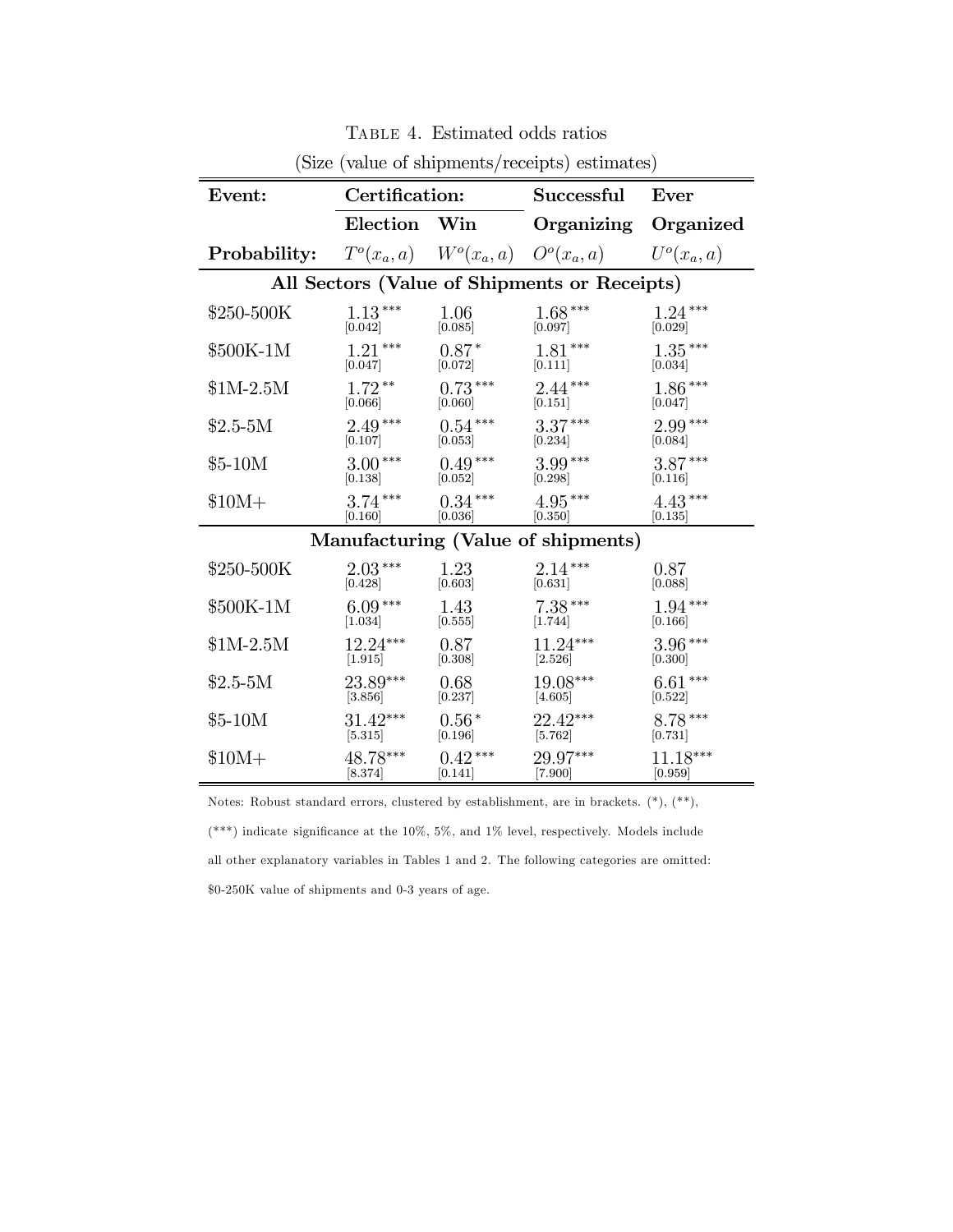| Event:                                       | Certification: |                      | $\mu_{\rm DDC}$ (value of sinplifently receipts) estimates)<br>Successful | Ever                  |  |  |
|----------------------------------------------|----------------|----------------------|---------------------------------------------------------------------------|-----------------------|--|--|
|                                              | Election       | Win                  | Organizing                                                                | Organized             |  |  |
| Probability:                                 |                |                      | $T^{o}(x_a, a)$ $W^{o}(x_a, a)$ $O^{o}(x_a, a)$ $U^{o}(x_a, a)$           |                       |  |  |
| All Sectors (Value of Shipments or Receipts) |                |                      |                                                                           |                       |  |  |
| \$250-500K                                   | $1.13***$      | 1.06                 | $1.68***$                                                                 | $1.24***$             |  |  |
|                                              | [0.042]        | [0.085]              | [0.097]                                                                   | [0.029]               |  |  |
| \$500K-1M                                    | $1.21***$      | $0.87*$              | $1.81***$                                                                 | $1.35***$             |  |  |
|                                              | [0.047]        | [0.072]              | [0.111]                                                                   | [0.034]               |  |  |
| $$1M-2.5M$                                   | $1.72**$       | $0.73***$            | $2.44***$                                                                 | $1.86***$             |  |  |
|                                              | [0.066]        | [0.060]              | $[0.151]$                                                                 | $\left[ 0.047\right]$ |  |  |
| $$2.5-5M$                                    | $2.49***$      | $0.54***$            | $3.37***$                                                                 | $2.99***$             |  |  |
|                                              | [0.107]        | [0.053]              | [0.234]                                                                   | [0.084]               |  |  |
| $$5-10M$                                     | $3.00***$      | $0.49***$            | $3.99***$                                                                 | $3.87***$             |  |  |
|                                              | [0.138]        | $\left[0.052\right]$ | [0.298]                                                                   | [0.116]               |  |  |
| $$10M+$                                      | $3.74***$      | $0.34***$            | $4.95***$                                                                 | $4.43***$             |  |  |
|                                              | [0.160]        | [0.036]              | [0.350]                                                                   | [0.135]               |  |  |
|                                              |                |                      | Manufacturing (Value of shipments)                                        |                       |  |  |
| \$250-500K                                   | $2.03***$      | 1.23                 | $2.14***$                                                                 | 0.87                  |  |  |
|                                              | [0.428]        | [0.603]              | [0.631]                                                                   | [0.088]               |  |  |
| \$500K-1M                                    | $6.09***$      | 1.43                 | $7.38***$                                                                 | $1.94***$             |  |  |
|                                              | [1.034]        | [0.555]              | [1.744]                                                                   | [0.166]               |  |  |
| $$1M-2.5M$                                   | $12.24***$     | 0.87                 | $11.24***$                                                                | $3.96***$             |  |  |
|                                              | [1.915]        | [0.308]              | [2.526]                                                                   | [0.300]               |  |  |
| $$2.5-5M$                                    | $23.89***$     | 0.68                 | $19.08***$                                                                | $6.61***$             |  |  |
|                                              | [3.856]        | [0.237]              | [4.605]                                                                   | [0.522]               |  |  |
| $$5-10M$                                     | $31.42***$     | $0.56*$              | 22.42***                                                                  | $8.78***$             |  |  |
|                                              | $[5.315]$      | [0.196]              | $[5.762]$                                                                 | [0.731]               |  |  |
| $$10M+$                                      | 48.78***       | $0.42***$            | 29.97***                                                                  | 11.18***              |  |  |
|                                              | [8.374]        | [0.141]              | [7.900]                                                                   | [0.959]               |  |  |

Table 4. Estimated odds ratios (Size (value of shipments/receipts) estimates)

Notes: Robust standard errors, clustered by establishment, are in brackets. (\*), (\*\*),

(\*\*\*) indicate significance at the 10%, 5%, and 1% level, respectively. Models include all other explanatory variables in Tables 1 and 2. The following categories are omitted: \$0-250K value of shipments and 0-3 years of age.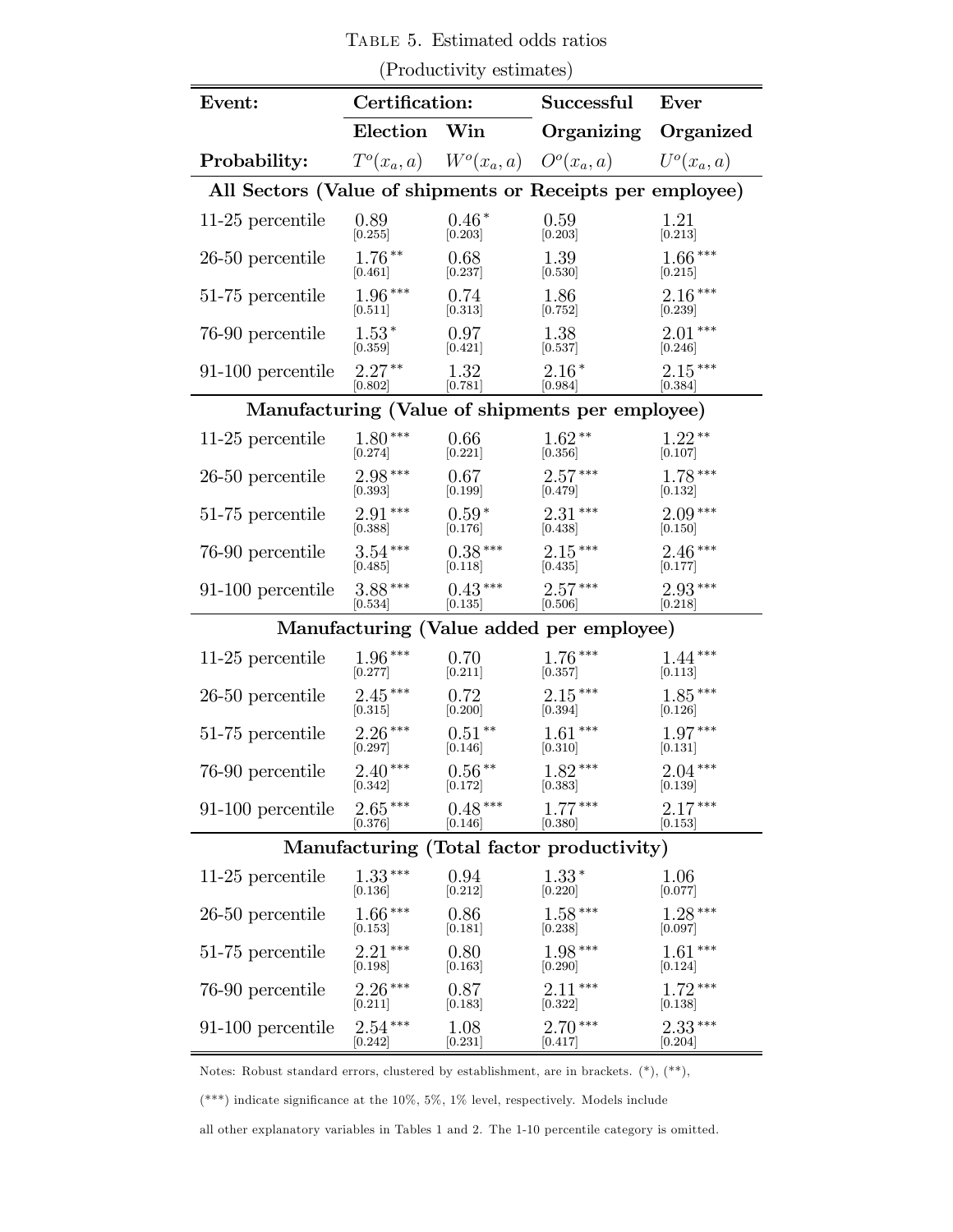(Productivity estimates) Event: Certification: Successful Ever Election Win Organizing Organized **Probability:**  $T^o(x_a, a)$   $W^o(x_a, a)$   $O^o(x_a, a)$   $U^o(x_a, a)$ All Sectors (Value of shipments or Receipts per employee) 11-25 percentile 0.89  $[0.255]$  $0.46*$  $[0.203]$  $0.59$  $[0.203]$  $1.21$ <sub>[0.213]</sub> 26-50 percentile 1.76<sup>\*\*</sup>  $[0.461]$  $0.68$  $[0.237]$ 139  $[0.530]$ 166 ∗∗∗  $[0.215]$ 51-75 percentile  $1.96***$  $[0.511]$  $0.74$  $[0.313]$ 186  $[0.752]$  $2.16***$  $\left[ 0.239\right]$ 76-90 percentile  $1.53*$  $[0.359]$ 0.97 [0421] 138  $[0.537]$  $2.01***$  $[0.246]$ 91-100 percentile 2.27<sup>\*\*</sup>  $[0.802]$ ∗∗ 132  $[0.781]$  $2.16*$  $[0.984]$ <sup>∗</sup> 215 ∗∗∗ [0384] Manufacturing (Value of shipments per employee) 11-25 percentile  $1.80***$  $[0.274]$  $0.66$  $[0.221]$  $1.62**$  $[0.356]$ ∗∗ 122 ∗∗  $[0.107]$ 26-50 percentile 2.98<sup>\*\*\*</sup>  $\sqrt{0.393}$  $0.67$  $[0.199]$  $2.57***$  $[0.479]$ ∗∗∗ 178 ∗∗∗  $[0.132]$ 51-75 percentile  $2.91***$ [0388]  $0.59*$  $[0.176]$  $2.31***$  $[0.438]$ ∗∗∗ 209 ∗∗∗  $[0.150]$ 76-90 percentile 3.54\*\*\*  $[0.485]$  $0.38***$  $[0.118]$  $2.15***$  $[0.435]$ ∗∗∗ 246 ∗∗∗  $[0.177]$ 91-100 percentile 3.88\*\*\*  $[0.534]$  $0.43***$  $[0.135]$  $2.57***$  $[0.506]$ \*\*\* 2.93<sup>\*\*\*</sup>  $[0.218]$ Manufacturing (Value added per employee) 11-25 percentile  $1.96***$  $[0.277]$  $0.70$  $[0.211]$  $1.76***$  $[0.357]$ ∗∗∗ 144 ∗∗∗  $[0.113]$ 26-50 percentile 2.45<sup>\*\*\*</sup>  $[0.315]$  $0.72$  $[0.200]$  $2.15***$  $[0.394]$ ∗∗∗ 185 ∗∗∗  $[0.126]$ 51-75 percentile 2.26<sup>\*\*\*</sup>  $[0.297]$  $0.51**$  $[0.146]$  $1.61***$  $[0.310]$ ∗∗∗ 197 ∗∗∗  $[0.131]$ 76-90 percentile 2.40<sup>\*\*\*</sup>  $[0.342]$  $0.56**$  $[0.172]$  $1.82***$  $[0.383]$ ∗∗∗ 204 ∗∗∗  $[0.139]$ 91-100 percentile 2.65<sup>\*\*\*</sup>  $[0.376]$  $0.48***$  $[0.146]$  $1.77***$ [0380] ∗∗∗ 217 ∗∗∗  $\left[0.153\right]$ Manufacturing (Total factor productivity) 11-25 percentile  $1.33***$  $[0.136]$  $0.94$  $[0.212]$ 133  $[0.220]$ 1.06  $[0.077]$ 26-50 percentile 1.66\*\*\*  $[0.153]$  $0.86$  $[0.181]$  $1.58***$  $[0.238]$ ∗∗∗ 128 ∗∗∗  $[0.097]$ 51-75 percentile 2.21<sup>\*\*\*</sup>  $[0.198]$  $0.80$  $[0.163]$  $1.98***$  $[0.290]$ ∗∗∗ 161 ∗∗∗  $[0.124]$ 76-90 percentile 2.26<sup>\*\*\*</sup>  $[0.211]$  $0.87$  $[0.183]$  $2.11***$ [0322] ∗∗∗ 172 ∗∗∗  $[0.138]$ 91-100 percentile 2.54\*\*\*  $1.08$  $2.70***$ ∗∗∗ 233 ∗∗∗

Table 5. Estimated odds ratios

 $[0.242]$  $[0.231]$  $[0.417]$  $[0.204]$ 

Notes: Robust standard errors, clustered by establishment, are in brackets. (\*), (\*\*),

(\*\*\*) indicate significance at the 10%, 5%, 1% level, respectively. Models include

all other explanatory variables in Tables 1 and 2. The 1-10 percentile category is omitted.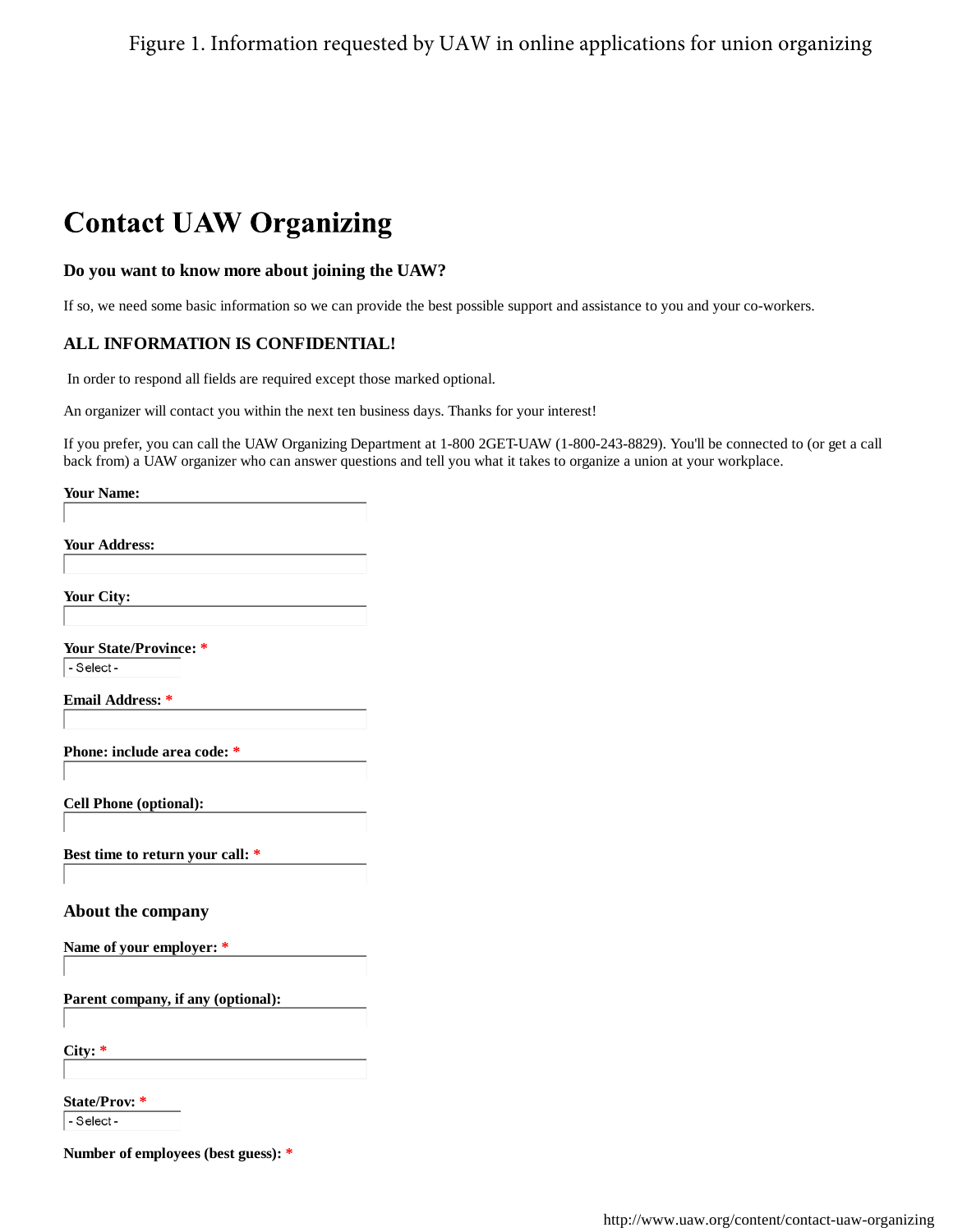### Figure 1. Information requested by UAW in online applications for union organizing

# **Contact UAW Organizing**

### **Do you want to know more about joining the UAW?**

If so, we need some basic information so we can provide the best possible support and assistance to you and your co-workers.

### **ALL INFORMATION IS CONFIDENTIAL!**

In order to respond all fields are required except those marked optional.

An organizer will contact you within the next ten business days. Thanks for your interest!

If you prefer, you can call the UAW Organizing Department at 1-800 2GET-UAW (1-800-243-8829). You'll be connected to (or get a call back from) a UAW organizer who can answer questions and tell you what it takes to organize a union at your workplace.

**Your Name:**

**Your Address:**

**Your City:**

**Your State/Province: \*** - Select -

**Email Address: \***

**Phone: include area code: \***

**Cell Phone (optional):**

**Best time to return your call: \***

#### **About the company**

**Name of your employer: \***

**Parent company, if any (optional):**

**City: \***

**State/Prov: \***

- Select-

**Number of employees (best guess): \***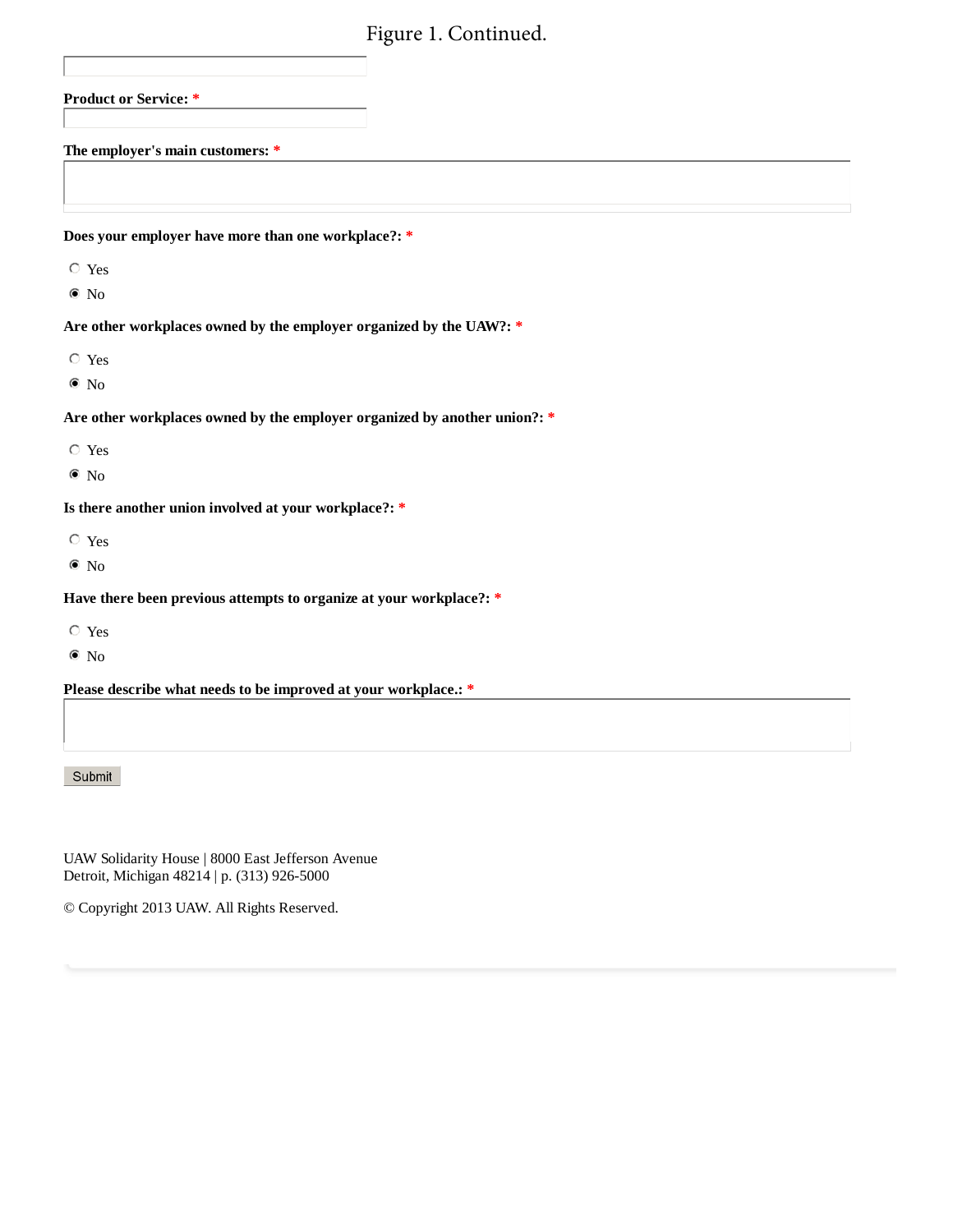## Figure 1. Continued.

| 1 kart 1. Communi                                                         |
|---------------------------------------------------------------------------|
|                                                                           |
| <b>Product or Service: *</b>                                              |
|                                                                           |
| The employer's main customers: *                                          |
|                                                                           |
|                                                                           |
| Does your employer have more than one workplace?: *                       |
| $\circ$ Yes                                                               |
| $\bullet$ No                                                              |
| Are other workplaces owned by the employer organized by the UAW?: *       |
| $\hbox{~\bf Yes}$                                                         |
| $\bullet$ No                                                              |
| Are other workplaces owned by the employer organized by another union?: * |
| $\circ$ Yes                                                               |
| $\bullet$ No                                                              |
| Is there another union involved at your workplace?: *                     |
| $\circ$ Yes                                                               |
| $\bullet$ No                                                              |
| Have there been previous attempts to organize at your workplace?: *       |

- Yes
- $\bullet$  No

**Please describe what needs to be improved at your workplace.: \***

### Submit

UAW Solidarity House | 8000 East Jefferson Avenue Detroit, Michigan 48214 | p. (313) 926-5000

© Copyright 2013 UAW. All Rights Reserved.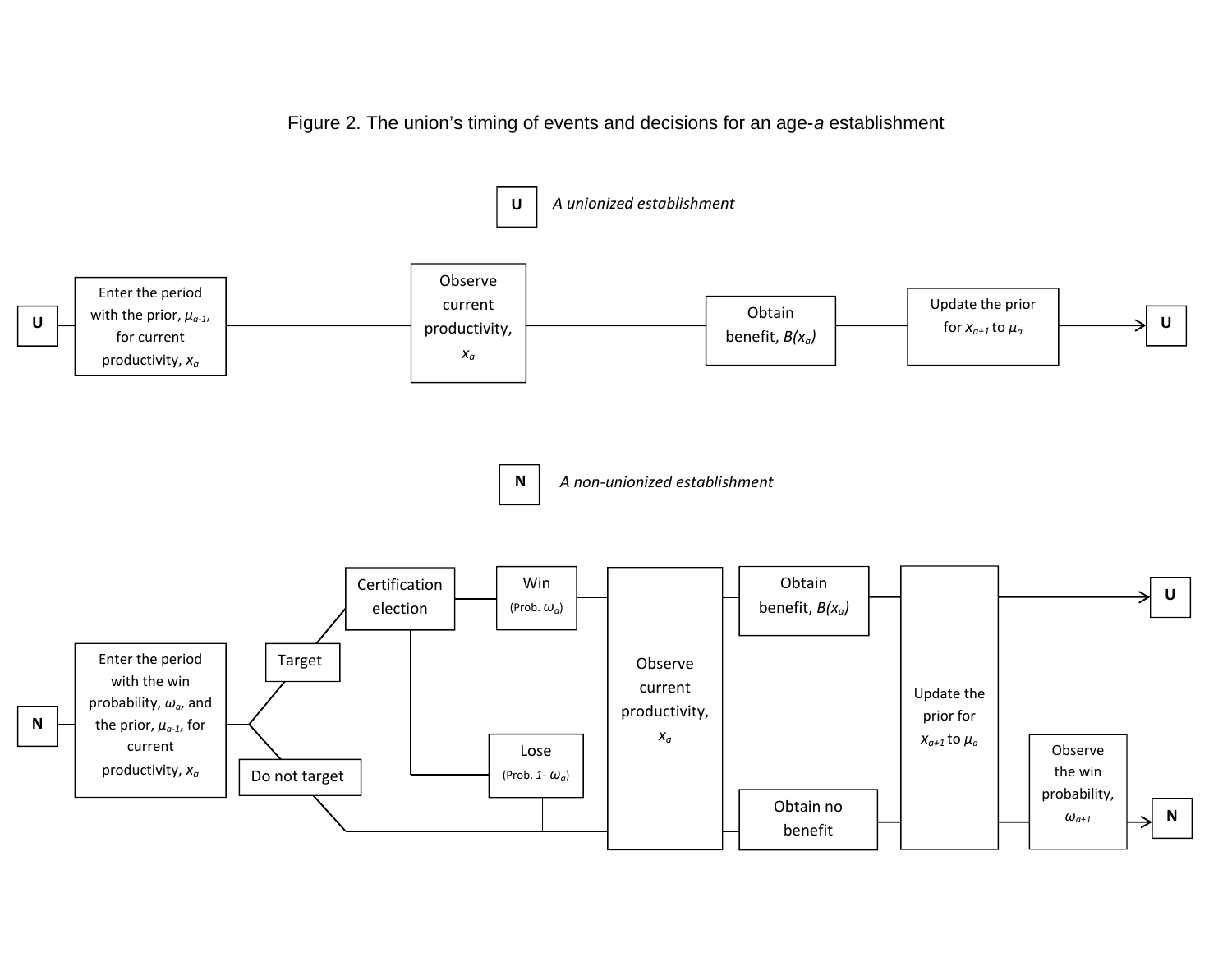Figure 2. The union's timing of events and decisions for an age-*a* establishment

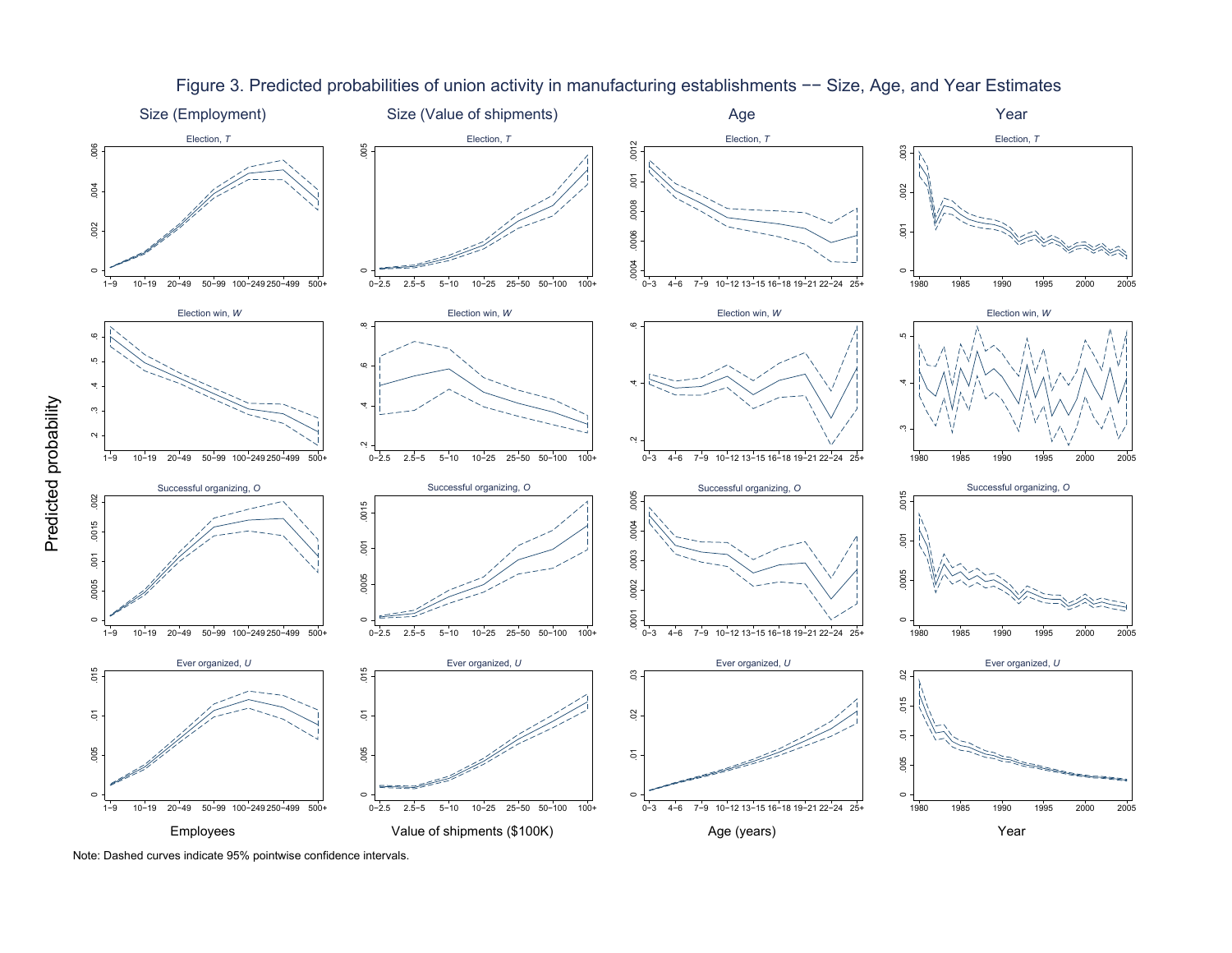

Figure 3. Predicted probabilities of union activity in manufacturing establishments −− Size, Age, and Year Estimates

Note: Dashed curves indicate 95% pointwise confidence intervals.

Predicted probability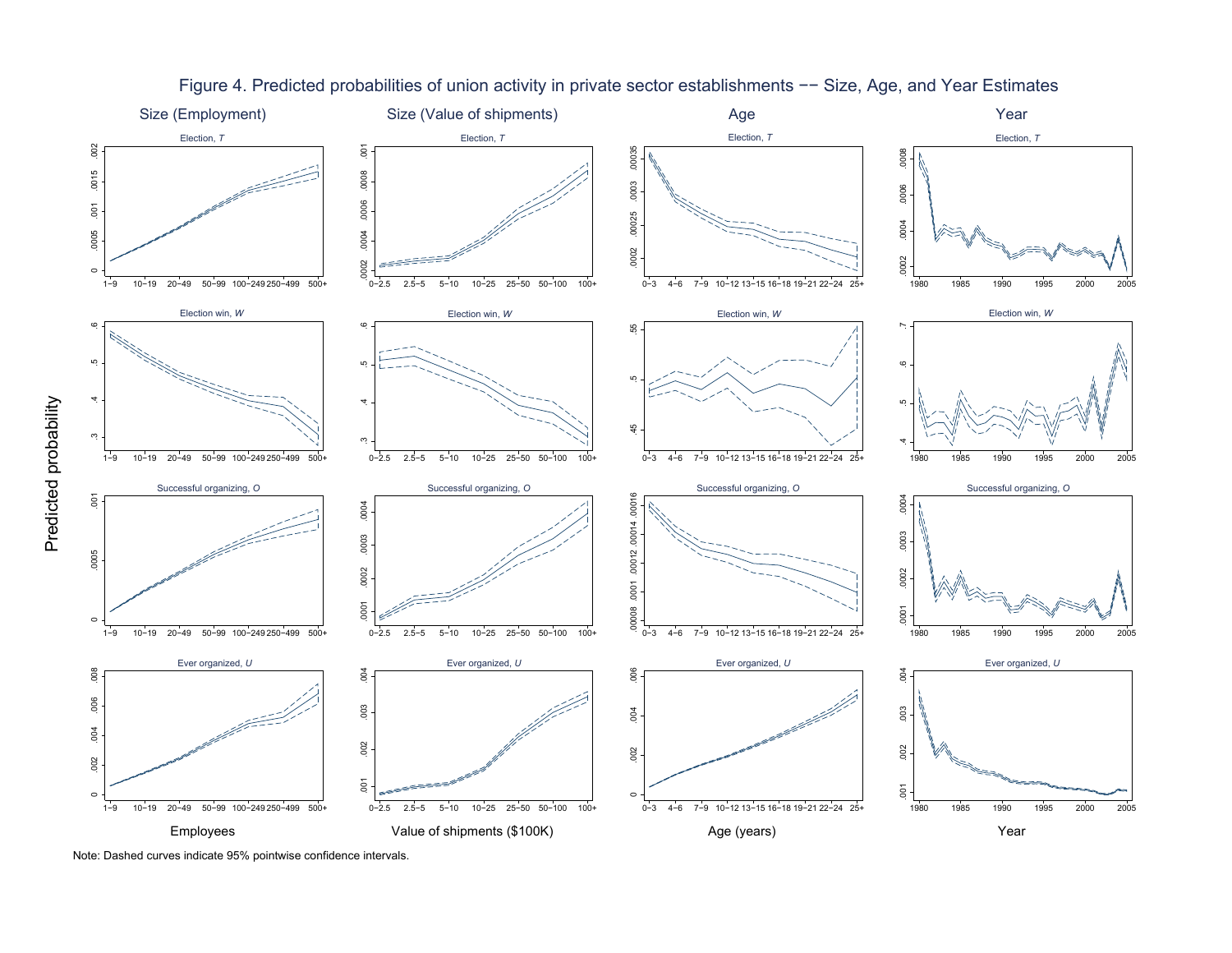

### Figure 4. Predicted probabilities of union activity in private sector establishments −− Size, Age, and Year Estimates

Note: Dashed curves indicate 95% pointwise confidence intervals.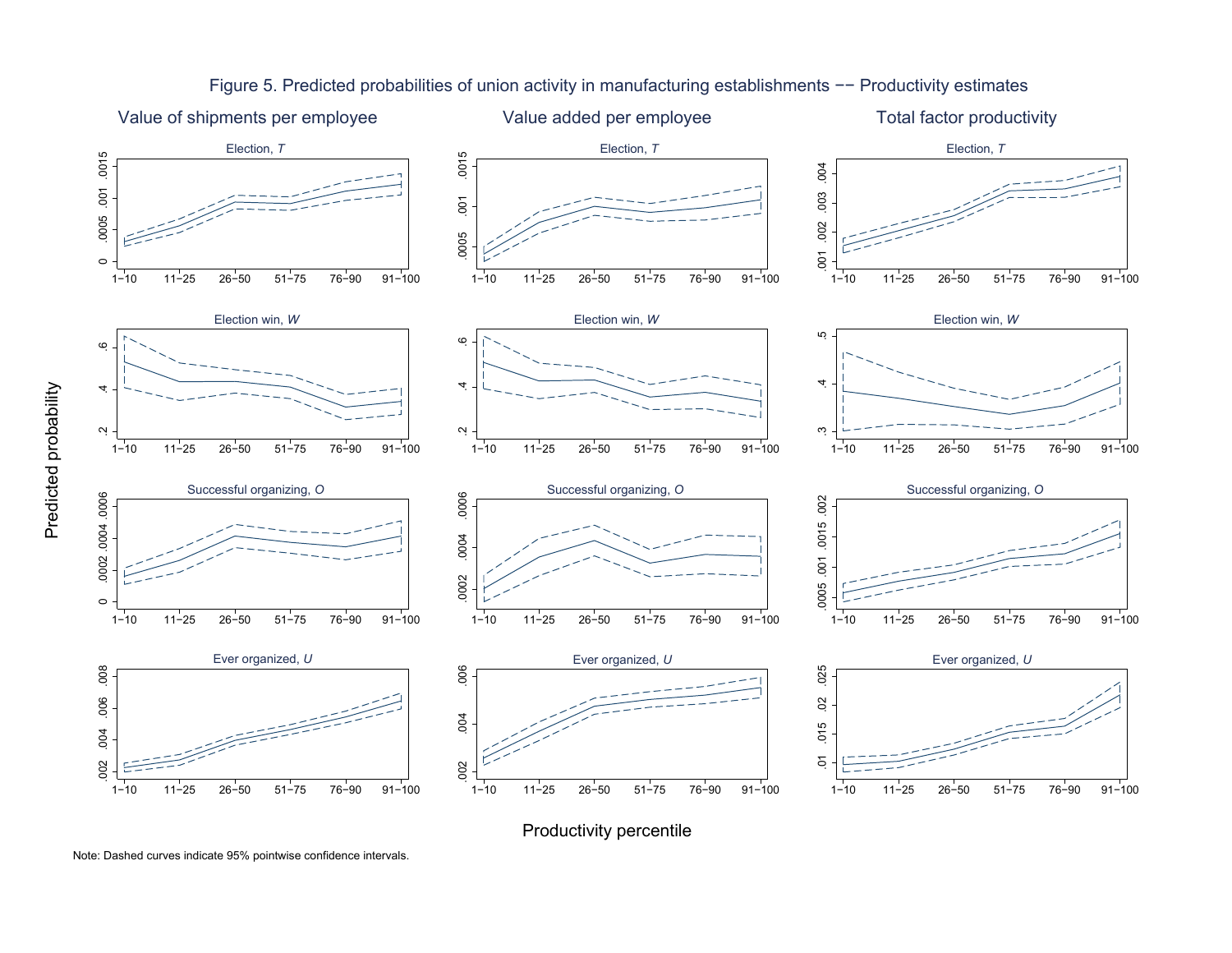

Figure 5. Predicted probabilities of union activity in manufacturing establishments −− Productivity estimates

Productivity percentile

Predicted probability

Predicted probability

Note: Dashed curves indicate 95% pointwise confidence intervals.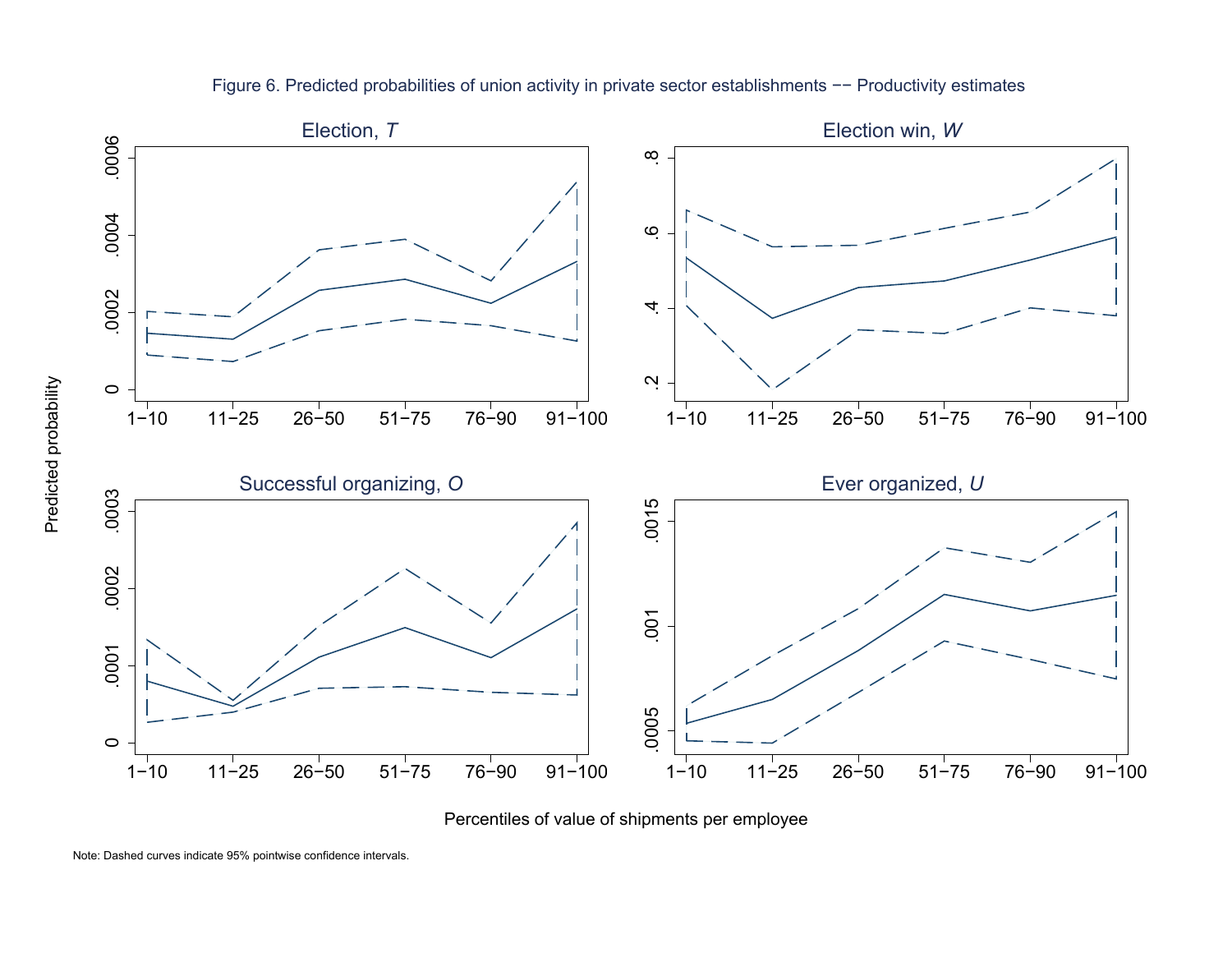

Figure 6. Predicted probabilities of union activity in private sector establishments −− Productivity estimates

Percentiles of value of shipments per employee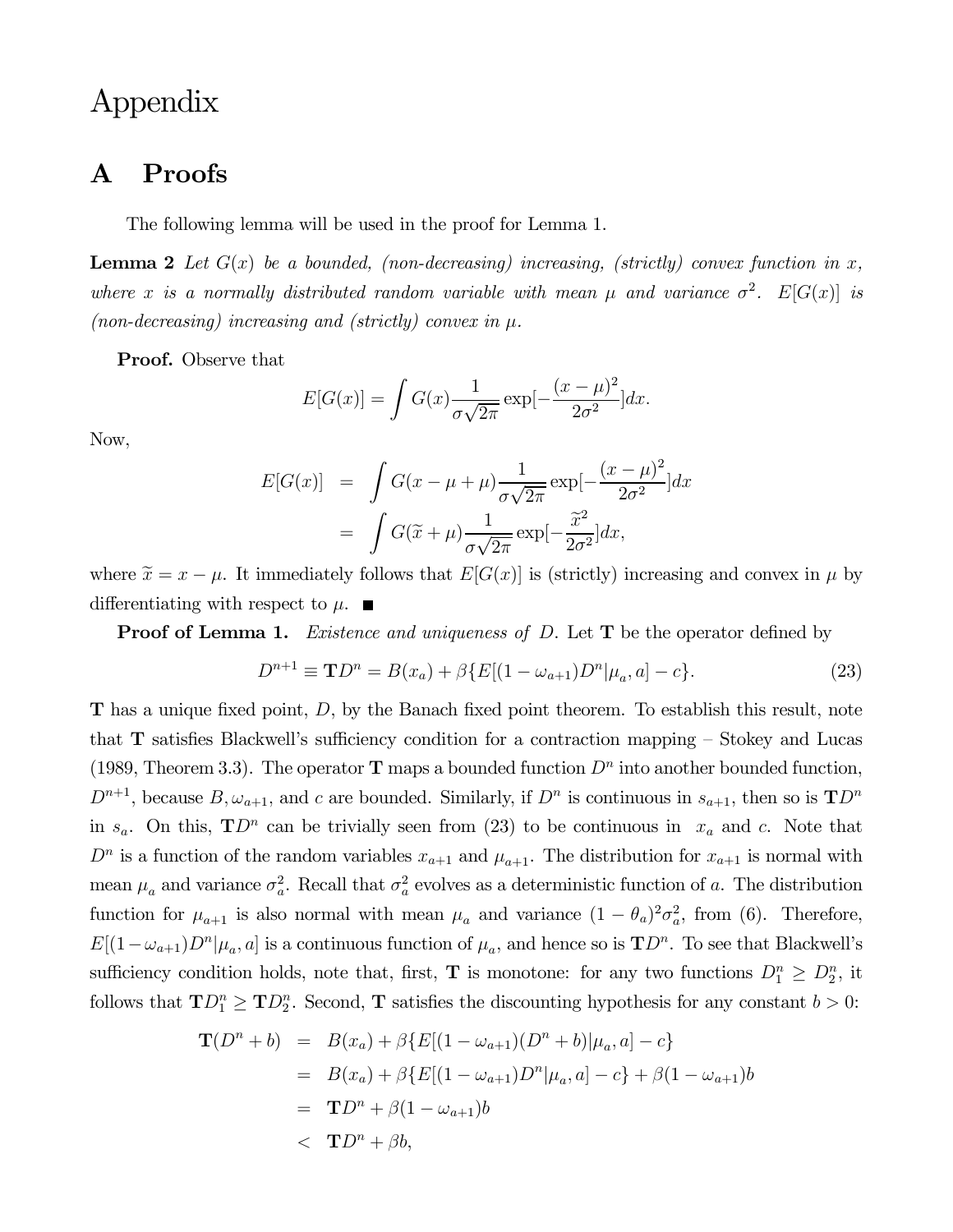# Appendix

## A Proofs

The following lemma will be used in the proof for Lemma 1.

**Lemma 2** Let  $G(x)$  be a bounded, (non-decreasing) increasing, (strictly) convex function in x, where x is a normally distributed random variable with mean  $\mu$  and variance  $\sigma^2$ .  $E[G(x)]$  is (non-decreasing) increasing and (strictly) convex in  $\mu$ .

Proof. Observe that

$$
E[G(x)] = \int G(x) \frac{1}{\sigma \sqrt{2\pi}} \exp[-\frac{(x-\mu)^2}{2\sigma^2}] dx.
$$

Now,

$$
E[G(x)] = \int G(x - \mu + \mu) \frac{1}{\sigma \sqrt{2\pi}} \exp[-\frac{(x - \mu)^2}{2\sigma^2}] dx
$$
  
= 
$$
\int G(\tilde{x} + \mu) \frac{1}{\sigma \sqrt{2\pi}} \exp[-\frac{\tilde{x}^2}{2\sigma^2}] dx,
$$

where  $\tilde{x} = x - \mu$ . It immediately follows that  $E[G(x)]$  is (strictly) increasing and convex in  $\mu$  by differentiating with respect to  $\mu$ .

**Proof of Lemma 1.** Existence and uniqueness of  $D$ . Let  $T$  be the operator defined by

$$
D^{n+1} \equiv \mathbf{T}D^n = B(x_a) + \beta \{ E[(1 - \omega_{a+1})D^n | \mu_a, a] - c \}.
$$
 (23)

**T** has a unique fixed point,  $D$ , by the Banach fixed point theorem. To establish this result, note that  $\bf{T}$  satisfies Blackwell's sufficiency condition for a contraction mapping  $-$  Stokey and Lucas (1989, Theorem 3.3). The operator **T** maps a bounded function  $D^n$  into another bounded function,  $D^{n+1}$ , because  $B, \omega_{a+1}$ , and c are bounded. Similarly, if  $D^n$  is continuous in  $s_{a+1}$ , then so is  $\mathbf{T}D^n$ in  $s_a$ . On this,  $\mathbf{T}D^n$  can be trivially seen from (23) to be continuous in  $x_a$  and c. Note that  $D^n$  is a function of the random variables  $x_{a+1}$  and  $\mu_{a+1}$ . The distribution for  $x_{a+1}$  is normal with mean  $\mu_a$  and variance  $\sigma_a^2$ . Recall that  $\sigma_a^2$  evolves as a deterministic function of a. The distribution function for  $\mu_{a+1}$  is also normal with mean  $\mu_a$  and variance  $(1 - \theta_a)^2 \sigma_a^2$ , from (6). Therefore,  $E[(1-\omega_{a+1})D^n|\mu_a, a]$  is a continuous function of  $\mu_a$ , and hence so is  $\mathbf{T}D^n$ . To see that Blackwell's sufficiency condition holds, note that, first, **T** is monotone: for any two functions  $D_1^n \geq D_2^n$ , it follows that  $\mathbf{TD}_1^n \geq \mathbf{TD}_2^n$ . Second, **T** satisfies the discounting hypothesis for any constant  $b > 0$ :

$$
\mathbf{T}(D^n + b) = B(x_a) + \beta \{ E[(1 - \omega_{a+1})(D^n + b)|\mu_a, a] - c \}
$$
  
=  $B(x_a) + \beta \{ E[(1 - \omega_{a+1})D^n|\mu_a, a] - c \} + \beta (1 - \omega_{a+1})b$   
=  $\mathbf{T}D^n + \beta (1 - \omega_{a+1})b$   
 $\langle \mathbf{T}D^n + \beta b, \rangle$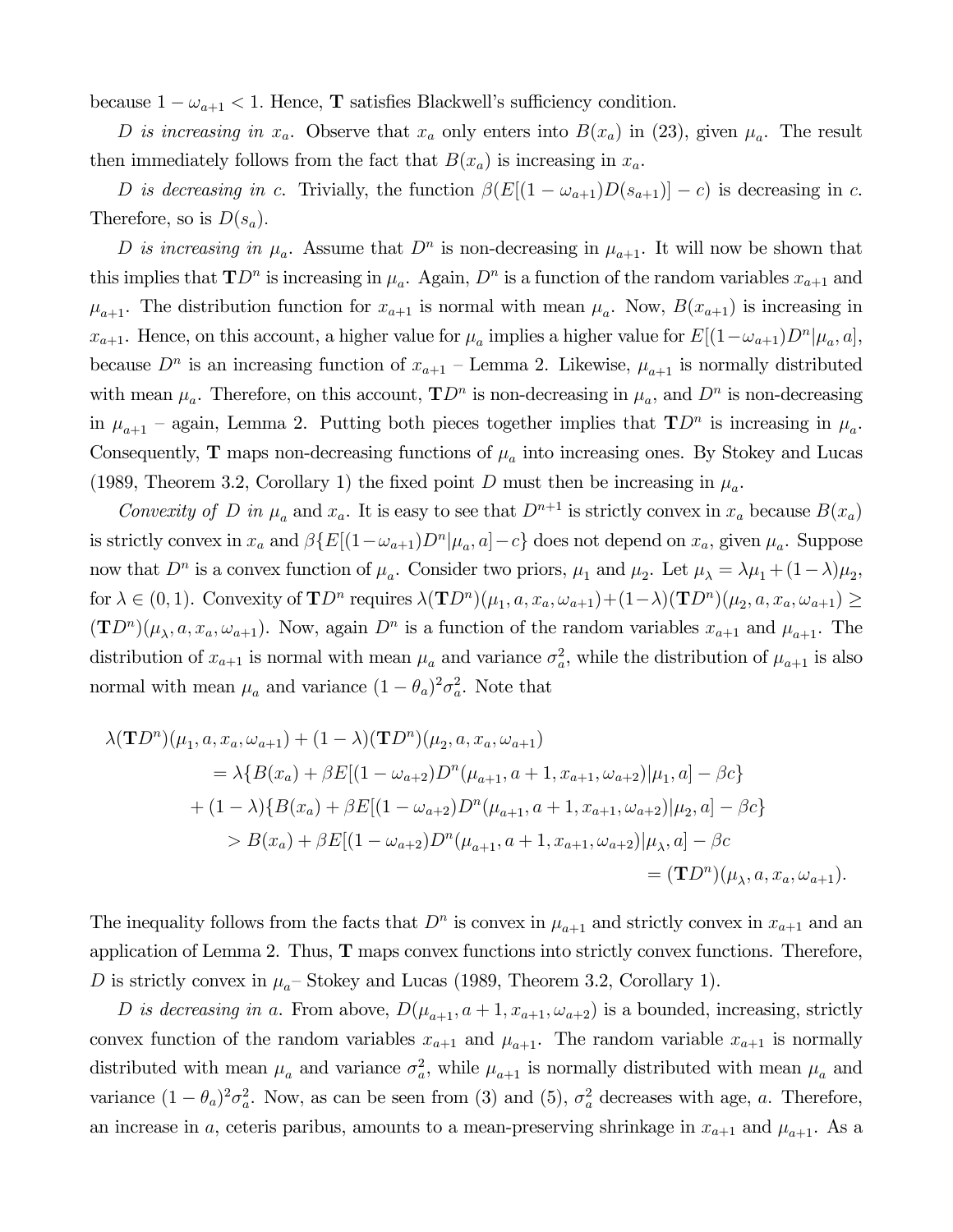because  $1 - \omega_{a+1} < 1$ . Hence, **T** satisfies Blackwell's sufficiency condition.

D is increasing in  $x_a$ . Observe that  $x_a$  only enters into  $B(x_a)$  in (23), given  $\mu_a$ . The result then immediately follows from the fact that  $B(x_a)$  is increasing in  $x_a$ .

D is decreasing in c. Trivially, the function  $\beta(E[(1 - \omega_{a+1})D(s_{a+1})] - c)$  is decreasing in c. Therefore, so is  $D(s_a)$ .

D is increasing in  $\mu_a$ . Assume that  $D^n$  is non-decreasing in  $\mu_{a+1}$ . It will now be shown that this implies that  $\mathbf{T}D^n$  is increasing in  $\mu_a$ . Again,  $D^n$  is a function of the random variables  $x_{a+1}$  and  $\mu_{a+1}$ . The distribution function for  $x_{a+1}$  is normal with mean  $\mu_a$ . Now,  $B(x_{a+1})$  is increasing in  $x_{a+1}$ . Hence, on this account, a higher value for  $\mu_a$  implies a higher value for  $E[(1-\omega_{a+1})D^n | \mu_a, a],$ because  $D^n$  is an increasing function of  $x_{a+1}$  – Lemma 2. Likewise,  $\mu_{a+1}$  is normally distributed with mean  $\mu_a$ . Therefore, on this account,  $\mathbf{T}D^n$  is non-decreasing in  $\mu_a$ , and  $D^n$  is non-decreasing in  $\mu_{a+1}$  – again, Lemma 2. Putting both pieces together implies that  $\mathbf{T}D^n$  is increasing in  $\mu_a$ . Consequently, **T** maps non-decreasing functions of  $\mu_a$  into increasing ones. By Stokey and Lucas (1989, Theorem 3.2, Corollary 1) the fixed point D must then be increasing in  $\mu_a$ .

Convexity of D in  $\mu_a$  and  $x_a$ . It is easy to see that  $D^{n+1}$  is strictly convex in  $x_a$  because  $B(x_a)$ is strictly convex in  $x_a$  and  $\beta \{E[(1-\omega_{a+1})D^n | \mu_a, a] - c\}$  does not depend on  $x_a$ , given  $\mu_a$ . Suppose now that  $D^n$  is a convex function of  $\mu_a$ . Consider two priors,  $\mu_1$  and  $\mu_2$ . Let  $\mu_{\lambda} = \lambda \mu_1 + (1 - \lambda)\mu_2$ , for  $\lambda \in (0,1)$ . Convexity of  $\mathbf{T}D^n$  requires  $\lambda(\mathbf{T}D^n)(\mu_1, a, x_a, \omega_{a+1})+(1-\lambda)(\mathbf{T}D^n)(\mu_2, a, x_a, \omega_{a+1}) \geq$  $(TD^{n})(\mu_{\lambda}, a, x_{a}, \omega_{a+1})$ . Now, again  $D^{n}$  is a function of the random variables  $x_{a+1}$  and  $\mu_{a+1}$ . The distribution of  $x_{a+1}$  is normal with mean  $\mu_a$  and variance  $\sigma_a^2$ , while the distribution of  $\mu_{a+1}$  is also normal with mean  $\mu_a$  and variance  $(1 - \theta_a)^2 \sigma_a^2$ . Note that

$$
\lambda(\mathbf{T}D^{n})(\mu_{1}, a, x_{a}, \omega_{a+1}) + (1 - \lambda)(\mathbf{T}D^{n})(\mu_{2}, a, x_{a}, \omega_{a+1})
$$
  
\n
$$
= \lambda \{B(x_{a}) + \beta E[(1 - \omega_{a+2})D^{n}(\mu_{a+1}, a + 1, x_{a+1}, \omega_{a+2})|\mu_{1}, a] - \beta c\}
$$
  
\n
$$
+ (1 - \lambda)\{B(x_{a}) + \beta E[(1 - \omega_{a+2})D^{n}(\mu_{a+1}, a + 1, x_{a+1}, \omega_{a+2})|\mu_{2}, a] - \beta c\}
$$
  
\n
$$
> B(x_{a}) + \beta E[(1 - \omega_{a+2})D^{n}(\mu_{a+1}, a + 1, x_{a+1}, \omega_{a+2})|\mu_{\lambda}, a] - \beta c
$$
  
\n
$$
= (\mathbf{T}D^{n})(\mu_{\lambda}, a, x_{a}, \omega_{a+1}).
$$

The inequality follows from the facts that  $D^n$  is convex in  $\mu_{a+1}$  and strictly convex in  $x_{a+1}$  and an application of Lemma 2. Thus, T maps convex functions into strictly convex functions. Therefore, D is strictly convex in  $\mu_a$ – Stokey and Lucas (1989, Theorem 3.2, Corollary 1).

D is decreasing in a. From above,  $D(\mu_{a+1}, a+1, x_{a+1}, \omega_{a+2})$  is a bounded, increasing, strictly convex function of the random variables  $x_{a+1}$  and  $\mu_{a+1}$ . The random variable  $x_{a+1}$  is normally distributed with mean  $\mu_a$  and variance  $\sigma_a^2$ , while  $\mu_{a+1}$  is normally distributed with mean  $\mu_a$  and variance  $(1 - \theta_a)^2 \sigma_a^2$ . Now, as can be seen from (3) and (5),  $\sigma_a^2$  decreases with age, a. Therefore, an increase in a, ceteris paribus, amounts to a mean-preserving shrinkage in  $x_{a+1}$  and  $\mu_{a+1}$ . As a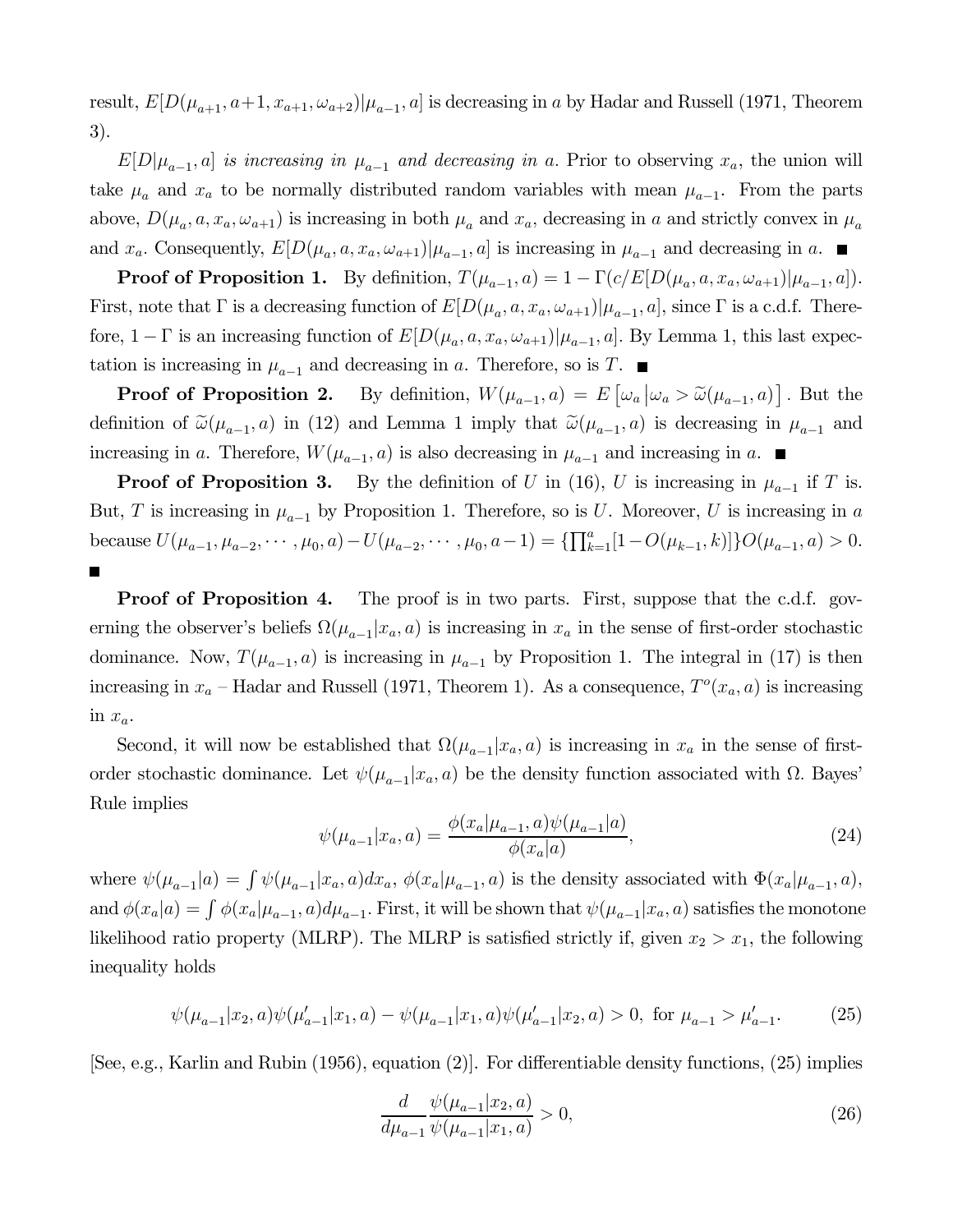result,  $E[D(\mu_{a+1}, a+1, x_{a+1}, \omega_{a+2})|\mu_{a-1}, a]$  is decreasing in a by Hadar and Russell (1971, Theorem 3).

 $E[D|\mu_{a-1}, a]$  is increasing in  $\mu_{a-1}$  and decreasing in a. Prior to observing  $x_a$ , the union will take  $\mu_a$  and  $x_a$  to be normally distributed random variables with mean  $\mu_{a-1}$ . From the parts above,  $D(\mu_a, a, x_a, \omega_{a+1})$  is increasing in both  $\mu_a$  and  $x_a$ , decreasing in a and strictly convex in  $\mu_a$ and  $x_a$ . Consequently,  $E[D(\mu_a, a, x_a, \omega_{a+1})|\mu_{a-1}, a]$  is increasing in  $\mu_{a-1}$  and decreasing in a.

**Proof of Proposition 1.** By definition,  $T(\mu_{a-1}, a) = 1 - \Gamma(c/E[D(\mu_a, a, x_a, \omega_{a+1})|\mu_{a-1}, a]).$ First, note that  $\Gamma$  is a decreasing function of  $E[D(\mu_a, a, x_a, \omega_{a+1})|\mu_{a-1}, a]$ , since  $\Gamma$  is a c.d.f. Therefore,  $1 - \Gamma$  is an increasing function of  $E[D(\mu_a, a, x_a, \omega_{a+1}) | \mu_{a-1}, a]$ . By Lemma 1, this last expectation is increasing in  $\mu_{a-1}$  and decreasing in a. Therefore, so is T. ■

**Proof of Proposition 2.** By definition,  $W(\mu_{a-1}, a) = E[\omega_a | \omega_a > \tilde{\omega}(\mu_{a-1}, a)]$ . But the definition of  $\tilde{\omega}(\mu_{a-1}, a)$  in (12) and Lemma 1 imply that  $\tilde{\omega}(\mu_{a-1}, a)$  is decreasing in  $\mu_{a-1}$  and increasing in a. Therefore,  $W(\mu_{a-1}, a)$  is also decreasing in  $\mu_{a-1}$  and increasing in a. ■

**Proof of Proposition 3.** By the definition of U in (16), U is increasing in  $\mu_{a-1}$  if T is. But, T is increasing in  $\mu_{a-1}$  by Proposition 1. Therefore, so is U. Moreover, U is increasing in a because  $U(\mu_{a-1}, \mu_{a-2}, \cdots, \mu_0, a) - U(\mu_{a-2}, \cdots, \mu_0, a-1) = {\{\prod_{k=1}^a [1 - O(\mu_{k-1}, k)]\}} O(\mu_{a-1}, a) > 0.$ 

**Proof of Proposition 4.** The proof is in two parts. First, suppose that the c.d.f. governing the observer's beliefs  $\Omega(\mu_{a-1}| x_a, a)$  is increasing in  $x_a$  in the sense of first-order stochastic dominance. Now,  $T(\mu_{a-1}, a)$  is increasing in  $\mu_{a-1}$  by Proposition 1. The integral in (17) is then increasing in  $x_a$  – Hadar and Russell (1971, Theorem 1). As a consequence,  $T<sup>o</sup>(x_a, a)$  is increasing in  $x_a$ .

Second, it will now be established that  $\Omega(\mu_{a-1} | x_a, a)$  is increasing in  $x_a$  in the sense of firstorder stochastic dominance. Let  $\psi(\mu_{a-1} | x_a, a)$  be the density function associated with  $\Omega$ . Bayes' Rule implies

$$
\psi(\mu_{a-1}|x_a, a) = \frac{\phi(x_a|\mu_{a-1}, a)\psi(\mu_{a-1}|a)}{\phi(x_a|a)},
$$
\n(24)

where  $\psi(\mu_{a-1}|a) = \int \psi(\mu_{a-1}|x_a, a) dx_a$ ,  $\phi(x_a|\mu_{a-1}, a)$  is the density associated with  $\Phi(x_a|\mu_{a-1}, a)$ , and  $\phi(x_a|a) = \int \phi(x_a|\mu_{a-1}, a)d\mu_{a-1}$ . First, it will be shown that  $\psi(\mu_{a-1}|x_a, a)$  satisfies the monotone likelihood ratio property (MLRP). The MLRP is satisfied strictly if, given  $x_2 > x_1$ , the following inequality holds

$$
\psi(\mu_{a-1}|x_2, a)\psi(\mu'_{a-1}|x_1, a) - \psi(\mu_{a-1}|x_1, a)\psi(\mu'_{a-1}|x_2, a) > 0, \text{ for } \mu_{a-1} > \mu'_{a-1}.
$$
 (25)

[See, e.g., Karlin and Rubin (1956), equation (2)]. For differentiable density functions, (25) implies

$$
\frac{d}{d\mu_{a-1}} \frac{\psi(\mu_{a-1}|x_2, a)}{\psi(\mu_{a-1}|x_1, a)} > 0,
$$
\n(26)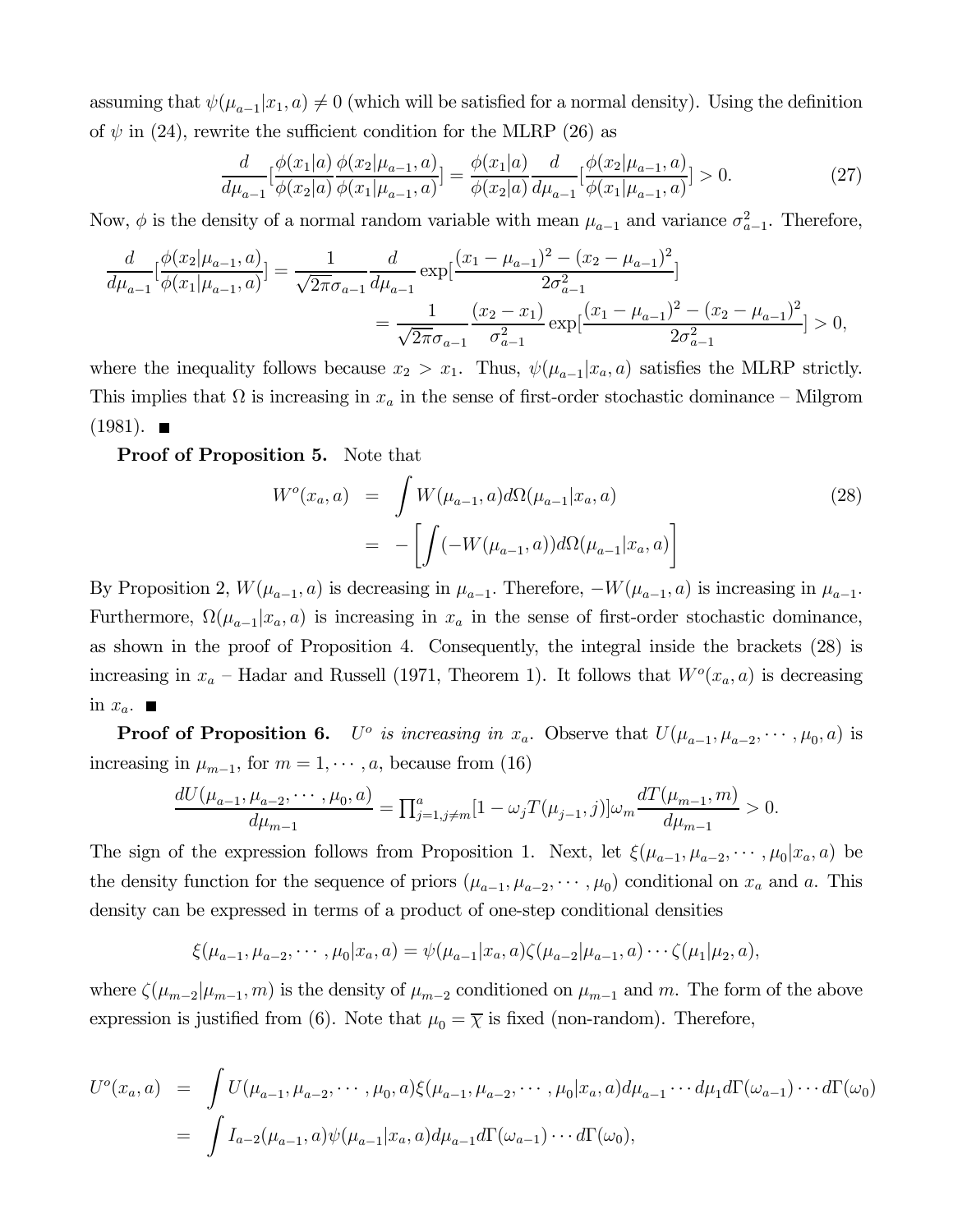assuming that  $\psi(\mu_{a-1}|x_1, a) \neq 0$  (which will be satisfied for a normal density). Using the definition of  $\psi$  in (24), rewrite the sufficient condition for the MLRP (26) as

$$
\frac{d}{d\mu_{a-1}}\left[\frac{\phi(x_1|a)}{\phi(x_2|a)}\frac{\phi(x_2|\mu_{a-1},a)}{\phi(x_1|\mu_{a-1},a)}\right] = \frac{\phi(x_1|a)}{\phi(x_2|a)}\frac{d}{d\mu_{a-1}}\left[\frac{\phi(x_2|\mu_{a-1},a)}{\phi(x_1|\mu_{a-1},a)}\right] > 0.
$$
\n(27)

Now,  $\phi$  is the density of a normal random variable with mean  $\mu_{a-1}$  and variance  $\sigma_{a-1}^2$ . Therefore,

$$
\frac{d}{d\mu_{a-1}}\left[\frac{\phi(x_2|\mu_{a-1},a)}{\phi(x_1|\mu_{a-1},a)}\right] = \frac{1}{\sqrt{2\pi}\sigma_{a-1}}\frac{d}{d\mu_{a-1}}\exp\left[\frac{(x_1-\mu_{a-1})^2-(x_2-\mu_{a-1})^2}{2\sigma_{a-1}^2}\right]
$$

$$
=\frac{1}{\sqrt{2\pi}\sigma_{a-1}}\frac{(x_2-x_1)}{\sigma_{a-1}^2}\exp\left[\frac{(x_1-\mu_{a-1})^2-(x_2-\mu_{a-1})^2}{2\sigma_{a-1}^2}\right] > 0,
$$

where the inequality follows because  $x_2 > x_1$ . Thus,  $\psi(\mu_{a-1}| x_a, a)$  satisfies the MLRP strictly. This implies that  $\Omega$  is increasing in  $x_a$  in the sense of first-order stochastic dominance – Milgrom  $(1981)$ .

Proof of Proposition 5. Note that

$$
W^{o}(x_{a}, a) = \int W(\mu_{a-1}, a) d\Omega(\mu_{a-1}|x_{a}, a)
$$
  
= 
$$
- \left[ \int (-W(\mu_{a-1}, a)) d\Omega(\mu_{a-1}|x_{a}, a) \right]
$$
 (28)

By Proposition 2,  $W(\mu_{a-1}, a)$  is decreasing in  $\mu_{a-1}$ . Therefore,  $-W(\mu_{a-1}, a)$  is increasing in  $\mu_{a-1}$ . Furthermore,  $\Omega(\mu_{a-1}|x_a, a)$  is increasing in  $x_a$  in the sense of first-order stochastic dominance, as shown in the proof of Proposition 4. Consequently, the integral inside the brackets (28) is increasing in  $x_a$  – Hadar and Russell (1971, Theorem 1). It follows that  $W<sup>o</sup>(x_a, a)$  is decreasing in  $x_a$ .  $\blacksquare$ 

**Proof of Proposition 6.**  $U^o$  is increasing in  $x_a$ . Observe that  $U(\mu_{a-1}, \mu_{a-2}, \cdots, \mu_0, a)$  is increasing in  $\mu_{m-1}$ , for  $m = 1, \dots, a$ , because from (16)

$$
\frac{dU(\mu_{a-1}, \mu_{a-2}, \cdots, \mu_0, a)}{d\mu_{m-1}} = \prod_{j=1, j\neq m}^a [1 - \omega_j T(\mu_{j-1}, j)] \omega_m \frac{dT(\mu_{m-1}, m)}{d\mu_{m-1}} > 0.
$$

The sign of the expression follows from Proposition 1. Next, let  $\xi(\mu_{a-1}, \mu_{a-2}, \cdots, \mu_0 | x_a, a)$  be the density function for the sequence of priors  $(\mu_{a-1}, \mu_{a-2}, \cdots, \mu_0)$  conditional on  $x_a$  and a. This density can be expressed in terms of a product of one-step conditional densities

$$
\xi(\mu_{a-1}, \mu_{a-2}, \cdots, \mu_0 | x_a, a) = \psi(\mu_{a-1} | x_a, a) \zeta(\mu_{a-2} | \mu_{a-1}, a) \cdots \zeta(\mu_1 | \mu_2, a),
$$

where  $\zeta(\mu_{m-2}|\mu_{m-1}, m)$  is the density of  $\mu_{m-2}$  conditioned on  $\mu_{m-1}$  and m. The form of the above expression is justified from (6). Note that  $\mu_0 = \overline{\chi}$  is fixed (non-random). Therefore,

$$
U^{o}(x_{a}, a) = \int U(\mu_{a-1}, \mu_{a-2}, \cdots, \mu_{0}, a) \xi(\mu_{a-1}, \mu_{a-2}, \cdots, \mu_{0}|x_{a}, a) d\mu_{a-1} \cdots d\mu_{1} d\Gamma(\omega_{a-1}) \cdots d\Gamma(\omega_{0})
$$
  
= 
$$
\int I_{a-2}(\mu_{a-1}, a) \psi(\mu_{a-1}|x_{a}, a) d\mu_{a-1} d\Gamma(\omega_{a-1}) \cdots d\Gamma(\omega_{0}),
$$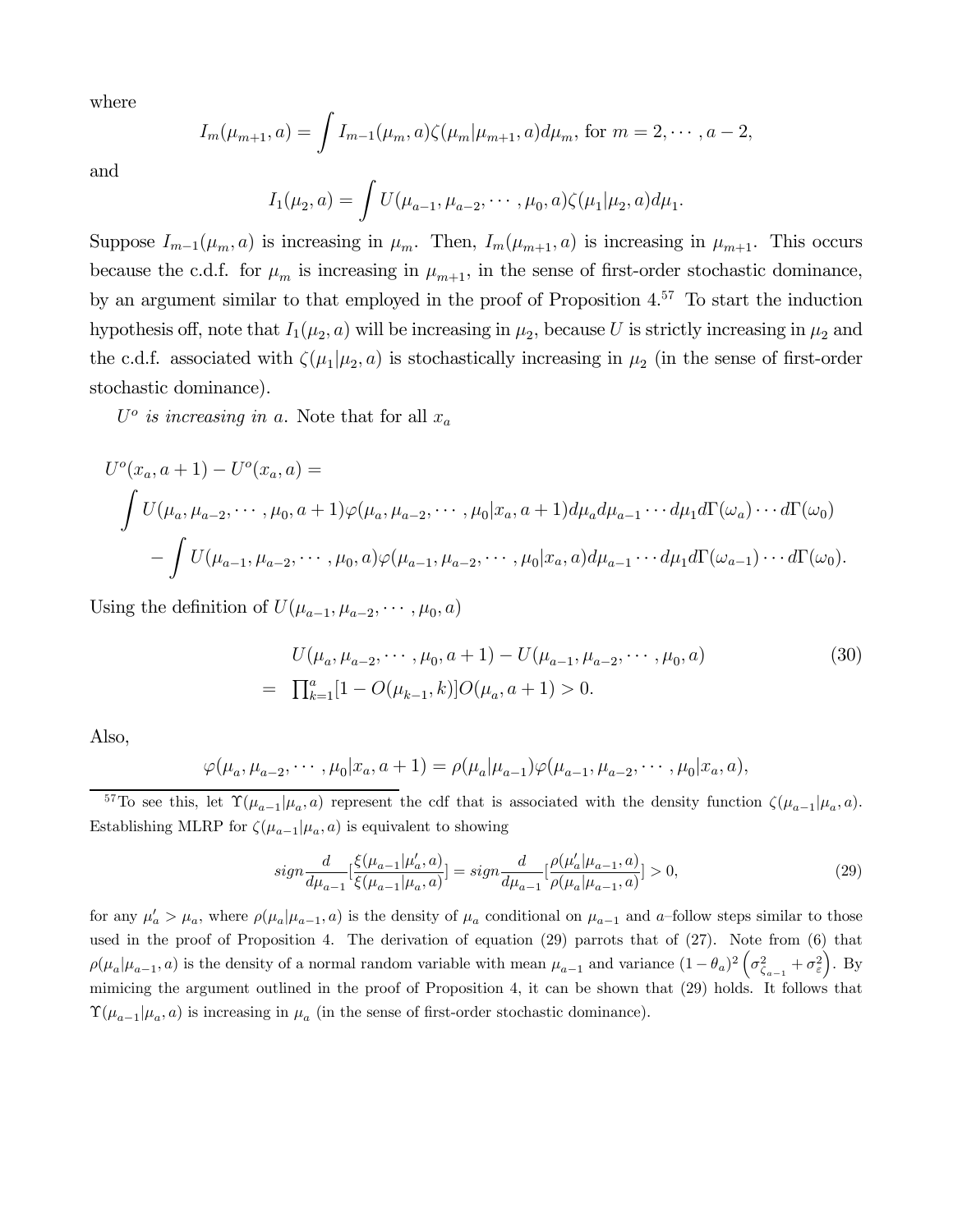where

$$
I_m(\mu_{m+1}, a) = \int I_{m-1}(\mu_m, a) \zeta(\mu_m | \mu_{m+1}, a) d\mu_m, \text{ for } m = 2, \cdots, a-2,
$$

and

$$
I_1(\mu_2, a) = \int U(\mu_{a-1}, \mu_{a-2}, \cdots, \mu_0, a) \zeta(\mu_1 | \mu_2, a) d\mu_1.
$$

Suppose  $I_{m-1}(\mu_m, a)$  is increasing in  $\mu_m$ . Then,  $I_m(\mu_{m+1}, a)$  is increasing in  $\mu_{m+1}$ . This occurs because the c.d.f. for  $\mu_m$  is increasing in  $\mu_{m+1}$ , in the sense of first-order stochastic dominance, by an argument similar to that employed in the proof of Proposition 4.57 To start the induction hypothesis off, note that  $I_1(\mu_2, a)$  will be increasing in  $\mu_2$ , because U is strictly increasing in  $\mu_2$  and the c.d.f. associated with  $\zeta(\mu_1|\mu_2, a)$  is stochastically increasing in  $\mu_2$  (in the sense of first-order stochastic dominance).

 $U^o$  is increasing in a. Note that for all  $x_a$ 

$$
U^{o}(x_{a}, a+1) - U^{o}(x_{a}, a) =
$$
  

$$
\int U(\mu_{a}, \mu_{a-2}, \cdots, \mu_{0}, a+1) \varphi(\mu_{a}, \mu_{a-2}, \cdots, \mu_{0}|x_{a}, a+1) d\mu_{a} d\mu_{a-1} \cdots d\mu_{1} d\Gamma(\omega_{a}) \cdots d\Gamma(\omega_{0})
$$
  

$$
-\int U(\mu_{a-1}, \mu_{a-2}, \cdots, \mu_{0}, a) \varphi(\mu_{a-1}, \mu_{a-2}, \cdots, \mu_{0}|x_{a}, a) d\mu_{a-1} \cdots d\mu_{1} d\Gamma(\omega_{a-1}) \cdots d\Gamma(\omega_{0}).
$$

Using the definition of  $U(\mu_{a-1}, \mu_{a-2}, \cdots, \mu_0, a)$ 

$$
U(\mu_a, \mu_{a-2}, \cdots, \mu_0, a+1) - U(\mu_{a-1}, \mu_{a-2}, \cdots, \mu_0, a)
$$
  
= 
$$
\prod_{k=1}^a [1 - O(\mu_{k-1}, k)] O(\mu_a, a+1) > 0.
$$
 (30)

Also,

$$
\varphi(\mu_a, \mu_{a-2}, \cdots, \mu_0 | x_a, a+1) = \rho(\mu_a | \mu_{a-1}) \varphi(\mu_{a-1}, \mu_{a-2}, \cdots, \mu_0 | x_a, a),
$$

<sup>57</sup>To see this, let  $\Upsilon(\mu_{a-1}|\mu_a, a)$  represent the cdf that is associated with the density function  $\zeta(\mu_{a-1}|\mu_a, a)$ . Establishing MLRP for  $\zeta(\mu_{a-1} | \mu_a, a)$  is equivalent to showing

$$
sign \frac{d}{d\mu_{a-1}} \left[ \frac{\xi(\mu_{a-1}|\mu'_a, a)}{\xi(\mu_{a-1}|\mu_a, a)} \right] = sign \frac{d}{d\mu_{a-1}} \left[ \frac{\rho(\mu'_a|\mu_{a-1}, a)}{\rho(\mu_a|\mu_{a-1}, a)} \right] > 0,
$$
\n(29)

for any  $\mu'_a > \mu_a$ , where  $\rho(\mu_a|\mu_{a-1}, a)$  is the density of  $\mu_a$  conditional on  $\mu_{a-1}$  and a-follow steps similar to those used in the proof of Proposition 4. The derivation of equation (29) parrots that of (27). Note from (6) that  $\rho(\mu_a|\mu_{a-1}, a)$  is the density of a normal random variable with mean  $\mu_{a-1}$  and variance  $(1-\theta_a)^2\left(\sigma_{\zeta_{a-1}}^2+\sigma_{\varepsilon}^2\right)$ . By mimicing the argument outlined in the proof of Proposition 4, it can be shown that (29) holds. It follows that  $\Upsilon(\mu_{a-1}|\mu_a, a)$  is increasing in  $\mu_a$  (in the sense of first-order stochastic dominance).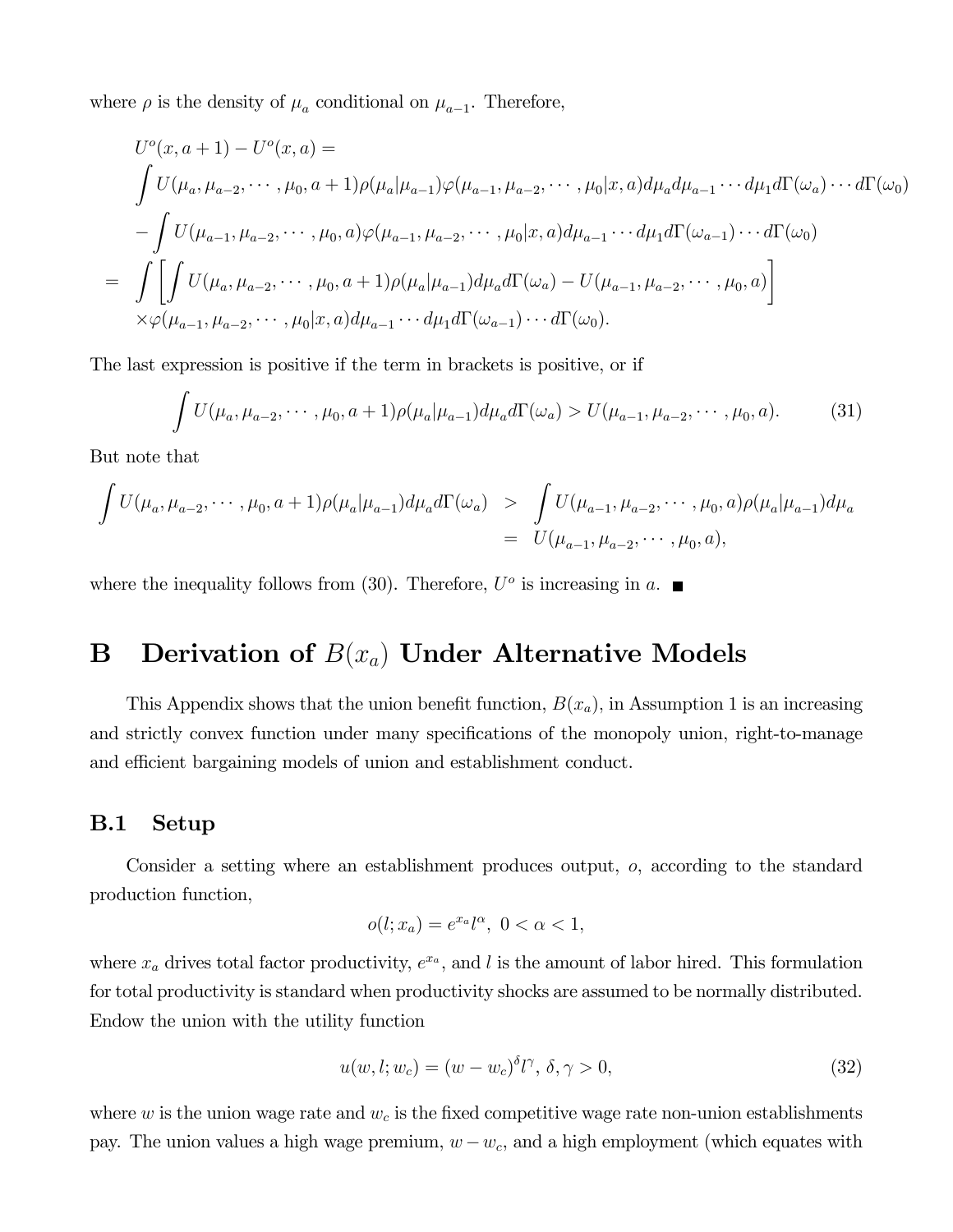where  $\rho$  is the density of  $\mu_a$  conditional on  $\mu_{a-1}$ . Therefore,

$$
U^{o}(x, a + 1) - U^{o}(x, a) =
$$
\n
$$
\int U(\mu_{a}, \mu_{a-2}, \cdots, \mu_{0}, a + 1)\rho(\mu_{a}|\mu_{a-1})\varphi(\mu_{a-1}, \mu_{a-2}, \cdots, \mu_{0}|x, a)d\mu_{a}d\mu_{a-1}\cdots d\mu_{1}d\Gamma(\omega_{a})\cdots d\Gamma(\omega_{0})
$$
\n
$$
-\int U(\mu_{a-1}, \mu_{a-2}, \cdots, \mu_{0}, a)\varphi(\mu_{a-1}, \mu_{a-2}, \cdots, \mu_{0}|x, a)d\mu_{a-1}\cdots d\mu_{1}d\Gamma(\omega_{a-1})\cdots d\Gamma(\omega_{0})
$$
\n
$$
=\int \left[\int U(\mu_{a}, \mu_{a-2}, \cdots, \mu_{0}, a + 1)\rho(\mu_{a}|\mu_{a-1})d\mu_{a}d\Gamma(\omega_{a}) - U(\mu_{a-1}, \mu_{a-2}, \cdots, \mu_{0}, a)\right]
$$
\n
$$
\times \varphi(\mu_{a-1}, \mu_{a-2}, \cdots, \mu_{0}|x, a)d\mu_{a-1}\cdots d\mu_{1}d\Gamma(\omega_{a-1})\cdots d\Gamma(\omega_{0}).
$$

The last expression is positive if the term in brackets is positive, or if

$$
\int U(\mu_a, \mu_{a-2}, \cdots, \mu_0, a+1) \rho(\mu_a | \mu_{a-1}) d\mu_a d\Gamma(\omega_a) > U(\mu_{a-1}, \mu_{a-2}, \cdots, \mu_0, a). \tag{31}
$$

But note that

$$
\int U(\mu_a, \mu_{a-2}, \cdots, \mu_0, a+1) \rho(\mu_a | \mu_{a-1}) d\mu_a d\Gamma(\omega_a) > \int U(\mu_{a-1}, \mu_{a-2}, \cdots, \mu_0, a) \rho(\mu_a | \mu_{a-1}) d\mu_a
$$
  
= 
$$
U(\mu_{a-1}, \mu_{a-2}, \cdots, \mu_0, a),
$$

where the inequality follows from (30). Therefore,  $U^o$  is increasing in a.

# **B** Derivation of  $B(x_a)$  Under Alternative Models

This Appendix shows that the union benefit function,  $B(x_a)$ , in Assumption 1 is an increasing and strictly convex function under many specifications of the monopoly union, right-to-manage and efficient bargaining models of union and establishment conduct.

### B.1 Setup

Consider a setting where an establishment produces output,  $o$ , according to the standard production function,

$$
o(l; x_a) = e^{x_a}l^{\alpha}, \ 0 < \alpha < 1,
$$

where  $x_a$  drives total factor productivity,  $e^{x_a}$ , and l is the amount of labor hired. This formulation for total productivity is standard when productivity shocks are assumed to be normally distributed. Endow the union with the utility function

$$
u(w, l; w_c) = (w - w_c)^{\delta} l^{\gamma}, \delta, \gamma > 0,
$$
\n(32)

where  $w$  is the union wage rate and  $w_c$  is the fixed competitive wage rate non-union establishments pay. The union values a high wage premium,  $w - w_c$ , and a high employment (which equates with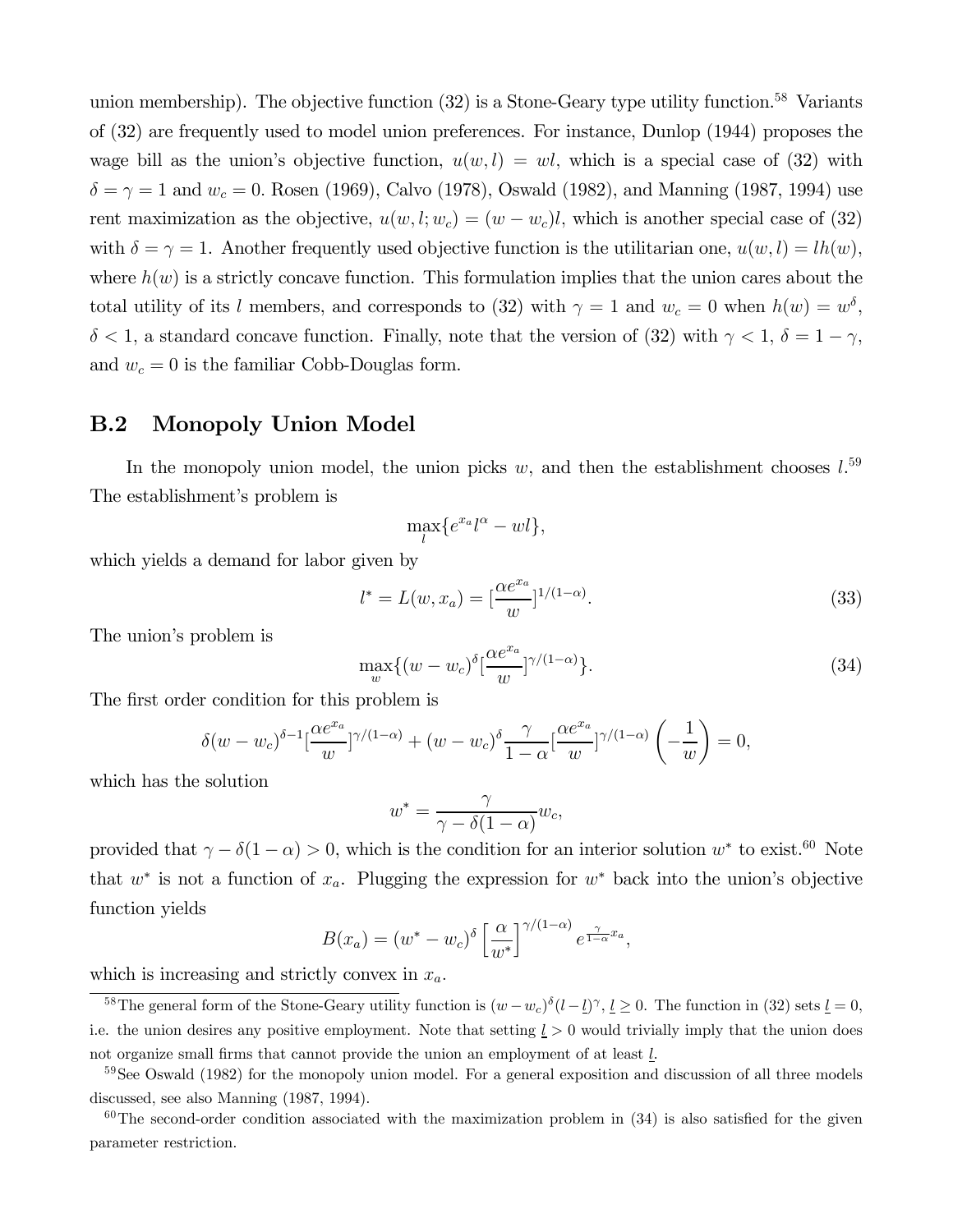union membership). The objective function  $(32)$  is a Stone-Geary type utility function.<sup>58</sup> Variants of (32) are frequently used to model union preferences. For instance, Dunlop (1944) proposes the wage bill as the union's objective function,  $u(w, l) = w_l$ , which is a special case of (32) with  $\delta = \gamma = 1$  and  $w_c = 0$ . Rosen (1969), Calvo (1978), Oswald (1982), and Manning (1987, 1994) use rent maximization as the objective,  $u(w, l; w_c) = (w - w_c)l$ , which is another special case of (32) with  $\delta = \gamma = 1$ . Another frequently used objective function is the utilitarian one,  $u(w, l) = lh(w)$ , where  $h(w)$  is a strictly concave function. This formulation implies that the union cares about the total utility of its *l* members, and corresponds to (32) with  $\gamma = 1$  and  $w_c = 0$  when  $h(w) = w^{\delta}$ ,  $\delta$  < 1, a standard concave function. Finally, note that the version of (32) with  $\gamma$  < 1,  $\delta$  = 1 –  $\gamma$ , and  $w_c = 0$  is the familiar Cobb-Douglas form.

### B.2 Monopoly Union Model

In the monopoly union model, the union picks  $w$ , and then the establishment chooses  $l$ <sup>59</sup> The establishment's problem is

$$
\max_{l} \{e^{x_a} l^{\alpha} - w l\},\
$$

which yields a demand for labor given by

$$
l^* = L(w, x_a) = \left[\frac{\alpha e^{x_a}}{w}\right]^{1/(1-\alpha)}.
$$
\n(33)

The union's problem is

$$
\max_{w} \{ (w - w_c)^{\delta} \left[ \frac{\alpha e^{x_a}}{w} \right]^{\gamma/(1-\alpha)} \}.
$$
\n(34)

The first order condition for this problem is

$$
\delta(w-w_c)^{\delta-1} \left[\frac{\alpha e^{x_a}}{w}\right]^{\gamma/(1-\alpha)} + (w-w_c)^{\delta} \frac{\gamma}{1-\alpha} \left[\frac{\alpha e^{x_a}}{w}\right]^{\gamma/(1-\alpha)} \left(-\frac{1}{w}\right) = 0,
$$

which has the solution

$$
w^* = \frac{\gamma}{\gamma - \delta(1 - \alpha)} w_c,
$$

provided that  $\gamma - \delta(1 - \alpha) > 0$ , which is the condition for an interior solution  $w^*$  to exist.<sup>60</sup> Note that  $w^*$  is not a function of  $x_a$ . Plugging the expression for  $w^*$  back into the union's objective function yields

$$
B(x_a) = (w^* - w_c)^{\delta} \left[ \frac{\alpha}{w^*} \right]^{\gamma/(1-\alpha)} e^{\frac{\gamma}{1-\alpha}x_a},
$$

which is increasing and strictly convex in  $x_a$ .

<sup>&</sup>lt;sup>58</sup>The general form of the Stone-Geary utility function is  $(w-w_c)^{\delta} (l-\underline{l})^{\gamma}, \underline{l} \ge 0$ . The function in (32) sets  $\underline{l} = 0$ , i.e. the union desires any positive employment. Note that setting  $\underline{l} > 0$  would trivially imply that the union does not organize small firms that cannot provide the union an employment of at least  $l$ .

<sup>59</sup>See Oswald (1982) for the monopoly union model. For a general exposition and discussion of all three models discussed, see also Manning (1987, 1994).

 $60$ The second-order condition associated with the maximization problem in  $(34)$  is also satisfied for the given parameter restriction.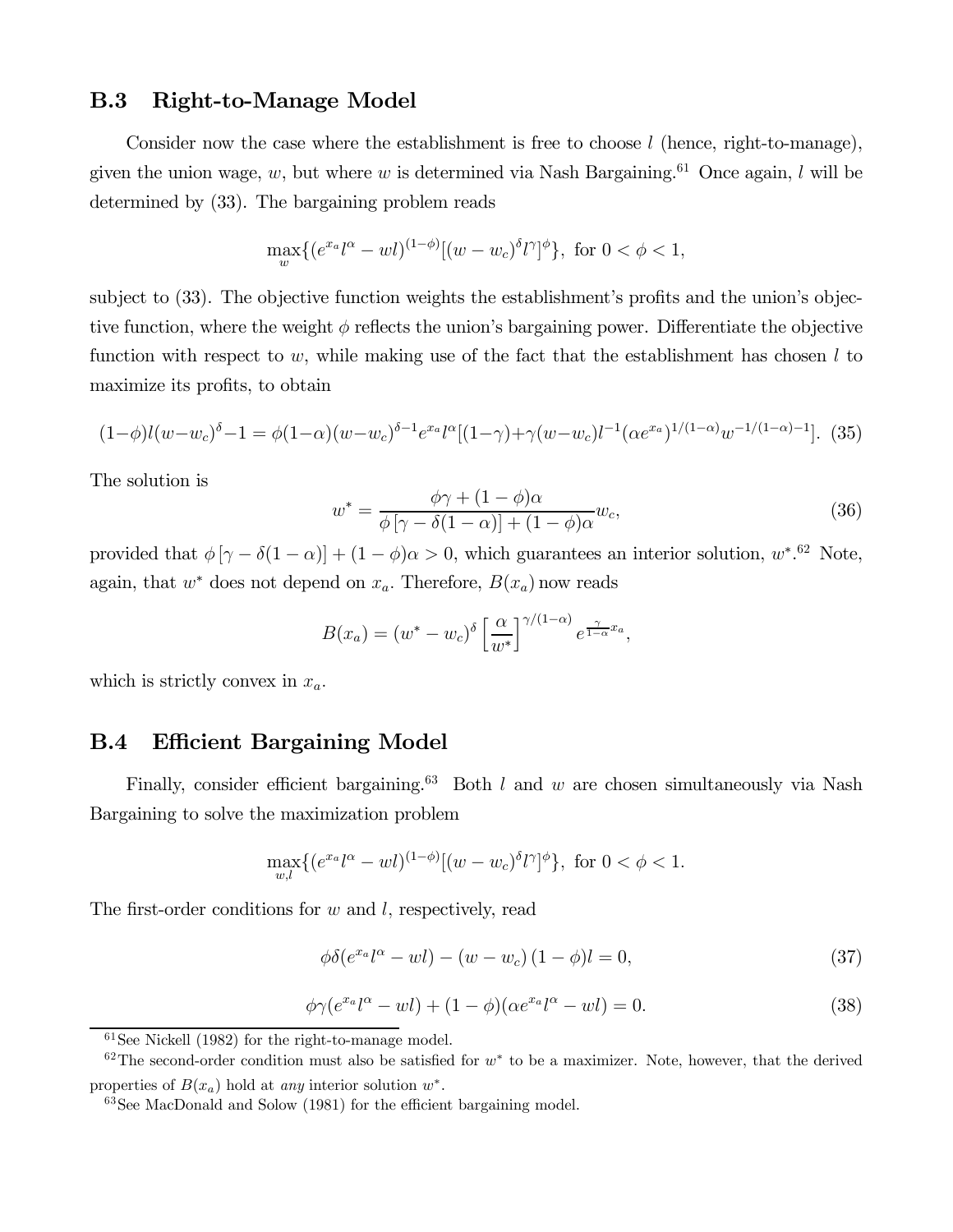### B.3 Right-to-Manage Model

Consider now the case where the establishment is free to choose  $l$  (hence, right-to-manage), given the union wage,  $w$ , but where  $w$  is determined via Nash Bargaining.<sup>61</sup> Once again,  $l$  will be determined by (33). The bargaining problem reads

$$
\max_{w} \{ (e^{x_a} l^{\alpha} - w l)^{(1-\phi)} [(w - w_c)^{\delta} l^{\gamma}]^{\phi} \}, \text{ for } 0 < \phi < 1,
$$

subject to (33). The objective function weights the establishment's profits and the union's objective function, where the weight  $\phi$  reflects the union's bargaining power. Differentiate the objective function with respect to  $w$ , while making use of the fact that the establishment has chosen  $l$  to maximize its profits, to obtain

$$
(1-\phi)l(w-w_c)^{\delta}-1 = \phi(1-\alpha)(w-w_c)^{\delta-1}e^{x_a}l^{\alpha}[(1-\gamma)+\gamma(w-w_c)l^{-1}(\alpha e^{x_a})^{1/(1-\alpha)}w^{-1/(1-\alpha)-1}].
$$
 (35)

The solution is

$$
w^* = \frac{\phi \gamma + (1 - \phi)\alpha}{\phi \left[\gamma - \delta(1 - \alpha)\right] + (1 - \phi)\alpha} w_c,
$$
\n(36)

provided that  $\phi [\gamma - \delta(1 - \alpha)] + (1 - \phi)\alpha > 0$ , which guarantees an interior solution,  $w^*$ .<sup>62</sup> Note, again, that  $w^*$  does not depend on  $x_a$ . Therefore,  $B(x_a)$  now reads

$$
B(x_a) = (w^* - w_c)^{\delta} \left[ \frac{\alpha}{w^*} \right]^{\gamma/(1-\alpha)} e^{\frac{\gamma}{1-\alpha}x_a},
$$

which is strictly convex in  $x_a$ .

### B.4 Efficient Bargaining Model

Finally, consider efficient bargaining.<sup>63</sup> Both  $l$  and  $w$  are chosen simultaneously via Nash Bargaining to solve the maximization problem

$$
\max_{w,l} \{ (e^{x_a} l^{\alpha} - w l)^{(1-\phi)} [(w - w_c)^{\delta} l^{\gamma}]^{\phi} \}, \text{ for } 0 < \phi < 1.
$$

The first-order conditions for  $w$  and  $l$ , respectively, read

$$
\phi\delta(e^{x_a}l^\alpha - w l) - (w - w_c)(1 - \phi)l = 0,
$$
\n(37)

$$
\phi \gamma (e^{x_a} l^{\alpha} - w l) + (1 - \phi)(\alpha e^{x_a} l^{\alpha} - w l) = 0.
$$
\n(38)

 $61$ See Nickell (1982) for the right-to-manage model.

 $62$ The second-order condition must also be satisfied for  $w^*$  to be a maximizer. Note, however, that the derived properties of  $B(x_a)$  hold at any interior solution  $w^*$ .

<sup>63</sup>See MacDonald and Solow (1981) for the efficient bargaining model.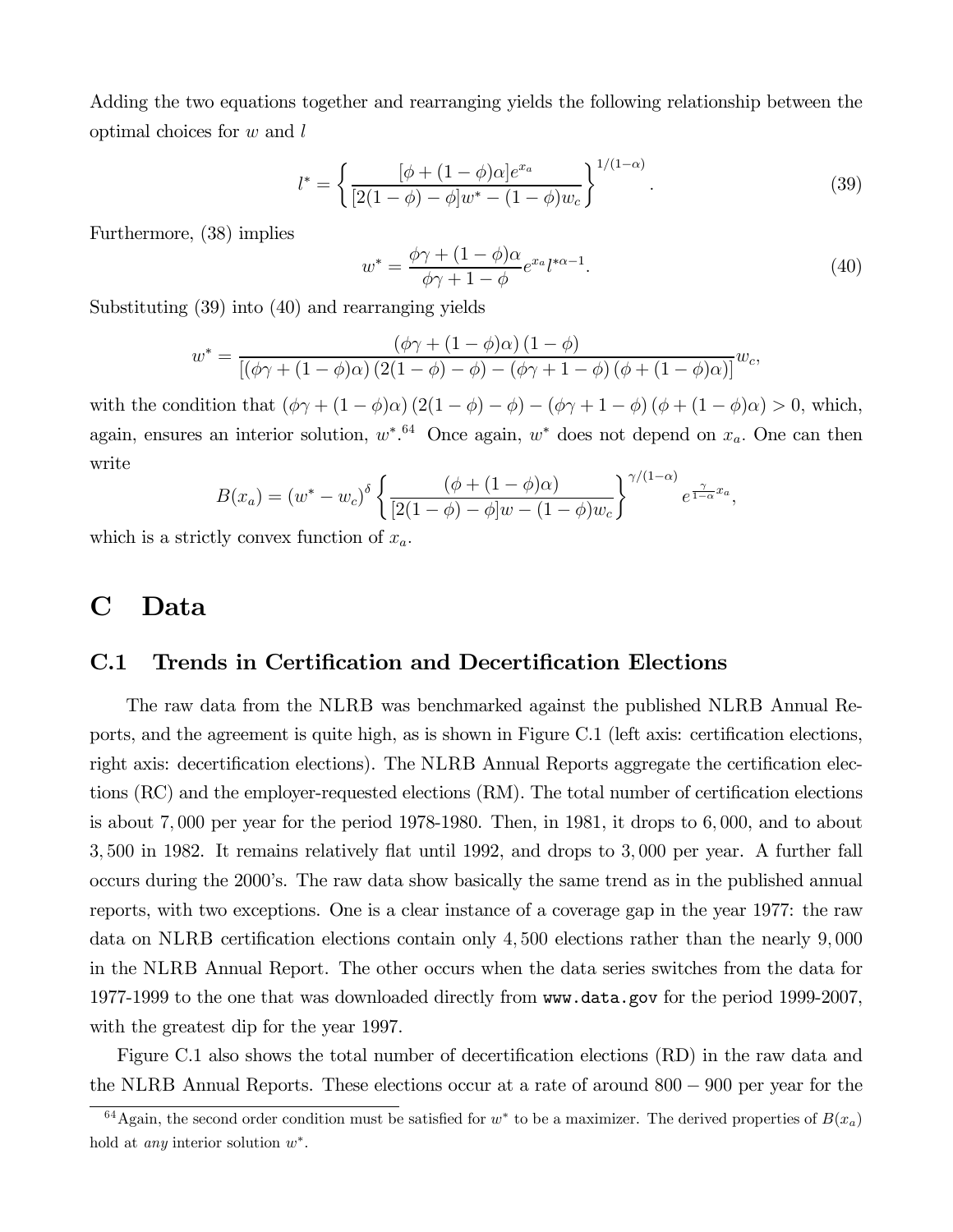Adding the two equations together and rearranging yields the following relationship between the optimal choices for  $w$  and  $l$ 

$$
l^* = \left\{ \frac{[\phi + (1 - \phi)\alpha]e^{x_a}}{[2(1 - \phi) - \phi]w^* - (1 - \phi)w_c} \right\}^{1/(1 - \alpha)}.
$$
 (39)

Furthermore, (38) implies

$$
w^* = \frac{\phi \gamma + (1 - \phi)\alpha}{\phi \gamma + 1 - \phi} e^{x_a} l^{*\alpha - 1}.
$$
\n(40)

Substituting (39) into (40) and rearranging yields

$$
w^* = \frac{(\phi \gamma + (1 - \phi)\alpha) (1 - \phi)}{\left[ (\phi \gamma + (1 - \phi)\alpha) (2(1 - \phi) - \phi) - (\phi \gamma + 1 - \phi) (\phi + (1 - \phi)\alpha) \right]} w_c,
$$

with the condition that  $(\phi \gamma + (1 - \phi)\alpha) (2(1 - \phi) - \phi) - (\phi \gamma + 1 - \phi) (\phi + (1 - \phi)\alpha) > 0$ , which, again, ensures an interior solution,  $w^*$ .<sup>64</sup> Once again,  $w^*$  does not depend on  $x_a$ . One can then write

$$
B(x_a) = (w^* - w_c)^{\delta} \left\{ \frac{(\phi + (1 - \phi)\alpha)}{[2(1 - \phi) - \phi]w - (1 - \phi)w_c} \right\}^{\gamma/(1 - \alpha)} e^{\frac{\gamma}{1 - \alpha}x_a},
$$

which is a strictly convex function of  $x_a$ .

## C Data

### C.1 Trends in Certification and Decertification Elections

The raw data from the NLRB was benchmarked against the published NLRB Annual Reports, and the agreement is quite high, as is shown in Figure C.1 (left axis: certification elections, right axis: decertification elections). The NLRB Annual Reports aggregate the certification elections (RC) and the employer-requested elections (RM). The total number of certification elections is about  $7,000$  per year for the period 1978-1980. Then, in 1981, it drops to  $6,000$ , and to about 3 500 in 1982. It remains relatively flat until 1992, and drops to 3 000 per year. A further fall occurs during the 2000's. The raw data show basically the same trend as in the published annual reports, with two exceptions. One is a clear instance of a coverage gap in the year 1977: the raw data on NLRB certification elections contain only 4,500 elections rather than the nearly 9,000 in the NLRB Annual Report. The other occurs when the data series switches from the data for 1977-1999 to the one that was downloaded directly from www.data.gov for the period 1999-2007, with the greatest dip for the year 1997.

Figure C.1 also shows the total number of decertification elections (RD) in the raw data and the NLRB Annual Reports. These elections occur at a rate of around 800 − 900 per year for the

<sup>&</sup>lt;sup>64</sup>Again, the second order condition must be satisfied for  $w^*$  to be a maximizer. The derived properties of  $B(x_a)$ hold at *any* interior solution  $w^*$ .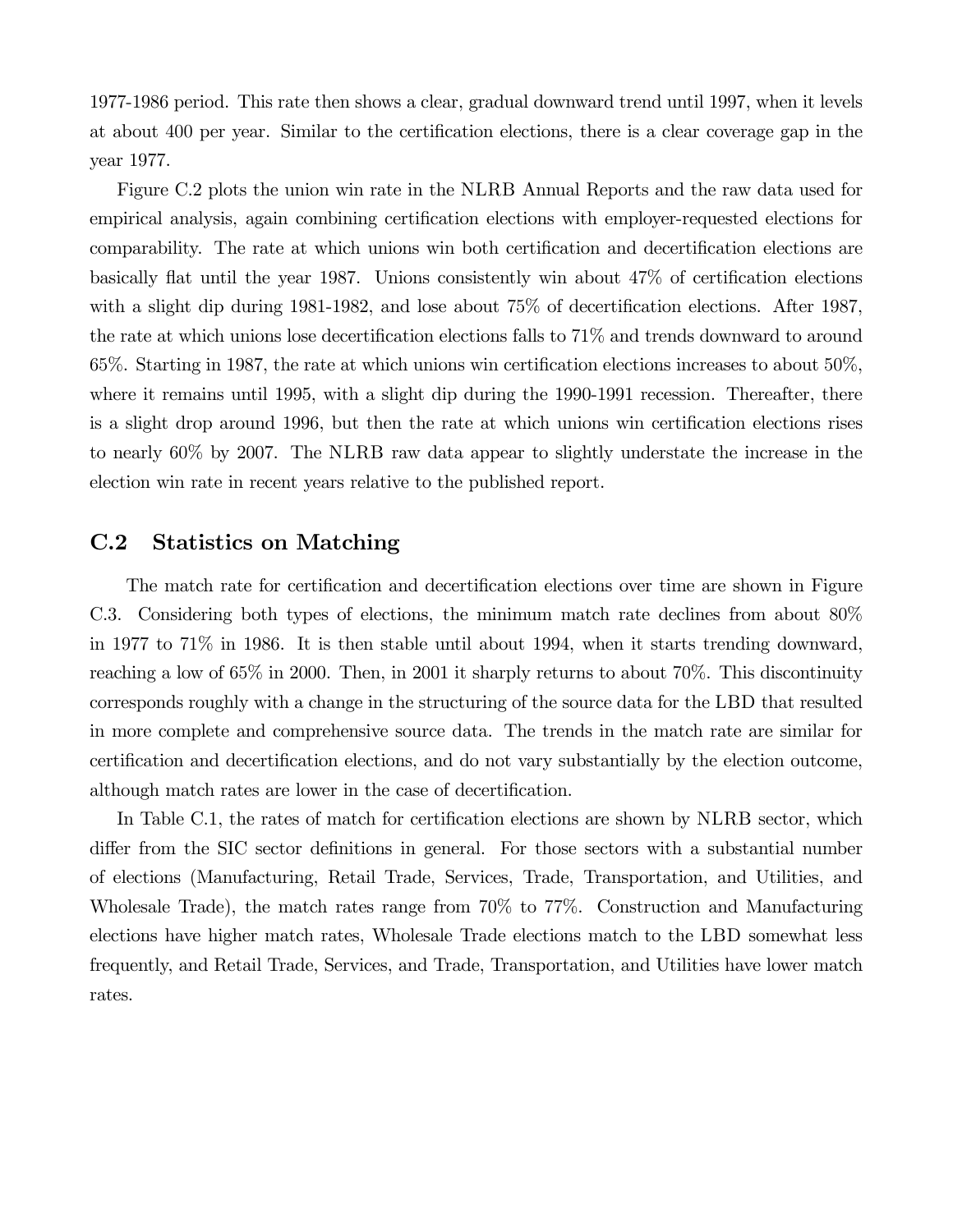1977-1986 period. This rate then shows a clear, gradual downward trend until 1997, when it levels at about 400 per year. Similar to the certification elections, there is a clear coverage gap in the year 1977.

Figure C.2 plots the union win rate in the NLRB Annual Reports and the raw data used for empirical analysis, again combining certification elections with employer-requested elections for comparability. The rate at which unions win both certification and decertification elections are basically flat until the year 1987. Unions consistently win about 47% of certification elections with a slight dip during 1981-1982, and lose about  $75\%$  of decertification elections. After 1987, the rate at which unions lose decertification elections falls to 71% and trends downward to around 65%. Starting in 1987, the rate at which unions win certification elections increases to about 50%, where it remains until 1995, with a slight dip during the 1990-1991 recession. Thereafter, there is a slight drop around 1996, but then the rate at which unions win certification elections rises to nearly 60% by 2007. The NLRB raw data appear to slightly understate the increase in the election win rate in recent years relative to the published report.

### C.2 Statistics on Matching

The match rate for certification and decertification elections over time are shown in Figure C.3. Considering both types of elections, the minimum match rate declines from about 80% in 1977 to 71% in 1986. It is then stable until about 1994, when it starts trending downward, reaching a low of 65% in 2000. Then, in 2001 it sharply returns to about 70%. This discontinuity corresponds roughly with a change in the structuring of the source data for the LBD that resulted in more complete and comprehensive source data. The trends in the match rate are similar for certification and decertification elections, and do not vary substantially by the election outcome, although match rates are lower in the case of decertification.

In Table C.1, the rates of match for certification elections are shown by NLRB sector, which differ from the SIC sector definitions in general. For those sectors with a substantial number of elections (Manufacturing, Retail Trade, Services, Trade, Transportation, and Utilities, and Wholesale Trade), the match rates range from 70% to 77%. Construction and Manufacturing elections have higher match rates, Wholesale Trade elections match to the LBD somewhat less frequently, and Retail Trade, Services, and Trade, Transportation, and Utilities have lower match rates.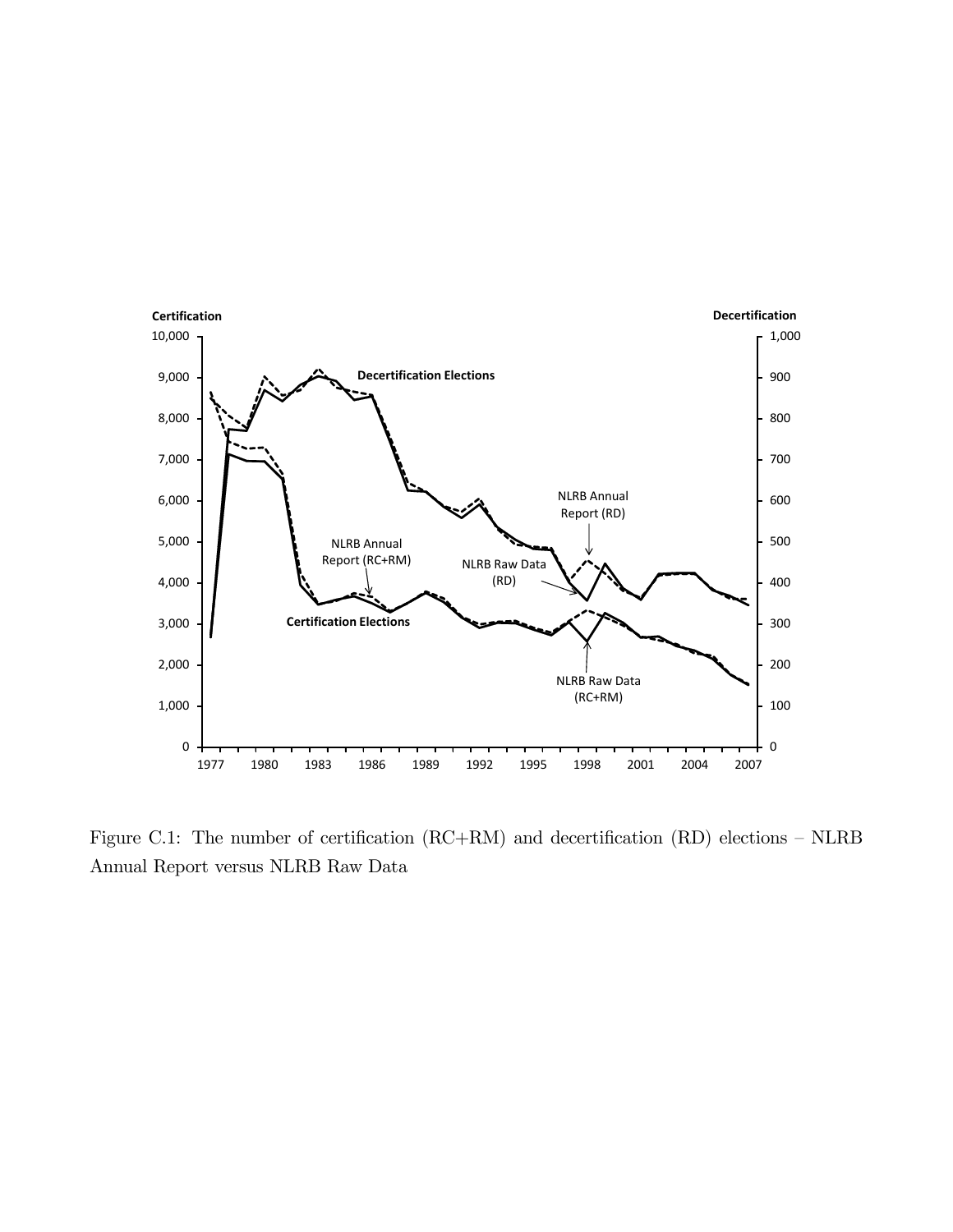

Figure C.1: The number of certification (RC+RM) and decertification (RD) elections — NLRB Annual Report versus NLRB Raw Data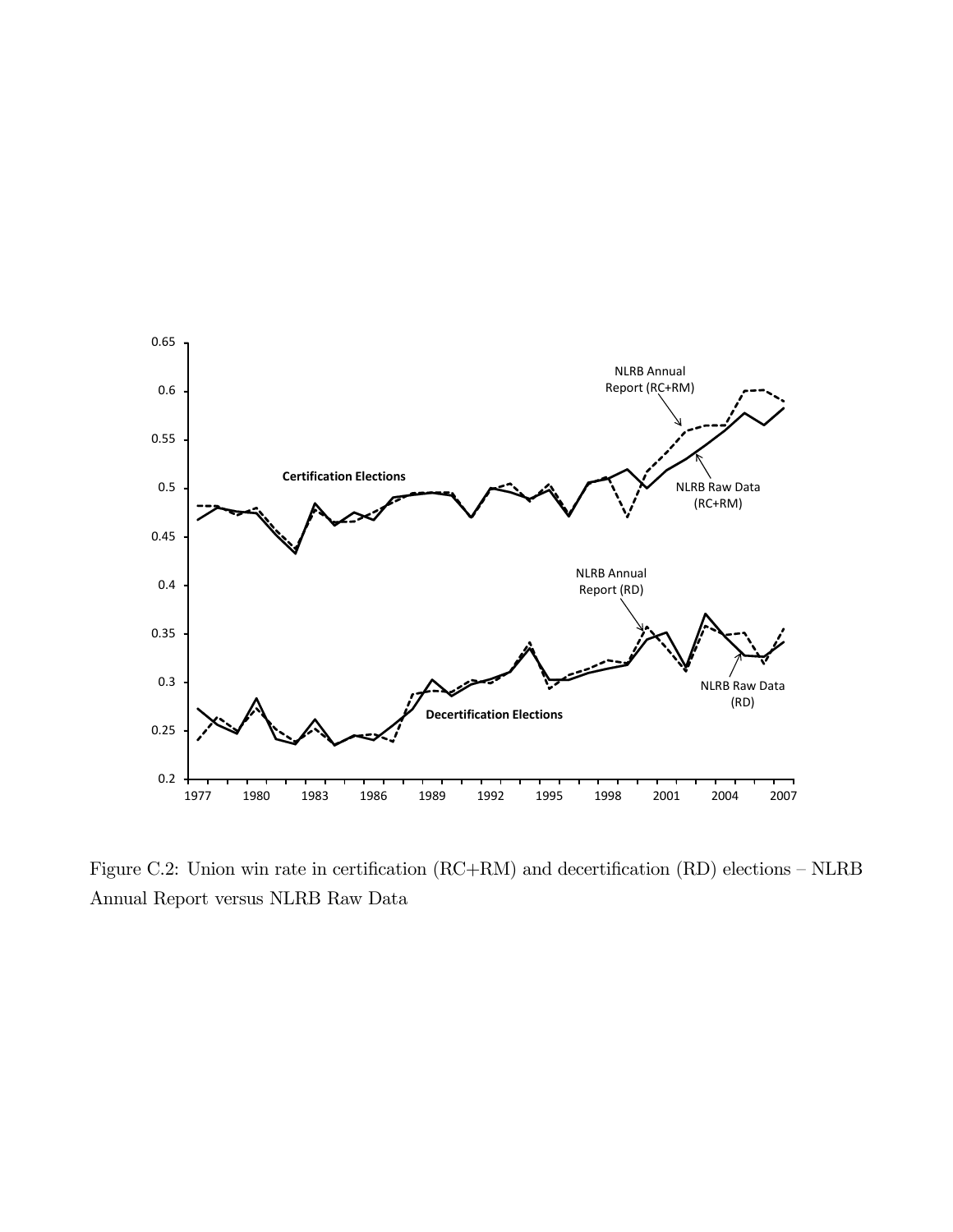

Figure C.2: Union win rate in certification (RC+RM) and decertification (RD) elections — NLRB Annual Report versus NLRB Raw Data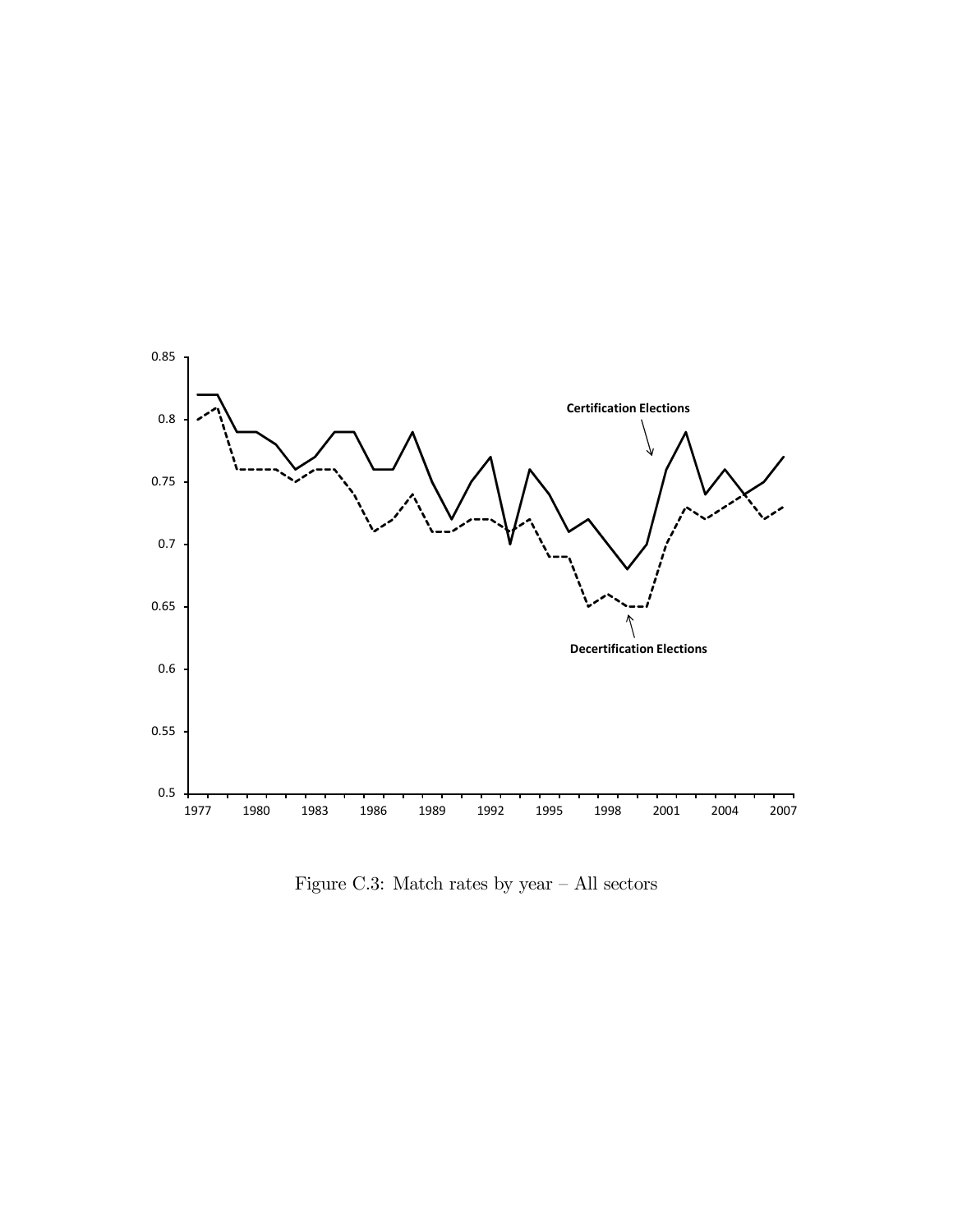

Figure C.3: Match rates by year  $-$  All sectors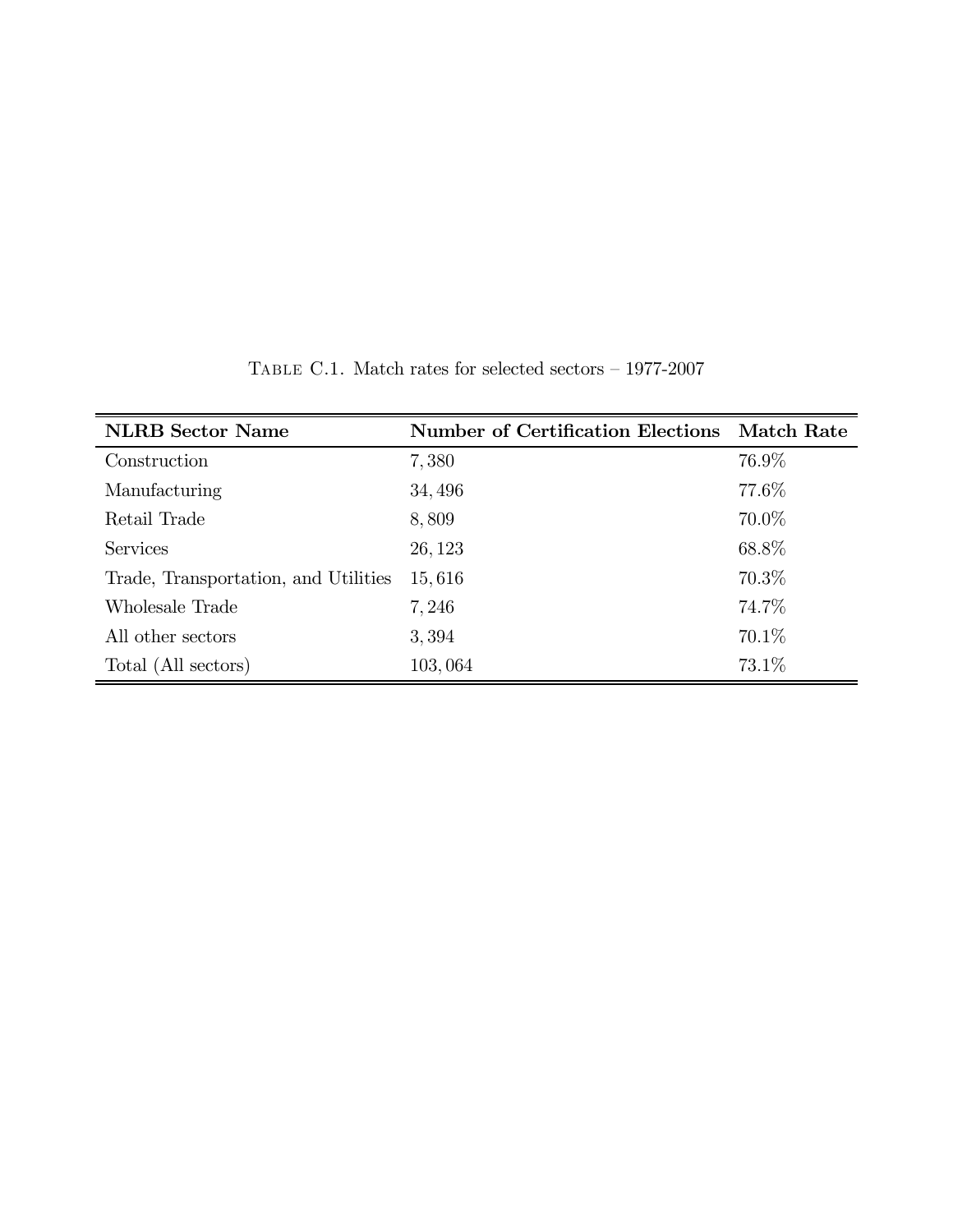| <b>NLRB</b> Sector Name              | <b>Number of Certification Elections</b> | <b>Match Rate</b> |
|--------------------------------------|------------------------------------------|-------------------|
| Construction                         | 7,380                                    | 76.9%             |
| Manufacturing                        | 34, 496                                  | 77.6%             |
| Retail Trade                         | 8,809                                    | 70.0%             |
| <b>Services</b>                      | 26, 123                                  | 68.8%             |
| Trade, Transportation, and Utilities | 15,616                                   | 70.3%             |
| Wholesale Trade                      | 7,246                                    | 74.7%             |
| All other sectors                    | 3,394                                    | 70.1\%            |
| Total (All sectors)                  | 103,064                                  | 73.1\%            |

TABLE C.1. Match rates for selected sectors  $-$  1977-2007  $\,$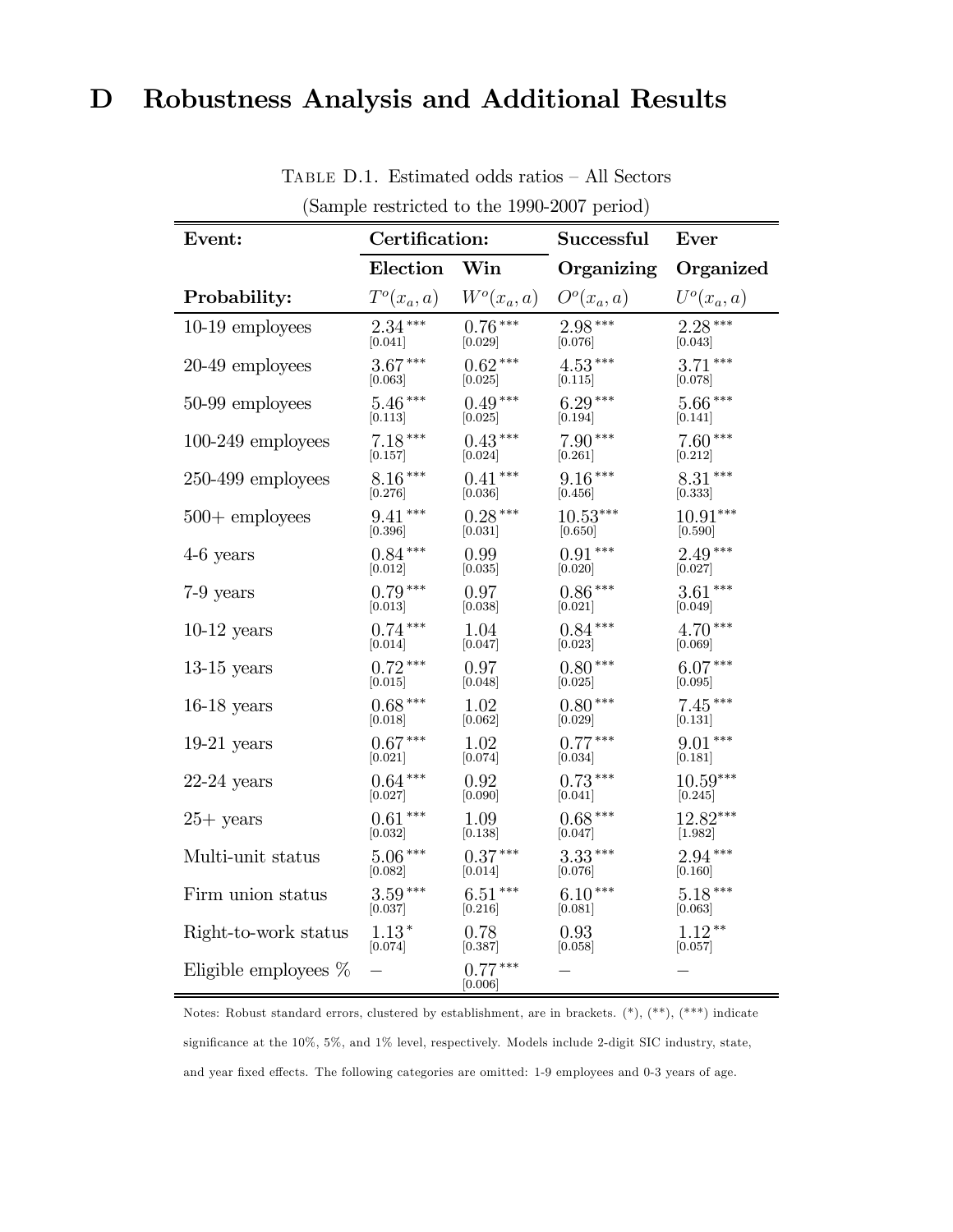# D Robustness Analysis and Additional Results

| Event:                  | Certification: |                      | Successful    | Ever          |  |
|-------------------------|----------------|----------------------|---------------|---------------|--|
|                         | Election       | Win                  | Organizing    | Organized     |  |
| Probability:            | $T^o(x_a, a)$  | $W^o(x_a, a)$        | $O^o(x_a, a)$ | $U^o(x_a, a)$ |  |
| $10-19$ employees       | $2.34***$      | $0.76***$            | $2.98***$     | $2.28***$     |  |
|                         | [0.041]        | [0.029]              | [0.076]       | [0.043]       |  |
| 20-49 employees         | $3.67***$      | $0.62***$            | $4.53***$     | $3.71***$     |  |
|                         | [0.063]        | [0.025]              | [0.115]       | [0.078]       |  |
| 50-99 employees         | $5.46***$      | $0.49***$            | $6.29***$     | $5.66***$     |  |
|                         | [0.113]        | [0.025]              | [0.194]       | [0.141]       |  |
| $100-249$ employees     | $7.18***$      | $0.43***$            | $7.90***$     | $7.60***$     |  |
|                         | 0.157          | [0.024]              | [0.261]       | [0.212]       |  |
| $250-499$ employees     | $8.16***$      | $0.41***$            | $9.16***$     | $8.31***$     |  |
|                         | [0.276]        | [0.036]              | [0.456]       | [0.333]       |  |
| $500 +$ employees       | $9.41***$      | $0.28***$            | $10.53***$    | $10.91***$    |  |
|                         | [0.396]        | [0.031]              | 0.650         | [0.590]       |  |
| $4-6$ years             | $0.84***$      | 0.99                 | $0.91***$     | $2.49***$     |  |
|                         | [0.012]        | [0.035]              | [0.020]       | [0.027]       |  |
| $7-9$ years             | $0.79***$      | 0.97                 | $0.86***$     | $3.61***$     |  |
|                         | [0.013]        | [0.038]              | [0.021]       | [0.049]       |  |
| $10-12$ years           | $0.74***$      | 1.04                 | $0.84***$     | $4.70***$     |  |
|                         | 0.014          | [0.047]              | [0.023]       | [0.069]       |  |
| $13-15$ years           | $0.72***$      | 0.97                 | $0.80***$     | $6.07***$     |  |
|                         | [0.015]        | [0.048]              | 0.025         | [0.095]       |  |
| $16-18$ years           | $0.68***$      | 1.02                 | $0.80***$     | $7.45***$     |  |
|                         | 0.018          | [0.062]              | [0.029]       | [0.131]       |  |
| $19-21$ years           | $0.67***$      | 1.02                 | $0.77***$     | $9.01***$     |  |
|                         | [0.021]        | [0.074]              | [0.034]       | [0.181]       |  |
| $22-24$ years           | $0.64***$      | 0.92                 | $0.73***$     | $10.59***$    |  |
|                         | [0.027]        | [0.090]              | 0.041         | [0.245]       |  |
| $25+$ years             | $0.61***$      | 1.09                 | $0.68***$     | $12.82***$    |  |
|                         | [0.032]        | [0.138]              | [0.047]       | [1.982]       |  |
| Multi-unit status       | $5.06***$      | $0.37***$            | $3.33***$     | $2.94***$     |  |
|                         | [0.082]        | [0.014]              | [0.076]       | [0.160]       |  |
| Firm union status       | $3.59***$      | $6.51***$            | $6.10***$     | $5.18***$     |  |
|                         | 0.037          | [0.216]              | [0.081]       | [0.063]       |  |
| Right-to-work status    | $1.13\,^*$     | 0.78                 | 0.93          | $1.12**$      |  |
|                         | [0.074]        | [0.387]              | 0.058         | 0.057         |  |
| Eligible employees $\%$ |                | $0.77***$<br>[0.006] |               |               |  |

Table D.1. Estimated odds ratios — All Sectors (Sample restricted to the 1990-2007 period)

Notes: Robust standard errors, clustered by establishment, are in brackets.  $(*), (**, (**, *)$  indicate significance at the 10%, 5%, and 1% level, respectively. Models include 2-digit SIC industry, state, and year fixed effects. The following categories are omitted: 1-9 employees and 0-3 years of age.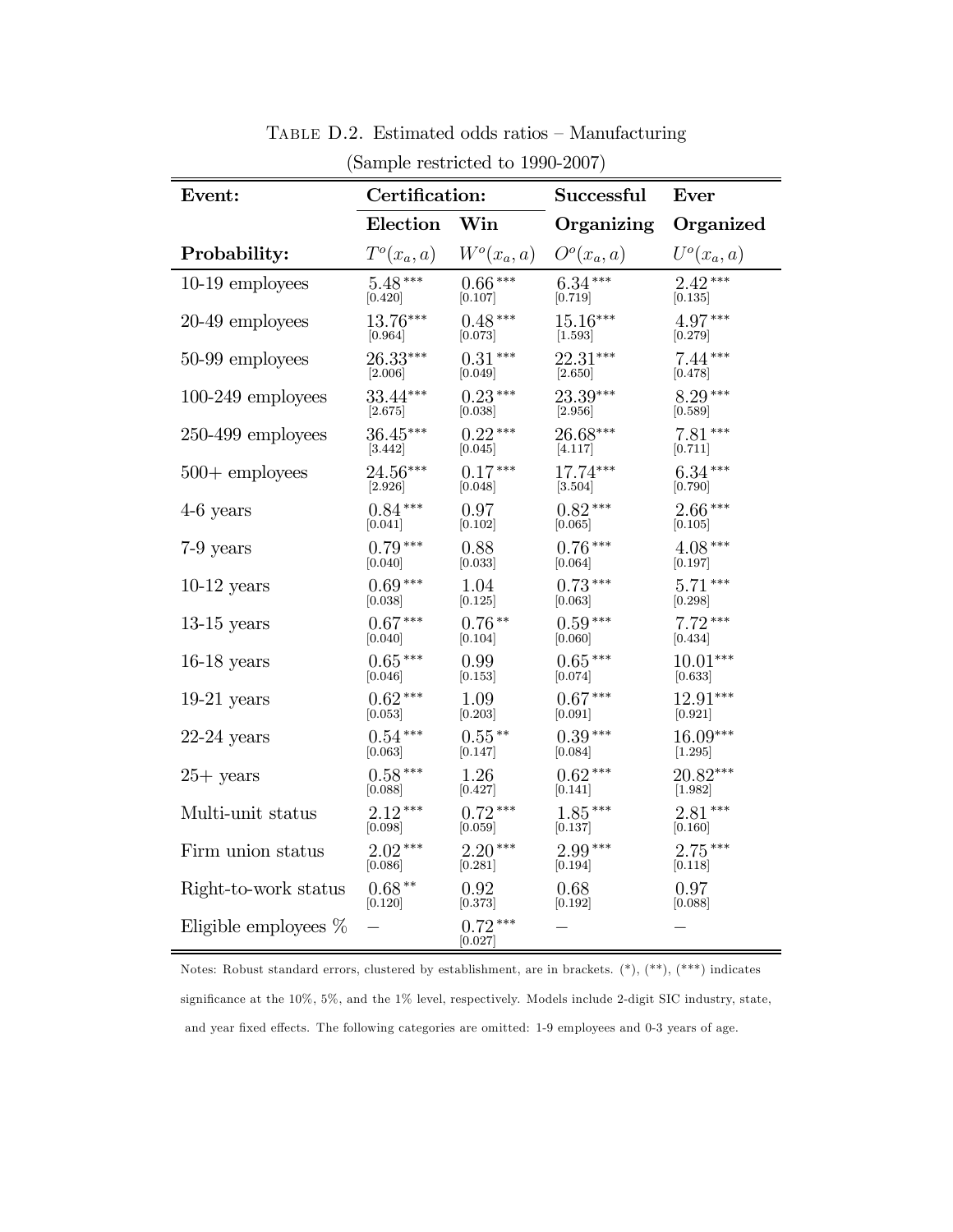| Event:                  | Certification: |                      | Successful                          | Ever          |
|-------------------------|----------------|----------------------|-------------------------------------|---------------|
|                         | Election       | Win                  | Organizing                          | Organized     |
| Probability:            | $T^o(x_a, a)$  | $W^o(x_a, a)$        | O <sup>o</sup> (x <sub>a</sub> , a) | $U^o(x_a, a)$ |
| 10-19 employees         | $5.48***$      | $0.66***$            | $6.34***$                           | $2.42***$     |
|                         | [0.420]        | [0.107]              | [0.719]                             | [0.135]       |
| 20-49 employees         | 13.76***       | $0.48***$            | $15.16***$                          | $4.97***$     |
|                         | [0.964]        | [0.073]              | [1.593]                             | [0.279]       |
| 50-99 employees         | 26.33***       | $0.31***$            | 22.31***                            | $7.44***$     |
|                         | [2.006]        | [0.049]              | [2.650]                             | [0.478]       |
| $100-249$ employees     | 33.44***       | $0.23***$            | 23.39***                            | $8.29***$     |
|                         | $[2.675]$      | [0.038]              | [2.956]                             | [0.589]       |
| $250-499$ employees     | $36.45***$     | $0.22***$            | $26.68***$                          | $7.81***$     |
|                         | 3.442          | [0.045]              | [4.117]                             | [0.711]       |
| $500 +$ employees       | 24.56***       | $0.17***$            | $17.74***$                          | $6.34***$     |
|                         | $[2.926]$      | [0.048]              | $[3.504]$                           | [0.790]       |
| $4-6$ years             | $0.84***$      | 0.97                 | $0.82***$                           | $2.66***$     |
|                         | [0.041]        | [0.102]              | [0.065]                             | [0.105]       |
| 7-9 years               | $0.79***$      | 0.88                 | $0.76***$                           | $4.08***$     |
|                         | [0.040]        | [0.033]              | [0.064]                             | [0.197]       |
| $10-12$ years           | $0.69***$      | 1.04                 | $0.73***$                           | $5.71***$     |
|                         | [0.038]        | [0.125]              | [0.063]                             | [0.298]       |
| $13-15$ years           | $0.67***$      | $0.76**$             | $0.59***$                           | $7.72***$     |
|                         | [0.040]        | 0.104                | [0.060]                             | [0.434]       |
| $16-18$ years           | $0.65***$      | 0.99                 | $0.65***$                           | $10.01***$    |
|                         | 0.046          | 0.153                | [0.074]                             | 0.633         |
| $19-21$ years           | $0.62***$      | 1.09                 | $0.67***$                           | 12.91***      |
|                         | [0.053]        | [0.203]              | [0.091]                             | [0.921]       |
| $22-24$ years           | $0.54***$      | $0.55***$            | $0.39***$                           | 16.09***      |
|                         | [0.063]        | [0.147]              | [0.084]                             | [1.295]       |
| $25+$ years             | $0.58***$      | 1.26                 | $0.62***$                           | $20.82***$    |
|                         | [0.088]        | [0.427]              | [0.141]                             | [1.982]       |
| Multi-unit status       | $2.12***$      | $0.72***$            | $1.85***$                           | $2.81***$     |
|                         | [0.098]        | [0.059]              | [0.137]                             | [0.160]       |
| Firm union status       | $2.02***$      | $2.20***$            | $2.99***$                           | $2.75***$     |
|                         | [0.086]        | [0.281]              | [0.194]                             | 0.118         |
| Right-to-work status    | $0.68***$      | 0.92                 | 0.68                                | 0.97          |
|                         | [0.120]        | [0.373]              | 0.192                               | [0.088]       |
| Eligible employees $\%$ |                | $0.72***$<br>[0.027] |                                     |               |

Table D.2. Estimated odds ratios — Manufacturing (Sample restricted to 1990-2007)

Notes: Robust standard errors, clustered by establishment, are in brackets. (\*), (\*\*), (\*\*\*) indicates significance at the 10%, 5%, and the 1% level, respectively. Models include 2-digit SIC industry, state, and year fixed effects. The following categories are omitted: 1-9 employees and 0-3 years of age.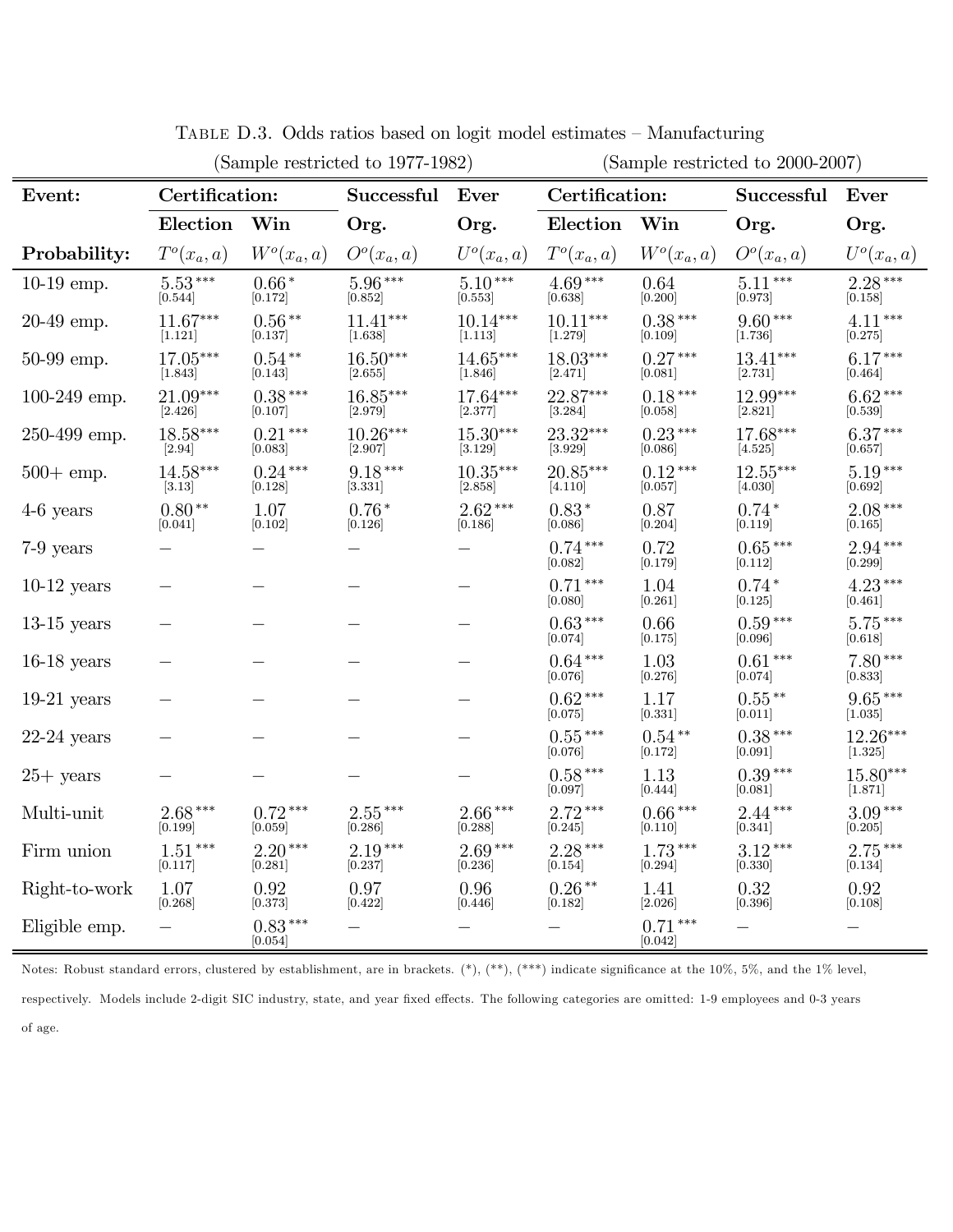| (Sample restricted to 1977-1982) |                        |                        |                                     |                       | (Sample restricted to 2000-2007) |                      |                                     |                                    |
|----------------------------------|------------------------|------------------------|-------------------------------------|-----------------------|----------------------------------|----------------------|-------------------------------------|------------------------------------|
| Event:                           | Certification:         |                        | Successful                          | Ever                  | Certification:                   |                      | Successful                          | Ever                               |
|                                  | Election               | Win                    | Org.                                | Org.                  | Election                         | Win                  | Org.                                | Org.                               |
| Probability:                     | $T^o(x_a, a)$          | $W^o(x_a, a)$          | O <sup>o</sup> (x <sub>a</sub> , a) | $U^o(x_a, a)$         | $T^o(x_a, a)$                    | $W^o(x_a, a)$        | O <sup>o</sup> (x <sub>a</sub> , a) | $U^o(x_a, a)$                      |
| $10-19$ emp.                     | $5.53***$<br>$[0.544]$ | $0.66*$<br>[0.172]     | $5.96***$<br>[0.852]                | $5.10***$<br>[0.553]  | $4.69***$<br>[0.638]             | 0.64<br>[0.200]      | $5.11***$<br>[0.973]                | $2.28***$<br>[0.158]               |
| $20-49$ emp.                     | $11.67***$<br>[1.121]  | $0.56**$<br>[0.137]    | $11.41***$<br>[1.638]               | $10.14***$<br>[1.113] | $10.11***$<br>[1.279]            | $0.38***$<br>[0.109] | $9.60***$<br>[1.736]                | $4.11***$<br>[0.275]               |
| 50-99 emp.                       | 17.05***<br>[1.843]    | $0.54**$<br>[0.143]    | $16.50***$<br>[2.655]               | 14.65***<br>[1.846]   | 18.03***<br>[2.471]              | $0.27***$<br>[0.081] | $13.41***$<br>[2.731]               | $6.17***$<br>[0.464]               |
| $100-249$ emp.                   | 21.09***<br>[2.426]    | $0.38***$<br>[0.107]   | $16.85***$<br>[2.979]               | 17.64***<br>[2.377]   | 22.87***<br>[3.284]              | $0.18***$<br>[0.058] | 12.99***<br>[2.821]                 | $6.62***$<br>$\left[ 0.539\right]$ |
| 250-499 emp.                     | $18.58***$<br>$[2.94]$ | $0.21***$<br>[0.083]   | $10.26***$<br>[2.907]               | $15.30***$<br>[3.129] | 23.32***<br>[3.929]              | $0.23***$<br>[0.086] | $17.68***$<br>[4.525]               | $6.37***$<br>[0.657]               |
| $500 + \text{emp.}$              | $14.58***$<br>$[3.13]$ | $0.24***$<br>[0.128]   | $9.18***$<br>[3.331]                | $10.35***$<br>[2.858] | $20.85***$<br>[4.110]            | $0.12***$<br>[0.057] | $12.55***$<br>[4.030]               | $5.19***$<br>[0.692]               |
| $4-6$ years                      | $0.80**$<br>$[0.041]$  | 1.07<br>[0.102]        | $0.76*$<br>[0.126]                  | $2.62***$<br>[0.186]  | $0.83*$<br>[0.086]               | 0.87<br>[0.204]      | $0.74*$<br>$[0.119]$                | $2.08***$<br>$[0.165]$             |
| 7-9 years                        |                        |                        |                                     |                       | $0.74***$<br>[0.082]             | 0.72<br>[0.179]      | $0.65***$<br>[0.112]                | $2.94***$<br>[0.299]               |
| $10-12$ years                    |                        |                        |                                     |                       | $0.71***$<br>[0.080]             | 1.04<br>[0.261]      | $0.74*$<br> 0.125                   | $4.23***$<br>[0.461]               |
| $13-15$ years                    |                        |                        |                                     |                       | $0.63***$<br>[0.074]             | 0.66<br>[0.175]      | $0.59***$<br>[0.096]                | $5.75***$<br>[0.618]               |
| $16-18$ years $\,$               |                        |                        |                                     |                       | $0.64***$<br>[0.076]             | 1.03<br>[0.276]      | $0.61***$<br>$[0.074]$              | $7.80***$<br>[0.833]               |
| $19-21$ years                    |                        |                        |                                     |                       | $0.62***$<br>[0.075]             | 1.17<br>[0.331]      | $0.55***$<br>[0.011]                | $9.65***$<br>[1.035]               |
| $22-24$ years                    |                        |                        |                                     |                       | $0.55***$<br>[0.076]             | $0.54**$<br>[0.172]  | $0.38***$<br>[0.091]                | 12.26***<br>[1.325]                |
| $25+$ years                      |                        |                        |                                     |                       | $0.58***$<br>[0.097]             | 1.13<br>[0.444]      | $0.39***$<br>[0.081]                | $15.80***$<br>[1.871]              |
| Multi-unit                       | $2.68***$<br>[0.199]   | $0.72***$<br>$[0.059]$ | $2.55***$<br>[0.286]                | $2.66***$<br>[0.288]  | $2.72***$<br>[0.245]             | $0.66***$<br>[0.110] | $2.44***$<br>[0.341]                | $3.09***$<br>[0.205]               |
| Firm union                       | $1.51***$<br>[0.117]   | $2.20***$<br>[0.281]   | $2.19***$<br>[0.237]                | $2.69***$<br>[0.236]  | $2.28***$<br>[0.154]             | $1.73***$<br>[0.294] | $3.12***$<br>[0.330]                | $2.75***$<br>[0.134]               |
| Right-to-work                    | 1.07<br>[0.268]        | 0.92<br>[0.373]        | 0.97<br>[0.422]                     | 0.96<br> 0.446        | $0.26***$<br>[0.182]             | 1.41<br>[2.026]      | 0.32<br>[0.396]                     | 0.92<br> 0.108                     |
| Eligible emp.                    |                        | $0.83***$<br>[0.054]   |                                     |                       |                                  | $0.71***$<br>[0.042] |                                     |                                    |

Table D.3. Odds ratios based on logit model estimates — Manufacturing

Notes: Robust standard errors, clustered by establishment, are in brackets. (\*), (\*\*), (\*\*\*) indicate significance at the 10%, 5%, and the 1% level, respectively. Models include 2-digit SIC industry, state, and year fixed effects. The following categories are omitted: 1-9 employees and 0-3 years of age.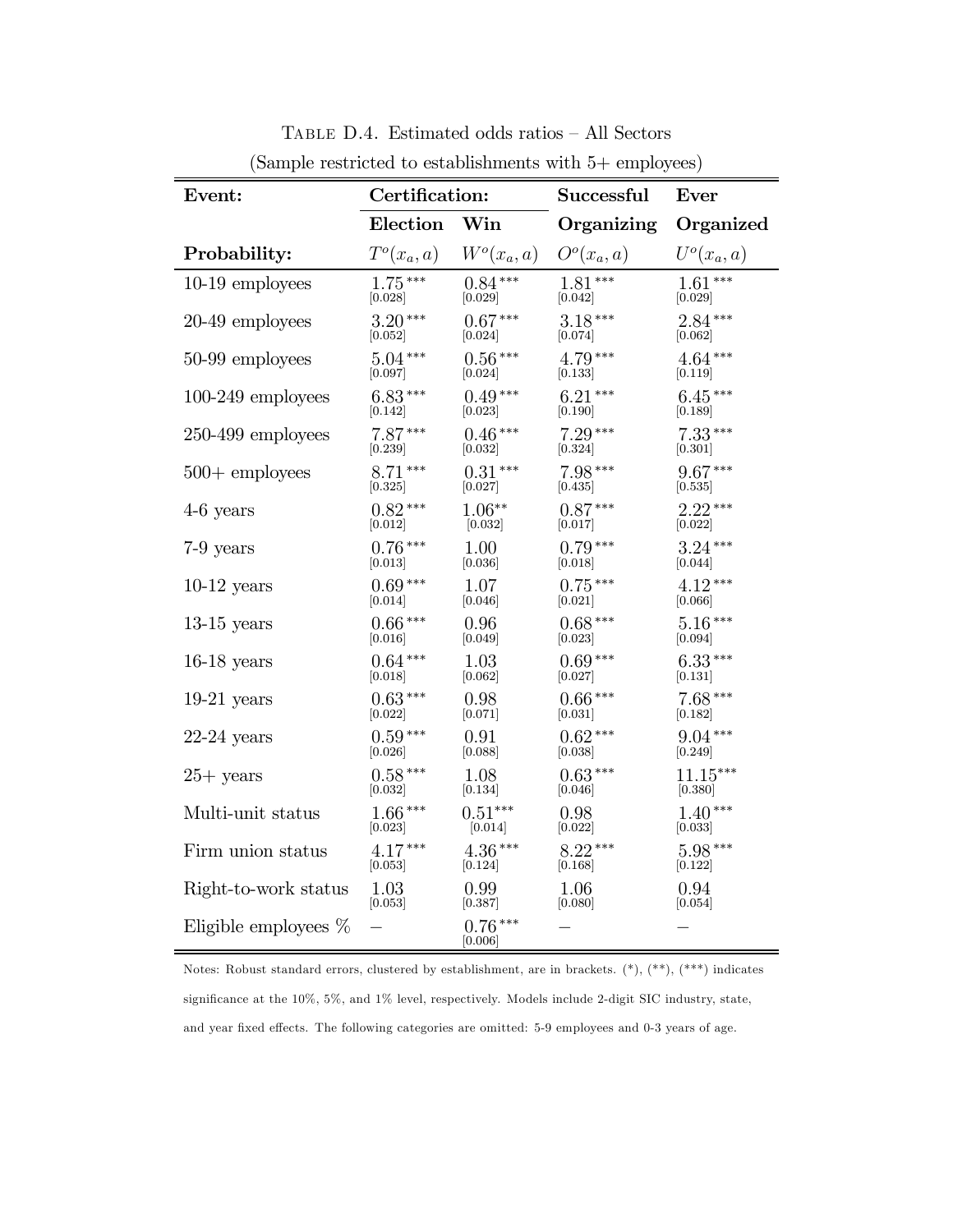| Event:                  | Certification: |                      | Successful                          | Ever          |
|-------------------------|----------------|----------------------|-------------------------------------|---------------|
|                         | Election       | Win                  | Organizing                          | Organized     |
| Probability:            | $T^o(x_a, a)$  | $W^o(x_a, a)$        | O <sup>o</sup> (x <sub>a</sub> , a) | $U^o(x_a, a)$ |
| $10-19$ employees       | $1.75***$      | $0.84***$            | $1.81***$                           | $1.61***$     |
|                         | [0.028]        | [0.029]              | [0.042]                             | [0.029]       |
| 20-49 employees         | $3.20***$      | $0.67***$            | $3.18***$                           | $2.84***$     |
|                         | [0.052]        | [0.024]              | [0.074]                             | [0.062]       |
| 50-99 employees         | $5.04***$      | $0.56***$            | $4.79***$                           | $4.64***$     |
|                         | [0.097]        | [0.024]              | [0.133]                             | [0.119]       |
| $100-249$ employees     | $6.83***$      | $0.49***$            | $6.21***$                           | $6.45***$     |
|                         | [0.142]        | [0.023]              | [0.190]                             | [0.189]       |
| $250-499$ employees     | $7.87***$      | $0.46***$            | $7.29***$                           | $7.33***$     |
|                         | [0.239]        | [0.032]              | [0.324]                             | [0.301]       |
| $500 +$ employees       | $8.71***$      | $0.31***$            | $7.98***$                           | $9.67***$     |
|                         | [0.325]        | [0.027]              | 0.435                               | [0.535]       |
| $4-6$ years             | $0.82***$      | $1.06**$             | $0.87***$                           | $2.22***$     |
|                         | [0.012]        | [0.032]              | [0.017]                             | [0.022]       |
| 7-9 years               | $0.76***$      | 1.00                 | $0.79***$                           | $3.24***$     |
|                         | [0.013]        | [0.036]              | [0.018]                             | [0.044]       |
| $10-12$ years           | $0.69***$      | 1.07                 | $0.75***$                           | $4.12***$     |
|                         | [0.014]        | [0.046]              | 0.021                               | [0.066]       |
| $13-15$ years           | $0.66***$      | 0.96                 | $0.68***$                           | $5.16***$     |
|                         | 0.016          | [0.049]              | [0.023]                             | 0.094         |
| $16-18$ years           | $0.64***$      | 1.03                 | $0.69***$                           | $6.33***$     |
|                         | 0.018          | [0.062]              | [0.027]                             | 0.131         |
| $19-21$ years           | $0.63***$      | 0.98                 | $0.66***$                           | $7.68***$     |
|                         | [0.022]        | [0.071]              | [0.031]                             | [0.182]       |
| $22-24$ years           | $0.59***$      | 0.91                 | $0.62***$                           | $9.04***$     |
|                         | [0.026]        | [0.088]              | [0.038]                             | [0.249]       |
| $25+$ years             | $0.58***$      | 1.08                 | $0.63***$                           | $11.15***$    |
|                         | [0.032]        | [0.134]              | 0.046                               | [0.380]       |
| Multi-unit status       | $1.66***$      | $0.51***$            | 0.98                                | $1.40***$     |
|                         | [0.023]        | [0.014]              | [0.022]                             | [0.033]       |
| Firm union status       | $4.17***$      | $4.36***$            | $8.22***$                           | $5.98***$     |
|                         | [0.053]        | [0.124]              | [0.168]                             | [0.122]       |
| Right-to-work status    | 1.03           | 0.99                 | 1.06                                | 0.94          |
|                         | [0.053]        | [0.387]              | [0.080]                             | [0.054]       |
| Eligible employees $\%$ |                | $0.76***$<br>[0.006] |                                     |               |

Table D.4. Estimated odds ratios — All Sectors (Sample restricted to establishments with 5+ employees)

Notes: Robust standard errors, clustered by establishment, are in brackets. (\*), (\*\*), (\*\*\*) indicates significance at the 10%, 5%, and 1% level, respectively. Models include 2-digit SIC industry, state, and year fixed effects. The following categories are omitted: 5-9 employees and 0-3 years of age.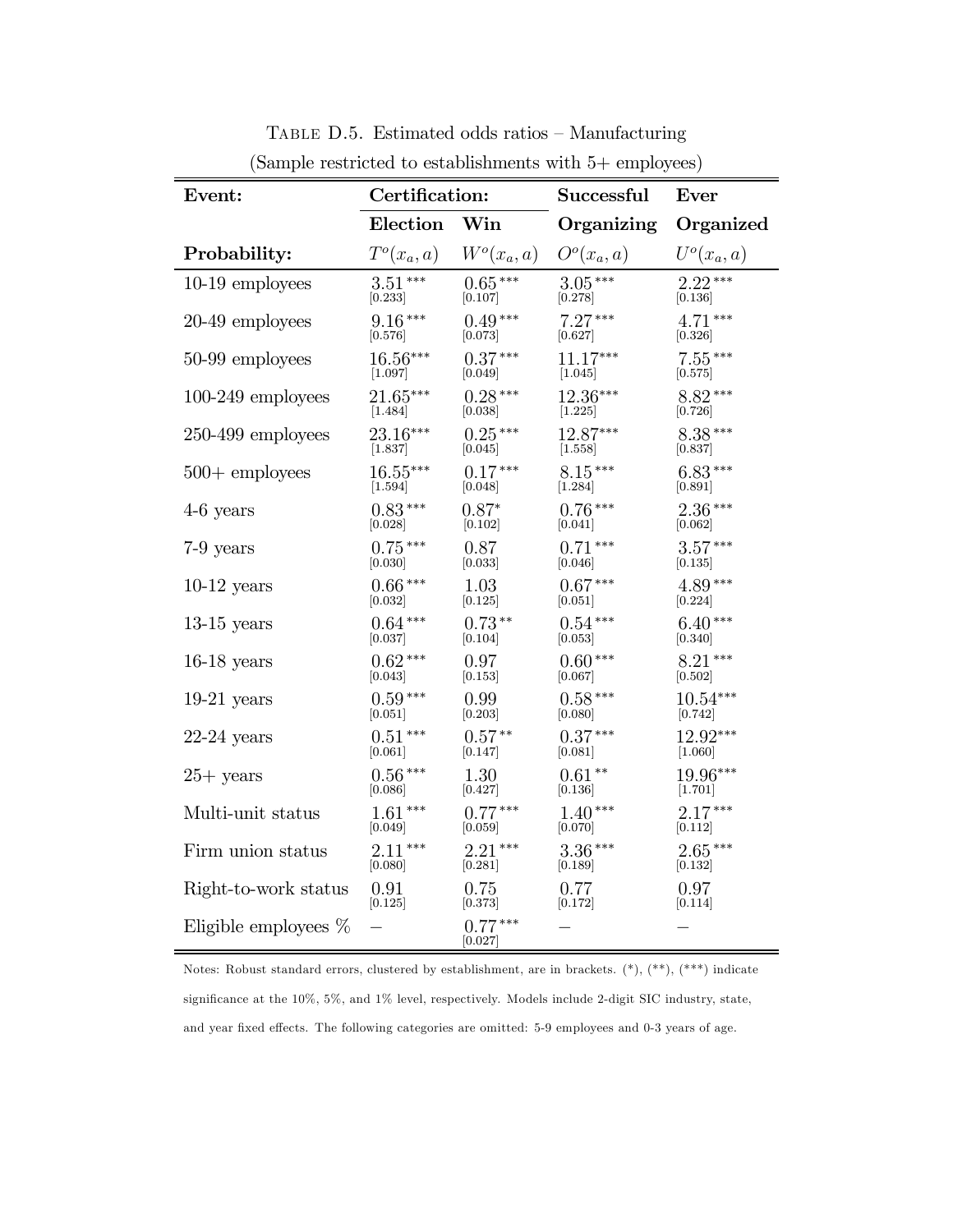| Event:                  | Certification: |                      | Successful           | Ever                 |
|-------------------------|----------------|----------------------|----------------------|----------------------|
|                         | Election       | Win                  | Organizing           | Organized            |
| Probability:            | $T^o(x_a, a)$  | $W^o(x_a, a)$        | $O^o(x_a, a)$        | $U^o(x_a, a)$        |
| 10-19 employees         | $3.51***$      | $0.65***$            | $3.05***$            | $2.22***$            |
|                         | [0.233]        | 0.107                | [0.278]              | [0.136]              |
| 20-49 employees         | $9.16***$      | $0.49***$            | $7.27***$            | $4.71***$            |
|                         | [0.576]        | [0.073]              | [0.627]              | [0.326]              |
| 50-99 employees         | $16.56***$     | $0.37***$            | $11.17***$           | $7.55***$            |
|                         | [1.097]        | [0.049]              | [1.045]              | [0.575]              |
| $100-249$ employees     | 21.65***       | $0.28***$            | $12.36***$           | $8.82***$            |
|                         | [1.484]        | [0.038]              | [1.225]              | [0.726]              |
| $250-499$ employees     | 23.16***       | $0.25***$            | 12.87***             | $8.38***$            |
|                         | [1.837]        | [0.045]              | $\left[1.558\right]$ | [0.837]              |
| $500 +$ employees       | $16.55***$     | $0.17***$            | $8.15***$            | $6.83***$            |
|                         | [1.594]        | [0.048]              | [1.284]              | [0.891]              |
| $4-6$ years             | $0.83***$      | $0.87*$              | $0.76***$            | $2.36***$            |
|                         | [0.028]        | [0.102]              | [0.041]              | [0.062]              |
| 7-9 years               | $0.75***$      | 0.87                 | $0.71***$            | $3.57***$            |
|                         | [0.030]        | [0.033]              | [0.046]              | $\left[0.135\right]$ |
| $10-12$ years           | $0.66***$      | 1.03                 | $0.67***$            | $4.89***$            |
|                         | 0.032          | [0.125]              | 0.051                | [0.224]              |
| $13-15$ years           | $0.64***$      | $0.73**$             | $0.54\,***$          | $6.40***$            |
|                         | [0.037]        | 0.104                | [0.053]              | [0.340]              |
| $16-18$ years           | $0.62***$      | 0.97                 | $0.60***$            | $8.21***$            |
|                         | 0.043          | [0.153]              | [0.067]              | 0.502                |
| $19-21$ years           | $0.59***$      | 0.99                 | $0.58***$            | $10.54***$           |
|                         | 0.051          | [0.203]              | [0.080]              | [0.742]              |
| $22-24$ years           | $0.51***$      | $0.57**$             | $0.37***$            | 12.92***             |
|                         | [0.061]        | [0.147]              | [0.081]              | $[1.060]$            |
| $25+$ years             | $0.56***$      | 1.30                 | $0.61**$             | 19.96***             |
|                         | [0.086]        | [0.427]              | [0.136]              | [1.701]              |
| Multi-unit status       | $1.61***$      | $0.77***$            | $1.40***$            | $2.17***$            |
|                         | [0.049]        | [0.059]              | [0.070]              | [0.112]              |
| Firm union status       | $2.11***$      | $2.21***$            | $3.36***$            | $2.65***$            |
|                         | [0.080]        | [0.281]              | 0.189                | [0.132]              |
| Right-to-work status    | 0.91           | 0.75                 | 0.77                 | 0.97                 |
|                         | [0.125]        | [0.373]              | [0.172]              | 0.114                |
| Eligible employees $\%$ |                | $0.77***$<br>[0.027] |                      |                      |

Table D.5. Estimated odds ratios — Manufacturing (Sample restricted to establishments with 5+ employees)

Notes: Robust standard errors, clustered by establishment, are in brackets. (\*), (\*\*), (\*\*\*) indicate significance at the 10%, 5%, and 1% level, respectively. Models include 2-digit SIC industry, state, and year fixed effects. The following categories are omitted: 5-9 employees and 0-3 years of age.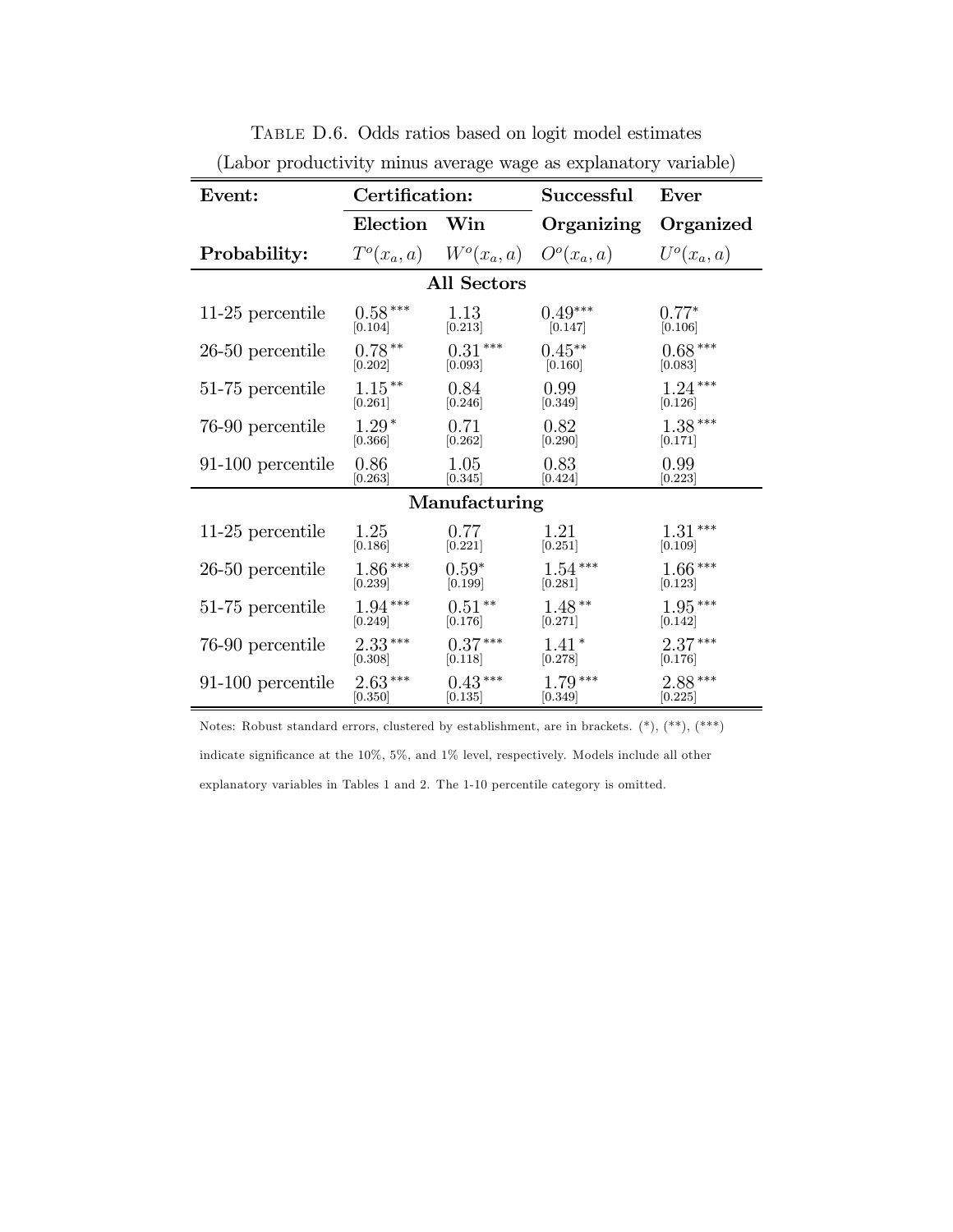| Event:             | Certification: |                    | Successful                                | Ever          |  |
|--------------------|----------------|--------------------|-------------------------------------------|---------------|--|
|                    | Election Win   |                    | Organizing                                | Organized     |  |
| Probability:       |                |                    | $T^o(x_a, a)$ $W^o(x_a, a)$ $O^o(x_a, a)$ | $U^o(x_a, a)$ |  |
|                    |                | <b>All Sectors</b> |                                           |               |  |
| 11-25 percentile   | $0.58***$      | 1.13               | $0.49***$                                 | $0.77*$       |  |
|                    | [0.104]        | [0.213]            | [0.147]                                   | [0.106]       |  |
| $26-50$ percentile | $0.78**$       | $0.31***$          | $0.45**$                                  | $0.68***$     |  |
|                    | [0.202]        | [0.093]            | [0.160]                                   | [0.083]       |  |
| 51-75 percentile   | $1.15***$      | 0.84               | 0.99                                      | $1.24***$     |  |
|                    | [0.261]        | [0.246]            | [0.349]                                   | [0.126]       |  |
| 76-90 percentile   | $1.29*$        | 0.71               | 0.82                                      | $1.38***$     |  |
|                    | [0.366]        | [0.262]            | $\left[0.290\right]$                      | [0.171]       |  |
| 91-100 percentile  | 0.86           | 1.05               | 0.83                                      | 0.99          |  |
|                    | [0.263]        | [0.345]            | [0.424]                                   | [0.223]       |  |
| Manufacturing      |                |                    |                                           |               |  |
| 11-25 percentile   | 1.25           | 0.77               | 1.21                                      | $1.31***$     |  |
|                    | [0.186]        | $[0.221]$          | [0.251]                                   | [0.109]       |  |
| $26-50$ percentile | $1.86***$      | $0.59*$            | $1.54***$                                 | $1.66***$     |  |
|                    | [0.239]        | [0.199]            | [0.281]                                   | [0.123]       |  |
| 51-75 percentile   | $1.94***$      | $0.51**$           | $1.48**$                                  | $1.95***$     |  |
|                    | [0.249]        | [0.176]            | [0.271]                                   | [0.142]       |  |
| 76-90 percentile   | $2.33***$      | $0.37***$          | $1.41*$                                   | $2.37***$     |  |
|                    | [0.308]        | [0.118]            | [0.278]                                   | [0.176]       |  |
| 91-100 percentile  | $2.63***$      | $0.43***$          | $1.79***$                                 | $2.88***$     |  |
|                    | [0.350]        | [0.135]            | [0.349]                                   | [0.225]       |  |

Table D.6. Odds ratios based on logit model estimates (Labor productivity minus average wage as explanatory variable)

Notes: Robust standard errors, clustered by establishment, are in brackets. (\*), (\*\*), (\*\*\*) indicate significance at the 10%, 5%, and 1% level, respectively. Models include all other explanatory variables in Tables 1 and 2. The 1-10 percentile category is omitted.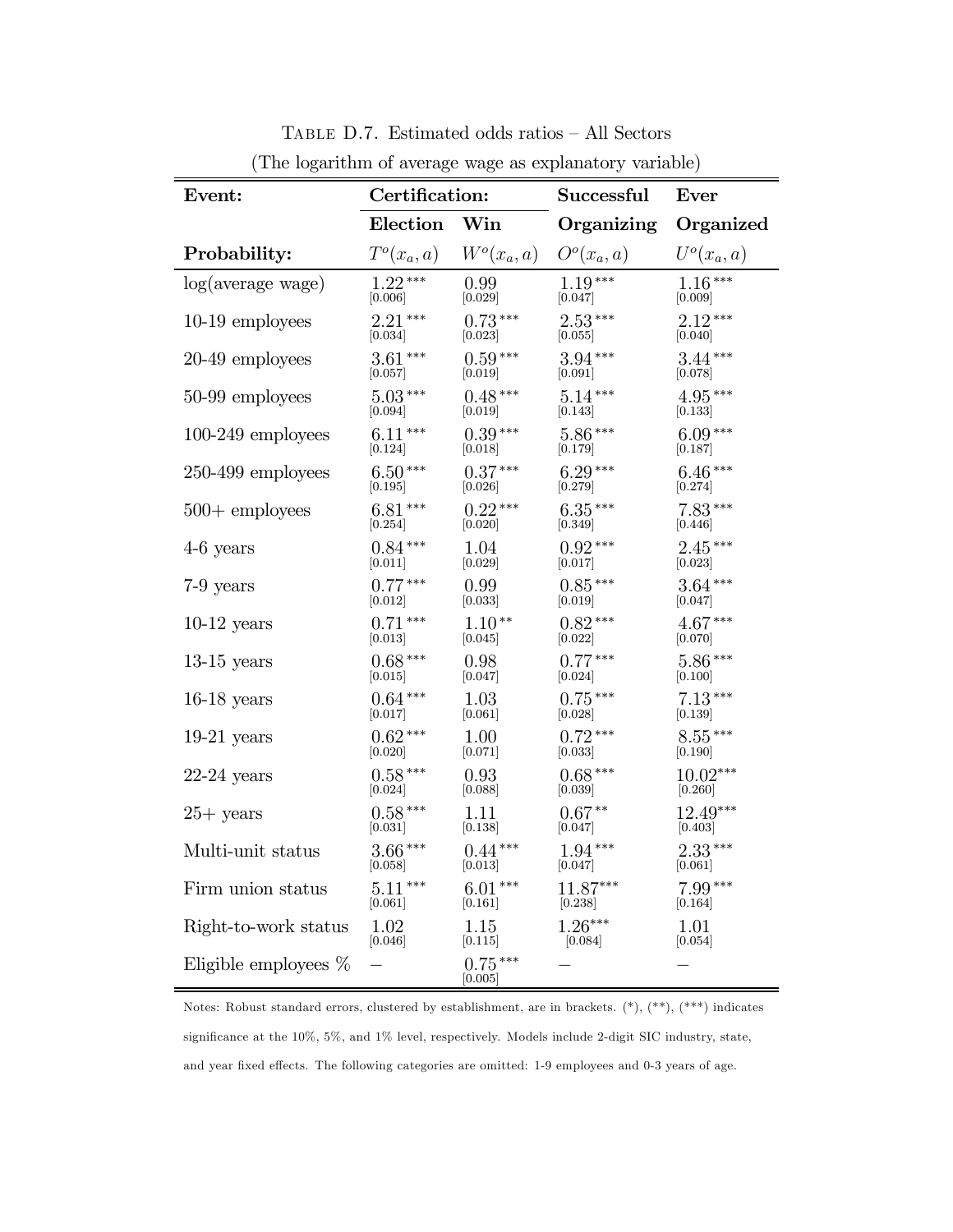| Event:                  | Certification: |                             | Successful            | Ever                 |
|-------------------------|----------------|-----------------------------|-----------------------|----------------------|
|                         | Election Win   |                             | Organizing            | Organized            |
| Probability:            |                | $T^o(x_a, a)$ $W^o(x_a, a)$ | $O^o(x_a, a)$         | $U^o(x_a, a)$        |
| log(average wage)       | $1.22***$      | 0.99                        | $1.19***$             | $1.16***$            |
|                         | [0.006]        | $[0.029]$                   | [0.047]               | [0.009]              |
| $10-19$ employees       | $2.21***$      | $0.73***$                   | $2.53***$             | $2.12***$            |
|                         | [0.034]        | [0.023]                     | $\left[0.055\right]$  | [0.040]              |
| 20-49 employees         | $3.61***$      | $0.59***$                   | $3.94***$             | $3.44***$            |
|                         | [0.057]        | [0.019]                     | [0.091]               | [0.078]              |
| 50-99 employees         | $5.03***$      | $0.48***$                   | $5.14***$             | $4.95***$            |
|                         | $[0.094]$      | [0.019]                     | [0.143]               | [0.133]              |
| $100-249$ employees     | $6.11***$      | $0.39***$                   | $5.86***$             | $6.09***$            |
|                         | [0.124]        | [0.018]                     | [0.179]               | [0.187]              |
| $250-499$ employees     | $6.50***$      | $0.37***$                   | $6.29***$             | $6.46***$            |
|                         | [0.195]        | [0.026]                     | $\left[ 0.279\right]$ | [0.274]              |
| $500 +$ employees       | $6.81***$      | $0.22***$                   | $6.35***$             | $7.83***$            |
|                         | [0.254]        | [0.020]                     | [0.349]               | [0.446]              |
| $4-6$ years             | $0.84***$      | 1.04                        | $0.92***$             | $2.45***$            |
|                         | [0.011]        | [0.029]                     | [0.017]               | [0.023]              |
| $7-9$ years             | $0.77***$      | 0.99                        | $0.85***$             | $3.64***$            |
|                         | [0.012]        | [0.033]                     | [0.019]               | [0.047]              |
| $10-12$ years           | $0.71***$      | $1.10**$                    | $0.82***$             | $4.67***$            |
|                         | [0.013]        | [0.045]                     | [0.022]               | [0.070]              |
| $13-15$ years           | $0.68***$      | 0.98                        | $0.77***$             | $5.86***$            |
|                         | [0.015]        | [0.047]                     | $\left[0.024\right]$  | [0.100]              |
| $16-18$ years           | $0.64***$      | 1.03                        | $0.75***$             | $7.13***$            |
|                         | [0.017]        | [0.061]                     | [0.028]               | $\left[0.139\right]$ |
| $19-21$ years           | $0.62***$      | 1.00                        | $0.72***$             | $8.55***$            |
|                         | [0.020]        | [0.071]                     | [0.033]               | [0.190]              |
| $22\text{-}24$ years    | $0.58***$      | 0.93                        | $0.68***$             | $10.02***$           |
|                         | [0.024]        | [0.088]                     | [0.039]               | [0.260]              |
| $25+$ years             | $0.58***$      | 1.11                        | $0.67**$              | $12.49***$           |
|                         | $[0.031]$      | [0.138]                     | [0.047]               | [0.403]              |
| Multi-unit status       | $3.66***$      | $0.44***$                   | $1.94***$             | $2.33***$            |
|                         | [0.058]        | [0.013]                     | [0.047]               | $[0.061]$            |
| Firm union status       | $5.11***$      | $6.01***$                   | $11.87***$            | $7.99***$            |
|                         | [0.061]        | [0.161]                     | [0.238]               | [0.164]              |
| Right-to-work status    | 1.02           | 1.15                        | $1.26***$             | 1.01                 |
|                         | [0.046]        | [0.115]                     | [0.084]               | [0.054]              |
| Eligible employees $\%$ |                | $0.75***$<br> 0.005         |                       |                      |

Table D.7. Estimated odds ratios — All Sectors (The logarithm of average wage as explanatory variable)

Notes: Robust standard errors, clustered by establishment, are in brackets. (\*), (\*\*), (\*\*\*) indicates significance at the 10%, 5%, and 1% level, respectively. Models include 2-digit SIC industry, state, and year fixed effects. The following categories are omitted: 1-9 employees and 0-3 years of age.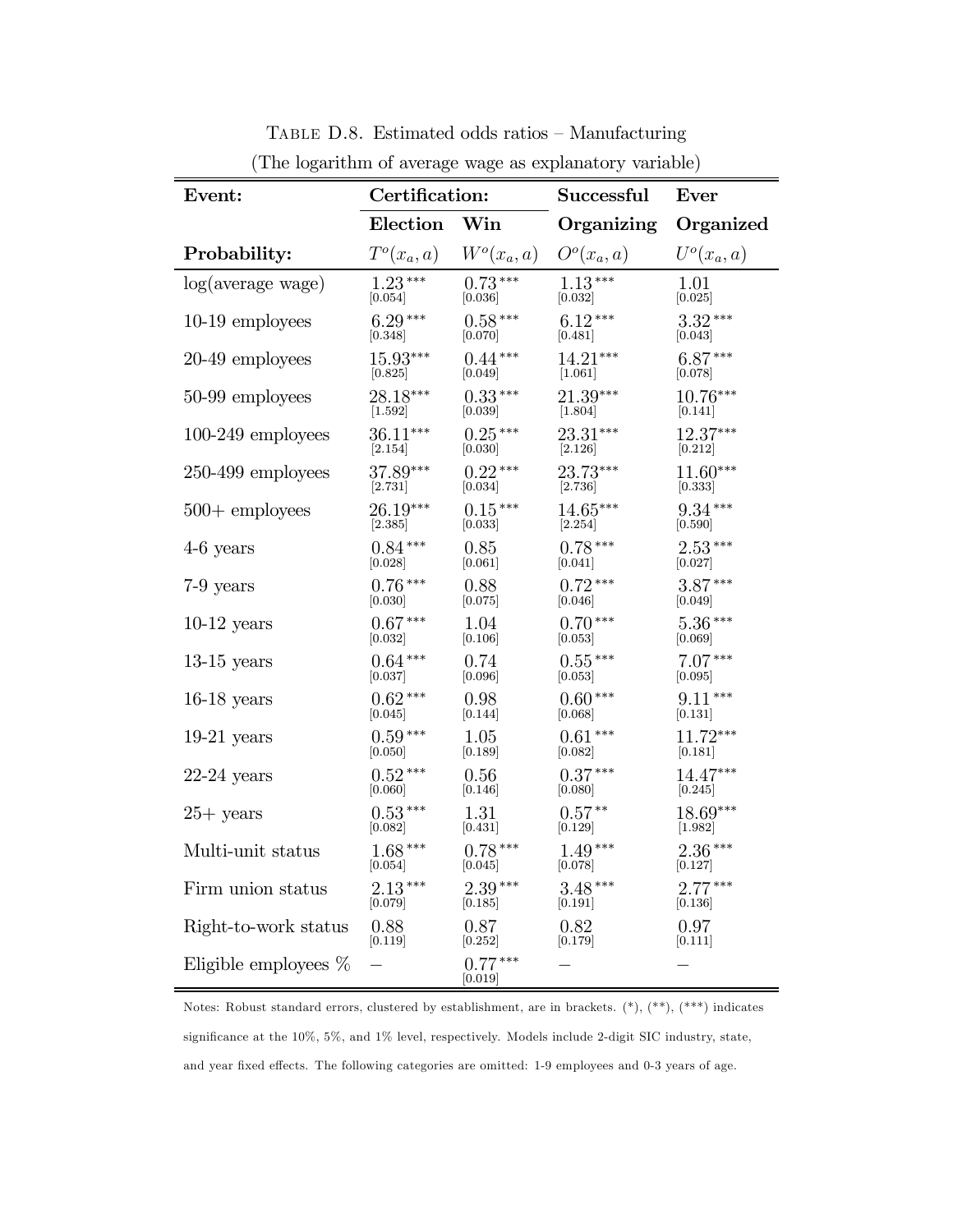| Event:                  | Certification:                   |                             | Successful           | Ever                 |
|-------------------------|----------------------------------|-----------------------------|----------------------|----------------------|
|                         | Election Win                     |                             | Organizing           | Organized            |
| Probability:            |                                  | $T^o(x_a, a)$ $W^o(x_a, a)$ | $O^o(x_a, a)$        | $U^o(x_a, a)$        |
| log(average wage)       | $1.23***$                        | $0.73***$                   | $1.13***$            | 1.01                 |
|                         | $[0.054]$                        | $\left[0.036\right]$        | $[0.032]$            | [0.025]              |
| $10-19$ employees       | $6.29***$                        | $0.58***$                   | $6.12***$            | $3.32***$            |
|                         | [0.348]                          | [0.070]                     | [0.481]              | [0.043]              |
| 20-49 employees         | $15.93***$                       | $0.44***$                   | $14.21***$           | $6.87***$            |
|                         | [0.825]                          | [0.049]                     | [1.061]              | [0.078]              |
| 50-99 employees         | 28.18***                         | $0.33***$                   | 21.39***             | $10.76***$           |
|                         | $[1.592]$                        | $[0.039]$                   | [1.804]              | [0.141]              |
| $100-249$ employees     | $36.11***$                       | $0.25***$                   | $23.31***$           | 12.37***             |
|                         | [2.154]                          | [0.030]                     | [2.126]              | [0.212]              |
| $250-499$ employees     | $37.89***$                       | $0.22***$                   | $23.73***$           | $11.60***$           |
|                         | [2.731]                          | [0.034]                     | [2.736]              | [0.333]              |
| $500 +$ employees       | $26.19***$                       | $0.15***$                   | $14.65***$           | $9.34***$            |
|                         | [2.385]                          | [0.033]                     | [2.254]              | [0.590]              |
| $4-6$ years             | $0.84***$                        | 0.85                        | $0.78***$            | $2.53***$            |
|                         | [0.028]                          | [0.061]                     | [0.041]              | [0.027]              |
| $7-9$ years             | $0.76***$                        | 0.88                        | $0.72***$            | $3.87***$            |
|                         | [0.030]                          | [0.075]                     | [0.046]              | [0.049]              |
| $10-12$ years           | $0.67***$                        | 1.04                        | $0.70***$            | $5.36***$            |
|                         | [0.032]                          | [0.106]                     | [0.053]              | [0.069]              |
| $13-15$ years           | $0.64***$                        | 0.74                        | $0.55***$            | $7.07***$            |
|                         | [0.037]                          | [0.096]                     | [0.053]              | [0.095]              |
| $16-18$ years           | $0.62***$                        | 0.98                        | $0.60***$            | $9.11***$            |
|                         | $\left[0.045\right]$             | [0.144]                     | [0.068]              | [0.131]              |
| $19-21$ years           | $0.59***$                        | 1.05                        | $0.61***$            | $11.72***$           |
|                         | [0.050]                          | [0.189]                     | [0.082]              | [0.181]              |
| $22-24$ years           | $0.52***$                        | 0.56                        | $0.37***$            | 14.47***             |
|                         | [0.060]                          | [0.146]                     | [0.080]              | [0.245]              |
| $25+$ years             | $0.53***$<br>[0.082]             | 1.31                        | $0.57**$             | $18.69***$           |
|                         | [0.082]                          | [0.431]                     | [0.129]              | [1.982]              |
| Multi-unit status       | $1.68***$<br>$[0.054]$ $[0.045]$ | $0.78***$                   | $1.49***$<br>[0.078] | $2.36***$<br>[0.127] |
| Firm union status       | $2.13***$                        | $2.39***$                   | $3.48***$            | $2.77***$            |
|                         | [0.079]                          | [0.185]                     | [0.191]              | [0.136]              |
| Right-to-work status    | 0.88                             | 0.87                        | 0.82                 | 0.97                 |
|                         | [0.119]                          | [0.252]                     | [0.179]              | [0.111]              |
| Eligible employees $\%$ |                                  | $0.77***$<br> 0.019         |                      |                      |

Table D.8. Estimated odds ratios — Manufacturing (The logarithm of average wage as explanatory variable)

Notes: Robust standard errors, clustered by establishment, are in brackets. (\*), (\*\*), (\*\*\*) indicates significance at the 10%, 5%, and 1% level, respectively. Models include 2-digit SIC industry, state, and year fixed effects. The following categories are omitted: 1-9 employees and 0-3 years of age.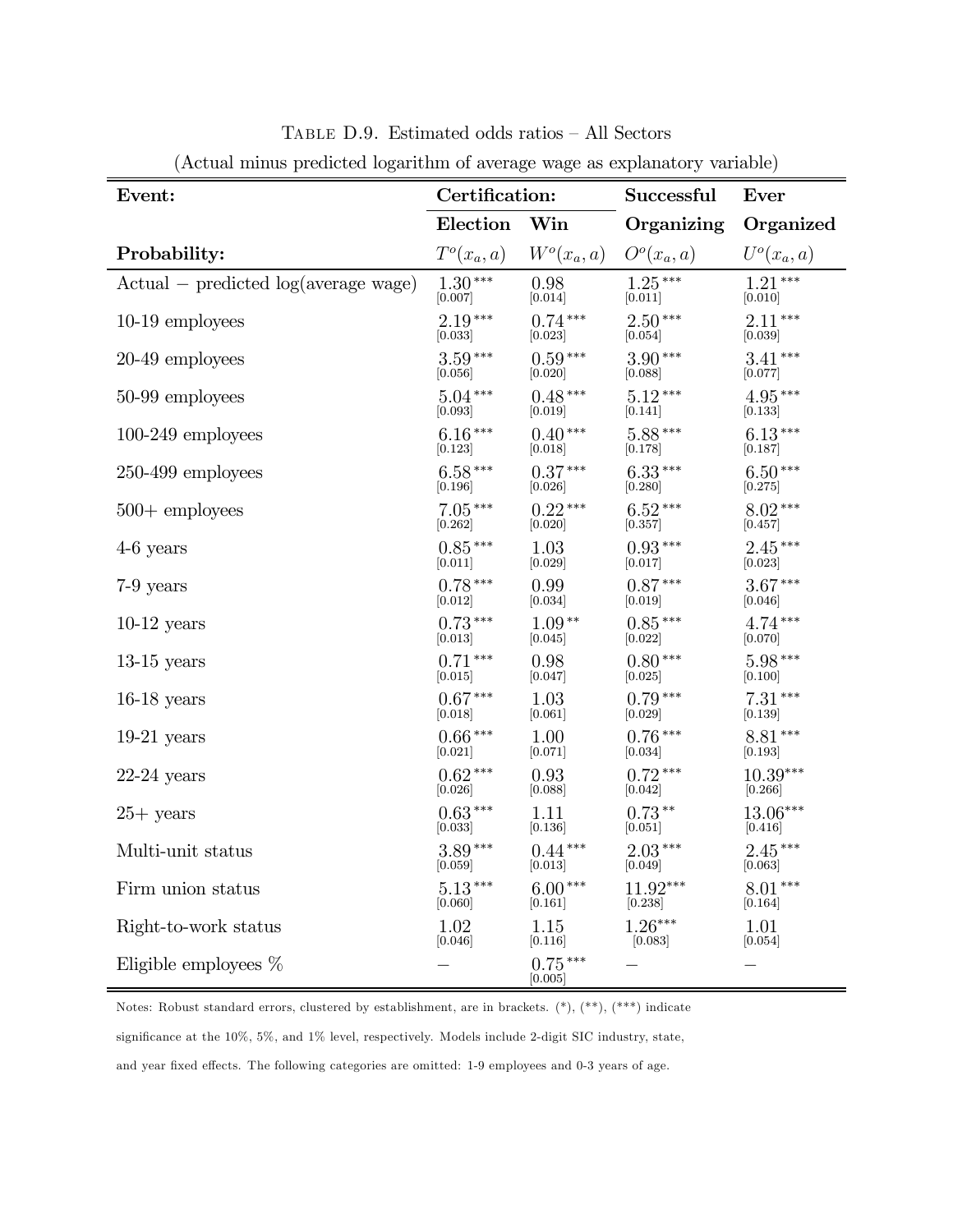| Event:                                 | Certification: |                      | Successful                          | Ever         |
|----------------------------------------|----------------|----------------------|-------------------------------------|--------------|
|                                        | Election       | $\operatorname{Win}$ | Organizing                          | Organized    |
| Probability:                           | $T^o(x_a, a)$  | $W^o(x_a, a)$        | O <sup>o</sup> (x <sub>a</sub> , a) | $U^o(x_a,a)$ |
| $Actual - predicted log(average wage)$ | $1.30***$      | 0.98                 | $1.25***$                           | $1.21***$    |
|                                        | [0.007]        | [0.014]              | [0.011]                             | [0.010]      |
| $10-19$ employees                      | $2.19***$      | $0.74***$            | $2.50***$                           | $2.11***$    |
|                                        | [0.033]        | [0.023]              | [0.054]                             | [0.039]      |
| 20-49 employees                        | $3.59***$      | $0.59***$            | $3.90***$                           | $3.41***$    |
|                                        | [0.056]        | [0.020]              | [0.088]                             | [0.077]      |
| 50-99 employees                        | $5.04***$      | $0.48***$            | $5.12***$                           | $4.95***$    |
|                                        | [0.093]        | [0.019]              | [0.141]                             | [0.133]      |
| $100-249$ employees                    | $6.16***$      | $0.40***$            | $5.88***$                           | $6.13***$    |
|                                        | [0.123]        | [0.018]              | [0.178]                             | [0.187]      |
| $250-499$ employees                    | $6.58***$      | $0.37***$            | $6.33***$                           | $6.50***$    |
|                                        | [0.196]        | [0.026]              | [0.280]                             | [0.275]      |
| $500 +$ employees                      | $7.05***$      | $0.22***$            | $6.52***$                           | $8.02***$    |
|                                        | [0.262]        | [0.020]              | [0.357]                             | [0.457]      |
| $4-6$ years                            | $0.85***$      | 1.03                 | $0.93***$                           | $2.45***$    |
|                                        | [0.011]        | [0.029]              | [0.017]                             | [0.023]      |
| 7-9 years                              | $0.78***$      | 0.99                 | $0.87***$                           | $3.67***$    |
|                                        | [0.012]        | [0.034]              | [0.019]                             | [0.046]      |
| $10-12$ years                          | $0.73***$      | $1.09**$             | $0.85***$                           | $4.74***$    |
|                                        | [0.013]        | [0.045]              | [0.022]                             | [0.070]      |
| $13-15$ years                          | $0.71***$      | 0.98                 | $0.80***$                           | $5.98***$    |
|                                        | [0.015]        | [0.047]              | [0.025]                             | [0.100]      |
| $16-18$ years                          | $0.67***$      | 1.03                 | $0.79***$                           | $7.31***$    |
|                                        | [0.018]        | [0.061]              | [0.029]                             | [0.139]      |
| $19-21$ years                          | $0.66***$      | 1.00                 | $0.76***$                           | $8.81***$    |
|                                        | [0.021]        | [0.071]              | [0.034]                             | [0.193]      |
| $22-24$ years                          | $0.62***$      | 0.93                 | $0.72***$                           | $10.39***$   |
|                                        | [0.026]        | [0.088]              | [0.042]                             | [0.266]      |
| $25+$ years                            | $0.63***$      | 1.11                 | $0.73**$                            | 13.06***     |
|                                        | [0.033]        | [0.136]              | [0.051]                             | [0.416]      |
| Multi-unit status                      | $3.89***$      | $0.44***$            | $2.03***$                           | $2.45***$    |
|                                        | [0.059]        | [0.013]              | [0.049]                             | [0.063]      |
| Firm union status                      | $5.13***$      | $6.00***$            | $11.92***$                          | $8.01***$    |
|                                        | [0.060]        | [0.161]              | [0.238]                             | [0.164]      |
| Right-to-work status                   | 1.02           | 1.15                 | $1.26***$                           | 1.01         |
|                                        | [0.046]        | [0.116]              | [0.083]                             | [0.054]      |
| Eligible employees $\%$                |                | $0.75***$<br>[0.005] |                                     |              |

Table D.9. Estimated odds ratios — All Sectors (Actual minus predicted logarithm of average wage as explanatory variable)

Notes: Robust standard errors, clustered by establishment, are in brackets.  $(*), (**, (**, *)$  indicate significance at the 10%, 5%, and 1% level, respectively. Models include 2-digit SIC industry, state, and year fixed effects. The following categories are omitted: 1-9 employees and 0-3 years of age.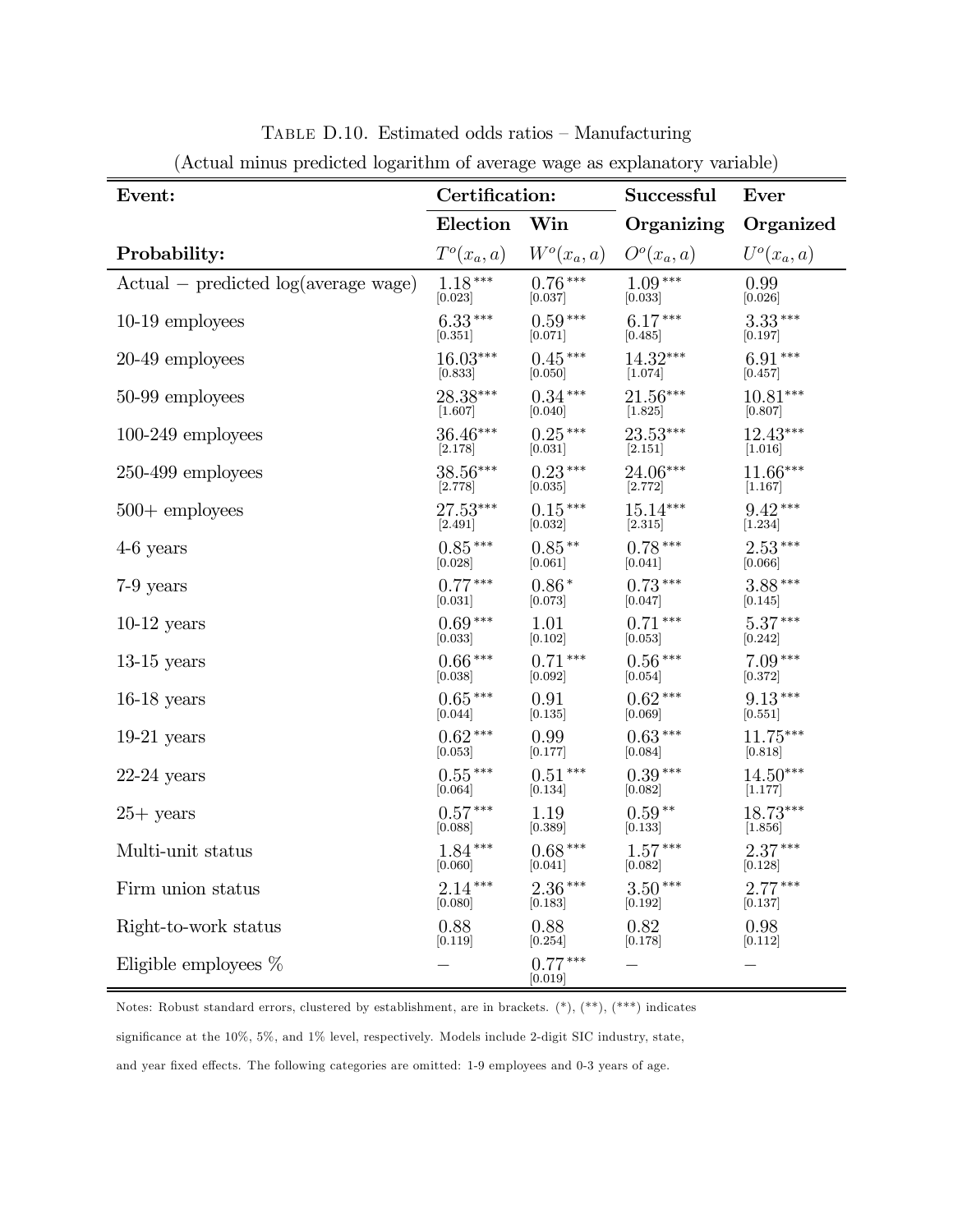| Event:                                 |               | Certification:       |                                     | Ever          |
|----------------------------------------|---------------|----------------------|-------------------------------------|---------------|
|                                        | Election      | Win                  | Organizing                          | Organized     |
| Probability:                           | $T^o(x_a, a)$ | $W^o(x_a, a)$        | O <sup>o</sup> (x <sub>a</sub> , a) | $U^o(x_a, a)$ |
| $Actual - predicted log(average wage)$ | $1.18***$     | $0.76***$            | $1.09***$                           | 0.99          |
|                                        | 0.023         | 0.037                | [0.033]                             | [0.026]       |
| $10-19$ employees                      | $6.33***$     | $0.59***$            | $6.17***$                           | $3.33***$     |
|                                        | [0.351]       | [0.071]              | [0.485]                             | [0.197]       |
| 20-49 employees                        | $16.03***$    | $0.45***$            | $14.32***$                          | $6.91***$     |
|                                        | 0.833         | [0.050]              | [1.074]                             | [0.457]       |
| 50-99 employees                        | 28.38***      | $0.34***$            | $21.56***$                          | $10.81***$    |
|                                        | [1.607]       | [0.040]              | [1.825]                             | [0.807]       |
| $100-249$ employees                    | 36.46***      | $0.25***$            | 23.53***                            | $12.43***$    |
|                                        | [2.178]       | [0.031]              | [2.151]                             | [1.016]       |
| 250-499 employees                      | 38.56***      | $0.23***$            | $24.06***$                          | $11.66***$    |
|                                        | 2.778         | [0.035]              | 2.772                               | 1.167         |
| $500 +$ employees                      | 27.53***      | $0.15***$            | $15.14***$                          | $9.42***$     |
|                                        | [2.491]       | [0.032]              | [2.315]                             | [1.234]       |
| $4-6$ years                            | $0.85***$     | $0.85**$             | $0.78***$                           | $2.53***$     |
|                                        | [0.028]       | [0.061]              | [0.041]                             | [0.066]       |
| $7-9$ years                            | $0.77***$     | $0.86*$              | $0.73***$                           | $3.88***$     |
|                                        | 0.031         | [0.073]              | [0.047]                             | [0.145]       |
| $10-12$ years                          | $0.69***$     | 1.01                 | $0.71***$                           | $5.37***$     |
|                                        | 0.033         | 0.102                | 0.053                               | 0.242         |
| $13-15$ years                          | $0.66***$     | $0.71***$            | $0.56***$                           | $7.09***$     |
|                                        | [0.038]       | [0.092]              | [0.054]                             | [0.372]       |
| $16-18$ years                          | $0.65***$     | 0.91                 | $0.62***$                           | $9.13***$     |
|                                        | 0.044         | [0.135]              | [0.069]                             | [0.551]       |
| $19-21$ years                          | $0.62***$     | 0.99                 | $0.63***$                           | $11.75***$    |
|                                        | [0.053]       | [0.177]              | [0.084]                             | [0.818]       |
| $22-24$ years                          | $0.55***$     | $0.51***$            | $0.39***$                           | $14.50***$    |
|                                        | [0.064]       | [0.134]              | [0.082]                             | [1.177]       |
| $25+$ years                            | $0.57***$     | 1.19                 | $0.59**$                            | 18.73***      |
|                                        | 0.088         | [0.389]              | [0.133]                             | 1.856         |
| Multi-unit status                      | $1.84***$     | $0.68***$            | $1.57***$                           | $2.37***$     |
|                                        | 0.060         | [0.041]              | [0.082]                             | [0.128]       |
| Firm union status                      | $2.14***$     | $2.36***$            | $3.50***$                           | $2.77***$     |
|                                        | [0.080]       | [0.183]              | [0.192]                             | [0.137]       |
| Right-to-work status                   | 0.88          | 0.88                 | 0.82                                | 0.98          |
|                                        | [0.119]       | [0.254]              | [0.178]                             | [0.112]       |
| Eligible employees $%$                 |               | $0.77***$<br>[0.019] |                                     |               |

Table D.10. Estimated odds ratios — Manufacturing (Actual minus predicted logarithm of average wage as explanatory variable)

Notes: Robust standard errors, clustered by establishment, are in brackets.  $(*), (**, (**, *)$  indicates significance at the 10%, 5%, and 1% level, respectively. Models include 2-digit SIC industry, state, and year fixed effects. The following categories are omitted: 1-9 employees and 0-3 years of age.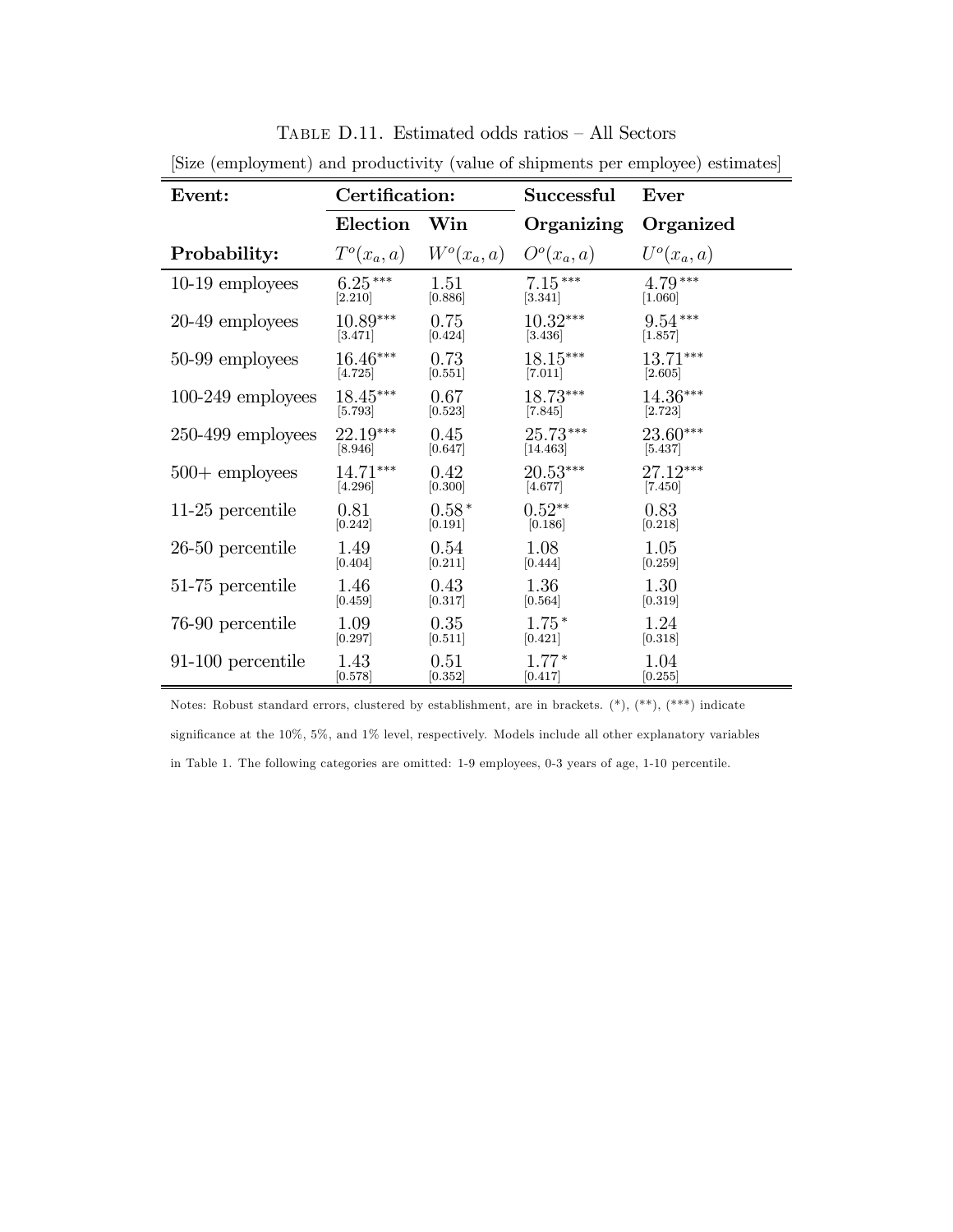| place (employment) and productivity (value of simplifents per employee) estimates |                 |               |              |               |  |
|-----------------------------------------------------------------------------------|-----------------|---------------|--------------|---------------|--|
| Event:                                                                            | Certification:  |               | Successful   | Ever          |  |
|                                                                                   | <b>Election</b> | Win           | Organizing   | Organized     |  |
| Probability:                                                                      | $T^o(x_a, a)$   | $W^o(x_a, a)$ | $Oo(x_a, a)$ | $U^o(x_a, a)$ |  |
| 10-19 employees                                                                   | $6.25***$       | 1.51          | $7.15***$    | $4.79***$     |  |
|                                                                                   | [2.210]         | [0.886]       | [3.341]      | [1.060]       |  |
| 20-49 employees                                                                   | $10.89***$      | 0.75          | $10.32***$   | $9.54***$     |  |
|                                                                                   | [3.471]         | [0.424]       | [3.436]      | [1.857]       |  |
| 50-99 employees                                                                   | $16.46***$      | 0.73          | $18.15***$   | $13.71***$    |  |
|                                                                                   | [4.725]         | [0.551]       | [7.011]      | [2.605]       |  |
| $100-249$ employees                                                               | $18.45***$      | 0.67          | $18.73***$   | $14.36***$    |  |
|                                                                                   | [5.793]         | [0.523]       | [7.845]      | [2.723]       |  |
| $250-499$ employees                                                               | 22.19***        | 0.45          | 25.73***     | $23.60***$    |  |
|                                                                                   | [8.946]         | [0.647]       | $[14.463]$   | [5.437]       |  |
| $500 +$ employees                                                                 | $14.71***$      | 0.42          | $20.53***$   | $27.12***$    |  |
|                                                                                   | [4.296]         | [0.300]       | [4.677]      | [7.450]       |  |
| 11-25 percentile                                                                  | 0.81            | $0.58*$       | $0.52**$     | 0.83          |  |
|                                                                                   | [0.242]         | [0.191]       | [0.186]      | [0.218]       |  |
| $26-50$ percentile                                                                | 1.49            | 0.54          | 1.08         | 1.05          |  |
|                                                                                   | [0.404]         | [0.211]       | [0.444]      | [0.259]       |  |
| 51-75 percentile                                                                  | 1.46            | 0.43          | 1.36         | 1.30          |  |
|                                                                                   | [0.459]         | [0.317]       | [0.564]      | [0.319]       |  |
| 76-90 percentile                                                                  | 1.09            | 0.35          | $1.75*$      | 1.24          |  |
|                                                                                   | [0.297]         | [0.511]       | [0.421]      | [0.318]       |  |
| 91-100 percentile                                                                 | 1.43            | 0.51          | $1.77*$      | 1.04          |  |
|                                                                                   | [0.578]         | [0.352]       | [0.417]      | [0.255]       |  |

Table D.11. Estimated odds ratios — All Sectors [Size (employment) and productivity (value of shipments per employee) estimates]

Notes: Robust standard errors, clustered by establishment, are in brackets. (\*), (\*\*), (\*\*\*) indicate significance at the 10%, 5%, and 1% level, respectively. Models include all other explanatory variables in Table 1. The following categories are omitted: 1-9 employees, 0-3 years of age, 1-10 percentile.